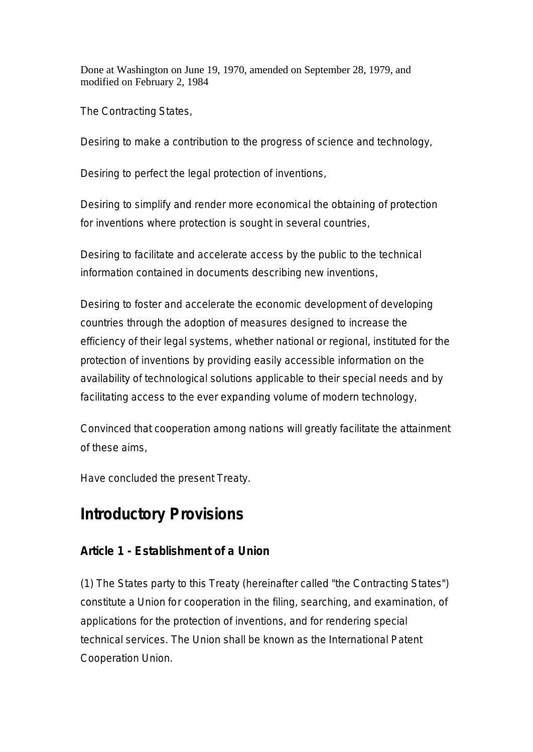Done at Washington on June 19, 1970, amended on September 28, 1979, and modified on February 2, 1984

The Contracting States,

Desiring to make a contribution to the progress of science and technology,

Desiring to perfect the legal protection of inventions,

Desiring to simplify and render more economical the obtaining of protection for inventions where protection is sought in several countries,

Desiring to facilitate and accelerate access by the public to the technical information contained in documents describing new inventions,

Desiring to foster and accelerate the economic development of developing countries through the adoption of measures designed to increase the efficiency of their legal systems, whether national or regional, instituted for the protection of inventions by providing easily accessible information on the availability of technological solutions applicable to their special needs and by facilitating access to the ever expanding volume of modern technology,

Convinced that cooperation among nations will greatly facilitate the attainment of these aims,

Have concluded the present Treaty.

# **Introductory Provisions**

### **Article 1 - Establishment of a Union**

(1) The States party to this Treaty (hereinafter called "the Contracting States") constitute a Union for cooperation in the filing, searching, and examination, of applications for the protection of inventions, and for rendering special technical services. The Union shall be known as the International Patent Cooperation Union.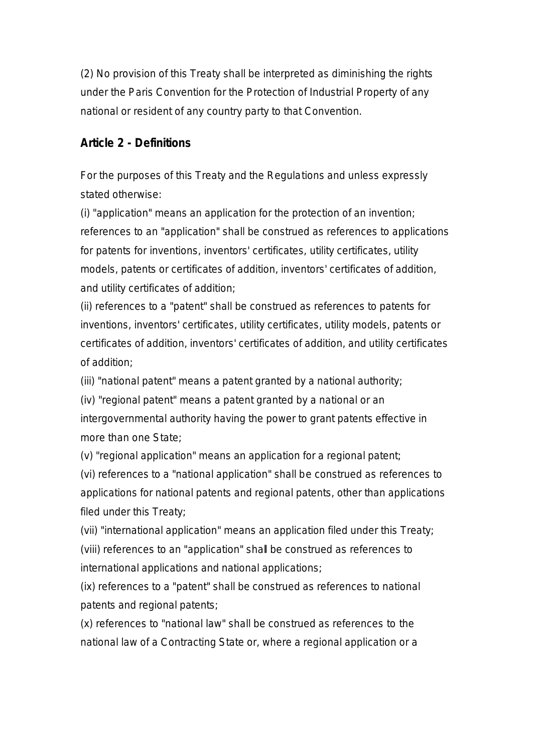(2) No provision of this Treaty shall be interpreted as diminishing the rights under the Paris Convention for the Protection of Industrial Property of any national or resident of any country party to that Convention.

### **Article 2 - Definitions**

For the purposes of this Treaty and the Regulations and unless expressly stated otherwise:

(i) "application" means an application for the protection of an invention; references to an "application" shall be construed as references to applications for patents for inventions, inventors' certificates, utility certificates, utility models, patents or certificates of addition, inventors' certificates of addition, and utility certificates of addition;

(ii) references to a "patent" shall be construed as references to patents for inventions, inventors' certificates, utility certificates, utility models, patents or certificates of addition, inventors' certificates of addition, and utility certificates of addition;

(iii) "national patent" means a patent granted by a national authority;

(iv) "regional patent" means a patent granted by a national or an intergovernmental authority having the power to grant patents effective in more than one State;

(v) "regional application" means an application for a regional patent;

(vi) references to a "national application" shall be construed as references to applications for national patents and regional patents, other than applications filed under this Treaty;

(vii) "international application" means an application filed under this Treaty; (viii) references to an "application" shall be construed as references to international applications and national applications;

(ix) references to a "patent" shall be construed as references to national patents and regional patents;

(x) references to "national law" shall be construed as references to the national law of a Contracting State or, where a regional application or a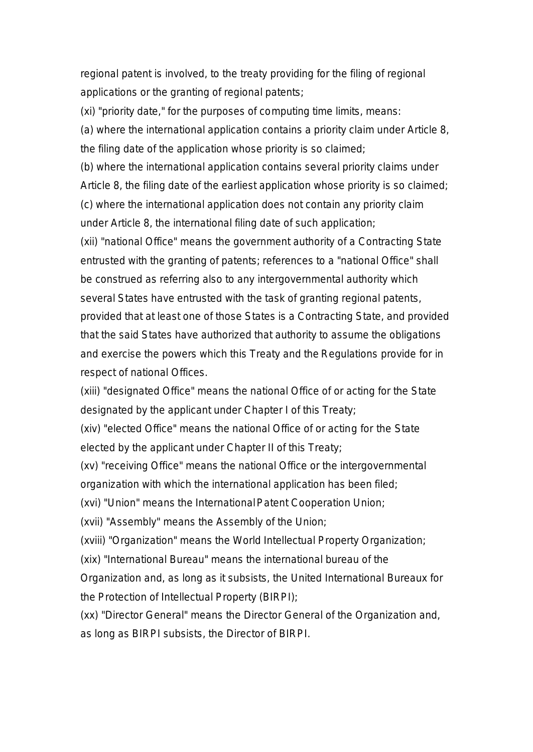regional patent is involved, to the treaty providing for the filing of regional applications or the granting of regional patents;

(xi) "priority date," for the purposes of computing time limits, means:

(a) where the international application contains a priority claim under Article 8, the filing date of the application whose priority is so claimed;

(b) where the international application contains several priority claims under Article 8, the filing date of the earliest application whose priority is so claimed; (c) where the international application does not contain any priority claim

under Article 8, the international filing date of such application;

(xii) "national Office" means the government authority of a Contracting State entrusted with the granting of patents; references to a "national Office" shall be construed as referring also to any intergovernmental authority which several States have entrusted with the task of granting regional patents, provided that at least one of those States is a Contracting State, and provided that the said States have authorized that authority to assume the obligations and exercise the powers which this Treaty and the Regulations provide for in respect of national Offices.

(xiii) "designated Office" means the national Office of or acting for the State designated by the applicant under Chapter I of this Treaty;

(xiv) "elected Office" means the national Office of or acting for the State elected by the applicant under Chapter II of this Treaty;

(xv) "receiving Office" means the national Office or the intergovernmental organization with which the international application has been filed;

(xvi) "Union" means the International Patent Cooperation Union;

(xvii) "Assembly" means the Assembly of the Union;

(xviii) "Organization" means the World Intellectual Property Organization;

(xix) "International Bureau" means the international bureau of the

Organization and, as long as it subsists, the United International Bureaux for the Protection of Intellectual Property (BIRPI);

(xx) "Director General" means the Director General of the Organization and, as long as BIRPI subsists, the Director of BIRPI.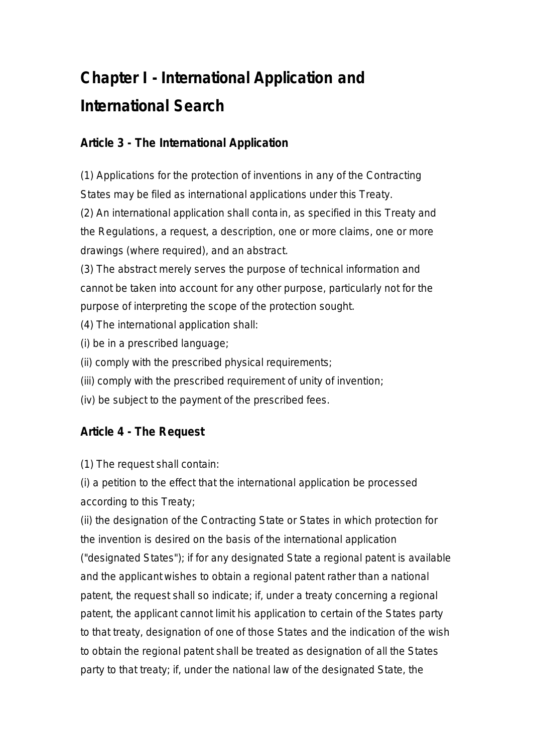# **Chapter I - International Application and International Search**

### **Article 3 - The International Application**

(1) Applications for the protection of inventions in any of the Contracting States may be filed as international applications under this Treaty.

(2) An international application shall contain, as specified in this Treaty and the Regulations, a request, a description, one or more claims, one or more drawings (where required), and an abstract.

(3) The abstract merely serves the purpose of technical information and cannot be taken into account for any other purpose, particularly not for the purpose of interpreting the scope of the protection sought.

(4) The international application shall:

(i) be in a prescribed language;

(ii) comply with the prescribed physical requirements;

- (iii) comply with the prescribed requirement of unity of invention;
- (iv) be subject to the payment of the prescribed fees.

# **Article 4 - The Request**

(1) The request shall contain:

(i) a petition to the effect that the international application be processed according to this Treaty;

(ii) the designation of the Contracting State or States in which protection for the invention is desired on the basis of the international application ("designated States"); if for any designated State a regional patent is available and the applicant wishes to obtain a regional patent rather than a national patent, the request shall so indicate; if, under a treaty concerning a regional patent, the applicant cannot limit his application to certain of the States party to that treaty, designation of one of those States and the indication of the wish to obtain the regional patent shall be treated as designation of all the States party to that treaty; if, under the national law of the designated State, the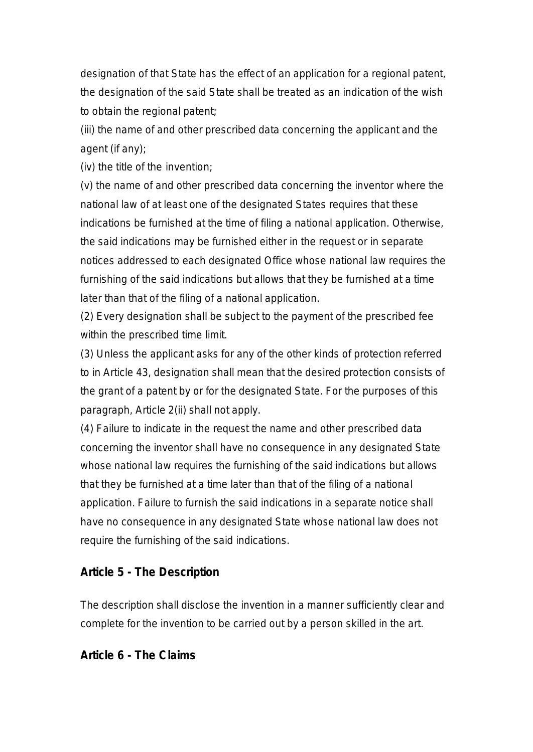designation of that State has the effect of an application for a regional patent, the designation of the said State shall be treated as an indication of the wish to obtain the regional patent;

(iii) the name of and other prescribed data concerning the applicant and the agent (if any);

(iv) the title of the invention;

(v) the name of and other prescribed data concerning the inventor where the national law of at least one of the designated States requires that these indications be furnished at the time of filing a national application. Otherwise, the said indications may be furnished either in the request or in separate notices addressed to each designated Office whose national law requires the furnishing of the said indications but allows that they be furnished at a time later than that of the filing of a national application.

(2) Every designation shall be subject to the payment of the prescribed fee within the prescribed time limit.

(3) Unless the applicant asks for any of the other kinds of protection referred to in Article 43, designation shall mean that the desired protection consists of the grant of a patent by or for the designated State. For the purposes of this paragraph, Article 2(ii) shall not apply.

(4) Failure to indicate in the request the name and other prescribed data concerning the inventor shall have no consequence in any designated State whose national law requires the furnishing of the said indications but allows that they be furnished at a time later than that of the filing of a national application. Failure to furnish the said indications in a separate notice shall have no consequence in any designated State whose national law does not require the furnishing of the said indications.

### **Article 5 - The Description**

The description shall disclose the invention in a manner sufficiently clear and complete for the invention to be carried out by a person skilled in the art.

#### **Article 6 - The Claims**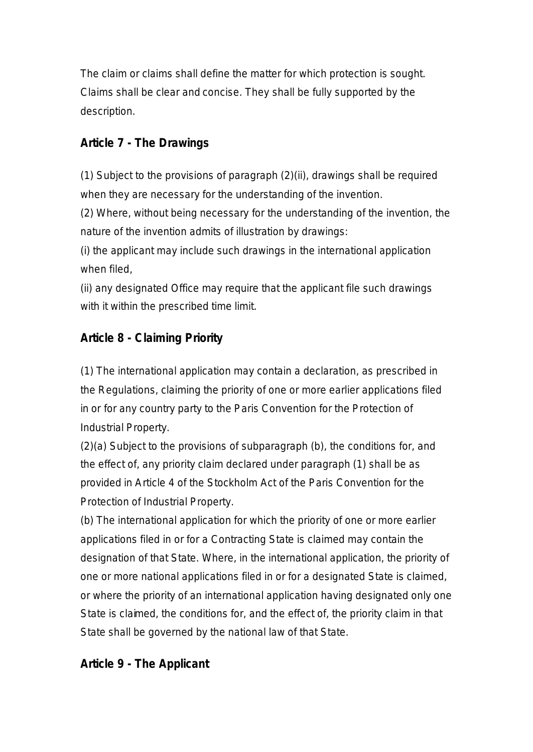The claim or claims shall define the matter for which protection is sought. Claims shall be clear and concise. They shall be fully supported by the description.

### **Article 7 - The Drawings**

(1) Subject to the provisions of paragraph (2)(ii), drawings shall be required when they are necessary for the understanding of the invention.

(2) Where, without being necessary for the understanding of the invention, the nature of the invention admits of illustration by drawings:

(i) the applicant may include such drawings in the international application when filed,

(ii) any designated Office may require that the applicant file such drawings with it within the prescribed time limit.

### **Article 8 - Claiming Priority**

(1) The international application may contain a declaration, as prescribed in the Regulations, claiming the priority of one or more earlier applications filed in or for any country party to the Paris Convention for the Protection of Industrial Property.

(2)(a) Subject to the provisions of subparagraph (b), the conditions for, and the effect of, any priority claim declared under paragraph (1) shall be as provided in Article 4 of the Stockholm Act of the Paris Convention for the Protection of Industrial Property.

(b) The international application for which the priority of one or more earlier applications filed in or for a Contracting State is claimed may contain the designation of that State. Where, in the international application, the priority of one or more national applications filed in or for a designated State is claimed, or where the priority of an international application having designated only one State is claimed, the conditions for, and the effect of, the priority claim in that State shall be governed by the national law of that State.

### **Article 9 - The Applicant**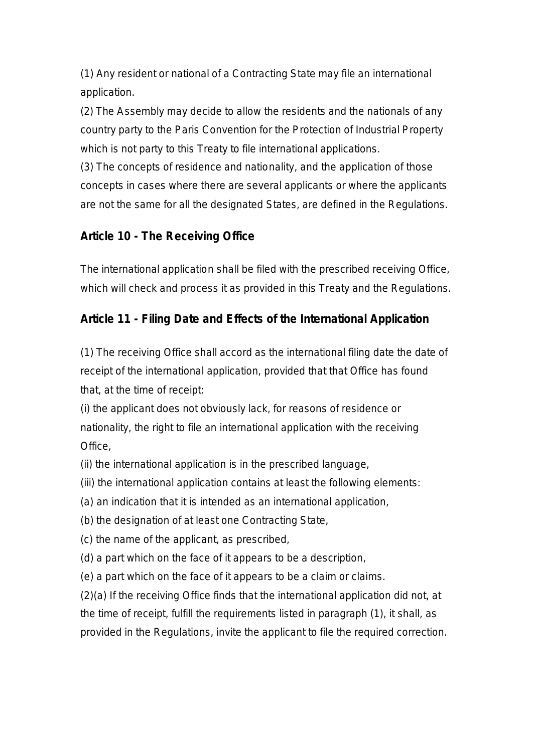(1) Any resident or national of a Contracting State may file an international application.

(2) The Assembly may decide to allow the residents and the nationals of any country party to the Paris Convention for the Protection of Industrial Property which is not party to this Treaty to file international applications.

(3) The concepts of residence and nationality, and the application of those concepts in cases where there are several applicants or where the applicants are not the same for all the designated States, are defined in the Regulations.

#### **Article 10 - The Receiving Office**

The international application shall be filed with the prescribed receiving Office, which will check and process it as provided in this Treaty and the Regulations.

#### **Article 11 - Filing Date and Effects of the International Application**

(1) The receiving Office shall accord as the international filing date the date of receipt of the international application, provided that that Office has found that, at the time of receipt:

(i) the applicant does not obviously lack, for reasons of residence or nationality, the right to file an international application with the receiving Office.

- (ii) the international application is in the prescribed language,
- (iii) the international application contains at least the following elements:
- (a) an indication that it is intended as an international application,
- (b) the designation of at least one Contracting State,
- (c) the name of the applicant, as prescribed,
- (d) a part which on the face of it appears to be a description,
- (e) a part which on the face of it appears to be a claim or claims.

(2)(a) If the receiving Office finds that the international application did not, at the time of receipt, fulfill the requirements listed in paragraph (1), it shall, as provided in the Regulations, invite the applicant to file the required correction.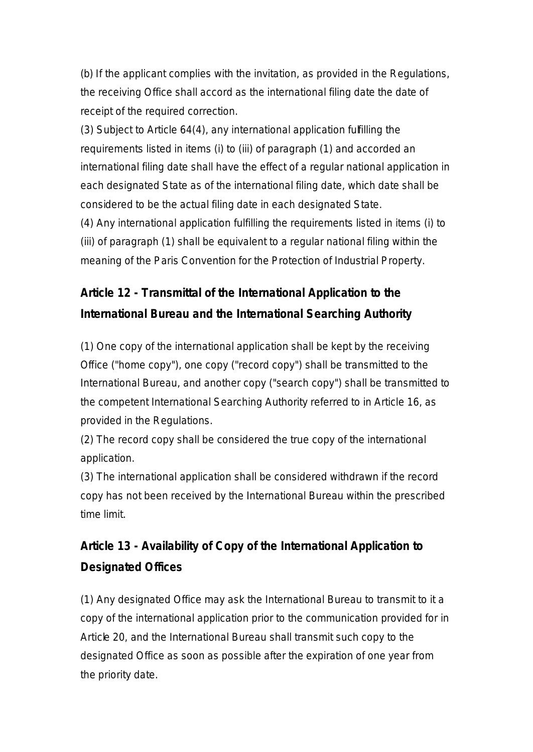(b) If the applicant complies with the invitation, as provided in the Regulations, the receiving Office shall accord as the international filing date the date of receipt of the required correction.

(3) Subject to Article 64(4), any international application fulfilling the requirements listed in items (i) to (iii) of paragraph (1) and accorded an international filing date shall have the effect of a regular national application in each designated State as of the international filing date, which date shall be considered to be the actual filing date in each designated State.

(4) Any international application fulfilling the requirements listed in items (i) to (iii) of paragraph (1) shall be equivalent to a regular national filing within the meaning of the Paris Convention for the Protection of Industrial Property.

# **Article 12 - Transmittal of the International Application to the International Bureau and the International Searching Authority**

(1) One copy of the international application shall be kept by the receiving Office ("home copy"), one copy ("record copy") shall be transmitted to the International Bureau, and another copy ("search copy") shall be transmitted to the competent International Searching Authority referred to in Article 16, as provided in the Regulations.

(2) The record copy shall be considered the true copy of the international application.

(3) The international application shall be considered withdrawn if the record copy has not been received by the International Bureau within the prescribed time limit.

# **Article 13 - Availability of Copy of the International Application to Designated Offices**

(1) Any designated Office may ask the International Bureau to transmit to it a copy of the international application prior to the communication provided for in Article 20, and the International Bureau shall transmit such copy to the designated Office as soon as possible after the expiration of one year from the priority date.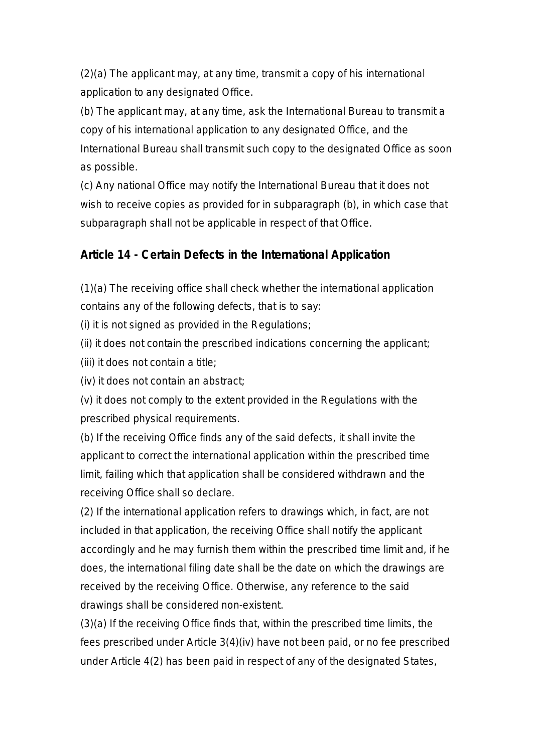(2)(a) The applicant may, at any time, transmit a copy of his international application to any designated Office.

(b) The applicant may, at any time, ask the International Bureau to transmit a copy of his international application to any designated Office, and the International Bureau shall transmit such copy to the designated Office as soon as possible.

(c) Any national Office may notify the International Bureau that it does not wish to receive copies as provided for in subparagraph (b), in which case that subparagraph shall not be applicable in respect of that Office.

### **Article 14 - Certain Defects in the International Application**

(1)(a) The receiving office shall check whether the international application contains any of the following defects, that is to say:

(i) it is not signed as provided in the Regulations;

(ii) it does not contain the prescribed indications concerning the applicant;

(iii) it does not contain a title;

(iv) it does not contain an abstract;

(v) it does not comply to the extent provided in the Regulations with the prescribed physical requirements.

(b) If the receiving Office finds any of the said defects, it shall invite the applicant to correct the international application within the prescribed time limit, failing which that application shall be considered withdrawn and the receiving Office shall so declare.

(2) If the international application refers to drawings which, in fact, are not included in that application, the receiving Office shall notify the applicant accordingly and he may furnish them within the prescribed time limit and, if he does, the international filing date shall be the date on which the drawings are received by the receiving Office. Otherwise, any reference to the said drawings shall be considered non-existent.

(3)(a) If the receiving Office finds that, within the prescribed time limits, the fees prescribed under Article 3(4)(iv) have not been paid, or no fee prescribed under Article 4(2) has been paid in respect of any of the designated States,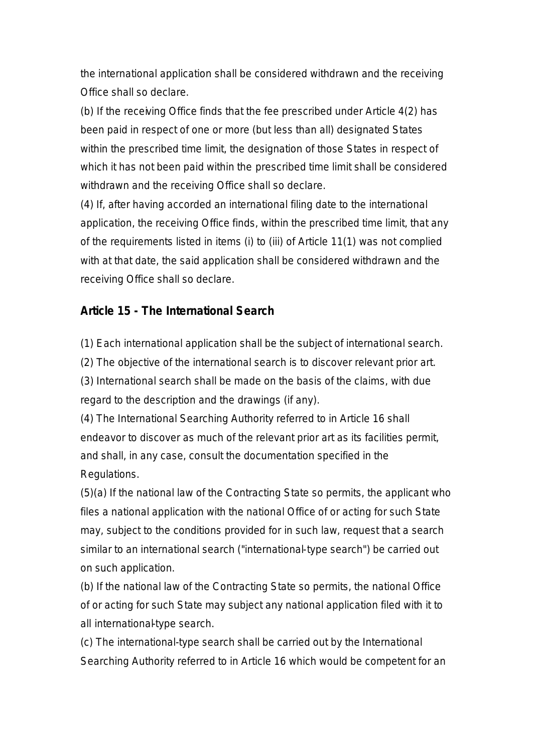the international application shall be considered withdrawn and the receiving Office shall so declare.

(b) If the receiving Office finds that the fee prescribed under Article 4(2) has been paid in respect of one or more (but less than all) designated States within the prescribed time limit, the designation of those States in respect of which it has not been paid within the prescribed time limit shall be considered withdrawn and the receiving Office shall so declare.

(4) If, after having accorded an international filing date to the international application, the receiving Office finds, within the prescribed time limit, that any of the requirements listed in items (i) to (iii) of Article 11(1) was not complied with at that date, the said application shall be considered withdrawn and the receiving Office shall so declare.

#### **Article 15 - The International Search**

(1) Each international application shall be the subject of international search.

(2) The objective of the international search is to discover relevant prior art.

(3) International search shall be made on the basis of the claims, with due regard to the description and the drawings (if any).

(4) The International Searching Authority referred to in Article 16 shall endeavor to discover as much of the relevant prior art as its facilities permit, and shall, in any case, consult the documentation specified in the Regulations.

(5)(a) If the national law of the Contracting State so permits, the applicant who files a national application with the national Office of or acting for such State may, subject to the conditions provided for in such law, request that a search similar to an international search ("international-type search") be carried out on such application.

(b) If the national law of the Contracting State so permits, the national Office of or acting for such State may subject any national application filed with it to all international-type search.

(c) The international-type search shall be carried out by the International Searching Authority referred to in Article 16 which would be competent for an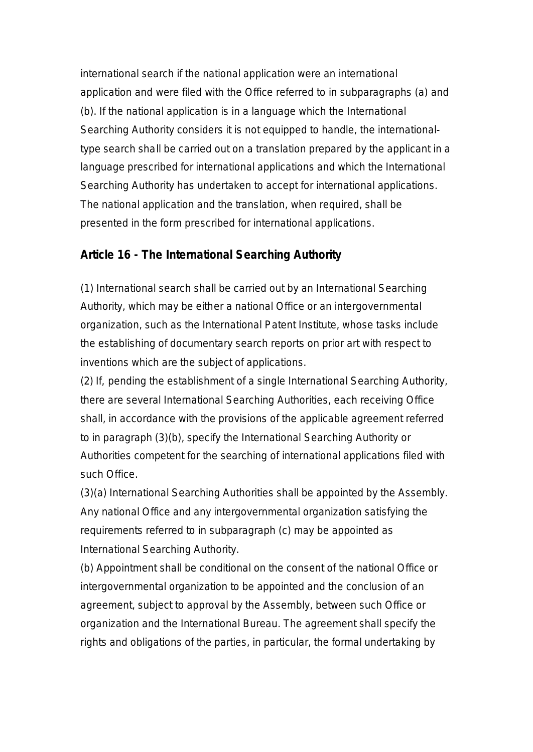international search if the national application were an international application and were filed with the Office referred to in subparagraphs (a) and (b). If the national application is in a language which the International Searching Authority considers it is not equipped to handle, the internationaltype search shall be carried out on a translation prepared by the applicant in a language prescribed for international applications and which the International Searching Authority has undertaken to accept for international applications. The national application and the translation, when required, shall be presented in the form prescribed for international applications.

### **Article 16 - The International Searching Authority**

(1) International search shall be carried out by an International Searching Authority, which may be either a national Office or an intergovernmental organization, such as the International Patent Institute, whose tasks include the establishing of documentary search reports on prior art with respect to inventions which are the subject of applications.

(2) If, pending the establishment of a single International Searching Authority, there are several International Searching Authorities, each receiving Office shall, in accordance with the provisions of the applicable agreement referred to in paragraph (3)(b), specify the International Searching Authority or Authorities competent for the searching of international applications filed with such Office.

(3)(a) International Searching Authorities shall be appointed by the Assembly. Any national Office and any intergovernmental organization satisfying the requirements referred to in subparagraph (c) may be appointed as International Searching Authority.

(b) Appointment shall be conditional on the consent of the national Office or intergovernmental organization to be appointed and the conclusion of an agreement, subject to approval by the Assembly, between such Office or organization and the International Bureau. The agreement shall specify the rights and obligations of the parties, in particular, the formal undertaking by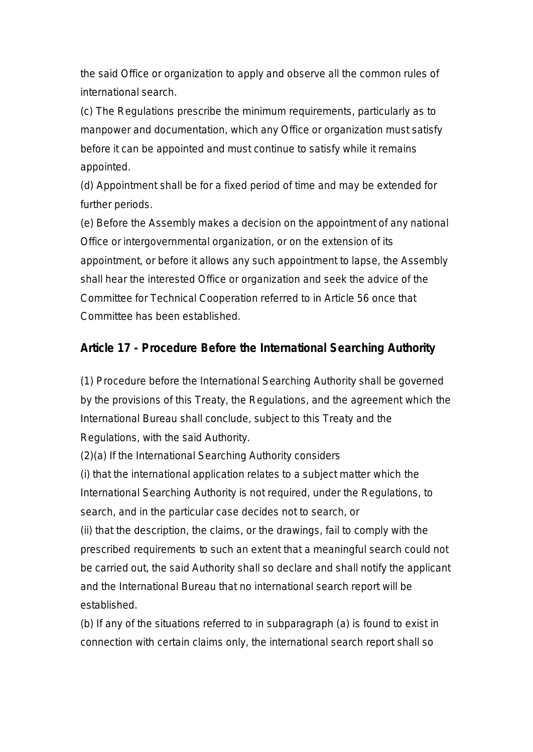the said Office or organization to apply and observe all the common rules of international search.

(c) The Regulations prescribe the minimum requirements, particularly as to manpower and documentation, which any Office or organization must satisfy before it can be appointed and must continue to satisfy while it remains appointed.

(d) Appointment shall be for a fixed period of time and may be extended for further periods.

(e) Before the Assembly makes a decision on the appointment of any national Office or intergovernmental organization, or on the extension of its appointment, or before it allows any such appointment to lapse, the Assembly shall hear the interested Office or organization and seek the advice of the Committee for Technical Cooperation referred to in Article 56 once that Committee has been established.

### **Article 17 - Procedure Before the International Searching Authority**

(1) Procedure before the International Searching Authority shall be governed by the provisions of this Treaty, the Regulations, and the agreement which the International Bureau shall conclude, subject to this Treaty and the Regulations, with the said Authority.

(2)(a) If the International Searching Authority considers

(i) that the international application relates to a subject matter which the International Searching Authority is not required, under the Regulations, to search, and in the particular case decides not to search, or

(ii) that the description, the claims, or the drawings, fail to comply with the prescribed requirements to such an extent that a meaningful search could not be carried out, the said Authority shall so declare and shall notify the applicant and the International Bureau that no international search report will be established.

(b) If any of the situations referred to in subparagraph (a) is found to exist in connection with certain claims only, the international search report shall so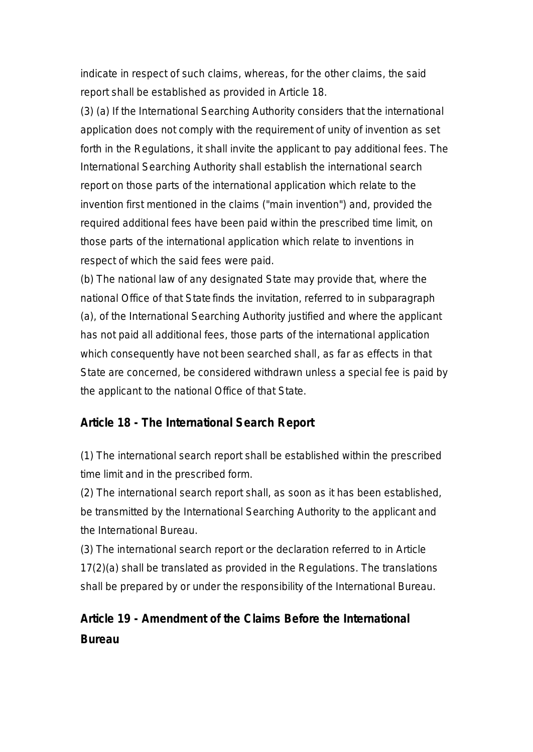indicate in respect of such claims, whereas, for the other claims, the said report shall be established as provided in Article 18.

(3) (a) If the International Searching Authority considers that the international application does not comply with the requirement of unity of invention as set forth in the Regulations, it shall invite the applicant to pay additional fees. The International Searching Authority shall establish the international search report on those parts of the international application which relate to the invention first mentioned in the claims ("main invention") and, provided the required additional fees have been paid within the prescribed time limit, on those parts of the international application which relate to inventions in respect of which the said fees were paid.

(b) The national law of any designated State may provide that, where the national Office of that State finds the invitation, referred to in subparagraph (a), of the International Searching Authority justified and where the applicant has not paid all additional fees, those parts of the international application which consequently have not been searched shall, as far as effects in that State are concerned, be considered withdrawn unless a special fee is paid by the applicant to the national Office of that State.

### **Article 18 - The International Search Report**

(1) The international search report shall be established within the prescribed time limit and in the prescribed form.

(2) The international search report shall, as soon as it has been established, be transmitted by the International Searching Authority to the applicant and the International Bureau.

(3) The international search report or the declaration referred to in Article 17(2)(a) shall be translated as provided in the Regulations. The translations shall be prepared by or under the responsibility of the International Bureau.

# **Article 19 - Amendment of the Claims Before the International Bureau**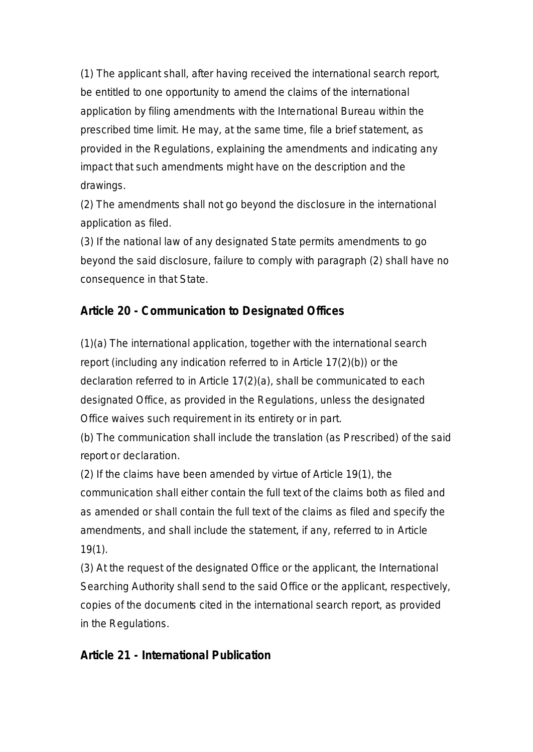(1) The applicant shall, after having received the international search report, be entitled to one opportunity to amend the claims of the international application by filing amendments with the International Bureau within the prescribed time limit. He may, at the same time, file a brief statement, as provided in the Regulations, explaining the amendments and indicating any impact that such amendments might have on the description and the drawings.

(2) The amendments shall not go beyond the disclosure in the international application as filed.

(3) If the national law of any designated State permits amendments to go beyond the said disclosure, failure to comply with paragraph (2) shall have no consequence in that State.

### **Article 20 - Communication to Designated Offices**

(1)(a) The international application, together with the international search report (including any indication referred to in Article 17(2)(b)) or the declaration referred to in Article 17(2)(a), shall be communicated to each designated Office, as provided in the Regulations, unless the designated Office waives such requirement in its entirety or in part.

(b) The communication shall include the translation (as Prescribed) of the said report or declaration.

(2) If the claims have been amended by virtue of Article 19(1), the communication shall either contain the full text of the claims both as filed and as amended or shall contain the full text of the claims as filed and specify the amendments, and shall include the statement, if any, referred to in Article 19(1).

(3) At the request of the designated Office or the applicant, the International Searching Authority shall send to the said Office or the applicant, respectively, copies of the documents cited in the international search report, as provided in the Regulations.

### **Article 21 - International Publication**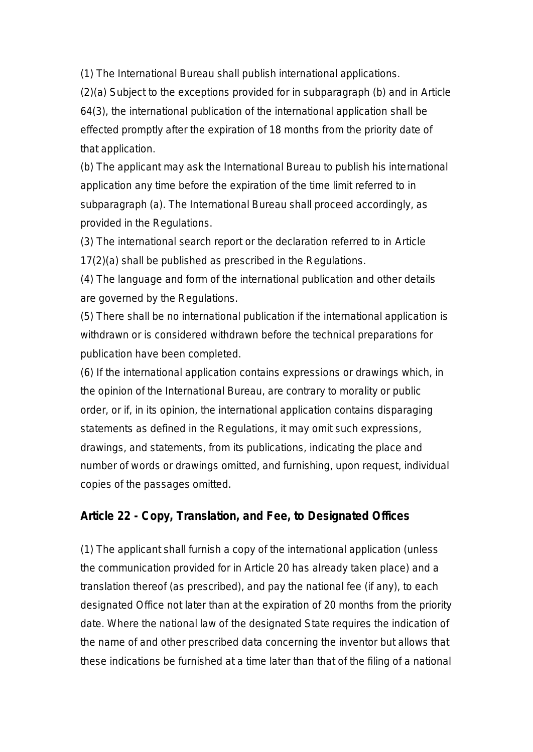(1) The International Bureau shall publish international applications.

(2)(a) Subject to the exceptions provided for in subparagraph (b) and in Article 64(3), the international publication of the international application shall be effected promptly after the expiration of 18 months from the priority date of that application.

(b) The applicant may ask the International Bureau to publish his international application any time before the expiration of the time limit referred to in subparagraph (a). The International Bureau shall proceed accordingly, as provided in the Regulations.

(3) The international search report or the declaration referred to in Article 17(2)(a) shall be published as prescribed in the Regulations.

(4) The language and form of the international publication and other details are governed by the Regulations.

(5) There shall be no international publication if the international application is withdrawn or is considered withdrawn before the technical preparations for publication have been completed.

(6) If the international application contains expressions or drawings which, in the opinion of the International Bureau, are contrary to morality or public order, or if, in its opinion, the international application contains disparaging statements as defined in the Regulations, it may omit such expressions, drawings, and statements, from its publications, indicating the place and number of words or drawings omitted, and furnishing, upon request, individual copies of the passages omitted.

### **Article 22 - Copy, Translation, and Fee, to Designated Offices**

(1) The applicant shall furnish a copy of the international application (unless the communication provided for in Article 20 has already taken place) and a translation thereof (as prescribed), and pay the national fee (if any), to each designated Office not later than at the expiration of 20 months from the priority date. Where the national law of the designated State requires the indication of the name of and other prescribed data concerning the inventor but allows that these indications be furnished at a time later than that of the filing of a national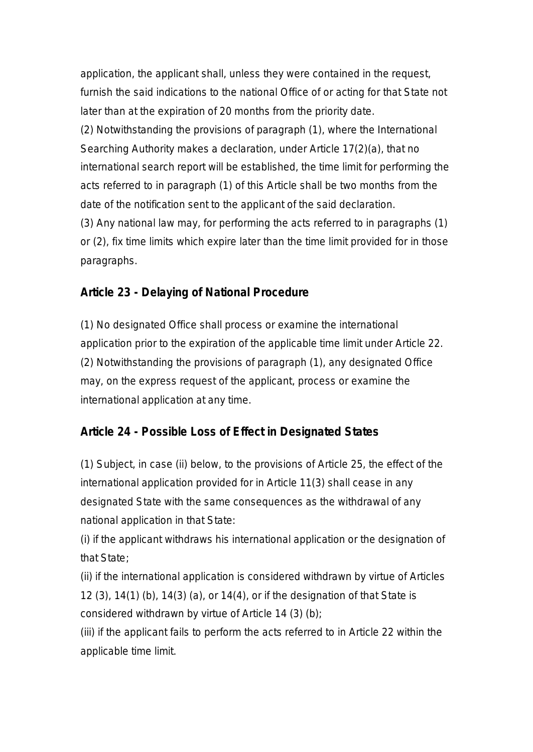application, the applicant shall, unless they were contained in the request, furnish the said indications to the national Office of or acting for that State not later than at the expiration of 20 months from the priority date. (2) Notwithstanding the provisions of paragraph (1), where the International Searching Authority makes a declaration, under Article 17(2)(a), that no international search report will be established, the time limit for performing the acts referred to in paragraph (1) of this Article shall be two months from the date of the notification sent to the applicant of the said declaration. (3) Any national law may, for performing the acts referred to in paragraphs (1) or (2), fix time limits which expire later than the time limit provided for in those paragraphs.

### **Article 23 - Delaying of National Procedure**

(1) No designated Office shall process or examine the international application prior to the expiration of the applicable time limit under Article 22. (2) Notwithstanding the provisions of paragraph (1), any designated Office may, on the express request of the applicant, process or examine the international application at any time.

### **Article 24 - Possible Loss of Effect in Designated States**

(1) Subject, in case (ii) below, to the provisions of Article 25, the effect of the international application provided for in Article 11(3) shall cease in any designated State with the same consequences as the withdrawal of any national application in that State:

(i) if the applicant withdraws his international application or the designation of that State;

(ii) if the international application is considered withdrawn by virtue of Articles 12 (3), 14(1) (b), 14(3) (a), or 14(4), or if the designation of that State is considered withdrawn by virtue of Article 14 (3) (b);

(iii) if the applicant fails to perform the acts referred to in Article 22 within the applicable time limit.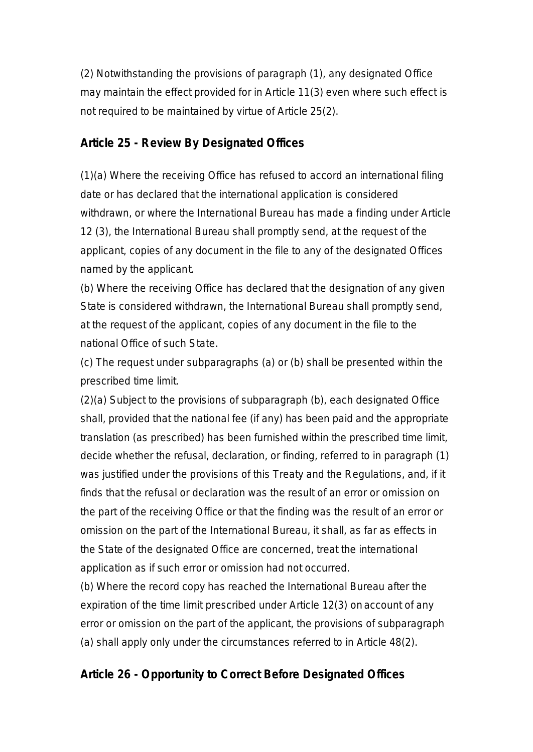(2) Notwithstanding the provisions of paragraph (1), any designated Office may maintain the effect provided for in Article 11(3) even where such effect is not required to be maintained by virtue of Article 25(2).

### **Article 25 - Review By Designated Offices**

(1)(a) Where the receiving Office has refused to accord an international filing date or has declared that the international application is considered withdrawn, or where the International Bureau has made a finding under Article 12 (3), the International Bureau shall promptly send, at the request of the applicant, copies of any document in the file to any of the designated Offices named by the applicant.

(b) Where the receiving Office has declared that the designation of any given State is considered withdrawn, the International Bureau shall promptly send, at the request of the applicant, copies of any document in the file to the national Office of such State.

(c) The request under subparagraphs (a) or (b) shall be presented within the prescribed time limit.

(2)(a) Subject to the provisions of subparagraph (b), each designated Office shall, provided that the national fee (if any) has been paid and the appropriate translation (as prescribed) has been furnished within the prescribed time limit, decide whether the refusal, declaration, or finding, referred to in paragraph (1) was justified under the provisions of this Treaty and the Regulations, and, if it finds that the refusal or declaration was the result of an error or omission on the part of the receiving Office or that the finding was the result of an error or omission on the part of the International Bureau, it shall, as far as effects in the State of the designated Office are concerned, treat the international application as if such error or omission had not occurred.

(b) Where the record copy has reached the International Bureau after the expiration of the time limit prescribed under Article 12(3) on account of any error or omission on the part of the applicant, the provisions of subparagraph (a) shall apply only under the circumstances referred to in Article 48(2).

### **Article 26 - Opportunity to Correct Before Designated Offices**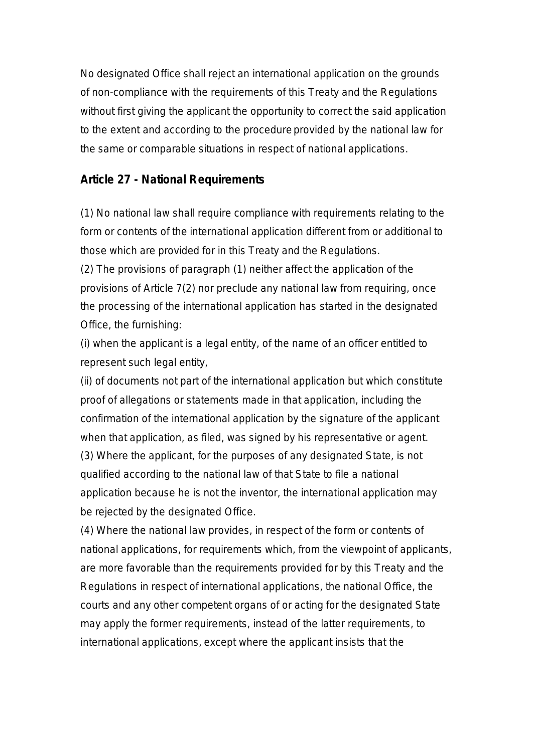No designated Office shall reject an international application on the grounds of non-compliance with the requirements of this Treaty and the Regulations without first giving the applicant the opportunity to correct the said application to the extent and according to the procedure provided by the national law for the same or comparable situations in respect of national applications.

### **Article 27 - National Requirements**

(1) No national law shall require compliance with requirements relating to the form or contents of the international application different from or additional to those which are provided for in this Treaty and the Regulations.

(2) The provisions of paragraph (1) neither affect the application of the provisions of Article 7(2) nor preclude any national law from requiring, once the processing of the international application has started in the designated Office, the furnishing:

(i) when the applicant is a legal entity, of the name of an officer entitled to represent such legal entity,

(ii) of documents not part of the international application but which constitute proof of allegations or statements made in that application, including the confirmation of the international application by the signature of the applicant when that application, as filed, was signed by his representative or agent. (3) Where the applicant, for the purposes of any designated State, is not qualified according to the national law of that State to file a national application because he is not the inventor, the international application may be rejected by the designated Office.

(4) Where the national law provides, in respect of the form or contents of national applications, for requirements which, from the viewpoint of applicants, are more favorable than the requirements provided for by this Treaty and the Regulations in respect of international applications, the national Office, the courts and any other competent organs of or acting for the designated State may apply the former requirements, instead of the latter requirements, to international applications, except where the applicant insists that the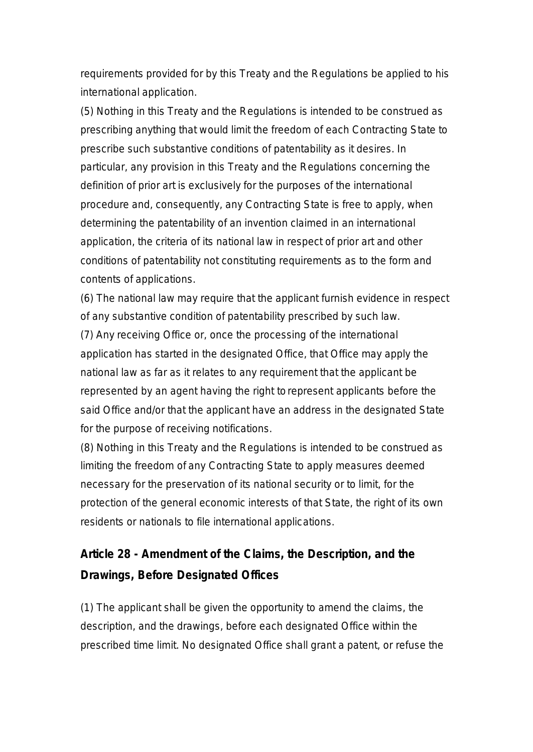requirements provided for by this Treaty and the Regulations be applied to his international application.

(5) Nothing in this Treaty and the Regulations is intended to be construed as prescribing anything that would limit the freedom of each Contracting State to prescribe such substantive conditions of patentability as it desires. In particular, any provision in this Treaty and the Regulations concerning the definition of prior art is exclusively for the purposes of the international procedure and, consequently, any Contracting State is free to apply, when determining the patentability of an invention claimed in an international application, the criteria of its national law in respect of prior art and other conditions of patentability not constituting requirements as to the form and contents of applications.

(6) The national law may require that the applicant furnish evidence in respect of any substantive condition of patentability prescribed by such law.

(7) Any receiving Office or, once the processing of the international application has started in the designated Office, that Office may apply the national law as far as it relates to any requirement that the applicant be represented by an agent having the right to represent applicants before the said Office and/or that the applicant have an address in the designated State for the purpose of receiving notifications.

(8) Nothing in this Treaty and the Regulations is intended to be construed as limiting the freedom of any Contracting State to apply measures deemed necessary for the preservation of its national security or to limit, for the protection of the general economic interests of that State, the right of its own residents or nationals to file international applications.

# **Article 28 - Amendment of the Claims, the Description, and the Drawings, Before Designated Offices**

(1) The applicant shall be given the opportunity to amend the claims, the description, and the drawings, before each designated Office within the prescribed time limit. No designated Office shall grant a patent, or refuse the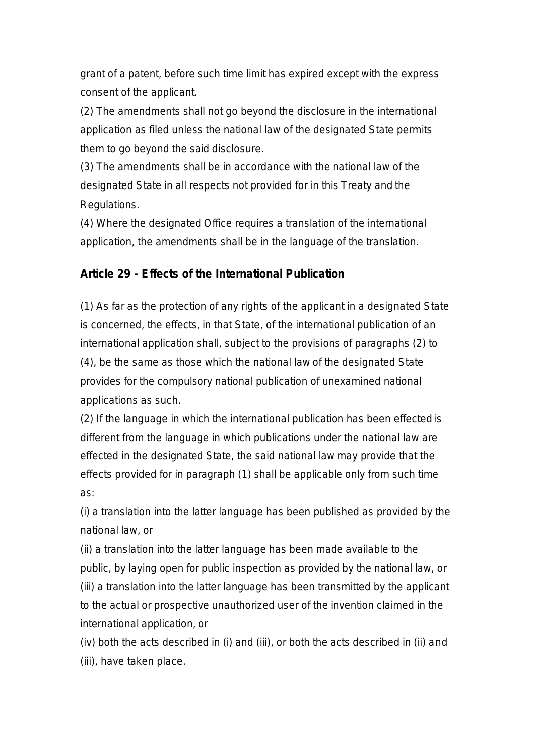grant of a patent, before such time limit has expired except with the express consent of the applicant.

(2) The amendments shall not go beyond the disclosure in the international application as filed unless the national law of the designated State permits them to go beyond the said disclosure.

(3) The amendments shall be in accordance with the national law of the designated State in all respects not provided for in this Treaty and the Regulations.

(4) Where the designated Office requires a translation of the international application, the amendments shall be in the language of the translation.

#### **Article 29 - Effects of the International Publication**

(1) As far as the protection of any rights of the applicant in a designated State is concerned, the effects, in that State, of the international publication of an international application shall, subject to the provisions of paragraphs (2) to (4), be the same as those which the national law of the designated State provides for the compulsory national publication of unexamined national applications as such.

(2) If the language in which the international publication has been effected is different from the language in which publications under the national law are effected in the designated State, the said national law may provide that the effects provided for in paragraph (1) shall be applicable only from such time as:

(i) a translation into the latter language has been published as provided by the national law, or

(ii) a translation into the latter language has been made available to the public, by laying open for public inspection as provided by the national law, or (iii) a translation into the latter language has been transmitted by the applicant to the actual or prospective unauthorized user of the invention claimed in the international application, or

(iv) both the acts described in (i) and (iii), or both the acts described in (ii) and (iii), have taken place.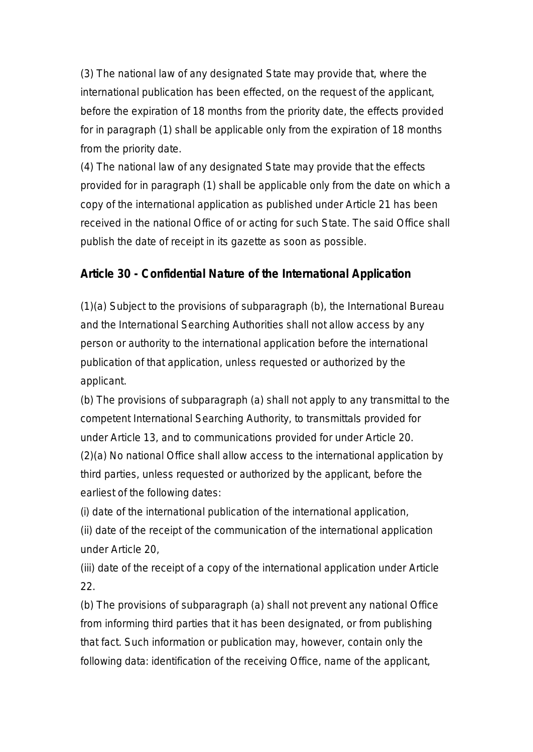(3) The national law of any designated State may provide that, where the international publication has been effected, on the request of the applicant, before the expiration of 18 months from the priority date, the effects provided for in paragraph (1) shall be applicable only from the expiration of 18 months from the priority date.

(4) The national law of any designated State may provide that the effects provided for in paragraph (1) shall be applicable only from the date on which a copy of the international application as published under Article 21 has been received in the national Office of or acting for such State. The said Office shall publish the date of receipt in its gazette as soon as possible.

### **Article 30 - Confidential Nature of the International Application**

(1)(a) Subject to the provisions of subparagraph (b), the International Bureau and the International Searching Authorities shall not allow access by any person or authority to the international application before the international publication of that application, unless requested or authorized by the applicant.

(b) The provisions of subparagraph (a) shall not apply to any transmittal to the competent International Searching Authority, to transmittals provided for under Article 13, and to communications provided for under Article 20. (2)(a) No national Office shall allow access to the international application by third parties, unless requested or authorized by the applicant, before the earliest of the following dates:

(i) date of the international publication of the international application,

(ii) date of the receipt of the communication of the international application under Article 20,

(iii) date of the receipt of a copy of the international application under Article 22.

(b) The provisions of subparagraph (a) shall not prevent any national Office from informing third parties that it has been designated, or from publishing that fact. Such information or publication may, however, contain only the following data: identification of the receiving Office, name of the applicant,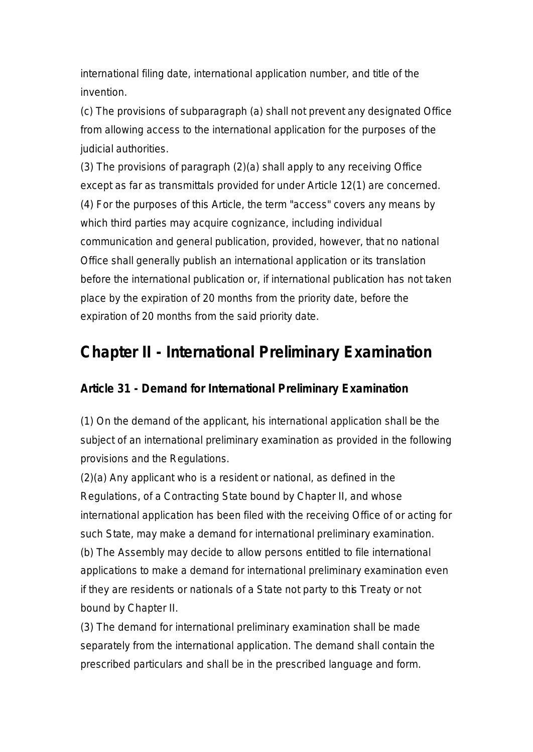international filing date, international application number, and title of the invention.

(c) The provisions of subparagraph (a) shall not prevent any designated Office from allowing access to the international application for the purposes of the judicial authorities.

(3) The provisions of paragraph (2)(a) shall apply to any receiving Office except as far as transmittals provided for under Article 12(1) are concerned. (4) For the purposes of this Article, the term "access" covers any means by which third parties may acquire cognizance, including individual communication and general publication, provided, however, that no national Office shall generally publish an international application or its translation before the international publication or, if international publication has not taken place by the expiration of 20 months from the priority date, before the expiration of 20 months from the said priority date.

# **Chapter II - International Preliminary Examination**

### **Article 31 - Demand for International Preliminary Examination**

(1) On the demand of the applicant, his international application shall be the subject of an international preliminary examination as provided in the following provisions and the Regulations.

(2)(a) Any applicant who is a resident or national, as defined in the Regulations, of a Contracting State bound by Chapter II, and whose international application has been filed with the receiving Office of or acting for such State, may make a demand for international preliminary examination. (b) The Assembly may decide to allow persons entitled to file international applications to make a demand for international preliminary examination even if they are residents or nationals of a State not party to this Treaty or not bound by Chapter II.

(3) The demand for international preliminary examination shall be made separately from the international application. The demand shall contain the prescribed particulars and shall be in the prescribed language and form.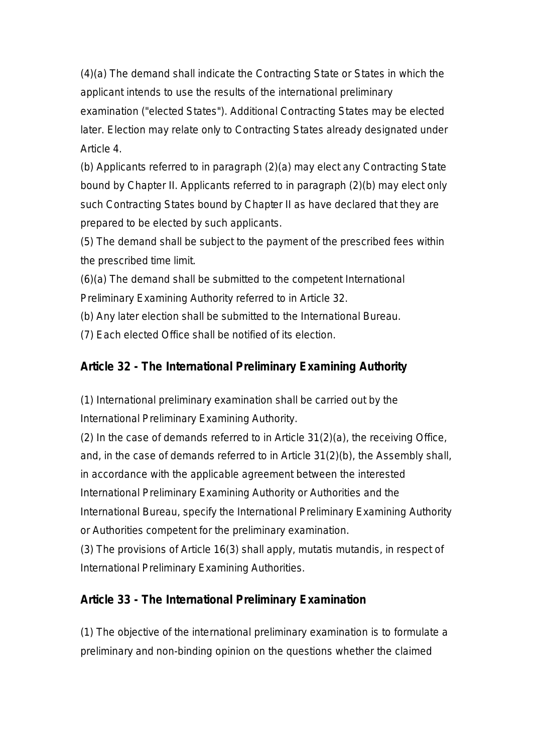(4)(a) The demand shall indicate the Contracting State or States in which the applicant intends to use the results of the international preliminary examination ("elected States"). Additional Contracting States may be elected later. Election may relate only to Contracting States already designated under Article 4.

(b) Applicants referred to in paragraph (2)(a) may elect any Contracting State bound by Chapter II. Applicants referred to in paragraph (2)(b) may elect only such Contracting States bound by Chapter II as have declared that they are prepared to be elected by such applicants.

(5) The demand shall be subject to the payment of the prescribed fees within the prescribed time limit.

(6)(a) The demand shall be submitted to the competent International Preliminary Examining Authority referred to in Article 32.

(b) Any later election shall be submitted to the International Bureau.

(7) Each elected Office shall be notified of its election.

# **Article 32 - The International Preliminary Examining Authority**

(1) International preliminary examination shall be carried out by the International Preliminary Examining Authority.

(2) In the case of demands referred to in Article 31(2)(a), the receiving Office, and, in the case of demands referred to in Article 31(2)(b), the Assembly shall, in accordance with the applicable agreement between the interested International Preliminary Examining Authority or Authorities and the International Bureau, specify the International Preliminary Examining Authority or Authorities competent for the preliminary examination.

(3) The provisions of Article 16(3) shall apply, mutatis mutandis, in respect of International Preliminary Examining Authorities.

# **Article 33 - The International Preliminary Examination**

(1) The objective of the international preliminary examination is to formulate a preliminary and non-binding opinion on the questions whether the claimed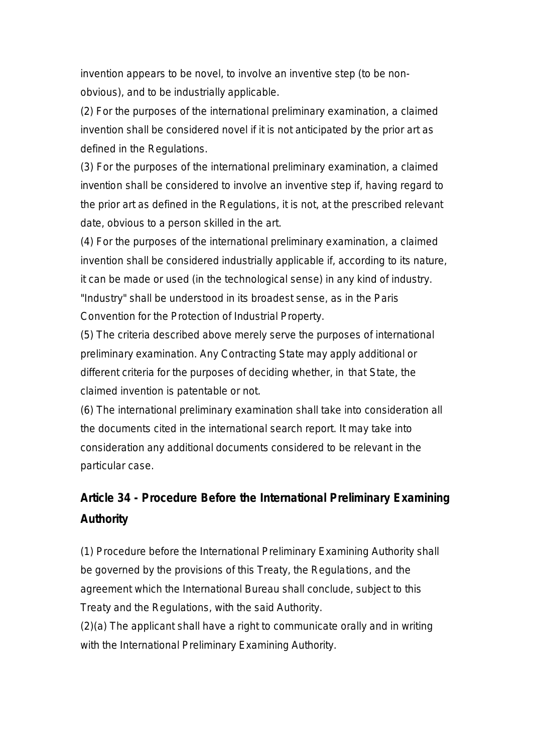invention appears to be novel, to involve an inventive step (to be nonobvious), and to be industrially applicable.

(2) For the purposes of the international preliminary examination, a claimed invention shall be considered novel if it is not anticipated by the prior art as defined in the Regulations.

(3) For the purposes of the international preliminary examination, a claimed invention shall be considered to involve an inventive step if, having regard to the prior art as defined in the Regulations, it is not, at the prescribed relevant date, obvious to a person skilled in the art.

(4) For the purposes of the international preliminary examination, a claimed invention shall be considered industrially applicable if, according to its nature, it can be made or used (in the technological sense) in any kind of industry. "Industry" shall be understood in its broadest sense, as in the Paris Convention for the Protection of Industrial Property.

(5) The criteria described above merely serve the purposes of international preliminary examination. Any Contracting State may apply additional or different criteria for the purposes of deciding whether, in that State, the claimed invention is patentable or not.

(6) The international preliminary examination shall take into consideration all the documents cited in the international search report. It may take into consideration any additional documents considered to be relevant in the particular case.

# **Article 34 - Procedure Before the International Preliminary Examining Authority**

(1) Procedure before the International Preliminary Examining Authority shall be governed by the provisions of this Treaty, the Regulations, and the agreement which the International Bureau shall conclude, subject to this Treaty and the Regulations, with the said Authority.

(2)(a) The applicant shall have a right to communicate orally and in writing with the International Preliminary Examining Authority.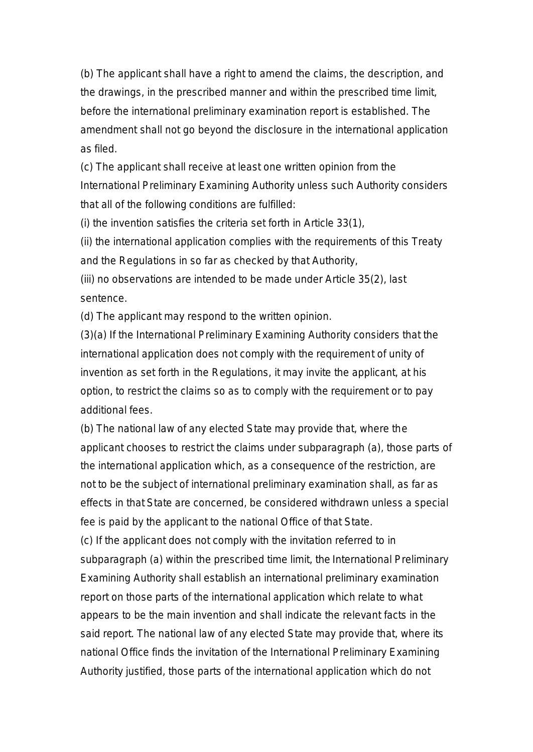(b) The applicant shall have a right to amend the claims, the description, and the drawings, in the prescribed manner and within the prescribed time limit, before the international preliminary examination report is established. The amendment shall not go beyond the disclosure in the international application as filed.

(c) The applicant shall receive at least one written opinion from the International Preliminary Examining Authority unless such Authority considers that all of the following conditions are fulfilled:

(i) the invention satisfies the criteria set forth in Article 33(1),

(ii) the international application complies with the requirements of this Treaty and the Regulations in so far as checked by that Authority,

(iii) no observations are intended to be made under Article 35(2), last sentence.

(d) The applicant may respond to the written opinion.

(3)(a) If the International Preliminary Examining Authority considers that the international application does not comply with the requirement of unity of invention as set forth in the Regulations, it may invite the applicant, at his option, to restrict the claims so as to comply with the requirement or to pay additional fees.

(b) The national law of any elected State may provide that, where the applicant chooses to restrict the claims under subparagraph (a), those parts of the international application which, as a consequence of the restriction, are not to be the subject of international preliminary examination shall, as far as effects in that State are concerned, be considered withdrawn unless a special fee is paid by the applicant to the national Office of that State.

(c) If the applicant does not comply with the invitation referred to in subparagraph (a) within the prescribed time limit, the International Preliminary Examining Authority shall establish an international preliminary examination report on those parts of the international application which relate to what appears to be the main invention and shall indicate the relevant facts in the said report. The national law of any elected State may provide that, where its national Office finds the invitation of the International Preliminary Examining Authority justified, those parts of the international application which do not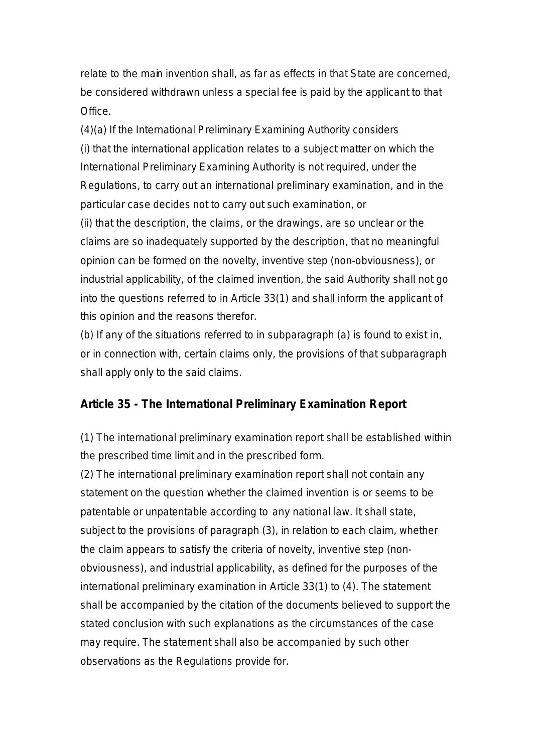relate to the main invention shall, as far as effects in that State are concerned, be considered withdrawn unless a special fee is paid by the applicant to that Office.

(4)(a) If the International Preliminary Examining Authority considers (i) that the international application relates to a subject matter on which the International Preliminary Examining Authority is not required, under the Regulations, to carry out an international preliminary examination, and in the particular case decides not to carry out such examination, or

(ii) that the description, the claims, or the drawings, are so unclear or the claims are so inadequately supported by the description, that no meaningful opinion can be formed on the novelty, inventive step (non-obviousness), or industrial applicability, of the claimed invention, the said Authority shall not go into the questions referred to in Article 33(1) and shall inform the applicant of this opinion and the reasons therefor.

(b) If any of the situations referred to in subparagraph (a) is found to exist in, or in connection with, certain claims only, the provisions of that subparagraph shall apply only to the said claims.

### **Article 35 - The International Preliminary Examination Report**

(1) The international preliminary examination report shall be established within the prescribed time limit and in the prescribed form.

(2) The international preliminary examination report shall not contain any statement on the question whether the claimed invention is or seems to be patentable or unpatentable according to any national law. It shall state, subject to the provisions of paragraph (3), in relation to each claim, whether the claim appears to satisfy the criteria of novelty, inventive step (nonobviousness), and industrial applicability, as defined for the purposes of the international preliminary examination in Article 33(1) to (4). The statement shall be accompanied by the citation of the documents believed to support the stated conclusion with such explanations as the circumstances of the case may require. The statement shall also be accompanied by such other observations as the Regulations provide for.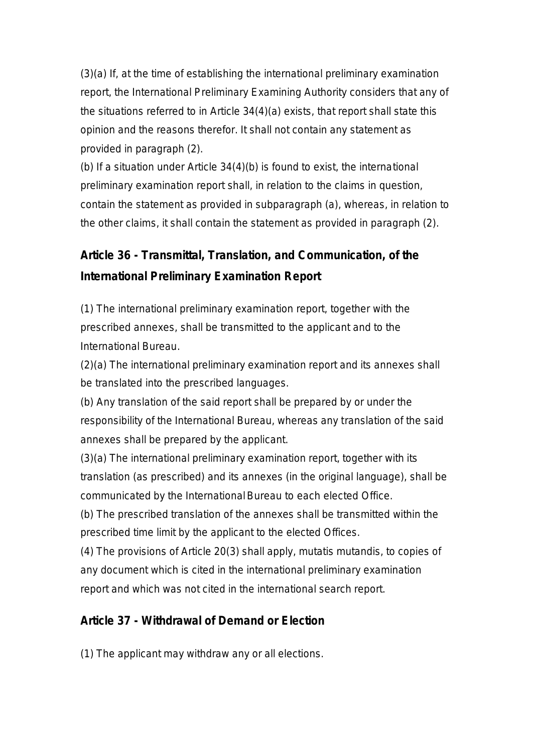(3)(a) If, at the time of establishing the international preliminary examination report, the International Preliminary Examining Authority considers that any of the situations referred to in Article 34(4)(a) exists, that report shall state this opinion and the reasons therefor. It shall not contain any statement as provided in paragraph (2).

(b) If a situation under Article 34(4)(b) is found to exist, the international preliminary examination report shall, in relation to the claims in question, contain the statement as provided in subparagraph (a), whereas, in relation to the other claims, it shall contain the statement as provided in paragraph (2).

# **Article 36 - Transmittal, Translation, and Communication, of the International Preliminary Examination Report**

(1) The international preliminary examination report, together with the prescribed annexes, shall be transmitted to the applicant and to the International Bureau.

(2)(a) The international preliminary examination report and its annexes shall be translated into the prescribed languages.

(b) Any translation of the said report shall be prepared by or under the responsibility of the International Bureau, whereas any translation of the said annexes shall be prepared by the applicant.

(3)(a) The international preliminary examination report, together with its translation (as prescribed) and its annexes (in the original language), shall be communicated by the International Bureau to each elected Office.

(b) The prescribed translation of the annexes shall be transmitted within the prescribed time limit by the applicant to the elected Offices.

(4) The provisions of Article 20(3) shall apply, mutatis mutandis, to copies of any document which is cited in the international preliminary examination report and which was not cited in the international search report.

### **Article 37 - Withdrawal of Demand or Election**

(1) The applicant may withdraw any or all elections.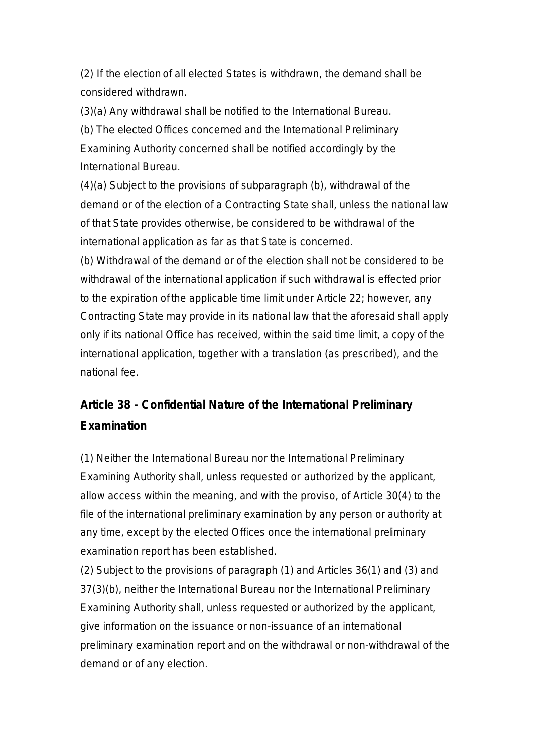(2) If the election of all elected States is withdrawn, the demand shall be considered withdrawn.

(3)(a) Any withdrawal shall be notified to the International Bureau.

(b) The elected Offices concerned and the International Preliminary Examining Authority concerned shall be notified accordingly by the International Bureau.

(4)(a) Subject to the provisions of subparagraph (b), withdrawal of the demand or of the election of a Contracting State shall, unless the national law of that State provides otherwise, be considered to be withdrawal of the international application as far as that State is concerned.

(b) Withdrawal of the demand or of the election shall not be considered to be withdrawal of the international application if such withdrawal is effected prior to the expiration of the applicable time limit under Article 22; however, any Contracting State may provide in its national law that the aforesaid shall apply only if its national Office has received, within the said time limit, a copy of the international application, together with a translation (as prescribed), and the national fee.

# **Article 38 - Confidential Nature of the International Preliminary Examination**

(1) Neither the International Bureau nor the International Preliminary Examining Authority shall, unless requested or authorized by the applicant, allow access within the meaning, and with the proviso, of Article 30(4) to the file of the international preliminary examination by any person or authority at any time, except by the elected Offices once the international preliminary examination report has been established.

(2) Subject to the provisions of paragraph (1) and Articles 36(1) and (3) and 37(3)(b), neither the International Bureau nor the International Preliminary Examining Authority shall, unless requested or authorized by the applicant, give information on the issuance or non-issuance of an international preliminary examination report and on the withdrawal or non-withdrawal of the demand or of any election.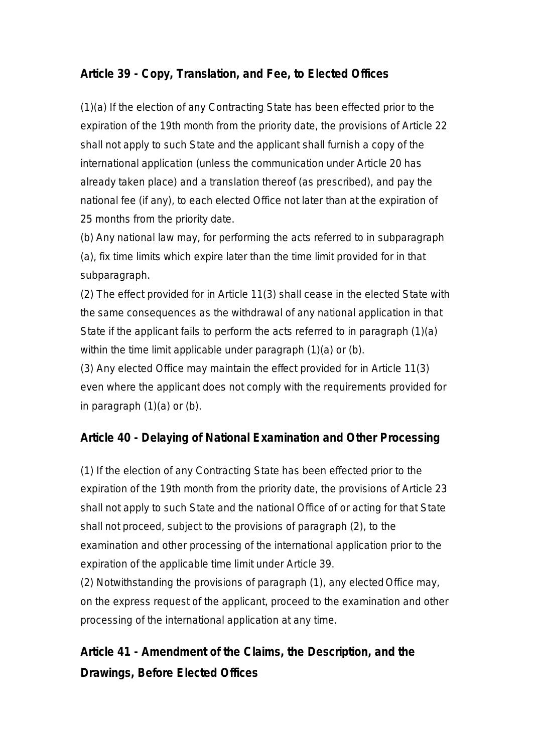### **Article 39 - Copy, Translation, and Fee, to Elected Offices**

(1)(a) If the election of any Contracting State has been effected prior to the expiration of the 19th month from the priority date, the provisions of Article 22 shall not apply to such State and the applicant shall furnish a copy of the international application (unless the communication under Article 20 has already taken place) and a translation thereof (as prescribed), and pay the national fee (if any), to each elected Office not later than at the expiration of 25 months from the priority date.

(b) Any national law may, for performing the acts referred to in subparagraph (a), fix time limits which expire later than the time limit provided for in that subparagraph.

(2) The effect provided for in Article 11(3) shall cease in the elected State with the same consequences as the withdrawal of any national application in that State if the applicant fails to perform the acts referred to in paragraph (1)(a) within the time limit applicable under paragraph (1)(a) or (b).

(3) Any elected Office may maintain the effect provided for in Article 11(3) even where the applicant does not comply with the requirements provided for in paragraph (1)(a) or (b).

### **Article 40 - Delaying of National Examination and Other Processing**

(1) If the election of any Contracting State has been effected prior to the expiration of the 19th month from the priority date, the provisions of Article 23 shall not apply to such State and the national Office of or acting for that State shall not proceed, subject to the provisions of paragraph (2), to the examination and other processing of the international application prior to the expiration of the applicable time limit under Article 39.

(2) Notwithstanding the provisions of paragraph (1), any elected Office may, on the express request of the applicant, proceed to the examination and other processing of the international application at any time.

# **Article 41 - Amendment of the Claims, the Description, and the Drawings, Before Elected Offices**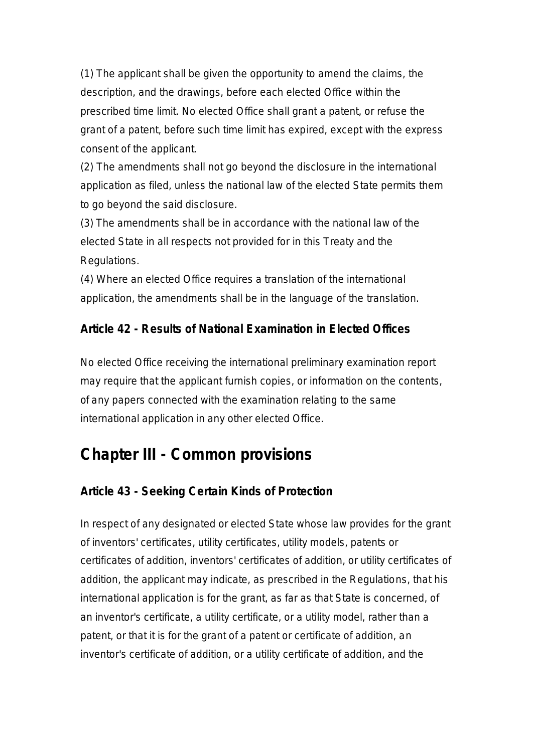(1) The applicant shall be given the opportunity to amend the claims, the description, and the drawings, before each elected Office within the prescribed time limit. No elected Office shall grant a patent, or refuse the grant of a patent, before such time limit has expired, except with the express consent of the applicant.

(2) The amendments shall not go beyond the disclosure in the international application as filed, unless the national law of the elected State permits them to go beyond the said disclosure.

(3) The amendments shall be in accordance with the national law of the elected State in all respects not provided for in this Treaty and the Regulations.

(4) Where an elected Office requires a translation of the international application, the amendments shall be in the language of the translation.

### **Article 42 - Results of National Examination in Elected Offices**

No elected Office receiving the international preliminary examination report may require that the applicant furnish copies, or information on the contents, of any papers connected with the examination relating to the same international application in any other elected Office.

# **Chapter III - Common provisions**

### **Article 43 - Seeking Certain Kinds of Protection**

In respect of any designated or elected State whose law provides for the grant of inventors' certificates, utility certificates, utility models, patents or certificates of addition, inventors' certificates of addition, or utility certificates of addition, the applicant may indicate, as prescribed in the Regulations, that his international application is for the grant, as far as that State is concerned, of an inventor's certificate, a utility certificate, or a utility model, rather than a patent, or that it is for the grant of a patent or certificate of addition, an inventor's certificate of addition, or a utility certificate of addition, and the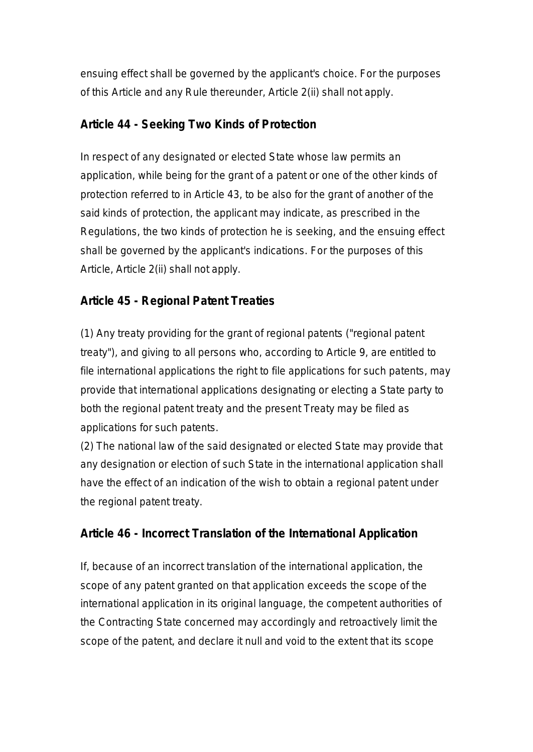ensuing effect shall be governed by the applicant's choice. For the purposes of this Article and any Rule thereunder, Article 2(ii) shall not apply.

### **Article 44 - Seeking Two Kinds of Protection**

In respect of any designated or elected State whose law permits an application, while being for the grant of a patent or one of the other kinds of protection referred to in Article 43, to be also for the grant of another of the said kinds of protection, the applicant may indicate, as prescribed in the Regulations, the two kinds of protection he is seeking, and the ensuing effect shall be governed by the applicant's indications. For the purposes of this Article, Article 2(ii) shall not apply.

### **Article 45 - Regional Patent Treaties**

(1) Any treaty providing for the grant of regional patents ("regional patent treaty"), and giving to all persons who, according to Article 9, are entitled to file international applications the right to file applications for such patents, may provide that international applications designating or electing a State party to both the regional patent treaty and the present Treaty may be filed as applications for such patents.

(2) The national law of the said designated or elected State may provide that any designation or election of such State in the international application shall have the effect of an indication of the wish to obtain a regional patent under the regional patent treaty.

### **Article 46 - Incorrect Translation of the International Application**

If, because of an incorrect translation of the international application, the scope of any patent granted on that application exceeds the scope of the international application in its original language, the competent authorities of the Contracting State concerned may accordingly and retroactively limit the scope of the patent, and declare it null and void to the extent that its scope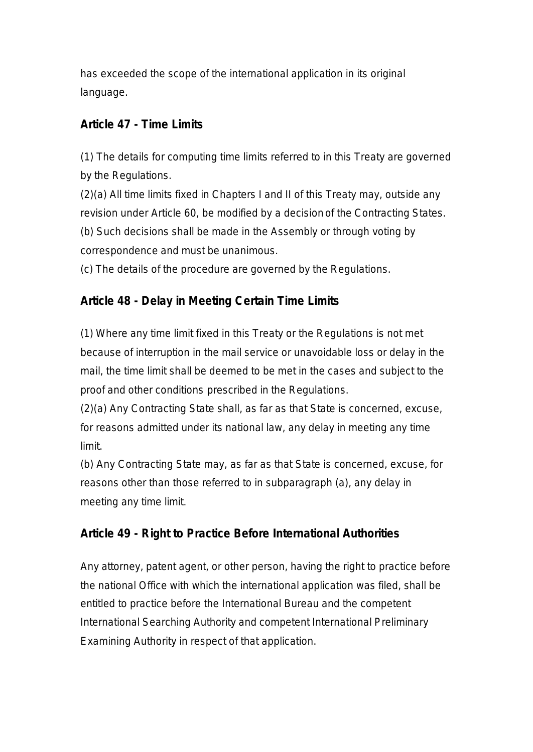has exceeded the scope of the international application in its original language.

### **Article 47 - Time Limits**

(1) The details for computing time limits referred to in this Treaty are governed by the Regulations.

(2)(a) All time limits fixed in Chapters I and II of this Treaty may, outside any revision under Article 60, be modified by a decision of the Contracting States. (b) Such decisions shall be made in the Assembly or through voting by correspondence and must be unanimous.

(c) The details of the procedure are governed by the Regulations.

# **Article 48 - Delay in Meeting Certain Time Limits**

(1) Where any time limit fixed in this Treaty or the Regulations is not met because of interruption in the mail service or unavoidable loss or delay in the mail, the time limit shall be deemed to be met in the cases and subject to the proof and other conditions prescribed in the Regulations.

(2)(a) Any Contracting State shall, as far as that State is concerned, excuse, for reasons admitted under its national law, any delay in meeting any time limit.

(b) Any Contracting State may, as far as that State is concerned, excuse, for reasons other than those referred to in subparagraph (a), any delay in meeting any time limit.

### **Article 49 - Right to Practice Before International Authorities**

Any attorney, patent agent, or other person, having the right to practice before the national Office with which the international application was filed, shall be entitled to practice before the International Bureau and the competent International Searching Authority and competent International Preliminary Examining Authority in respect of that application.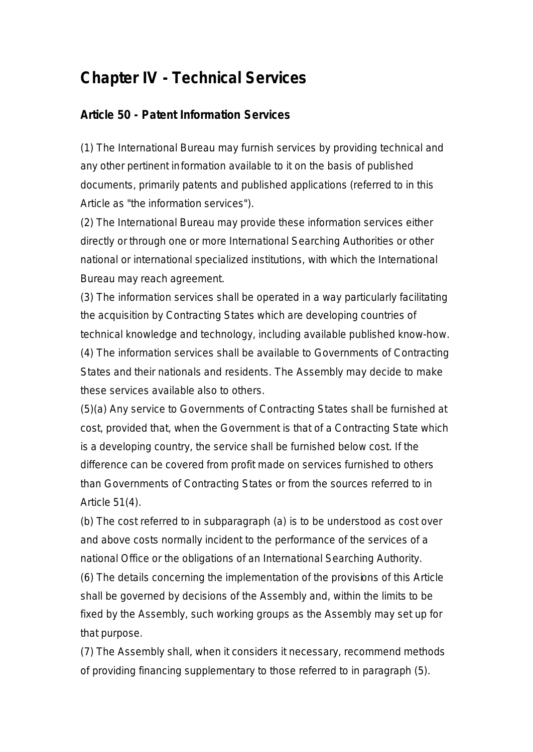# **Chapter IV - Technical Services**

### **Article 50 - Patent Information Services**

(1) The International Bureau may furnish services by providing technical and any other pertinent information available to it on the basis of published documents, primarily patents and published applications (referred to in this Article as "the information services").

(2) The International Bureau may provide these information services either directly or through one or more International Searching Authorities or other national or international specialized institutions, with which the International Bureau may reach agreement.

(3) The information services shall be operated in a way particularly facilitating the acquisition by Contracting States which are developing countries of technical knowledge and technology, including available published know-how. (4) The information services shall be available to Governments of Contracting States and their nationals and residents. The Assembly may decide to make these services available also to others.

(5)(a) Any service to Governments of Contracting States shall be furnished at cost, provided that, when the Government is that of a Contracting State which is a developing country, the service shall be furnished below cost. If the difference can be covered from profit made on services furnished to others than Governments of Contracting States or from the sources referred to in Article 51(4).

(b) The cost referred to in subparagraph (a) is to be understood as cost over and above costs normally incident to the performance of the services of a national Office or the obligations of an International Searching Authority.

(6) The details concerning the implementation of the provisions of this Article shall be governed by decisions of the Assembly and, within the limits to be fixed by the Assembly, such working groups as the Assembly may set up for that purpose.

(7) The Assembly shall, when it considers it necessary, recommend methods of providing financing supplementary to those referred to in paragraph (5).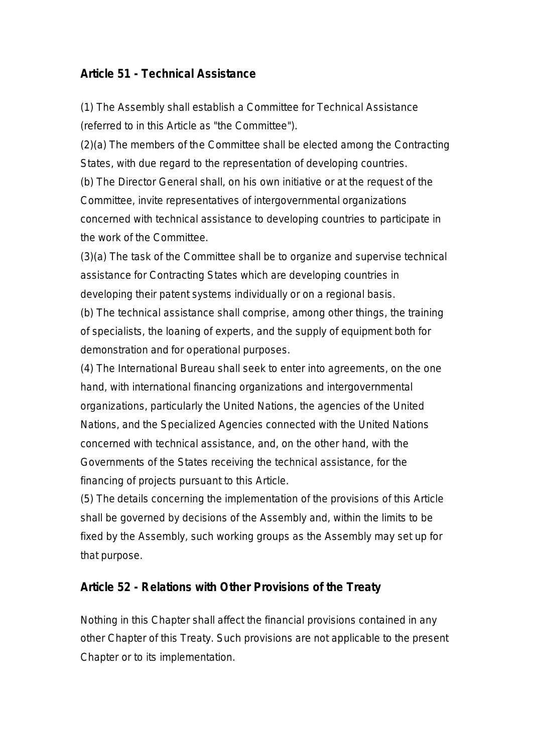### **Article 51 - Technical Assistance**

(1) The Assembly shall establish a Committee for Technical Assistance (referred to in this Article as "the Committee").

(2)(a) The members of the Committee shall be elected among the Contracting States, with due regard to the representation of developing countries.

(b) The Director General shall, on his own initiative or at the request of the Committee, invite representatives of intergovernmental organizations concerned with technical assistance to developing countries to participate in the work of the Committee.

(3)(a) The task of the Committee shall be to organize and supervise technical assistance for Contracting States which are developing countries in developing their patent systems individually or on a regional basis.

(b) The technical assistance shall comprise, among other things, the training of specialists, the loaning of experts, and the supply of equipment both for demonstration and for operational purposes.

(4) The International Bureau shall seek to enter into agreements, on the one hand, with international financing organizations and intergovernmental organizations, particularly the United Nations, the agencies of the United Nations, and the Specialized Agencies connected with the United Nations concerned with technical assistance, and, on the other hand, with the Governments of the States receiving the technical assistance, for the financing of projects pursuant to this Article.

(5) The details concerning the implementation of the provisions of this Article shall be governed by decisions of the Assembly and, within the limits to be fixed by the Assembly, such working groups as the Assembly may set up for that purpose.

#### **Article 52 - Relations with Other Provisions of the Treaty**

Nothing in this Chapter shall affect the financial provisions contained in any other Chapter of this Treaty. Such provisions are not applicable to the present Chapter or to its implementation.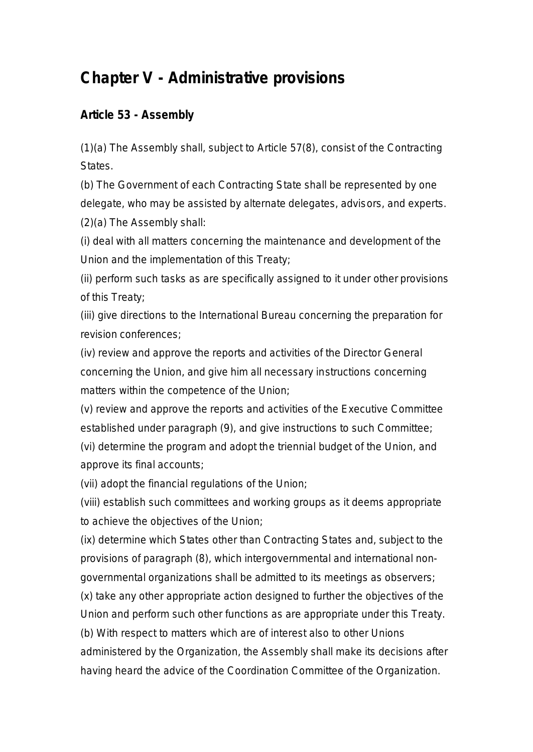# **Chapter V - Administrative provisions**

### **Article 53 - Assembly**

(1)(a) The Assembly shall, subject to Article 57(8), consist of the Contracting States.

(b) The Government of each Contracting State shall be represented by one delegate, who may be assisted by alternate delegates, advisors, and experts. (2)(a) The Assembly shall:

(i) deal with all matters concerning the maintenance and development of the Union and the implementation of this Treaty;

(ii) perform such tasks as are specifically assigned to it under other provisions of this Treaty;

(iii) give directions to the International Bureau concerning the preparation for revision conferences;

(iv) review and approve the reports and activities of the Director General concerning the Union, and give him all necessary instructions concerning matters within the competence of the Union;

(v) review and approve the reports and activities of the Executive Committee established under paragraph (9), and give instructions to such Committee;

(vi) determine the program and adopt the triennial budget of the Union, and approve its final accounts;

(vii) adopt the financial regulations of the Union;

(viii) establish such committees and working groups as it deems appropriate to achieve the objectives of the Union;

(ix) determine which States other than Contracting States and, subject to the provisions of paragraph (8), which intergovernmental and international nongovernmental organizations shall be admitted to its meetings as observers;

(x) take any other appropriate action designed to further the objectives of the Union and perform such other functions as are appropriate under this Treaty. (b) With respect to matters which are of interest also to other Unions administered by the Organization, the Assembly shall make its decisions after having heard the advice of the Coordination Committee of the Organization.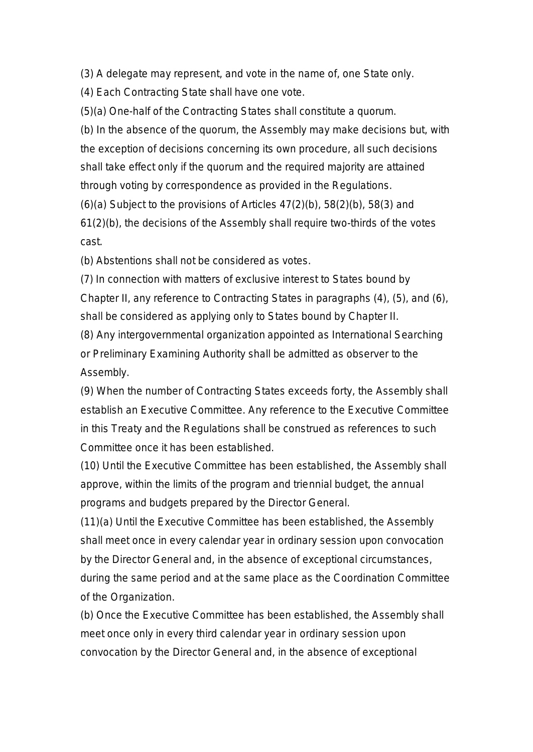(3) A delegate may represent, and vote in the name of, one State only.

(4) Each Contracting State shall have one vote.

(5)(a) One-half of the Contracting States shall constitute a quorum.

(b) In the absence of the quorum, the Assembly may make decisions but, with the exception of decisions concerning its own procedure, all such decisions shall take effect only if the quorum and the required majority are attained through voting by correspondence as provided in the Regulations.

 $(6)(a)$  Subject to the provisions of Articles  $47(2)(b)$ ,  $58(2)(b)$ ,  $58(3)$  and

61(2)(b), the decisions of the Assembly shall require two-thirds of the votes cast.

(b) Abstentions shall not be considered as votes.

(7) In connection with matters of exclusive interest to States bound by Chapter II, any reference to Contracting States in paragraphs (4), (5), and (6), shall be considered as applying only to States bound by Chapter II.

(8) Any intergovernmental organization appointed as International Searching or Preliminary Examining Authority shall be admitted as observer to the Assembly.

(9) When the number of Contracting States exceeds forty, the Assembly shall establish an Executive Committee. Any reference to the Executive Committee in this Treaty and the Regulations shall be construed as references to such Committee once it has been established.

(10) Until the Executive Committee has been established, the Assembly shall approve, within the limits of the program and triennial budget, the annual programs and budgets prepared by the Director General.

(11)(a) Until the Executive Committee has been established, the Assembly shall meet once in every calendar year in ordinary session upon convocation by the Director General and, in the absence of exceptional circumstances, during the same period and at the same place as the Coordination Committee of the Organization.

(b) Once the Executive Committee has been established, the Assembly shall meet once only in every third calendar year in ordinary session upon convocation by the Director General and, in the absence of exceptional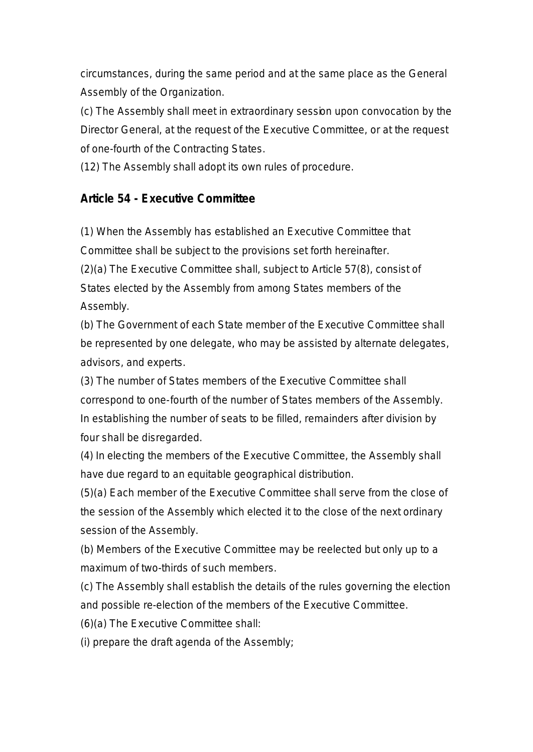circumstances, during the same period and at the same place as the General Assembly of the Organization.

(c) The Assembly shall meet in extraordinary session upon convocation by the Director General, at the request of the Executive Committee, or at the request of one-fourth of the Contracting States.

(12) The Assembly shall adopt its own rules of procedure.

# **Article 54 - Executive Committee**

(1) When the Assembly has established an Executive Committee that Committee shall be subject to the provisions set forth hereinafter.

(2)(a) The Executive Committee shall, subject to Article 57(8), consist of States elected by the Assembly from among States members of the Assembly.

(b) The Government of each State member of the Executive Committee shall be represented by one delegate, who may be assisted by alternate delegates, advisors, and experts.

(3) The number of States members of the Executive Committee shall correspond to one-fourth of the number of States members of the Assembly. In establishing the number of seats to be filled, remainders after division by four shall be disregarded.

(4) In electing the members of the Executive Committee, the Assembly shall have due regard to an equitable geographical distribution.

(5)(a) Each member of the Executive Committee shall serve from the close of the session of the Assembly which elected it to the close of the next ordinary session of the Assembly.

(b) Members of the Executive Committee may be reelected but only up to a maximum of two-thirds of such members.

(c) The Assembly shall establish the details of the rules governing the election and possible re-election of the members of the Executive Committee.

(6)(a) The Executive Committee shall:

(i) prepare the draft agenda of the Assembly;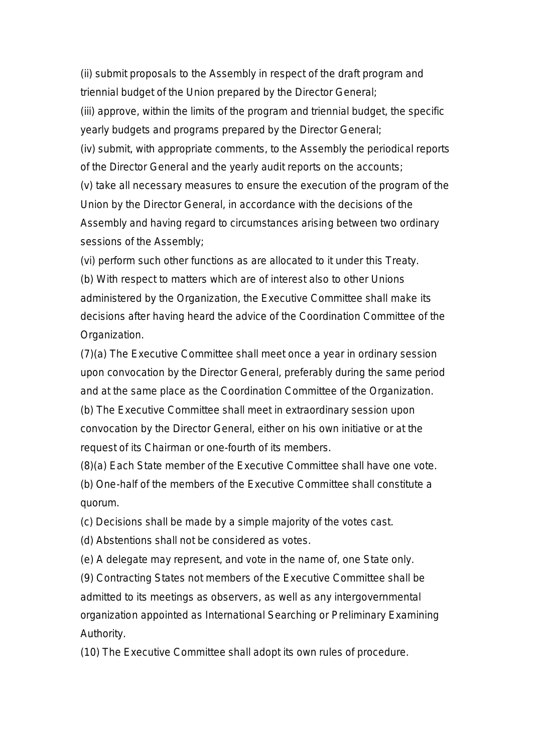(ii) submit proposals to the Assembly in respect of the draft program and triennial budget of the Union prepared by the Director General;

(iii) approve, within the limits of the program and triennial budget, the specific yearly budgets and programs prepared by the Director General;

(iv) submit, with appropriate comments, to the Assembly the periodical reports of the Director General and the yearly audit reports on the accounts;

(v) take all necessary measures to ensure the execution of the program of the Union by the Director General, in accordance with the decisions of the Assembly and having regard to circumstances arising between two ordinary sessions of the Assembly;

(vi) perform such other functions as are allocated to it under this Treaty.

(b) With respect to matters which are of interest also to other Unions administered by the Organization, the Executive Committee shall make its decisions after having heard the advice of the Coordination Committee of the Organization.

(7)(a) The Executive Committee shall meet once a year in ordinary session upon convocation by the Director General, preferably during the same period and at the same place as the Coordination Committee of the Organization.

(b) The Executive Committee shall meet in extraordinary session upon convocation by the Director General, either on his own initiative or at the request of its Chairman or one-fourth of its members.

(8)(a) Each State member of the Executive Committee shall have one vote.

(b) One-half of the members of the Executive Committee shall constitute a quorum.

(c) Decisions shall be made by a simple majority of the votes cast.

(d) Abstentions shall not be considered as votes.

(e) A delegate may represent, and vote in the name of, one State only.

(9) Contracting States not members of the Executive Committee shall be admitted to its meetings as observers, as well as any intergovernmental organization appointed as International Searching or Preliminary Examining Authority.

(10) The Executive Committee shall adopt its own rules of procedure.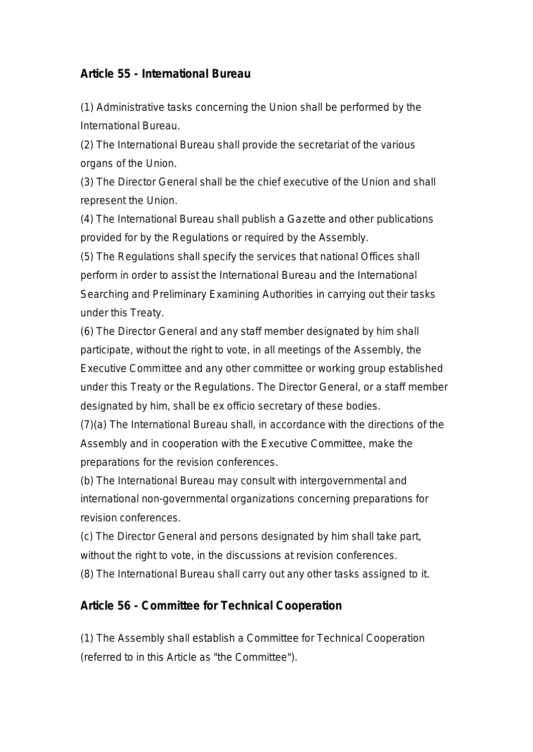# **Article 55 - International Bureau**

(1) Administrative tasks concerning the Union shall be performed by the International Bureau.

(2) The International Bureau shall provide the secretariat of the various organs of the Union.

(3) The Director General shall be the chief executive of the Union and shall represent the Union.

(4) The International Bureau shall publish a Gazette and other publications provided for by the Regulations or required by the Assembly.

(5) The Regulations shall specify the services that national Offices shall perform in order to assist the International Bureau and the International Searching and Preliminary Examining Authorities in carrying out their tasks under this Treaty.

(6) The Director General and any staff member designated by him shall participate, without the right to vote, in all meetings of the Assembly, the Executive Committee and any other committee or working group established under this Treaty or the Regulations. The Director General, or a staff member designated by him, shall be ex officio secretary of these bodies.

(7)(a) The International Bureau shall, in accordance with the directions of the Assembly and in cooperation with the Executive Committee, make the preparations for the revision conferences.

(b) The International Bureau may consult with intergovernmental and international non-governmental organizations concerning preparations for revision conferences.

(c) The Director General and persons designated by him shall take part, without the right to vote, in the discussions at revision conferences.

(8) The International Bureau shall carry out any other tasks assigned to it.

# **Article 56 - Committee for Technical Cooperation**

(1) The Assembly shall establish a Committee for Technical Cooperation (referred to in this Article as "the Committee").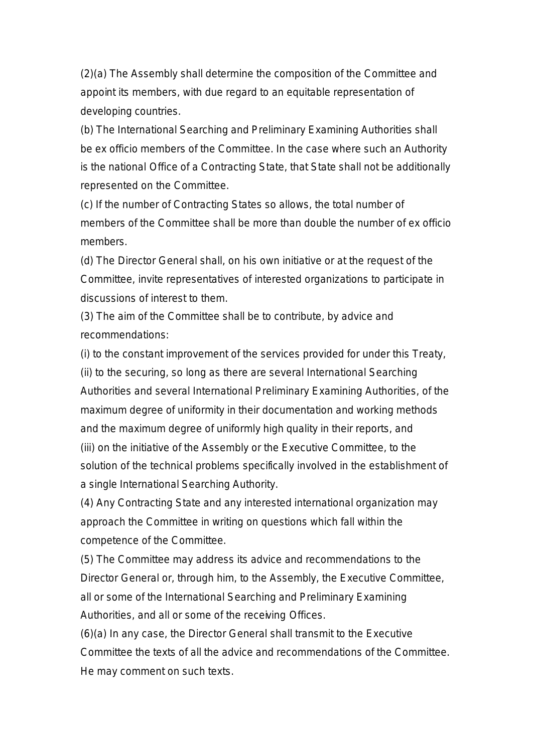(2)(a) The Assembly shall determine the composition of the Committee and appoint its members, with due regard to an equitable representation of developing countries.

(b) The International Searching and Preliminary Examining Authorities shall be ex officio members of the Committee. In the case where such an Authority is the national Office of a Contracting State, that State shall not be additionally represented on the Committee.

(c) If the number of Contracting States so allows, the total number of members of the Committee shall be more than double the number of ex officio members.

(d) The Director General shall, on his own initiative or at the request of the Committee, invite representatives of interested organizations to participate in discussions of interest to them.

(3) The aim of the Committee shall be to contribute, by advice and recommendations:

(i) to the constant improvement of the services provided for under this Treaty, (ii) to the securing, so long as there are several International Searching Authorities and several International Preliminary Examining Authorities, of the maximum degree of uniformity in their documentation and working methods and the maximum degree of uniformly high quality in their reports, and (iii) on the initiative of the Assembly or the Executive Committee, to the solution of the technical problems specifically involved in the establishment of a single International Searching Authority.

(4) Any Contracting State and any interested international organization may approach the Committee in writing on questions which fall within the competence of the Committee.

(5) The Committee may address its advice and recommendations to the Director General or, through him, to the Assembly, the Executive Committee, all or some of the International Searching and Preliminary Examining Authorities, and all or some of the receiving Offices.

(6)(a) In any case, the Director General shall transmit to the Executive Committee the texts of all the advice and recommendations of the Committee. He may comment on such texts.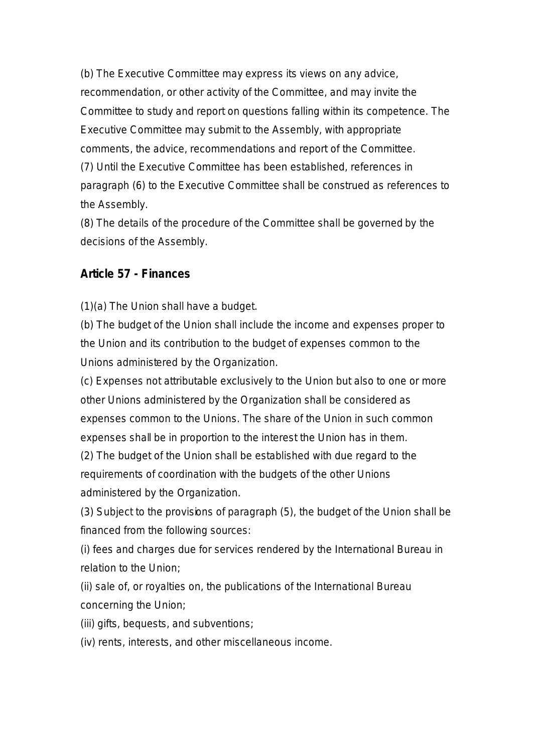(b) The Executive Committee may express its views on any advice, recommendation, or other activity of the Committee, and may invite the Committee to study and report on questions falling within its competence. The Executive Committee may submit to the Assembly, with appropriate comments, the advice, recommendations and report of the Committee. (7) Until the Executive Committee has been established, references in paragraph (6) to the Executive Committee shall be construed as references to the Assembly.

(8) The details of the procedure of the Committee shall be governed by the decisions of the Assembly.

#### **Article 57 - Finances**

(1)(a) The Union shall have a budget.

(b) The budget of the Union shall include the income and expenses proper to the Union and its contribution to the budget of expenses common to the Unions administered by the Organization.

(c) Expenses not attributable exclusively to the Union but also to one or more other Unions administered by the Organization shall be considered as expenses common to the Unions. The share of the Union in such common expenses shall be in proportion to the interest the Union has in them.

(2) The budget of the Union shall be established with due regard to the requirements of coordination with the budgets of the other Unions administered by the Organization.

(3) Subject to the provisions of paragraph (5), the budget of the Union shall be financed from the following sources:

(i) fees and charges due for services rendered by the International Bureau in relation to the Union;

(ii) sale of, or royalties on, the publications of the International Bureau concerning the Union;

(iii) gifts, bequests, and subventions;

(iv) rents, interests, and other miscellaneous income.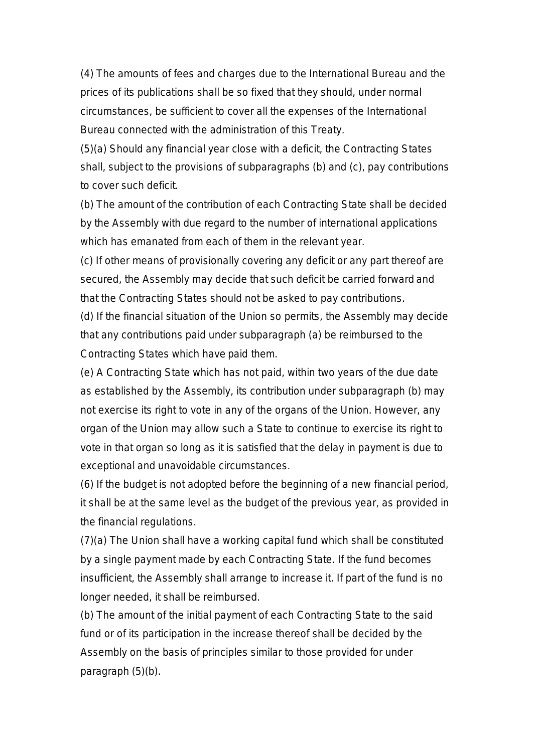(4) The amounts of fees and charges due to the International Bureau and the prices of its publications shall be so fixed that they should, under normal circumstances, be sufficient to cover all the expenses of the International Bureau connected with the administration of this Treaty.

(5)(a) Should any financial year close with a deficit, the Contracting States shall, subject to the provisions of subparagraphs (b) and (c), pay contributions to cover such deficit.

(b) The amount of the contribution of each Contracting State shall be decided by the Assembly with due regard to the number of international applications which has emanated from each of them in the relevant year.

(c) If other means of provisionally covering any deficit or any part thereof are secured, the Assembly may decide that such deficit be carried forward and that the Contracting States should not be asked to pay contributions.

(d) If the financial situation of the Union so permits, the Assembly may decide that any contributions paid under subparagraph (a) be reimbursed to the Contracting States which have paid them.

(e) A Contracting State which has not paid, within two years of the due date as established by the Assembly, its contribution under subparagraph (b) may not exercise its right to vote in any of the organs of the Union. However, any organ of the Union may allow such a State to continue to exercise its right to vote in that organ so long as it is satisfied that the delay in payment is due to exceptional and unavoidable circumstances.

(6) If the budget is not adopted before the beginning of a new financial period, it shall be at the same level as the budget of the previous year, as provided in the financial regulations.

(7)(a) The Union shall have a working capital fund which shall be constituted by a single payment made by each Contracting State. If the fund becomes insufficient, the Assembly shall arrange to increase it. If part of the fund is no longer needed, it shall be reimbursed.

(b) The amount of the initial payment of each Contracting State to the said fund or of its participation in the increase thereof shall be decided by the Assembly on the basis of principles similar to those provided for under paragraph (5)(b).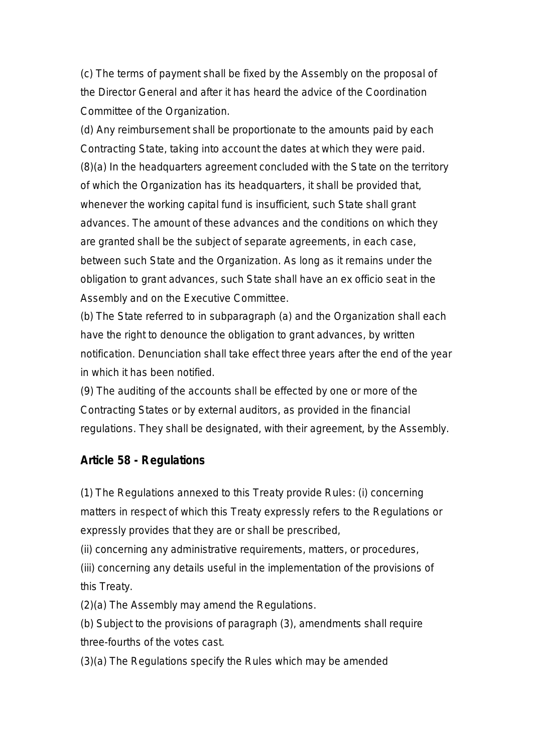(c) The terms of payment shall be fixed by the Assembly on the proposal of the Director General and after it has heard the advice of the Coordination Committee of the Organization.

(d) Any reimbursement shall be proportionate to the amounts paid by each Contracting State, taking into account the dates at which they were paid. (8)(a) In the headquarters agreement concluded with the State on the territory of which the Organization has its headquarters, it shall be provided that, whenever the working capital fund is insufficient, such State shall grant advances. The amount of these advances and the conditions on which they are granted shall be the subject of separate agreements, in each case, between such State and the Organization. As long as it remains under the obligation to grant advances, such State shall have an ex officio seat in the Assembly and on the Executive Committee.

(b) The State referred to in subparagraph (a) and the Organization shall each have the right to denounce the obligation to grant advances, by written notification. Denunciation shall take effect three years after the end of the year in which it has been notified.

(9) The auditing of the accounts shall be effected by one or more of the Contracting States or by external auditors, as provided in the financial regulations. They shall be designated, with their agreement, by the Assembly.

#### **Article 58 - Regulations**

(1) The Regulations annexed to this Treaty provide Rules: (i) concerning matters in respect of which this Treaty expressly refers to the Regulations or expressly provides that they are or shall be prescribed,

(ii) concerning any administrative requirements, matters, or procedures,

(iii) concerning any details useful in the implementation of the provisions of this Treaty.

(2)(a) The Assembly may amend the Regulations.

(b) Subject to the provisions of paragraph (3), amendments shall require three-fourths of the votes cast.

(3)(a) The Regulations specify the Rules which may be amended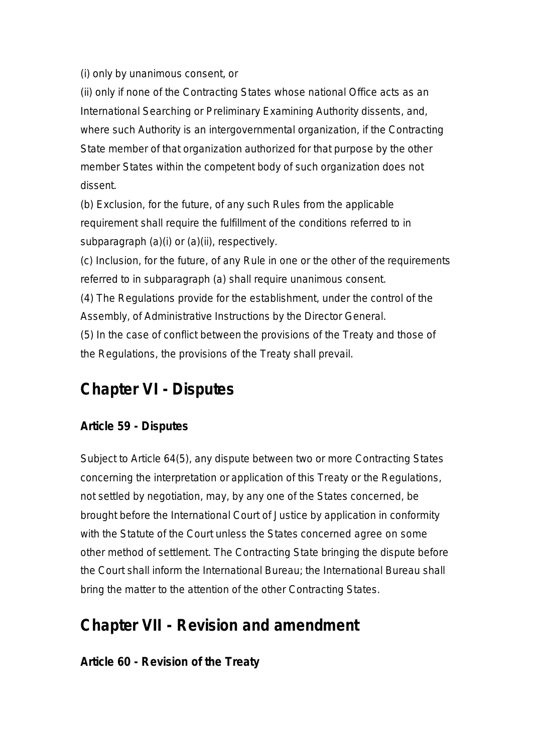(i) only by unanimous consent, or

(ii) only if none of the Contracting States whose national Office acts as an International Searching or Preliminary Examining Authority dissents, and, where such Authority is an intergovernmental organization, if the Contracting State member of that organization authorized for that purpose by the other member States within the competent body of such organization does not dissent.

(b) Exclusion, for the future, of any such Rules from the applicable requirement shall require the fulfillment of the conditions referred to in subparagraph (a)(i) or (a)(ii), respectively.

(c) Inclusion, for the future, of any Rule in one or the other of the requirements referred to in subparagraph (a) shall require unanimous consent.

(4) The Regulations provide for the establishment, under the control of the Assembly, of Administrative Instructions by the Director General.

(5) In the case of conflict between the provisions of the Treaty and those of the Regulations, the provisions of the Treaty shall prevail.

# **Chapter VI - Disputes**

# **Article 59 - Disputes**

Subject to Article 64(5), any dispute between two or more Contracting States concerning the interpretation or application of this Treaty or the Regulations, not settled by negotiation, may, by any one of the States concerned, be brought before the International Court of Justice by application in conformity with the Statute of the Court unless the States concerned agree on some other method of settlement. The Contracting State bringing the dispute before the Court shall inform the International Bureau; the International Bureau shall bring the matter to the attention of the other Contracting States.

# **Chapter VII - Revision and amendment**

**Article 60 - Revision of the Treaty**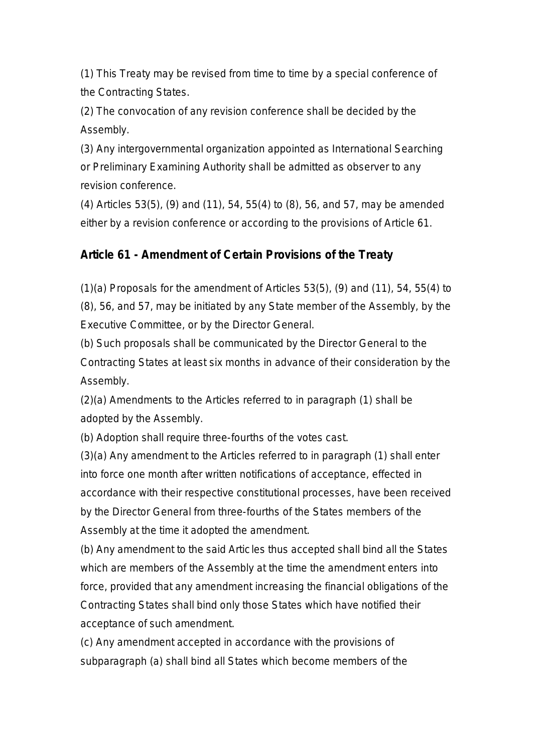(1) This Treaty may be revised from time to time by a special conference of the Contracting States.

(2) The convocation of any revision conference shall be decided by the Assembly.

(3) Any intergovernmental organization appointed as International Searching or Preliminary Examining Authority shall be admitted as observer to any revision conference.

(4) Articles 53(5), (9) and (11), 54, 55(4) to (8), 56, and 57, may be amended either by a revision conference or according to the provisions of Article 61.

# **Article 61 - Amendment of Certain Provisions of the Treaty**

(1)(a) Proposals for the amendment of Articles 53(5), (9) and (11), 54, 55(4) to (8), 56, and 57, may be initiated by any State member of the Assembly, by the Executive Committee, or by the Director General.

(b) Such proposals shall be communicated by the Director General to the Contracting States at least six months in advance of their consideration by the Assembly.

(2)(a) Amendments to the Articles referred to in paragraph (1) shall be adopted by the Assembly.

(b) Adoption shall require three-fourths of the votes cast.

(3)(a) Any amendment to the Articles referred to in paragraph (1) shall enter into force one month after written notifications of acceptance, effected in accordance with their respective constitutional processes, have been received by the Director General from three-fourths of the States members of the Assembly at the time it adopted the amendment.

(b) Any amendment to the said Artic les thus accepted shall bind all the States which are members of the Assembly at the time the amendment enters into force, provided that any amendment increasing the financial obligations of the Contracting States shall bind only those States which have notified their acceptance of such amendment.

(c) Any amendment accepted in accordance with the provisions of subparagraph (a) shall bind all States which become members of the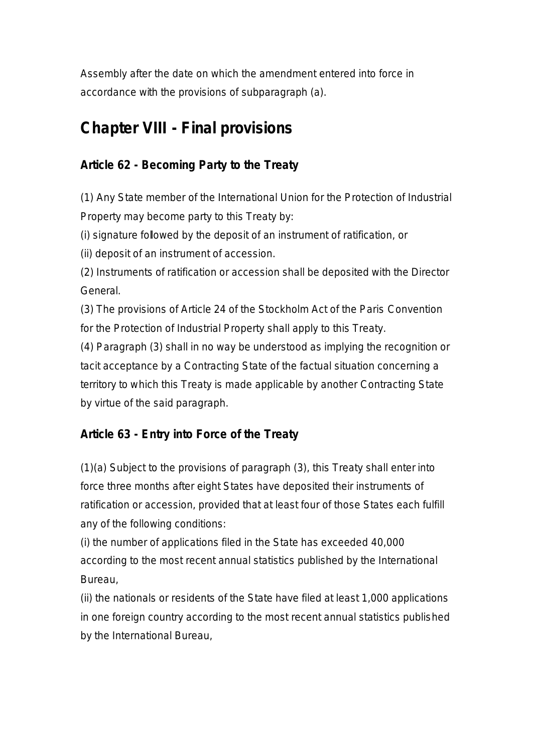Assembly after the date on which the amendment entered into force in accordance with the provisions of subparagraph (a).

# **Chapter VIII - Final provisions**

# **Article 62 - Becoming Party to the Treaty**

(1) Any State member of the International Union for the Protection of Industrial Property may become party to this Treaty by:

(i) signature followed by the deposit of an instrument of ratification, or

(ii) deposit of an instrument of accession.

(2) Instruments of ratification or accession shall be deposited with the Director General.

(3) The provisions of Article 24 of the Stockholm Act of the Paris Convention for the Protection of Industrial Property shall apply to this Treaty.

(4) Paragraph (3) shall in no way be understood as implying the recognition or tacit acceptance by a Contracting State of the factual situation concerning a territory to which this Treaty is made applicable by another Contracting State by virtue of the said paragraph.

# **Article 63 - Entry into Force of the Treaty**

(1)(a) Subject to the provisions of paragraph (3), this Treaty shall enter into force three months after eight States have deposited their instruments of ratification or accession, provided that at least four of those States each fulfill any of the following conditions:

(i) the number of applications filed in the State has exceeded 40,000 according to the most recent annual statistics published by the International Bureau,

(ii) the nationals or residents of the State have filed at least 1,000 applications in one foreign country according to the most recent annual statistics published by the International Bureau,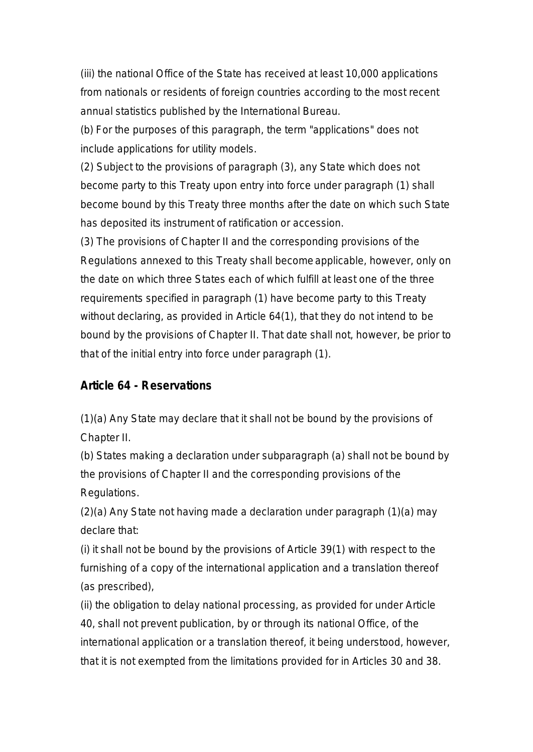(iii) the national Office of the State has received at least 10,000 applications from nationals or residents of foreign countries according to the most recent annual statistics published by the International Bureau.

(b) For the purposes of this paragraph, the term "applications" does not include applications for utility models.

(2) Subject to the provisions of paragraph (3), any State which does not become party to this Treaty upon entry into force under paragraph (1) shall become bound by this Treaty three months after the date on which such State has deposited its instrument of ratification or accession.

(3) The provisions of Chapter II and the corresponding provisions of the Regulations annexed to this Treaty shall become applicable, however, only on the date on which three States each of which fulfill at least one of the three requirements specified in paragraph (1) have become party to this Treaty without declaring, as provided in Article 64(1), that they do not intend to be bound by the provisions of Chapter II. That date shall not, however, be prior to that of the initial entry into force under paragraph (1).

#### **Article 64 - Reservations**

(1)(a) Any State may declare that it shall not be bound by the provisions of Chapter II.

(b) States making a declaration under subparagraph (a) shall not be bound by the provisions of Chapter II and the corresponding provisions of the Regulations.

(2)(a) Any State not having made a declaration under paragraph (1)(a) may declare that:

(i) it shall not be bound by the provisions of Article 39(1) with respect to the furnishing of a copy of the international application and a translation thereof (as prescribed),

(ii) the obligation to delay national processing, as provided for under Article 40, shall not prevent publication, by or through its national Office, of the international application or a translation thereof, it being understood, however, that it is not exempted from the limitations provided for in Articles 30 and 38.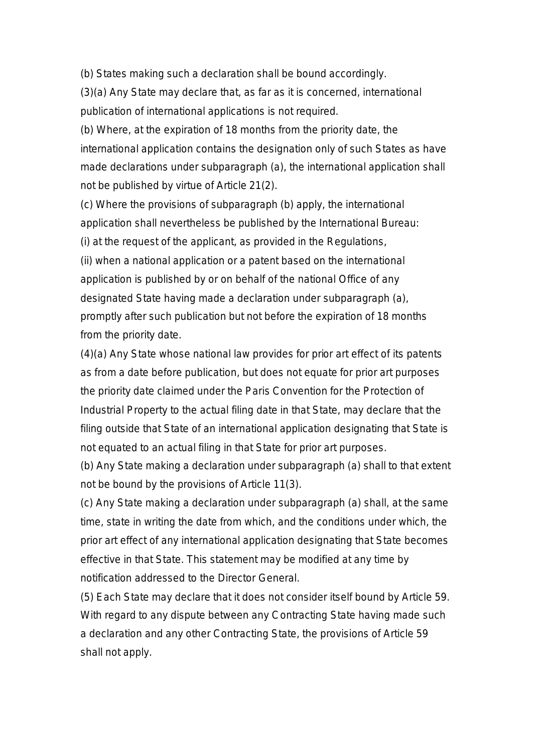(b) States making such a declaration shall be bound accordingly.

(3)(a) Any State may declare that, as far as it is concerned, international publication of international applications is not required.

(b) Where, at the expiration of 18 months from the priority date, the international application contains the designation only of such States as have made declarations under subparagraph (a), the international application shall not be published by virtue of Article 21(2).

(c) Where the provisions of subparagraph (b) apply, the international application shall nevertheless be published by the International Bureau:

(i) at the request of the applicant, as provided in the Regulations,

(ii) when a national application or a patent based on the international application is published by or on behalf of the national Office of any designated State having made a declaration under subparagraph (a), promptly after such publication but not before the expiration of 18 months from the priority date.

(4)(a) Any State whose national law provides for prior art effect of its patents as from a date before publication, but does not equate for prior art purposes the priority date claimed under the Paris Convention for the Protection of Industrial Property to the actual filing date in that State, may declare that the filing outside that State of an international application designating that State is not equated to an actual filing in that State for prior art purposes.

(b) Any State making a declaration under subparagraph (a) shall to that extent not be bound by the provisions of Article 11(3).

(c) Any State making a declaration under subparagraph (a) shall, at the same time, state in writing the date from which, and the conditions under which, the prior art effect of any international application designating that State becomes effective in that State. This statement may be modified at any time by notification addressed to the Director General.

(5) Each State may declare that it does not consider itself bound by Article 59. With regard to any dispute between any Contracting State having made such a declaration and any other Contracting State, the provisions of Article 59 shall not apply.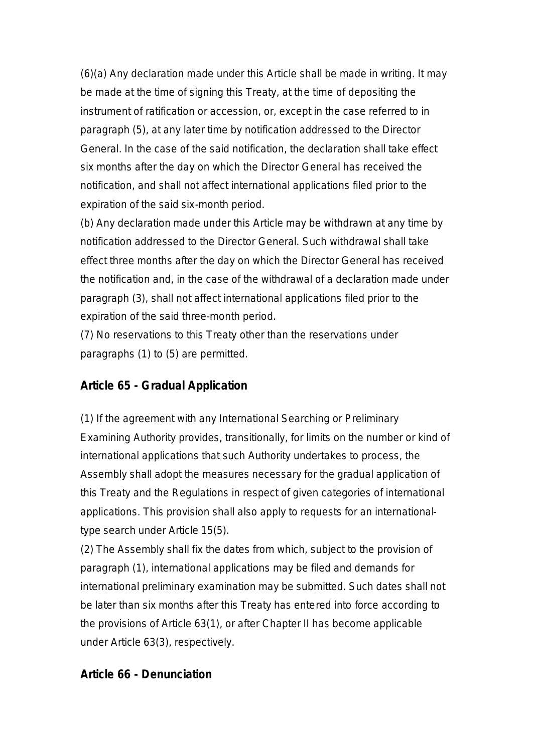(6)(a) Any declaration made under this Article shall be made in writing. It may be made at the time of signing this Treaty, at the time of depositing the instrument of ratification or accession, or, except in the case referred to in paragraph (5), at any later time by notification addressed to the Director General. In the case of the said notification, the declaration shall take effect six months after the day on which the Director General has received the notification, and shall not affect international applications filed prior to the expiration of the said six-month period.

(b) Any declaration made under this Article may be withdrawn at any time by notification addressed to the Director General. Such withdrawal shall take effect three months after the day on which the Director General has received the notification and, in the case of the withdrawal of a declaration made under paragraph (3), shall not affect international applications filed prior to the expiration of the said three-month period.

(7) No reservations to this Treaty other than the reservations under paragraphs (1) to (5) are permitted.

# **Article 65 - Gradual Application**

(1) If the agreement with any International Searching or Preliminary Examining Authority provides, transitionally, for limits on the number or kind of international applications that such Authority undertakes to process, the Assembly shall adopt the measures necessary for the gradual application of this Treaty and the Regulations in respect of given categories of international applications. This provision shall also apply to requests for an internationaltype search under Article 15(5).

(2) The Assembly shall fix the dates from which, subject to the provision of paragraph (1), international applications may be filed and demands for international preliminary examination may be submitted. Such dates shall not be later than six months after this Treaty has entered into force according to the provisions of Article 63(1), or after Chapter II has become applicable under Article 63(3), respectively.

# **Article 66 - Denunciation**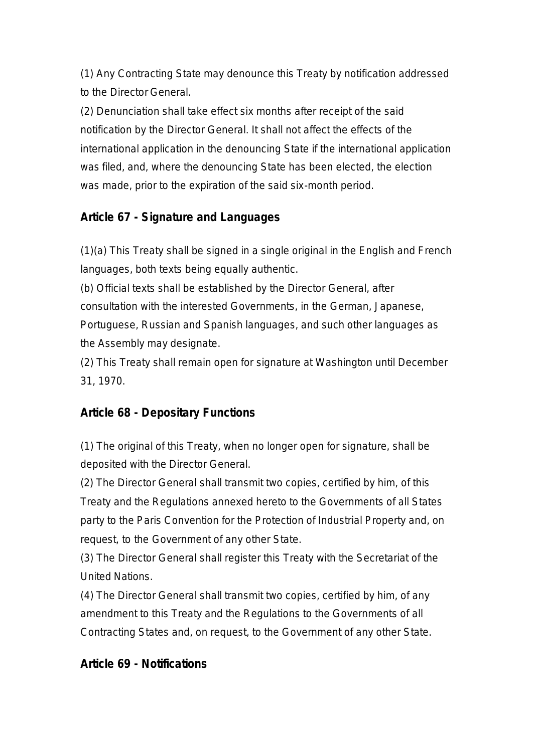(1) Any Contracting State may denounce this Treaty by notification addressed to the Director General.

(2) Denunciation shall take effect six months after receipt of the said notification by the Director General. It shall not affect the effects of the international application in the denouncing State if the international application was filed, and, where the denouncing State has been elected, the election was made, prior to the expiration of the said six-month period.

# **Article 67 - Signature and Languages**

(1)(a) This Treaty shall be signed in a single original in the English and French languages, both texts being equally authentic.

(b) Official texts shall be established by the Director General, after consultation with the interested Governments, in the German, Japanese, Portuguese, Russian and Spanish languages, and such other languages as the Assembly may designate.

(2) This Treaty shall remain open for signature at Washington until December 31, 1970.

# **Article 68 - Depositary Functions**

(1) The original of this Treaty, when no longer open for signature, shall be deposited with the Director General.

(2) The Director General shall transmit two copies, certified by him, of this Treaty and the Regulations annexed hereto to the Governments of all States party to the Paris Convention for the Protection of Industrial Property and, on request, to the Government of any other State.

(3) The Director General shall register this Treaty with the Secretariat of the United Nations.

(4) The Director General shall transmit two copies, certified by him, of any amendment to this Treaty and the Regulations to the Governments of all Contracting States and, on request, to the Government of any other State.

# **Article 69 - Notifications**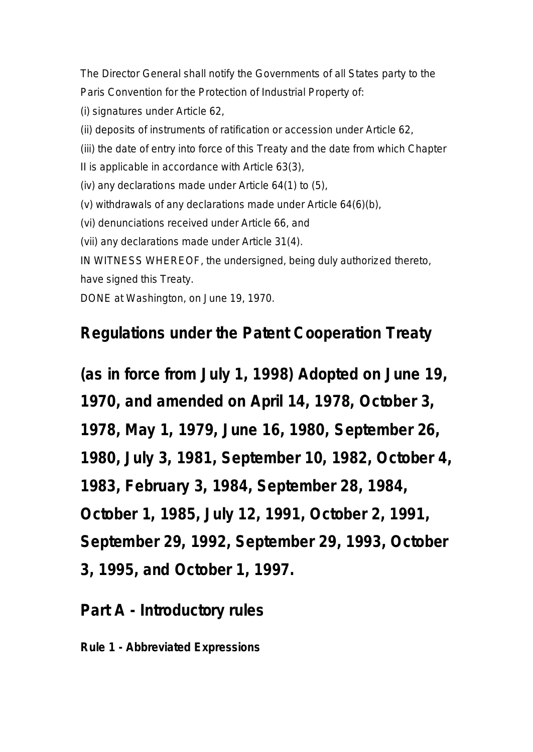The Director General shall notify the Governments of all States party to the Paris Convention for the Protection of Industrial Property of:

(i) signatures under Article 62,

(ii) deposits of instruments of ratification or accession under Article 62,

(iii) the date of entry into force of this Treaty and the date from which Chapter II is applicable in accordance with Article 63(3),

(iv) any declarations made under Article 64(1) to (5),

(v) withdrawals of any declarations made under Article 64(6)(b),

(vi) denunciations received under Article 66, and

(vii) any declarations made under Article 31(4).

IN WITNESS WHEREOF, the undersigned, being duly authorized thereto, have signed this Treaty.

DONE at Washington, on June 19, 1970.

# **Regulations under the Patent Cooperation Treaty**

**(as in force from July 1, 1998) Adopted on June 19, 1970, and amended on April 14, 1978, October 3, 1978, May 1, 1979, June 16, 1980, September 26, 1980, July 3, 1981, September 10, 1982, October 4, 1983, February 3, 1984, September 28, 1984, October 1, 1985, July 12, 1991, October 2, 1991, September 29, 1992, September 29, 1993, October 3, 1995, and October 1, 1997.**

# **Part A - Introductory rules**

**Rule 1 - Abbreviated Expressions**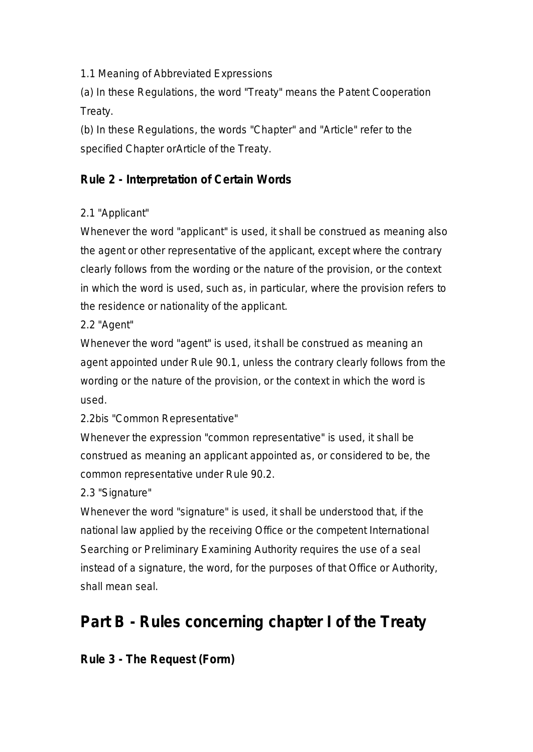1.1 Meaning of Abbreviated Expressions

(a) In these Regulations, the word "Treaty" means the Patent Cooperation Treaty.

(b) In these Regulations, the words "Chapter" and "Article" refer to the specified Chapter orArticle of the Treaty.

# **Rule 2 - Interpretation of Certain Words**

# 2.1 "Applicant"

Whenever the word "applicant" is used, it shall be construed as meaning also the agent or other representative of the applicant, except where the contrary clearly follows from the wording or the nature of the provision, or the context in which the word is used, such as, in particular, where the provision refers to the residence or nationality of the applicant.

2.2 "Agent"

Whenever the word "agent" is used, it shall be construed as meaning an agent appointed under Rule 90.1, unless the contrary clearly follows from the wording or the nature of the provision, or the context in which the word is used.

2.2bis "Common Representative"

Whenever the expression "common representative" is used, it shall be construed as meaning an applicant appointed as, or considered to be, the common representative under Rule 90.2.

2.3 "Signature"

Whenever the word "signature" is used, it shall be understood that, if the national law applied by the receiving Office or the competent International Searching or Preliminary Examining Authority requires the use of a seal instead of a signature, the word, for the purposes of that Office or Authority, shall mean seal.

# **Part B - Rules concerning chapter I of the Treaty**

**Rule 3 - The Request (Form)**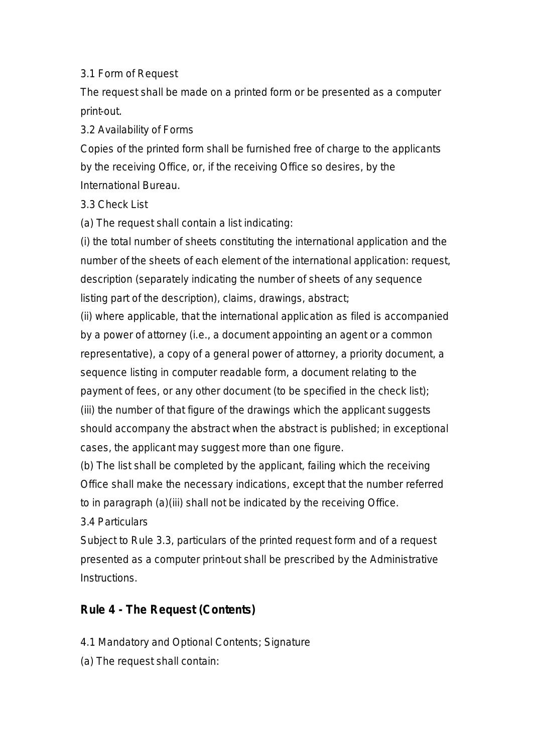3.1 Form of Request

The request shall be made on a printed form or be presented as a computer print-out.

3.2 Availability of Forms

Copies of the printed form shall be furnished free of charge to the applicants by the receiving Office, or, if the receiving Office so desires, by the International Bureau.

3.3 Check List

(a) The request shall contain a list indicating:

(i) the total number of sheets constituting the international application and the number of the sheets of each element of the international application: request, description (separately indicating the number of sheets of any sequence listing part of the description), claims, drawings, abstract;

(ii) where applicable, that the international application as filed is accompanied by a power of attorney (i.e., a document appointing an agent or a common representative), a copy of a general power of attorney, a priority document, a sequence listing in computer readable form, a document relating to the payment of fees, or any other document (to be specified in the check list); (iii) the number of that figure of the drawings which the applicant suggests should accompany the abstract when the abstract is published; in exceptional cases, the applicant may suggest more than one figure.

(b) The list shall be completed by the applicant, failing which the receiving Office shall make the necessary indications, except that the number referred to in paragraph (a)(iii) shall not be indicated by the receiving Office.

3.4 Particulars

Subject to Rule 3.3, particulars of the printed request form and of a request presented as a computer print-out shall be prescribed by the Administrative Instructions.

# **Rule 4 - The Request (Contents)**

4.1 Mandatory and Optional Contents; Signature

(a) The request shall contain: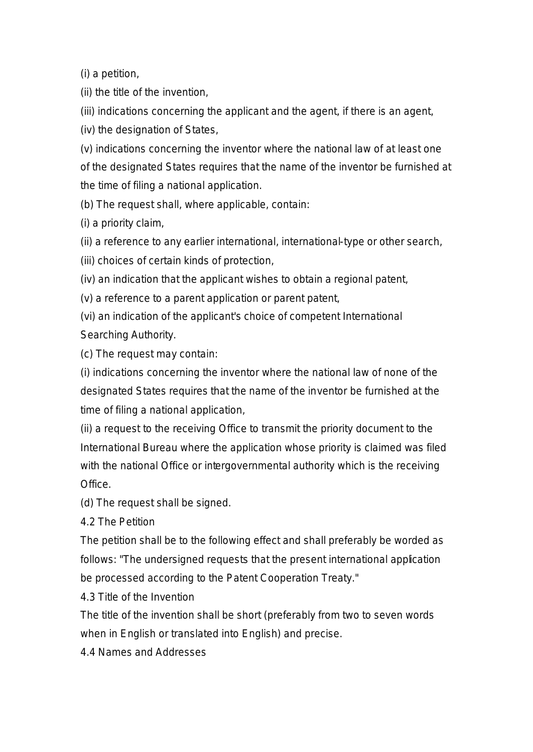(i) a petition,

(ii) the title of the invention,

(iii) indications concerning the applicant and the agent, if there is an agent,

(iv) the designation of States,

(v) indications concerning the inventor where the national law of at least one of the designated States requires that the name of the inventor be furnished at the time of filing a national application.

(b) The request shall, where applicable, contain:

(i) a priority claim,

(ii) a reference to any earlier international, international-type or other search,

(iii) choices of certain kinds of protection,

(iv) an indication that the applicant wishes to obtain a regional patent,

(v) a reference to a parent application or parent patent,

(vi) an indication of the applicant's choice of competent International Searching Authority.

(c) The request may contain:

(i) indications concerning the inventor where the national law of none of the designated States requires that the name of the inventor be furnished at the time of filing a national application,

(ii) a request to the receiving Office to transmit the priority document to the International Bureau where the application whose priority is claimed was filed with the national Office or intergovernmental authority which is the receiving Office.

(d) The request shall be signed.

4.2 The Petition

The petition shall be to the following effect and shall preferably be worded as follows: "The undersigned requests that the present international application be processed according to the Patent Cooperation Treaty."

4.3 Title of the Invention

The title of the invention shall be short (preferably from two to seven words when in English or translated into English) and precise.

4.4 Names and Addresses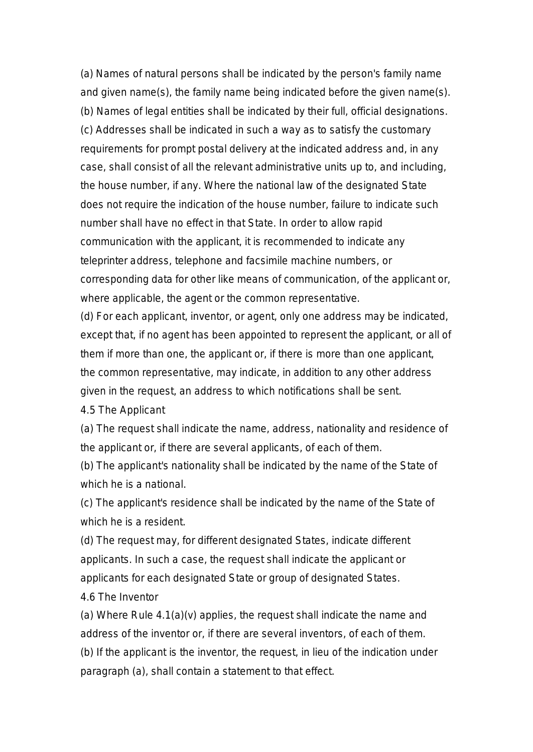(a) Names of natural persons shall be indicated by the person's family name and given name(s), the family name being indicated before the given name(s). (b) Names of legal entities shall be indicated by their full, official designations. (c) Addresses shall be indicated in such a way as to satisfy the customary requirements for prompt postal delivery at the indicated address and, in any case, shall consist of all the relevant administrative units up to, and including, the house number, if any. Where the national law of the designated State does not require the indication of the house number, failure to indicate such number shall have no effect in that State. In order to allow rapid communication with the applicant, it is recommended to indicate any teleprinter address, telephone and facsimile machine numbers, or corresponding data for other like means of communication, of the applicant or, where applicable, the agent or the common representative.

(d) For each applicant, inventor, or agent, only one address may be indicated, except that, if no agent has been appointed to represent the applicant, or all of them if more than one, the applicant or, if there is more than one applicant, the common representative, may indicate, in addition to any other address given in the request, an address to which notifications shall be sent.

4.5 The Applicant

(a) The request shall indicate the name, address, nationality and residence of the applicant or, if there are several applicants, of each of them.

(b) The applicant's nationality shall be indicated by the name of the State of which he is a national.

(c) The applicant's residence shall be indicated by the name of the State of which he is a resident.

(d) The request may, for different designated States, indicate different applicants. In such a case, the request shall indicate the applicant or applicants for each designated State or group of designated States.

#### 4.6 The Inventor

(a) Where Rule 4.1(a)(v) applies, the request shall indicate the name and address of the inventor or, if there are several inventors, of each of them. (b) If the applicant is the inventor, the request, in lieu of the indication under paragraph (a), shall contain a statement to that effect.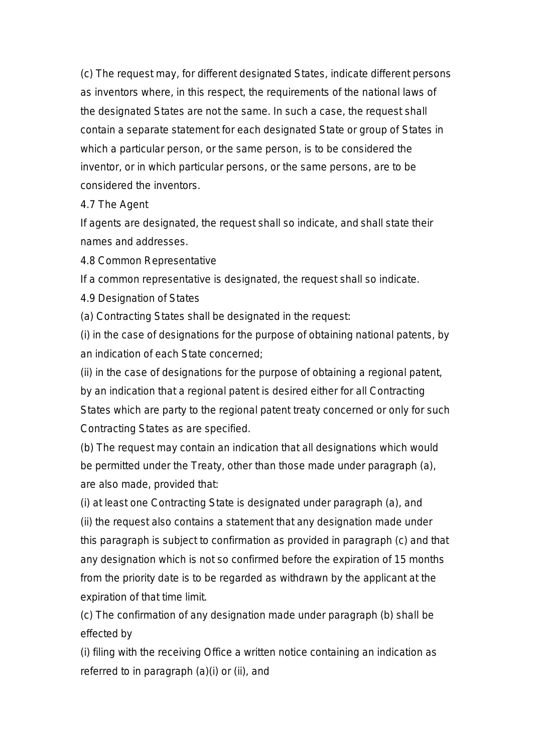(c) The request may, for different designated States, indicate different persons as inventors where, in this respect, the requirements of the national laws of the designated States are not the same. In such a case, the request shall contain a separate statement for each designated State or group of States in which a particular person, or the same person, is to be considered the inventor, or in which particular persons, or the same persons, are to be considered the inventors.

4.7 The Agent

If agents are designated, the request shall so indicate, and shall state their names and addresses.

4.8 Common Representative

If a common representative is designated, the request shall so indicate.

4.9 Designation of States

(a) Contracting States shall be designated in the request:

(i) in the case of designations for the purpose of obtaining national patents, by an indication of each State concerned;

(ii) in the case of designations for the purpose of obtaining a regional patent, by an indication that a regional patent is desired either for all Contracting States which are party to the regional patent treaty concerned or only for such Contracting States as are specified.

(b) The request may contain an indication that all designations which would be permitted under the Treaty, other than those made under paragraph (a), are also made, provided that:

(i) at least one Contracting State is designated under paragraph (a), and (ii) the request also contains a statement that any designation made under this paragraph is subject to confirmation as provided in paragraph (c) and that any designation which is not so confirmed before the expiration of 15 months from the priority date is to be regarded as withdrawn by the applicant at the expiration of that time limit.

(c) The confirmation of any designation made under paragraph (b) shall be effected by

(i) filing with the receiving Office a written notice containing an indication as referred to in paragraph (a)(i) or (ii), and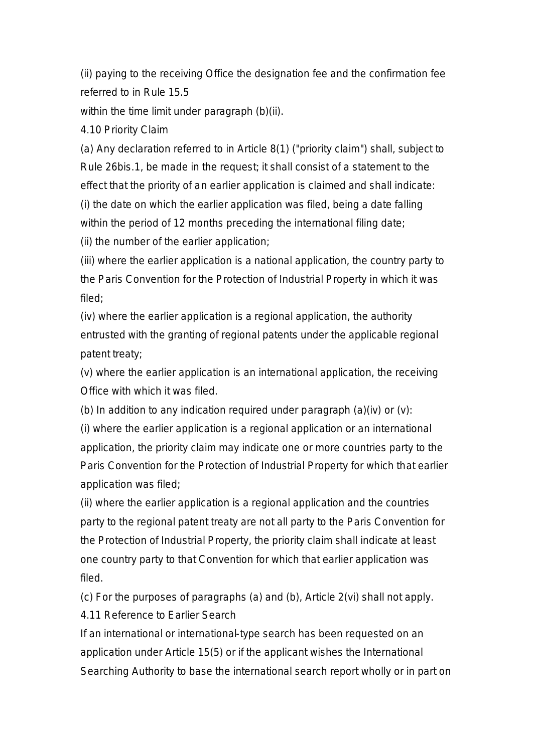(ii) paying to the receiving Office the designation fee and the confirmation fee referred to in Rule 15.5

within the time limit under paragraph (b)(ii).

4.10 Priority Claim

(a) Any declaration referred to in Article 8(1) ("priority claim") shall, subject to Rule 26bis.1, be made in the request; it shall consist of a statement to the effect that the priority of an earlier application is claimed and shall indicate: (i) the date on which the earlier application was filed, being a date falling within the period of 12 months preceding the international filing date;

(ii) the number of the earlier application;

(iii) where the earlier application is a national application, the country party to the Paris Convention for the Protection of Industrial Property in which it was filed;

(iv) where the earlier application is a regional application, the authority entrusted with the granting of regional patents under the applicable regional patent treaty;

(v) where the earlier application is an international application, the receiving Office with which it was filed.

(b) In addition to any indication required under paragraph  $(a)(iv)$  or  $(v)$ :

(i) where the earlier application is a regional application or an international application, the priority claim may indicate one or more countries party to the Paris Convention for the Protection of Industrial Property for which that earlier application was filed;

(ii) where the earlier application is a regional application and the countries party to the regional patent treaty are not all party to the Paris Convention for the Protection of Industrial Property, the priority claim shall indicate at least one country party to that Convention for which that earlier application was filed.

(c) For the purposes of paragraphs (a) and (b), Article 2(vi) shall not apply. 4.11 Reference to Earlier Search

If an international or international-type search has been requested on an application under Article 15(5) or if the applicant wishes the International Searching Authority to base the international search report wholly or in part on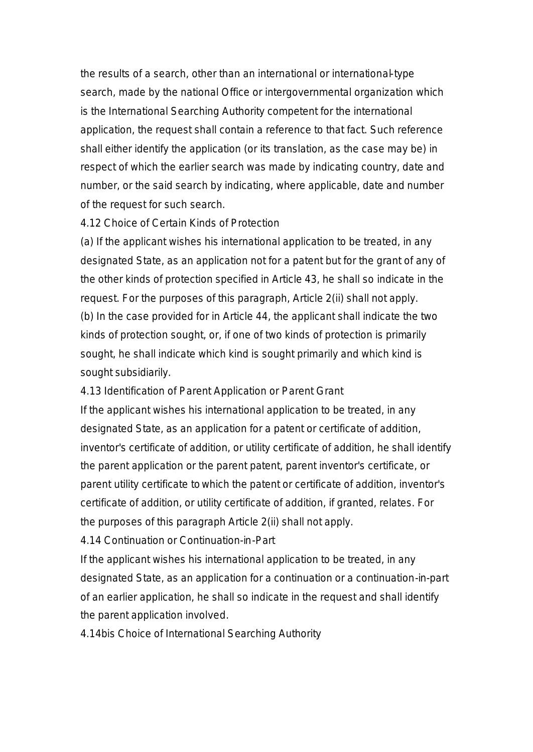the results of a search, other than an international or international-type search, made by the national Office or intergovernmental organization which is the International Searching Authority competent for the international application, the request shall contain a reference to that fact. Such reference shall either identify the application (or its translation, as the case may be) in respect of which the earlier search was made by indicating country, date and number, or the said search by indicating, where applicable, date and number of the request for such search.

4.12 Choice of Certain Kinds of Protection

(a) If the applicant wishes his international application to be treated, in any designated State, as an application not for a patent but for the grant of any of the other kinds of protection specified in Article 43, he shall so indicate in the request. For the purposes of this paragraph, Article 2(ii) shall not apply. (b) In the case provided for in Article 44, the applicant shall indicate the two kinds of protection sought, or, if one of two kinds of protection is primarily sought, he shall indicate which kind is sought primarily and which kind is sought subsidiarily.

4.13 Identification of Parent Application or Parent Grant

If the applicant wishes his international application to be treated, in any designated State, as an application for a patent or certificate of addition, inventor's certificate of addition, or utility certificate of addition, he shall identify the parent application or the parent patent, parent inventor's certificate, or parent utility certificate to which the patent or certificate of addition, inventor's certificate of addition, or utility certificate of addition, if granted, relates. For the purposes of this paragraph Article 2(ii) shall not apply.

4.14 Continuation or Continuation-in-Part

If the applicant wishes his international application to be treated, in any designated State, as an application for a continuation or a continuation-in-part of an earlier application, he shall so indicate in the request and shall identify the parent application involved.

4.14bis Choice of International Searching Authority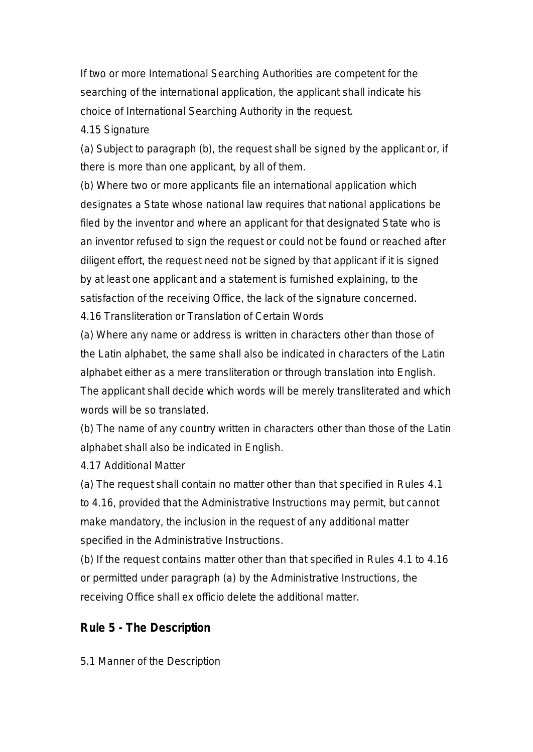If two or more International Searching Authorities are competent for the searching of the international application, the applicant shall indicate his choice of International Searching Authority in the request.

4.15 Signature

(a) Subject to paragraph (b), the request shall be signed by the applicant or, if there is more than one applicant, by all of them.

(b) Where two or more applicants file an international application which designates a State whose national law requires that national applications be filed by the inventor and where an applicant for that designated State who is an inventor refused to sign the request or could not be found or reached after diligent effort, the request need not be signed by that applicant if it is signed by at least one applicant and a statement is furnished explaining, to the satisfaction of the receiving Office, the lack of the signature concerned. 4.16 Transliteration or Translation of Certain Words

(a) Where any name or address is written in characters other than those of the Latin alphabet, the same shall also be indicated in characters of the Latin alphabet either as a mere transliteration or through translation into English. The applicant shall decide which words will be merely transliterated and which words will be so translated.

(b) The name of any country written in characters other than those of the Latin alphabet shall also be indicated in English.

4.17 Additional Matter

(a) The request shall contain no matter other than that specified in Rules 4.1 to 4.16, provided that the Administrative Instructions may permit, but cannot make mandatory, the inclusion in the request of any additional matter specified in the Administrative Instructions.

(b) If the request contains matter other than that specified in Rules 4.1 to 4.16 or permitted under paragraph (a) by the Administrative Instructions, the receiving Office shall ex officio delete the additional matter.

# **Rule 5 - The Description**

5.1 Manner of the Description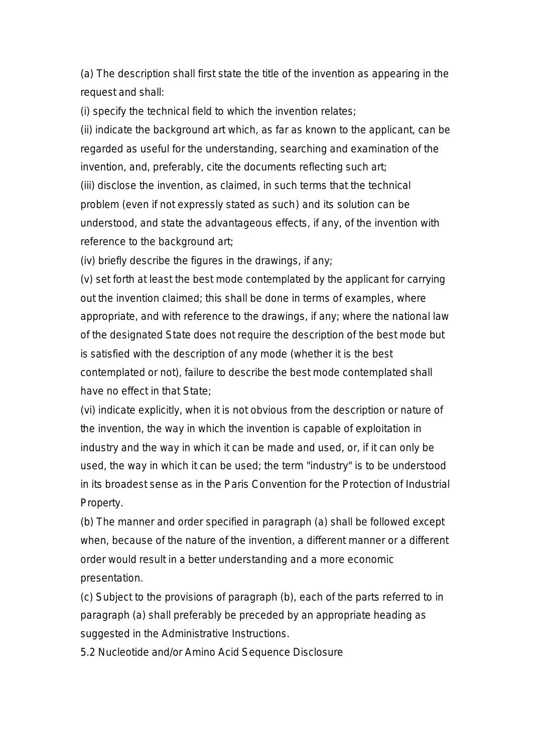(a) The description shall first state the title of the invention as appearing in the request and shall:

(i) specify the technical field to which the invention relates;

(ii) indicate the background art which, as far as known to the applicant, can be regarded as useful for the understanding, searching and examination of the invention, and, preferably, cite the documents reflecting such art; (iii) disclose the invention, as claimed, in such terms that the technical problem (even if not expressly stated as such) and its solution can be understood, and state the advantageous effects, if any, of the invention with reference to the background art;

(iv) briefly describe the figures in the drawings, if any;

(v) set forth at least the best mode contemplated by the applicant for carrying out the invention claimed; this shall be done in terms of examples, where appropriate, and with reference to the drawings, if any; where the national law of the designated State does not require the description of the best mode but is satisfied with the description of any mode (whether it is the best contemplated or not), failure to describe the best mode contemplated shall have no effect in that State;

(vi) indicate explicitly, when it is not obvious from the description or nature of the invention, the way in which the invention is capable of exploitation in industry and the way in which it can be made and used, or, if it can only be used, the way in which it can be used; the term "industry" is to be understood in its broadest sense as in the Paris Convention for the Protection of Industrial Property.

(b) The manner and order specified in paragraph (a) shall be followed except when, because of the nature of the invention, a different manner or a different order would result in a better understanding and a more economic presentation.

(c) Subject to the provisions of paragraph (b), each of the parts referred to in paragraph (a) shall preferably be preceded by an appropriate heading as suggested in the Administrative Instructions.

5.2 Nucleotide and/or Amino Acid Sequence Disclosure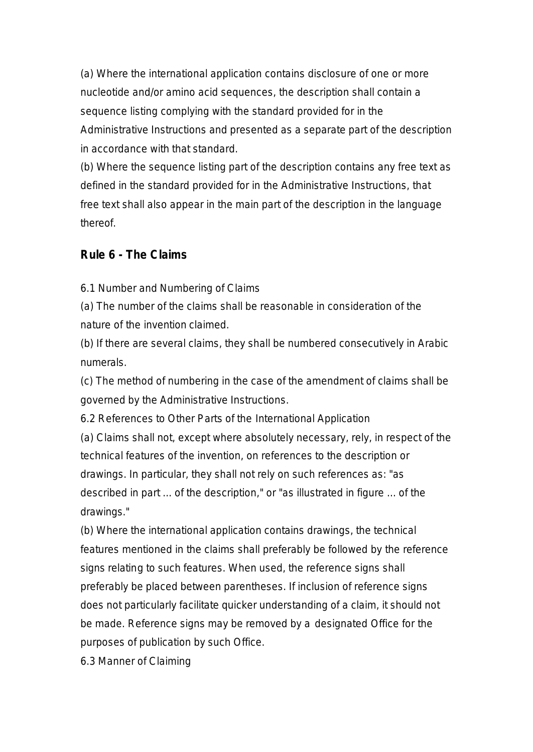(a) Where the international application contains disclosure of one or more nucleotide and/or amino acid sequences, the description shall contain a sequence listing complying with the standard provided for in the Administrative Instructions and presented as a separate part of the description in accordance with that standard.

(b) Where the sequence listing part of the description contains any free text as defined in the standard provided for in the Administrative Instructions, that free text shall also appear in the main part of the description in the language thereof.

#### **Rule 6 - The Claims**

6.1 Number and Numbering of Claims

(a) The number of the claims shall be reasonable in consideration of the nature of the invention claimed.

(b) If there are several claims, they shall be numbered consecutively in Arabic numerals.

(c) The method of numbering in the case of the amendment of claims shall be governed by the Administrative Instructions.

6.2 References to Other Parts of the International Application

(a) Claims shall not, except where absolutely necessary, rely, in respect of the technical features of the invention, on references to the description or drawings. In particular, they shall not rely on such references as: "as described in part ... of the description," or "as illustrated in figure ... of the drawings."

(b) Where the international application contains drawings, the technical features mentioned in the claims shall preferably be followed by the reference signs relating to such features. When used, the reference signs shall preferably be placed between parentheses. If inclusion of reference signs does not particularly facilitate quicker understanding of a claim, it should not be made. Reference signs may be removed by a designated Office for the purposes of publication by such Office.

6.3 Manner of Claiming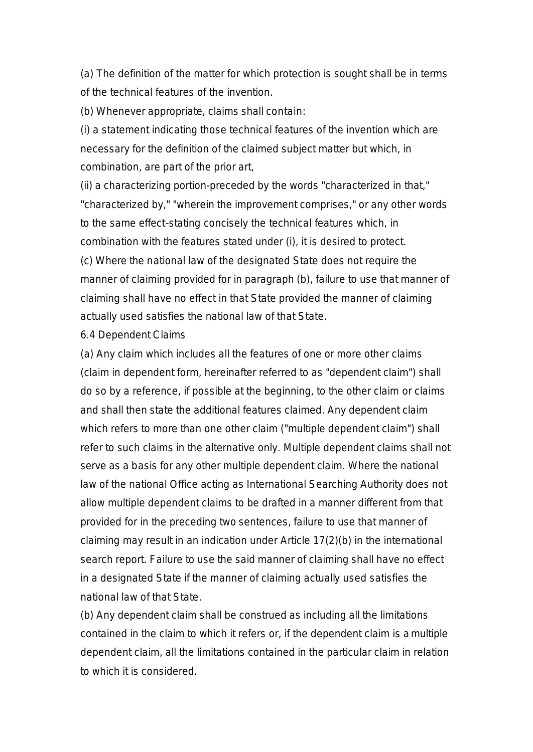(a) The definition of the matter for which protection is sought shall be in terms of the technical features of the invention.

(b) Whenever appropriate, claims shall contain:

(i) a statement indicating those technical features of the invention which are necessary for the definition of the claimed subject matter but which, in combination, are part of the prior art,

(ii) a characterizing portion-preceded by the words "characterized in that," "characterized by," "wherein the improvement comprises," or any other words to the same effect-stating concisely the technical features which, in combination with the features stated under (i), it is desired to protect. (c) Where the national law of the designated State does not require the manner of claiming provided for in paragraph (b), failure to use that manner of claiming shall have no effect in that State provided the manner of claiming actually used satisfies the national law of that State.

6.4 Dependent Claims

(a) Any claim which includes all the features of one or more other claims (claim in dependent form, hereinafter referred to as "dependent claim") shall do so by a reference, if possible at the beginning, to the other claim or claims and shall then state the additional features claimed. Any dependent claim which refers to more than one other claim ("multiple dependent claim") shall refer to such claims in the alternative only. Multiple dependent claims shall not serve as a basis for any other multiple dependent claim. Where the national law of the national Office acting as International Searching Authority does not allow multiple dependent claims to be drafted in a manner different from that provided for in the preceding two sentences, failure to use that manner of claiming may result in an indication under Article 17(2)(b) in the international search report. Failure to use the said manner of claiming shall have no effect in a designated State if the manner of claiming actually used satisfies the national law of that State.

(b) Any dependent claim shall be construed as including all the limitations contained in the claim to which it refers or, if the dependent claim is a multiple dependent claim, all the limitations contained in the particular claim in relation to which it is considered.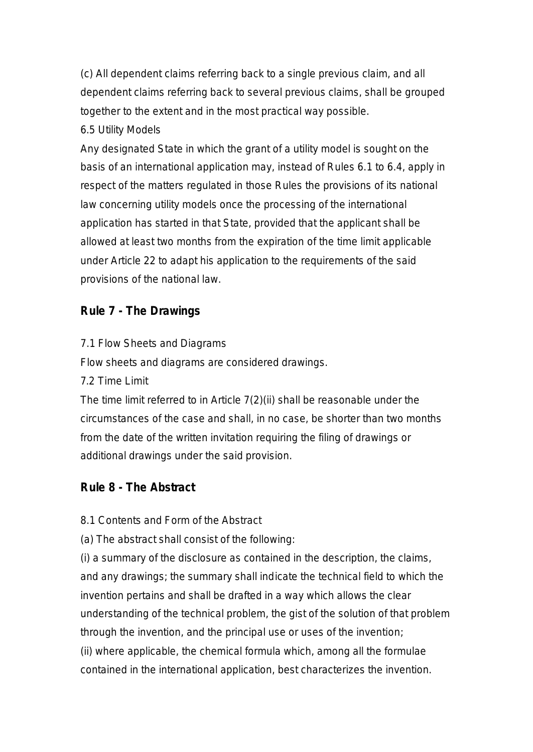(c) All dependent claims referring back to a single previous claim, and all dependent claims referring back to several previous claims, shall be grouped together to the extent and in the most practical way possible.

# 6.5 Utility Models

Any designated State in which the grant of a utility model is sought on the basis of an international application may, instead of Rules 6.1 to 6.4, apply in respect of the matters regulated in those Rules the provisions of its national law concerning utility models once the processing of the international application has started in that State, provided that the applicant shall be allowed at least two months from the expiration of the time limit applicable under Article 22 to adapt his application to the requirements of the said provisions of the national law.

# **Rule 7 - The Drawings**

7.1 Flow Sheets and Diagrams

Flow sheets and diagrams are considered drawings.

7.2 Time Limit

The time limit referred to in Article 7(2)(ii) shall be reasonable under the circumstances of the case and shall, in no case, be shorter than two months from the date of the written invitation requiring the filing of drawings or additional drawings under the said provision.

# **Rule 8 - The Abstract**

8.1 Contents and Form of the Abstract

(a) The abstract shall consist of the following:

(i) a summary of the disclosure as contained in the description, the claims, and any drawings; the summary shall indicate the technical field to which the invention pertains and shall be drafted in a way which allows the clear understanding of the technical problem, the gist of the solution of that problem through the invention, and the principal use or uses of the invention; (ii) where applicable, the chemical formula which, among all the formulae contained in the international application, best characterizes the invention.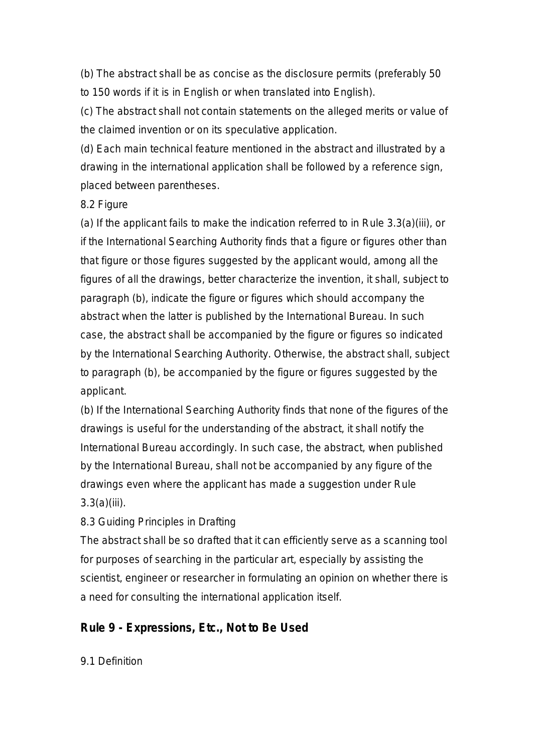(b) The abstract shall be as concise as the disclosure permits (preferably 50 to 150 words if it is in English or when translated into English).

(c) The abstract shall not contain statements on the alleged merits or value of the claimed invention or on its speculative application.

(d) Each main technical feature mentioned in the abstract and illustrated by a drawing in the international application shall be followed by a reference sign, placed between parentheses.

8.2 Figure

(a) If the applicant fails to make the indication referred to in Rule 3.3(a)(iii), or if the International Searching Authority finds that a figure or figures other than that figure or those figures suggested by the applicant would, among all the figures of all the drawings, better characterize the invention, it shall, subject to paragraph (b), indicate the figure or figures which should accompany the abstract when the latter is published by the International Bureau. In such case, the abstract shall be accompanied by the figure or figures so indicated by the International Searching Authority. Otherwise, the abstract shall, subject to paragraph (b), be accompanied by the figure or figures suggested by the applicant.

(b) If the International Searching Authority finds that none of the figures of the drawings is useful for the understanding of the abstract, it shall notify the International Bureau accordingly. In such case, the abstract, when published by the International Bureau, shall not be accompanied by any figure of the drawings even where the applicant has made a suggestion under Rule  $3.3(a)(iii)$ .

#### 8.3 Guiding Principles in Drafting

The abstract shall be so drafted that it can efficiently serve as a scanning tool for purposes of searching in the particular art, especially by assisting the scientist, engineer or researcher in formulating an opinion on whether there is a need for consulting the international application itself.

# **Rule 9 - Expressions, Etc., Not to Be Used**

#### 9.1 Definition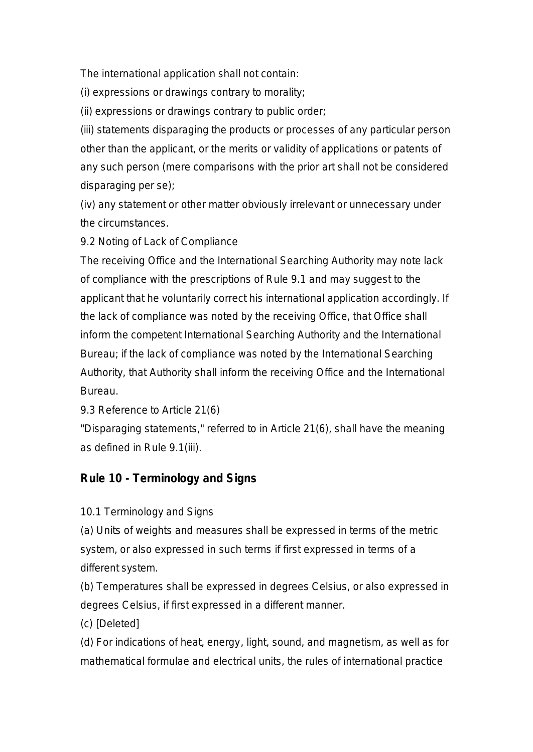The international application shall not contain:

(i) expressions or drawings contrary to morality;

(ii) expressions or drawings contrary to public order;

(iii) statements disparaging the products or processes of any particular person other than the applicant, or the merits or validity of applications or patents of any such person (mere comparisons with the prior art shall not be considered disparaging per se);

(iv) any statement or other matter obviously irrelevant or unnecessary under the circumstances.

9.2 Noting of Lack of Compliance

The receiving Office and the International Searching Authority may note lack of compliance with the prescriptions of Rule 9.1 and may suggest to the applicant that he voluntarily correct his international application accordingly. If the lack of compliance was noted by the receiving Office, that Office shall inform the competent International Searching Authority and the International Bureau; if the lack of compliance was noted by the International Searching Authority, that Authority shall inform the receiving Office and the International Bureau.

9.3 Reference to Article 21(6)

"Disparaging statements," referred to in Article 21(6), shall have the meaning as defined in Rule 9.1(iii).

# **Rule 10 - Terminology and Signs**

10.1 Terminology and Signs

(a) Units of weights and measures shall be expressed in terms of the metric system, or also expressed in such terms if first expressed in terms of a different system.

(b) Temperatures shall be expressed in degrees Celsius, or also expressed in degrees Celsius, if first expressed in a different manner.

(c) [Deleted]

(d) For indications of heat, energy, light, sound, and magnetism, as well as for mathematical formulae and electrical units, the rules of international practice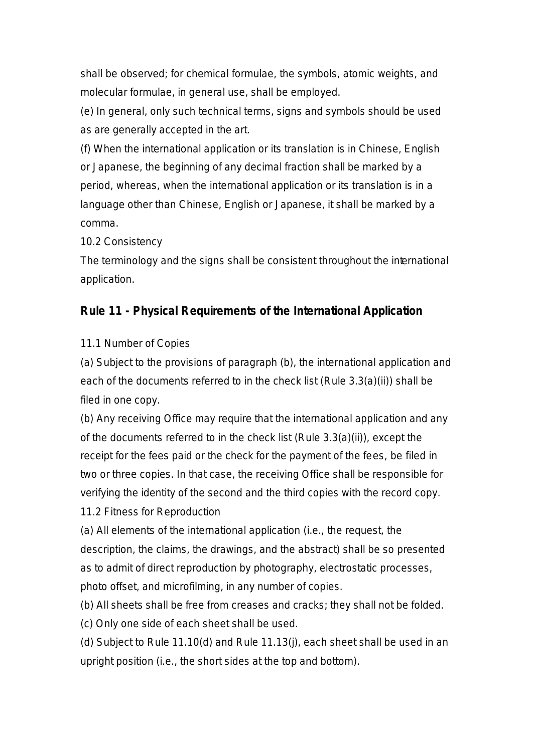shall be observed; for chemical formulae, the symbols, atomic weights, and molecular formulae, in general use, shall be employed.

(e) In general, only such technical terms, signs and symbols should be used as are generally accepted in the art.

(f) When the international application or its translation is in Chinese, English or Japanese, the beginning of any decimal fraction shall be marked by a period, whereas, when the international application or its translation is in a language other than Chinese, English or Japanese, it shall be marked by a comma.

10.2 Consistency

The terminology and the signs shall be consistent throughout the international application.

# **Rule 11 - Physical Requirements of the International Application**

11.1 Number of Copies

(a) Subject to the provisions of paragraph (b), the international application and each of the documents referred to in the check list (Rule 3.3(a)(ii)) shall be filed in one copy.

(b) Any receiving Office may require that the international application and any of the documents referred to in the check list (Rule 3.3(a)(ii)), except the receipt for the fees paid or the check for the payment of the fees, be filed in two or three copies. In that case, the receiving Office shall be responsible for verifying the identity of the second and the third copies with the record copy. 11.2 Fitness for Reproduction

(a) All elements of the international application (i.e., the request, the description, the claims, the drawings, and the abstract) shall be so presented as to admit of direct reproduction by photography, electrostatic processes, photo offset, and microfilming, in any number of copies.

(b) All sheets shall be free from creases and cracks; they shall not be folded.

(c) Only one side of each sheet shall be used.

(d) Subject to Rule 11.10(d) and Rule 11.13(j), each sheet shall be used in an upright position (i.e., the short sides at the top and bottom).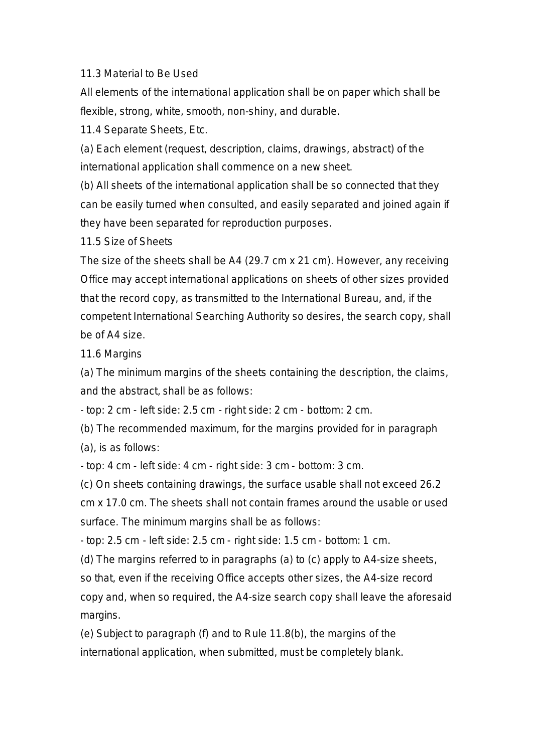#### 11.3 Material to Be Used

All elements of the international application shall be on paper which shall be flexible, strong, white, smooth, non-shiny, and durable.

11.4 Separate Sheets, Etc.

(a) Each element (request, description, claims, drawings, abstract) of the international application shall commence on a new sheet.

(b) All sheets of the international application shall be so connected that they can be easily turned when consulted, and easily separated and joined again if they have been separated for reproduction purposes.

11.5 Size of Sheets

The size of the sheets shall be A4 (29.7 cm x 21 cm). However, any receiving Office may accept international applications on sheets of other sizes provided that the record copy, as transmitted to the International Bureau, and, if the competent International Searching Authority so desires, the search copy, shall be of A4 size.

11.6 Margins

(a) The minimum margins of the sheets containing the description, the claims, and the abstract, shall be as follows:

- top: 2 cm - left side: 2.5 cm - right side: 2 cm - bottom: 2 cm.

(b) The recommended maximum, for the margins provided for in paragraph (a), is as follows:

- top: 4 cm - left side: 4 cm - right side: 3 cm - bottom: 3 cm.

(c) On sheets containing drawings, the surface usable shall not exceed 26.2 cm x 17.0 cm. The sheets shall not contain frames around the usable or used surface. The minimum margins shall be as follows:

- top: 2.5 cm - left side: 2.5 cm - right side: 1.5 cm - bottom: 1 cm.

(d) The margins referred to in paragraphs (a) to (c) apply to A4-size sheets,

so that, even if the receiving Office accepts other sizes, the A4-size record copy and, when so required, the A4-size search copy shall leave the aforesaid margins.

(e) Subject to paragraph (f) and to Rule 11.8(b), the margins of the international application, when submitted, must be completely blank.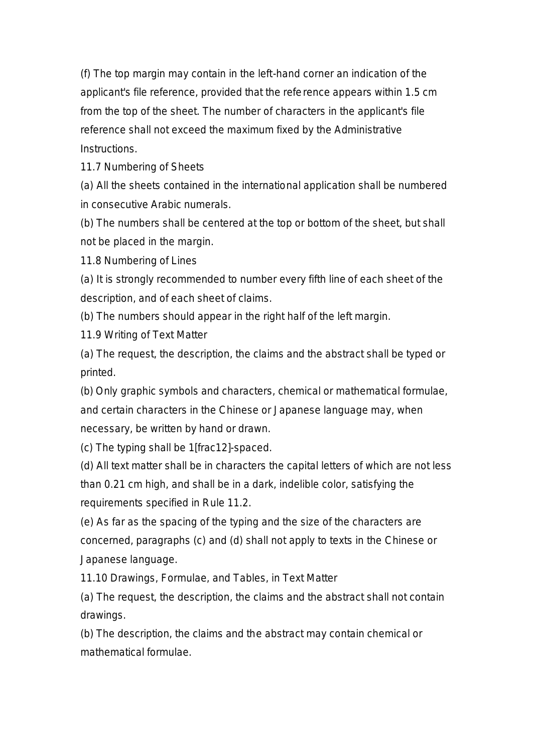(f) The top margin may contain in the left-hand corner an indication of the applicant's file reference, provided that the reference appears within 1.5 cm from the top of the sheet. The number of characters in the applicant's file reference shall not exceed the maximum fixed by the Administrative Instructions.

11.7 Numbering of Sheets

(a) All the sheets contained in the international application shall be numbered in consecutive Arabic numerals.

(b) The numbers shall be centered at the top or bottom of the sheet, but shall not be placed in the margin.

11.8 Numbering of Lines

(a) It is strongly recommended to number every fifth line of each sheet of the description, and of each sheet of claims.

(b) The numbers should appear in the right half of the left margin.

11.9 Writing of Text Matter

(a) The request, the description, the claims and the abstract shall be typed or printed.

(b) Only graphic symbols and characters, chemical or mathematical formulae, and certain characters in the Chinese or Japanese language may, when necessary, be written by hand or drawn.

(c) The typing shall be 1[frac12]-spaced.

(d) All text matter shall be in characters the capital letters of which are not less than 0.21 cm high, and shall be in a dark, indelible color, satisfying the requirements specified in Rule 11.2.

(e) As far as the spacing of the typing and the size of the characters are concerned, paragraphs (c) and (d) shall not apply to texts in the Chinese or Japanese language.

11.10 Drawings, Formulae, and Tables, in Text Matter

(a) The request, the description, the claims and the abstract shall not contain drawings.

(b) The description, the claims and the abstract may contain chemical or mathematical formulae.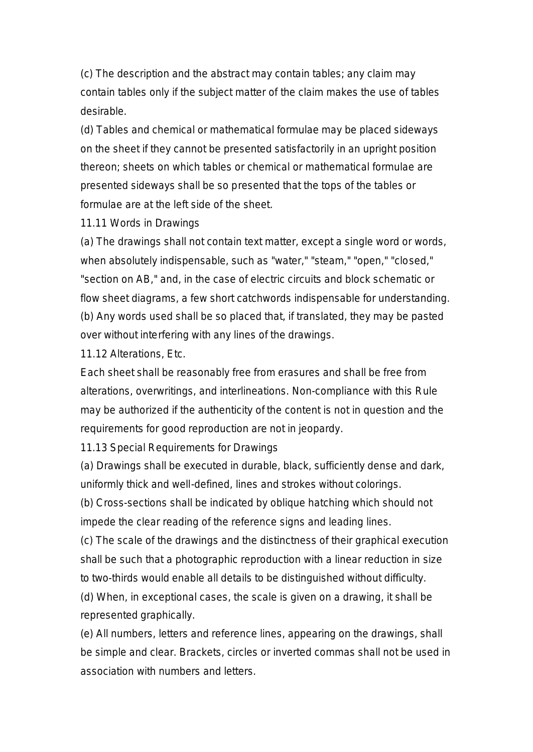(c) The description and the abstract may contain tables; any claim may contain tables only if the subject matter of the claim makes the use of tables desirable.

(d) Tables and chemical or mathematical formulae may be placed sideways on the sheet if they cannot be presented satisfactorily in an upright position thereon; sheets on which tables or chemical or mathematical formulae are presented sideways shall be so presented that the tops of the tables or formulae are at the left side of the sheet.

11.11 Words in Drawings

(a) The drawings shall not contain text matter, except a single word or words, when absolutely indispensable, such as "water," "steam," "open," "closed," "section on AB," and, in the case of electric circuits and block schematic or flow sheet diagrams, a few short catchwords indispensable for understanding. (b) Any words used shall be so placed that, if translated, they may be pasted over without interfering with any lines of the drawings.

11.12 Alterations, Etc.

Each sheet shall be reasonably free from erasures and shall be free from alterations, overwritings, and interlineations. Non-compliance with this Rule may be authorized if the authenticity of the content is not in question and the requirements for good reproduction are not in jeopardy.

11.13 Special Requirements for Drawings

(a) Drawings shall be executed in durable, black, sufficiently dense and dark, uniformly thick and well-defined, lines and strokes without colorings.

(b) Cross-sections shall be indicated by oblique hatching which should not impede the clear reading of the reference signs and leading lines.

(c) The scale of the drawings and the distinctness of their graphical execution shall be such that a photographic reproduction with a linear reduction in size to two-thirds would enable all details to be distinguished without difficulty.

(d) When, in exceptional cases, the scale is given on a drawing, it shall be represented graphically.

(e) All numbers, letters and reference lines, appearing on the drawings, shall be simple and clear. Brackets, circles or inverted commas shall not be used in association with numbers and letters.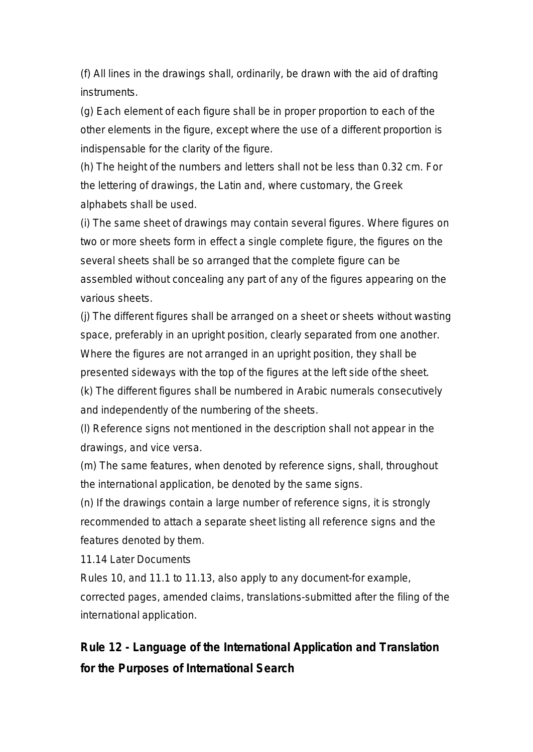(f) All lines in the drawings shall, ordinarily, be drawn with the aid of drafting instruments.

(g) Each element of each figure shall be in proper proportion to each of the other elements in the figure, except where the use of a different proportion is indispensable for the clarity of the figure.

(h) The height of the numbers and letters shall not be less than 0.32 cm. For the lettering of drawings, the Latin and, where customary, the Greek alphabets shall be used.

(i) The same sheet of drawings may contain several figures. Where figures on two or more sheets form in effect a single complete figure, the figures on the several sheets shall be so arranged that the complete figure can be assembled without concealing any part of any of the figures appearing on the various sheets.

(j) The different figures shall be arranged on a sheet or sheets without wasting space, preferably in an upright position, clearly separated from one another. Where the figures are not arranged in an upright position, they shall be presented sideways with the top of the figures at the left side of the sheet.

(k) The different figures shall be numbered in Arabic numerals consecutively and independently of the numbering of the sheets.

(l) Reference signs not mentioned in the description shall not appear in the drawings, and vice versa.

(m) The same features, when denoted by reference signs, shall, throughout the international application, be denoted by the same signs.

(n) If the drawings contain a large number of reference signs, it is strongly recommended to attach a separate sheet listing all reference signs and the features denoted by them.

11.14 Later Documents

Rules 10, and 11.1 to 11.13, also apply to any document-for example, corrected pages, amended claims, translations-submitted after the filing of the international application.

# **Rule 12 - Language of the International Application and Translation for the Purposes of International Search**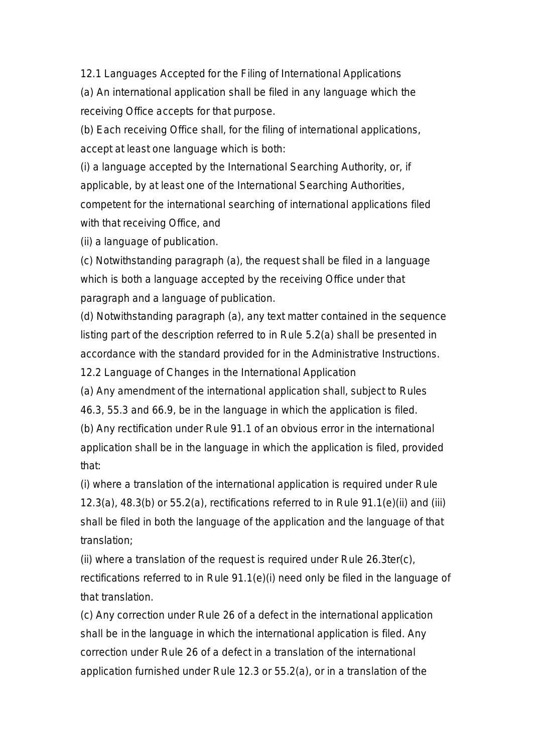12.1 Languages Accepted for the Filing of International Applications (a) An international application shall be filed in any language which the receiving Office accepts for that purpose.

(b) Each receiving Office shall, for the filing of international applications, accept at least one language which is both:

(i) a language accepted by the International Searching Authority, or, if applicable, by at least one of the International Searching Authorities, competent for the international searching of international applications filed with that receiving Office, and

(ii) a language of publication.

(c) Notwithstanding paragraph (a), the request shall be filed in a language which is both a language accepted by the receiving Office under that paragraph and a language of publication.

(d) Notwithstanding paragraph (a), any text matter contained in the sequence listing part of the description referred to in Rule 5.2(a) shall be presented in accordance with the standard provided for in the Administrative Instructions.

12.2 Language of Changes in the International Application

(a) Any amendment of the international application shall, subject to Rules 46.3, 55.3 and 66.9, be in the language in which the application is filed.

(b) Any rectification under Rule 91.1 of an obvious error in the international application shall be in the language in which the application is filed, provided that:

(i) where a translation of the international application is required under Rule 12.3(a),  $48.3(b)$  or  $55.2(a)$ , rectifications referred to in Rule 91.1(e)(ii) and (iii) shall be filed in both the language of the application and the language of that translation;

(ii) where a translation of the request is required under Rule 26.3ter(c), rectifications referred to in Rule 91.1(e)(i) need only be filed in the language of that translation.

(c) Any correction under Rule 26 of a defect in the international application shall be in the language in which the international application is filed. Any correction under Rule 26 of a defect in a translation of the international application furnished under Rule 12.3 or 55.2(a), or in a translation of the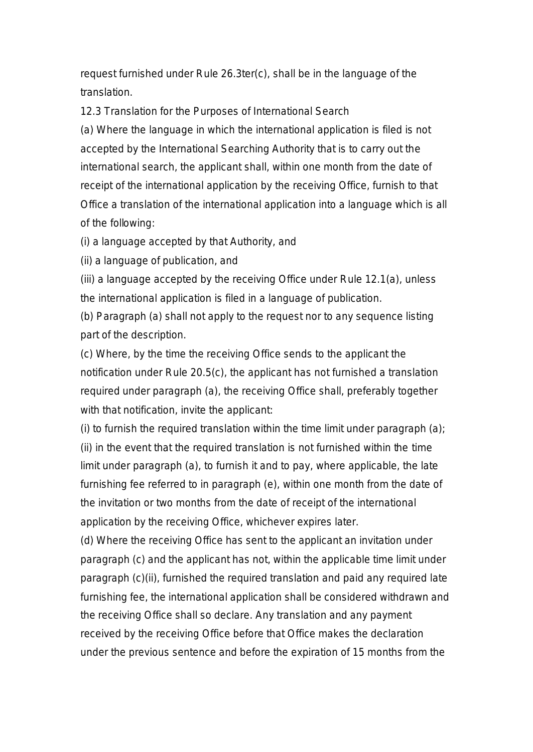request furnished under Rule 26.3ter(c), shall be in the language of the translation.

12.3 Translation for the Purposes of International Search

(a) Where the language in which the international application is filed is not accepted by the International Searching Authority that is to carry out the international search, the applicant shall, within one month from the date of receipt of the international application by the receiving Office, furnish to that Office a translation of the international application into a language which is all of the following:

(i) a language accepted by that Authority, and

(ii) a language of publication, and

(iii) a language accepted by the receiving Office under Rule 12.1(a), unless the international application is filed in a language of publication.

(b) Paragraph (a) shall not apply to the request nor to any sequence listing part of the description.

(c) Where, by the time the receiving Office sends to the applicant the notification under Rule 20.5(c), the applicant has not furnished a translation required under paragraph (a), the receiving Office shall, preferably together with that notification, invite the applicant:

(i) to furnish the required translation within the time limit under paragraph (a); (ii) in the event that the required translation is not furnished within the time limit under paragraph (a), to furnish it and to pay, where applicable, the late furnishing fee referred to in paragraph (e), within one month from the date of the invitation or two months from the date of receipt of the international application by the receiving Office, whichever expires later.

(d) Where the receiving Office has sent to the applicant an invitation under paragraph (c) and the applicant has not, within the applicable time limit under paragraph (c)(ii), furnished the required translation and paid any required late furnishing fee, the international application shall be considered withdrawn and the receiving Office shall so declare. Any translation and any payment received by the receiving Office before that Office makes the declaration under the previous sentence and before the expiration of 15 months from the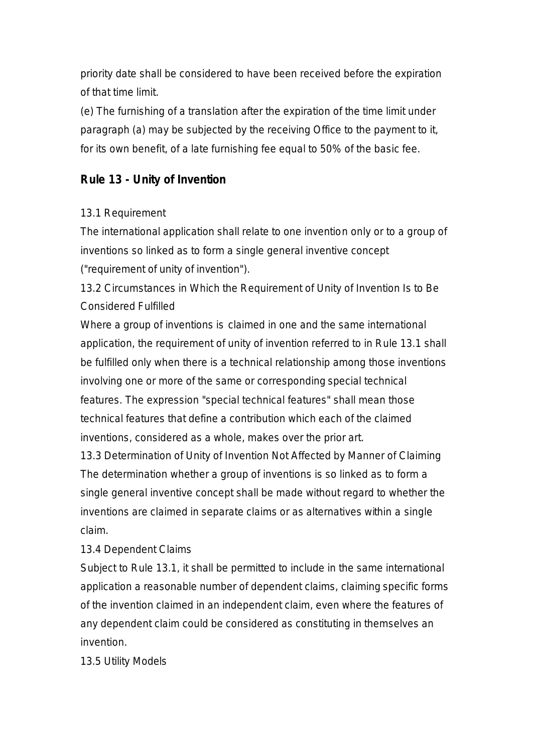priority date shall be considered to have been received before the expiration of that time limit.

(e) The furnishing of a translation after the expiration of the time limit under paragraph (a) may be subjected by the receiving Office to the payment to it, for its own benefit, of a late furnishing fee equal to 50% of the basic fee.

## **Rule 13 - Unity of Invention**

#### 13.1 Requirement

The international application shall relate to one invention only or to a group of inventions so linked as to form a single general inventive concept ("requirement of unity of invention").

13.2 Circumstances in Which the Requirement of Unity of Invention Is to Be Considered Fulfilled

Where a group of inventions is claimed in one and the same international application, the requirement of unity of invention referred to in Rule 13.1 shall be fulfilled only when there is a technical relationship among those inventions involving one or more of the same or corresponding special technical features. The expression "special technical features" shall mean those technical features that define a contribution which each of the claimed inventions, considered as a whole, makes over the prior art.

13.3 Determination of Unity of Invention Not Affected by Manner of Claiming The determination whether a group of inventions is so linked as to form a single general inventive concept shall be made without regard to whether the inventions are claimed in separate claims or as alternatives within a single claim.

### 13.4 Dependent Claims

Subject to Rule 13.1, it shall be permitted to include in the same international application a reasonable number of dependent claims, claiming specific forms of the invention claimed in an independent claim, even where the features of any dependent claim could be considered as constituting in themselves an invention.

13.5 Utility Models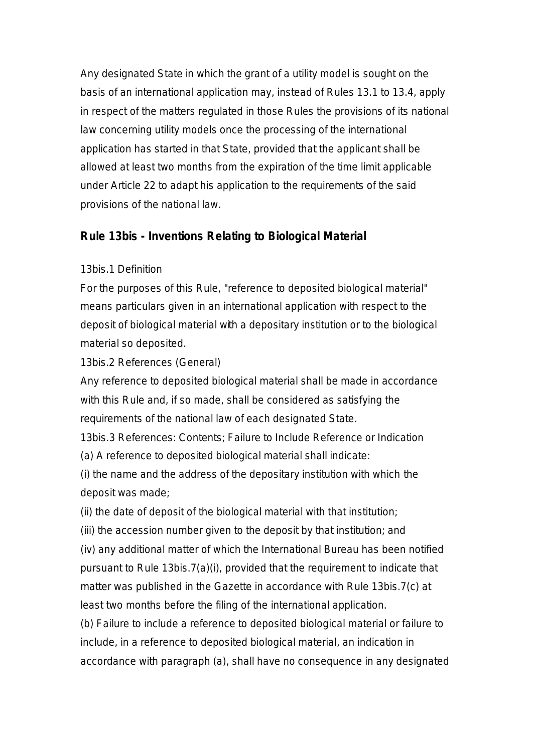Any designated State in which the grant of a utility model is sought on the basis of an international application may, instead of Rules 13.1 to 13.4, apply in respect of the matters regulated in those Rules the provisions of its national law concerning utility models once the processing of the international application has started in that State, provided that the applicant shall be allowed at least two months from the expiration of the time limit applicable under Article 22 to adapt his application to the requirements of the said provisions of the national law.

# **Rule 13bis - Inventions Relating to Biological Material**

13bis.1 Definition

For the purposes of this Rule, "reference to deposited biological material" means particulars given in an international application with respect to the deposit of biological material with a depositary institution or to the biological material so deposited.

13bis.2 References (General)

Any reference to deposited biological material shall be made in accordance with this Rule and, if so made, shall be considered as satisfying the requirements of the national law of each designated State.

13bis.3 References: Contents; Failure to Include Reference or Indication (a) A reference to deposited biological material shall indicate:

(i) the name and the address of the depositary institution with which the deposit was made;

(ii) the date of deposit of the biological material with that institution;

(iii) the accession number given to the deposit by that institution; and

(iv) any additional matter of which the International Bureau has been notified pursuant to Rule 13bis.7(a)(i), provided that the requirement to indicate that matter was published in the Gazette in accordance with Rule 13bis.7(c) at least two months before the filing of the international application.

(b) Failure to include a reference to deposited biological material or failure to include, in a reference to deposited biological material, an indication in accordance with paragraph (a), shall have no consequence in any designated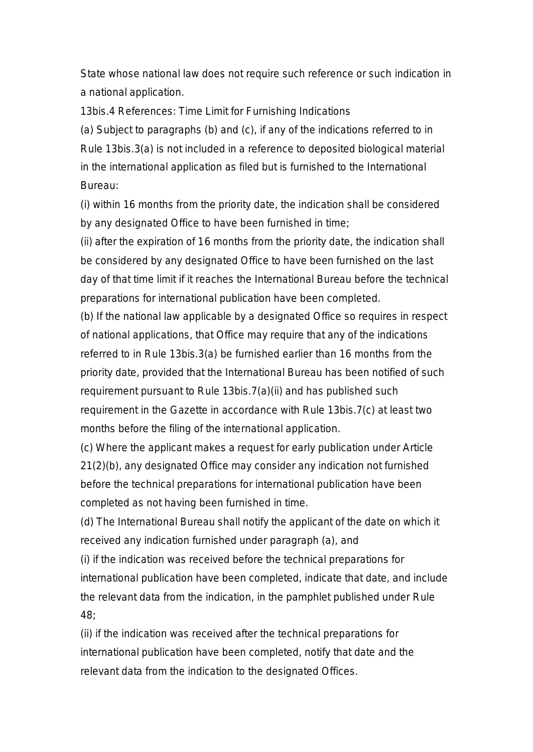State whose national law does not require such reference or such indication in a national application.

13bis.4 References: Time Limit for Furnishing Indications

(a) Subject to paragraphs (b) and (c), if any of the indications referred to in Rule 13bis.3(a) is not included in a reference to deposited biological material in the international application as filed but is furnished to the International Bureau:

(i) within 16 months from the priority date, the indication shall be considered by any designated Office to have been furnished in time;

(ii) after the expiration of 16 months from the priority date, the indication shall be considered by any designated Office to have been furnished on the last day of that time limit if it reaches the International Bureau before the technical preparations for international publication have been completed.

(b) If the national law applicable by a designated Office so requires in respect of national applications, that Office may require that any of the indications referred to in Rule 13bis.3(a) be furnished earlier than 16 months from the priority date, provided that the International Bureau has been notified of such requirement pursuant to Rule 13bis.7(a)(ii) and has published such requirement in the Gazette in accordance with Rule 13bis.7(c) at least two months before the filing of the international application.

(c) Where the applicant makes a request for early publication under Article 21(2)(b), any designated Office may consider any indication not furnished before the technical preparations for international publication have been completed as not having been furnished in time.

(d) The International Bureau shall notify the applicant of the date on which it received any indication furnished under paragraph (a), and

(i) if the indication was received before the technical preparations for international publication have been completed, indicate that date, and include the relevant data from the indication, in the pamphlet published under Rule 48;

(ii) if the indication was received after the technical preparations for international publication have been completed, notify that date and the relevant data from the indication to the designated Offices.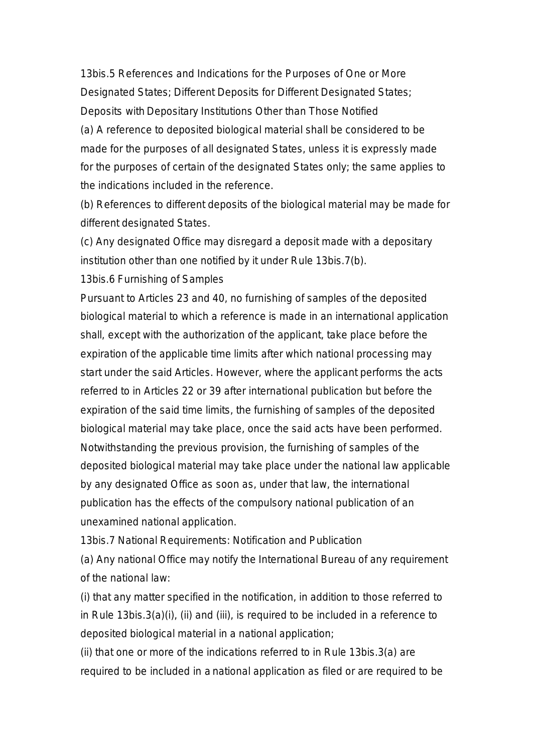13bis.5 References and Indications for the Purposes of One or More Designated States; Different Deposits for Different Designated States; Deposits with Depositary Institutions Other than Those Notified (a) A reference to deposited biological material shall be considered to be made for the purposes of all designated States, unless it is expressly made for the purposes of certain of the designated States only; the same applies to the indications included in the reference.

(b) References to different deposits of the biological material may be made for different designated States.

(c) Any designated Office may disregard a deposit made with a depositary institution other than one notified by it under Rule 13bis.7(b).

13bis.6 Furnishing of Samples

Pursuant to Articles 23 and 40, no furnishing of samples of the deposited biological material to which a reference is made in an international application shall, except with the authorization of the applicant, take place before the expiration of the applicable time limits after which national processing may start under the said Articles. However, where the applicant performs the acts referred to in Articles 22 or 39 after international publication but before the expiration of the said time limits, the furnishing of samples of the deposited biological material may take place, once the said acts have been performed. Notwithstanding the previous provision, the furnishing of samples of the deposited biological material may take place under the national law applicable by any designated Office as soon as, under that law, the international publication has the effects of the compulsory national publication of an unexamined national application.

13bis.7 National Requirements: Notification and Publication

(a) Any national Office may notify the International Bureau of any requirement of the national law:

(i) that any matter specified in the notification, in addition to those referred to in Rule 13bis.3(a)(i), (ii) and (iii), is required to be included in a reference to deposited biological material in a national application;

(ii) that one or more of the indications referred to in Rule 13bis.3(a) are required to be included in a national application as filed or are required to be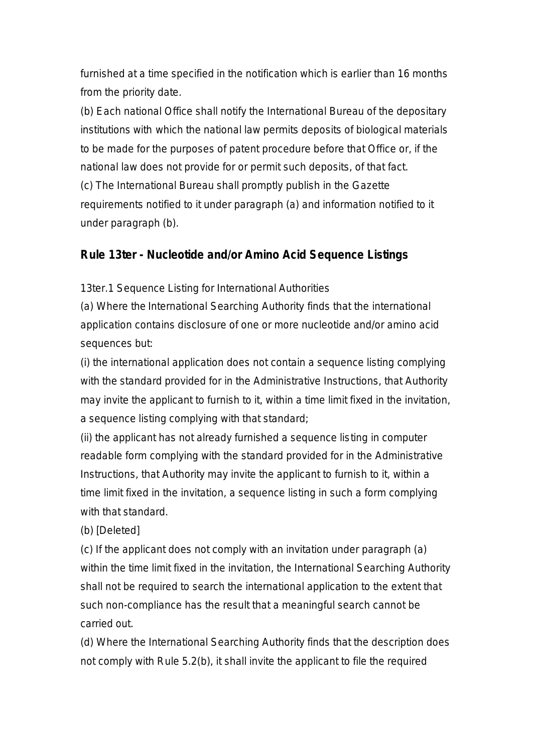furnished at a time specified in the notification which is earlier than 16 months from the priority date.

(b) Each national Office shall notify the International Bureau of the depositary institutions with which the national law permits deposits of biological materials to be made for the purposes of patent procedure before that Office or, if the national law does not provide for or permit such deposits, of that fact. (c) The International Bureau shall promptly publish in the Gazette requirements notified to it under paragraph (a) and information notified to it under paragraph (b).

### **Rule 13ter - Nucleotide and/or Amino Acid Sequence Listings**

13ter.1 Sequence Listing for International Authorities

(a) Where the International Searching Authority finds that the international application contains disclosure of one or more nucleotide and/or amino acid sequences but:

(i) the international application does not contain a sequence listing complying with the standard provided for in the Administrative Instructions, that Authority may invite the applicant to furnish to it, within a time limit fixed in the invitation, a sequence listing complying with that standard;

(ii) the applicant has not already furnished a sequence listing in computer readable form complying with the standard provided for in the Administrative Instructions, that Authority may invite the applicant to furnish to it, within a time limit fixed in the invitation, a sequence listing in such a form complying with that standard.

(b) [Deleted]

(c) If the applicant does not comply with an invitation under paragraph (a) within the time limit fixed in the invitation, the International Searching Authority shall not be required to search the international application to the extent that such non-compliance has the result that a meaningful search cannot be carried out.

(d) Where the International Searching Authority finds that the description does not comply with Rule 5.2(b), it shall invite the applicant to file the required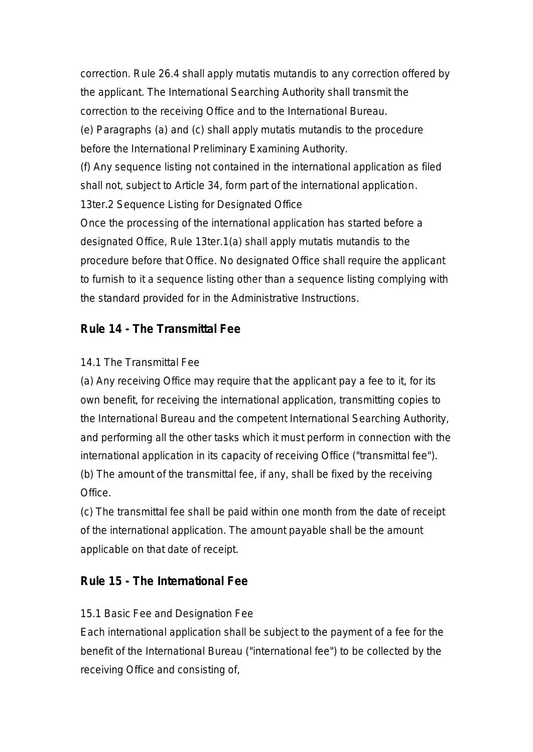correction. Rule 26.4 shall apply mutatis mutandis to any correction offered by the applicant. The International Searching Authority shall transmit the correction to the receiving Office and to the International Bureau. (e) Paragraphs (a) and (c) shall apply mutatis mutandis to the procedure before the International Preliminary Examining Authority. (f) Any sequence listing not contained in the international application as filed shall not, subject to Article 34, form part of the international application. 13ter.2 Sequence Listing for Designated Office Once the processing of the international application has started before a designated Office, Rule 13ter.1(a) shall apply mutatis mutandis to the procedure before that Office. No designated Office shall require the applicant to furnish to it a sequence listing other than a sequence listing complying with

# **Rule 14 - The Transmittal Fee**

the standard provided for in the Administrative Instructions.

### 14.1 The Transmittal Fee

(a) Any receiving Office may require that the applicant pay a fee to it, for its own benefit, for receiving the international application, transmitting copies to the International Bureau and the competent International Searching Authority, and performing all the other tasks which it must perform in connection with the international application in its capacity of receiving Office ("transmittal fee"). (b) The amount of the transmittal fee, if any, shall be fixed by the receiving Office.

(c) The transmittal fee shall be paid within one month from the date of receipt of the international application. The amount payable shall be the amount applicable on that date of receipt.

# **Rule 15 - The International Fee**

# 15.1 Basic Fee and Designation Fee

Each international application shall be subject to the payment of a fee for the benefit of the International Bureau ("international fee") to be collected by the receiving Office and consisting of,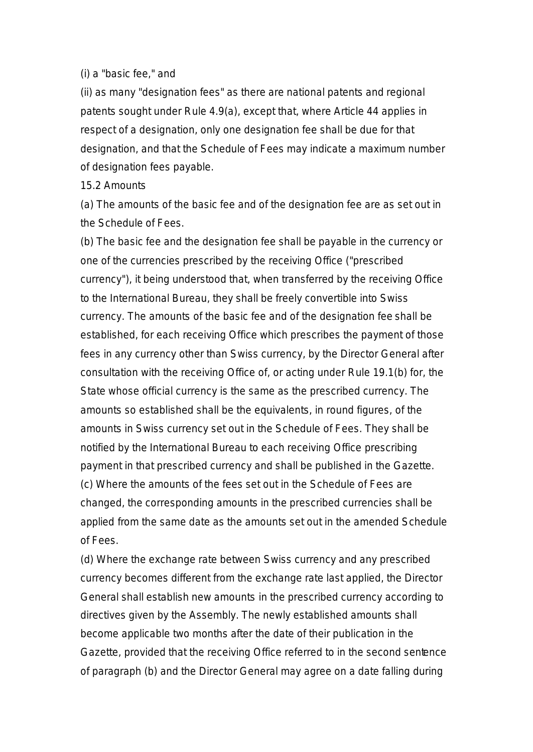(i) a "basic fee," and

(ii) as many "designation fees" as there are national patents and regional patents sought under Rule 4.9(a), except that, where Article 44 applies in respect of a designation, only one designation fee shall be due for that designation, and that the Schedule of Fees may indicate a maximum number of designation fees payable.

15.2 Amounts

(a) The amounts of the basic fee and of the designation fee are as set out in the Schedule of Fees.

(b) The basic fee and the designation fee shall be payable in the currency or one of the currencies prescribed by the receiving Office ("prescribed currency"), it being understood that, when transferred by the receiving Office to the International Bureau, they shall be freely convertible into Swiss currency. The amounts of the basic fee and of the designation fee shall be established, for each receiving Office which prescribes the payment of those fees in any currency other than Swiss currency, by the Director General after consultation with the receiving Office of, or acting under Rule 19.1(b) for, the State whose official currency is the same as the prescribed currency. The amounts so established shall be the equivalents, in round figures, of the amounts in Swiss currency set out in the Schedule of Fees. They shall be notified by the International Bureau to each receiving Office prescribing payment in that prescribed currency and shall be published in the Gazette. (c) Where the amounts of the fees set out in the Schedule of Fees are changed, the corresponding amounts in the prescribed currencies shall be applied from the same date as the amounts set out in the amended Schedule of Fees.

(d) Where the exchange rate between Swiss currency and any prescribed currency becomes different from the exchange rate last applied, the Director General shall establish new amounts in the prescribed currency according to directives given by the Assembly. The newly established amounts shall become applicable two months after the date of their publication in the Gazette, provided that the receiving Office referred to in the second sentence of paragraph (b) and the Director General may agree on a date falling during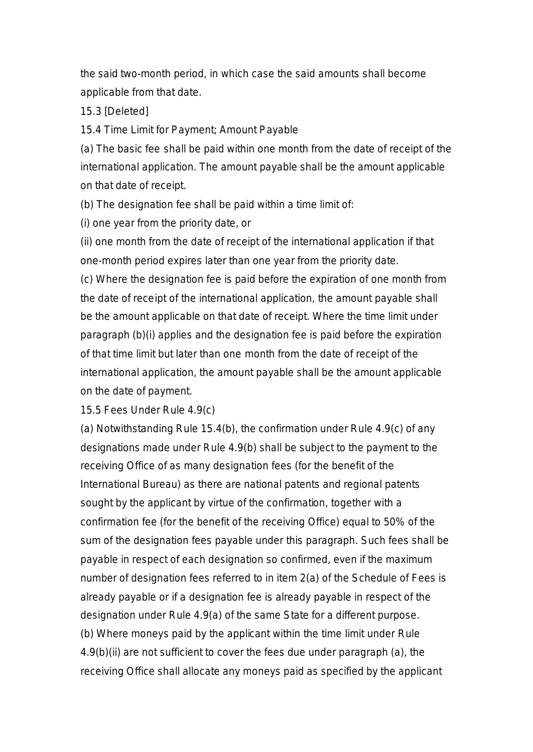the said two-month period, in which case the said amounts shall become applicable from that date.

15.3 [Deleted]

15.4 Time Limit for Payment; Amount Payable

(a) The basic fee shall be paid within one month from the date of receipt of the international application. The amount payable shall be the amount applicable on that date of receipt.

(b) The designation fee shall be paid within a time limit of:

(i) one year from the priority date, or

(ii) one month from the date of receipt of the international application if that one-month period expires later than one year from the priority date.

(c) Where the designation fee is paid before the expiration of one month from the date of receipt of the international application, the amount payable shall be the amount applicable on that date of receipt. Where the time limit under paragraph (b)(i) applies and the designation fee is paid before the expiration of that time limit but later than one month from the date of receipt of the international application, the amount payable shall be the amount applicable on the date of payment.

15.5 Fees Under Rule 4.9(c)

(a) Notwithstanding Rule 15.4(b), the confirmation under Rule 4.9(c) of any designations made under Rule 4.9(b) shall be subject to the payment to the receiving Office of as many designation fees (for the benefit of the International Bureau) as there are national patents and regional patents sought by the applicant by virtue of the confirmation, together with a confirmation fee (for the benefit of the receiving Office) equal to 50% of the sum of the designation fees payable under this paragraph. Such fees shall be payable in respect of each designation so confirmed, even if the maximum number of designation fees referred to in item 2(a) of the Schedule of Fees is already payable or if a designation fee is already payable in respect of the designation under Rule 4.9(a) of the same State for a different purpose. (b) Where moneys paid by the applicant within the time limit under Rule 4.9(b)(ii) are not sufficient to cover the fees due under paragraph (a), the receiving Office shall allocate any moneys paid as specified by the applicant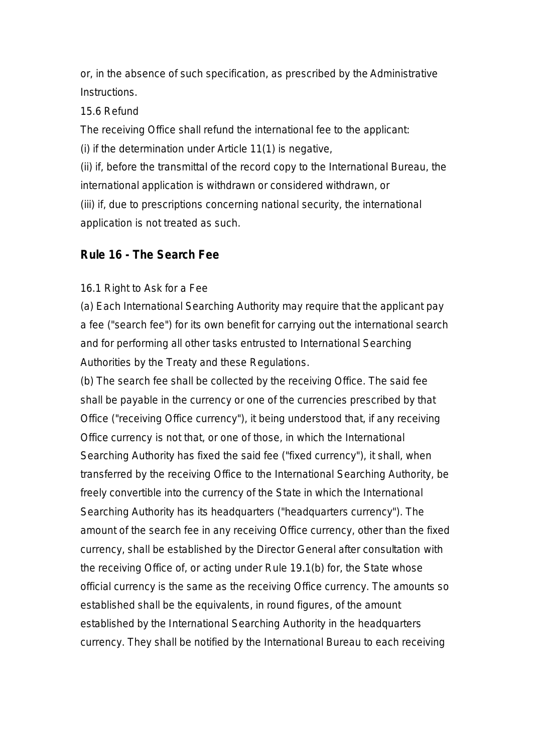or, in the absence of such specification, as prescribed by the Administrative Instructions.

15.6 Refund

The receiving Office shall refund the international fee to the applicant:

(i) if the determination under Article 11(1) is negative,

(ii) if, before the transmittal of the record copy to the International Bureau, the international application is withdrawn or considered withdrawn, or (iii) if, due to prescriptions concerning national security, the international application is not treated as such.

# **Rule 16 - The Search Fee**

### 16.1 Right to Ask for a Fee

(a) Each International Searching Authority may require that the applicant pay a fee ("search fee") for its own benefit for carrying out the international search and for performing all other tasks entrusted to International Searching Authorities by the Treaty and these Regulations.

(b) The search fee shall be collected by the receiving Office. The said fee shall be payable in the currency or one of the currencies prescribed by that Office ("receiving Office currency"), it being understood that, if any receiving Office currency is not that, or one of those, in which the International Searching Authority has fixed the said fee ("fixed currency"), it shall, when transferred by the receiving Office to the International Searching Authority, be freely convertible into the currency of the State in which the International Searching Authority has its headquarters ("headquarters currency"). The amount of the search fee in any receiving Office currency, other than the fixed currency, shall be established by the Director General after consultation with the receiving Office of, or acting under Rule 19.1(b) for, the State whose official currency is the same as the receiving Office currency. The amounts so established shall be the equivalents, in round figures, of the amount established by the International Searching Authority in the headquarters currency. They shall be notified by the International Bureau to each receiving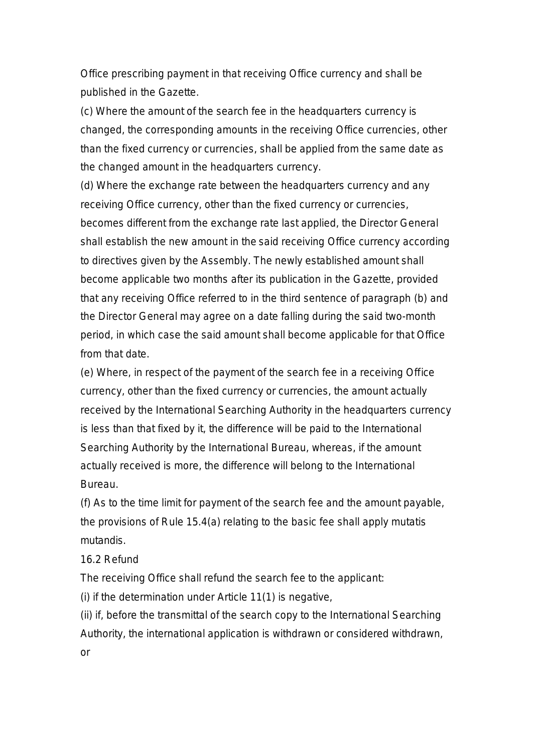Office prescribing payment in that receiving Office currency and shall be published in the Gazette.

(c) Where the amount of the search fee in the headquarters currency is changed, the corresponding amounts in the receiving Office currencies, other than the fixed currency or currencies, shall be applied from the same date as the changed amount in the headquarters currency.

(d) Where the exchange rate between the headquarters currency and any receiving Office currency, other than the fixed currency or currencies, becomes different from the exchange rate last applied, the Director General shall establish the new amount in the said receiving Office currency according to directives given by the Assembly. The newly established amount shall become applicable two months after its publication in the Gazette, provided that any receiving Office referred to in the third sentence of paragraph (b) and the Director General may agree on a date falling during the said two-month period, in which case the said amount shall become applicable for that Office from that date.

(e) Where, in respect of the payment of the search fee in a receiving Office currency, other than the fixed currency or currencies, the amount actually received by the International Searching Authority in the headquarters currency is less than that fixed by it, the difference will be paid to the International Searching Authority by the International Bureau, whereas, if the amount actually received is more, the difference will belong to the International Bureau.

(f) As to the time limit for payment of the search fee and the amount payable, the provisions of Rule 15.4(a) relating to the basic fee shall apply mutatis mutandis.

#### 16.2 Refund

The receiving Office shall refund the search fee to the applicant:

(i) if the determination under Article 11(1) is negative,

(ii) if, before the transmittal of the search copy to the International Searching Authority, the international application is withdrawn or considered withdrawn, or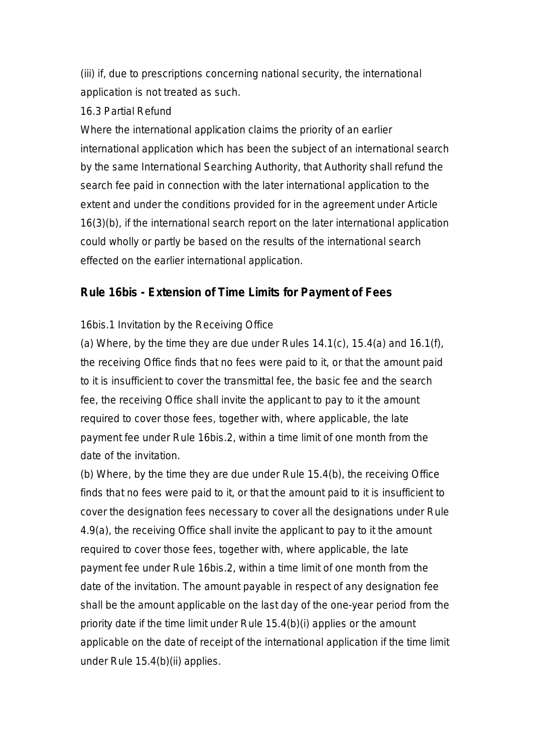(iii) if, due to prescriptions concerning national security, the international application is not treated as such.

#### 16.3 Partial Refund

Where the international application claims the priority of an earlier international application which has been the subject of an international search by the same International Searching Authority, that Authority shall refund the search fee paid in connection with the later international application to the extent and under the conditions provided for in the agreement under Article 16(3)(b), if the international search report on the later international application could wholly or partly be based on the results of the international search effected on the earlier international application.

# **Rule 16bis - Extension of Time Limits for Payment of Fees**

#### 16bis.1 Invitation by the Receiving Office

(a) Where, by the time they are due under Rules  $14.1(c)$ ,  $15.4(a)$  and  $16.1(f)$ , the receiving Office finds that no fees were paid to it, or that the amount paid to it is insufficient to cover the transmittal fee, the basic fee and the search fee, the receiving Office shall invite the applicant to pay to it the amount required to cover those fees, together with, where applicable, the late payment fee under Rule 16bis.2, within a time limit of one month from the date of the invitation.

(b) Where, by the time they are due under Rule 15.4(b), the receiving Office finds that no fees were paid to it, or that the amount paid to it is insufficient to cover the designation fees necessary to cover all the designations under Rule 4.9(a), the receiving Office shall invite the applicant to pay to it the amount required to cover those fees, together with, where applicable, the late payment fee under Rule 16bis.2, within a time limit of one month from the date of the invitation. The amount payable in respect of any designation fee shall be the amount applicable on the last day of the one-year period from the priority date if the time limit under Rule 15.4(b)(i) applies or the amount applicable on the date of receipt of the international application if the time limit under Rule 15.4(b)(ii) applies.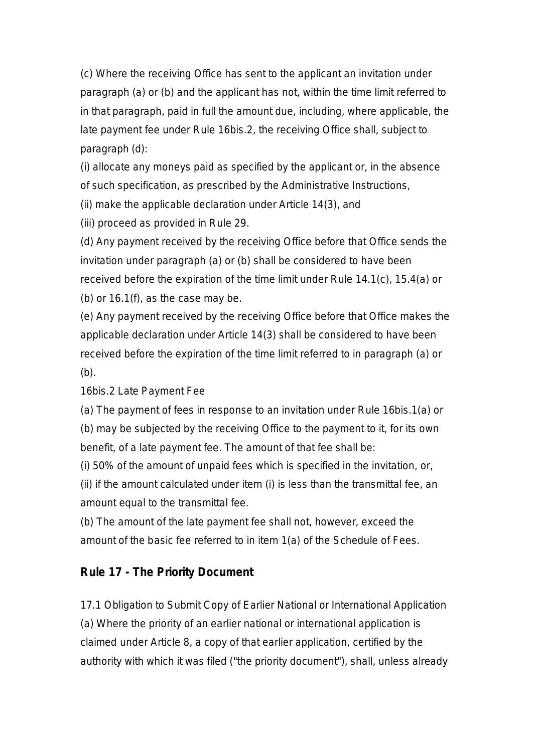(c) Where the receiving Office has sent to the applicant an invitation under paragraph (a) or (b) and the applicant has not, within the time limit referred to in that paragraph, paid in full the amount due, including, where applicable, the late payment fee under Rule 16bis.2, the receiving Office shall, subject to paragraph (d):

(i) allocate any moneys paid as specified by the applicant or, in the absence of such specification, as prescribed by the Administrative Instructions,

(ii) make the applicable declaration under Article 14(3), and

(iii) proceed as provided in Rule 29.

(d) Any payment received by the receiving Office before that Office sends the invitation under paragraph (a) or (b) shall be considered to have been received before the expiration of the time limit under Rule 14.1(c), 15.4(a) or (b) or 16.1(f), as the case may be.

(e) Any payment received by the receiving Office before that Office makes the applicable declaration under Article 14(3) shall be considered to have been received before the expiration of the time limit referred to in paragraph (a) or (b).

16bis.2 Late Payment Fee

(a) The payment of fees in response to an invitation under Rule 16bis.1(a) or (b) may be subjected by the receiving Office to the payment to it, for its own benefit, of a late payment fee. The amount of that fee shall be:

(i) 50% of the amount of unpaid fees which is specified in the invitation, or,

(ii) if the amount calculated under item (i) is less than the transmittal fee, an amount equal to the transmittal fee.

(b) The amount of the late payment fee shall not, however, exceed the amount of the basic fee referred to in item 1(a) of the Schedule of Fees.

### **Rule 17 - The Priority Document**

17.1 Obligation to Submit Copy of Earlier National or International Application (a) Where the priority of an earlier national or international application is claimed under Article 8, a copy of that earlier application, certified by the authority with which it was filed ("the priority document"), shall, unless already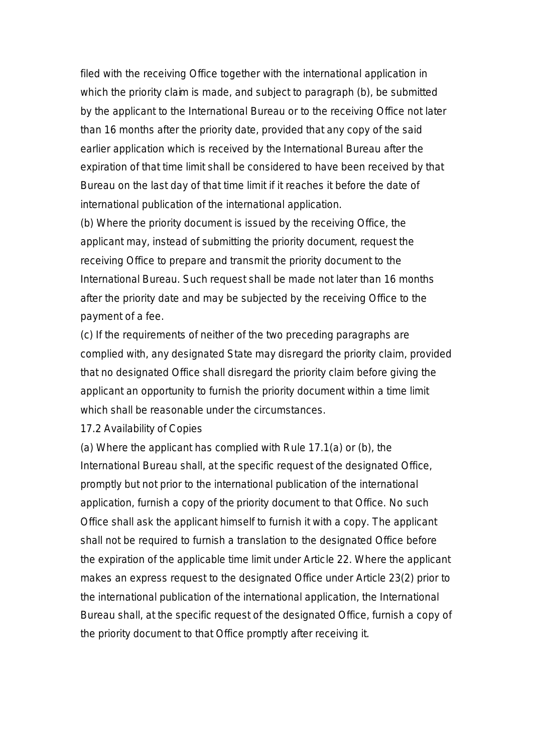filed with the receiving Office together with the international application in which the priority claim is made, and subject to paragraph (b), be submitted by the applicant to the International Bureau or to the receiving Office not later than 16 months after the priority date, provided that any copy of the said earlier application which is received by the International Bureau after the expiration of that time limit shall be considered to have been received by that Bureau on the last day of that time limit if it reaches it before the date of international publication of the international application.

(b) Where the priority document is issued by the receiving Office, the applicant may, instead of submitting the priority document, request the receiving Office to prepare and transmit the priority document to the International Bureau. Such request shall be made not later than 16 months after the priority date and may be subjected by the receiving Office to the payment of a fee.

(c) If the requirements of neither of the two preceding paragraphs are complied with, any designated State may disregard the priority claim, provided that no designated Office shall disregard the priority claim before giving the applicant an opportunity to furnish the priority document within a time limit which shall be reasonable under the circumstances.

17.2 Availability of Copies

(a) Where the applicant has complied with Rule 17.1(a) or (b), the International Bureau shall, at the specific request of the designated Office, promptly but not prior to the international publication of the international application, furnish a copy of the priority document to that Office. No such Office shall ask the applicant himself to furnish it with a copy. The applicant shall not be required to furnish a translation to the designated Office before the expiration of the applicable time limit under Article 22. Where the applicant makes an express request to the designated Office under Article 23(2) prior to the international publication of the international application, the International Bureau shall, at the specific request of the designated Office, furnish a copy of the priority document to that Office promptly after receiving it.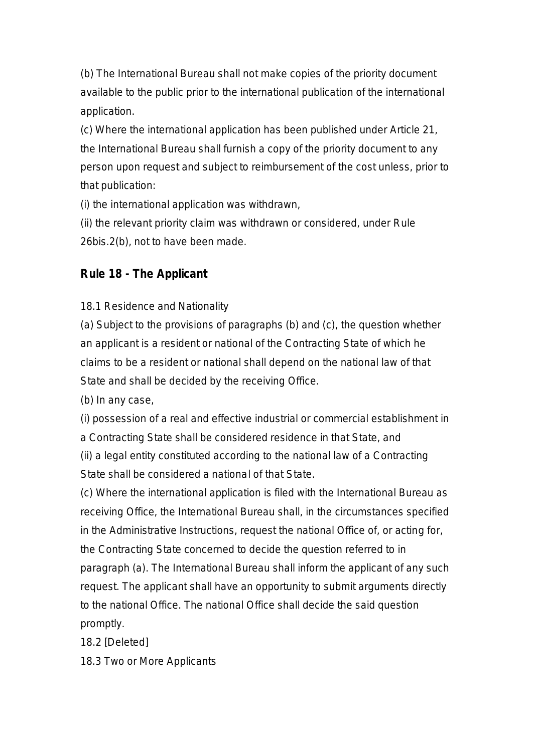(b) The International Bureau shall not make copies of the priority document available to the public prior to the international publication of the international application.

(c) Where the international application has been published under Article 21, the International Bureau shall furnish a copy of the priority document to any person upon request and subject to reimbursement of the cost unless, prior to that publication:

(i) the international application was withdrawn,

(ii) the relevant priority claim was withdrawn or considered, under Rule 26bis.2(b), not to have been made.

### **Rule 18 - The Applicant**

18.1 Residence and Nationality

(a) Subject to the provisions of paragraphs (b) and (c), the question whether an applicant is a resident or national of the Contracting State of which he claims to be a resident or national shall depend on the national law of that State and shall be decided by the receiving Office.

(b) In any case,

(i) possession of a real and effective industrial or commercial establishment in a Contracting State shall be considered residence in that State, and (ii) a legal entity constituted according to the national law of a Contracting State shall be considered a national of that State.

(c) Where the international application is filed with the International Bureau as receiving Office, the International Bureau shall, in the circumstances specified in the Administrative Instructions, request the national Office of, or acting for, the Contracting State concerned to decide the question referred to in paragraph (a). The International Bureau shall inform the applicant of any such request. The applicant shall have an opportunity to submit arguments directly to the national Office. The national Office shall decide the said question promptly.

18.2 [Deleted]

18.3 Two or More Applicants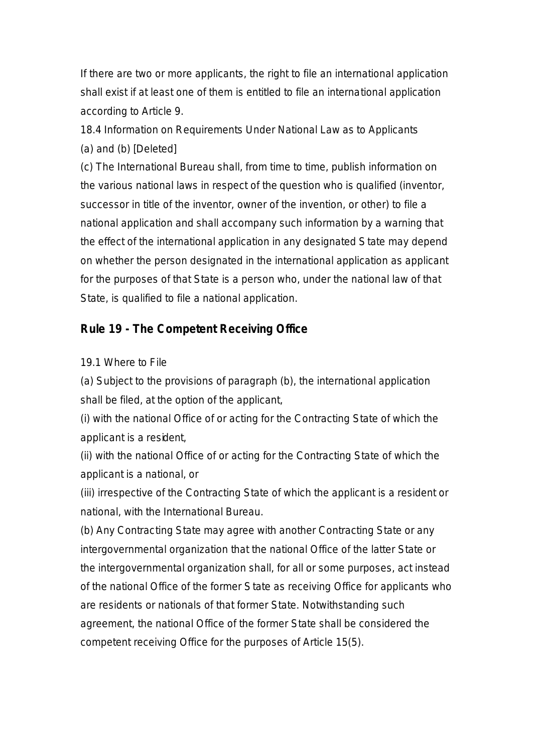If there are two or more applicants, the right to file an international application shall exist if at least one of them is entitled to file an international application according to Article 9.

18.4 Information on Requirements Under National Law as to Applicants

(a) and (b) [Deleted]

(c) The International Bureau shall, from time to time, publish information on the various national laws in respect of the question who is qualified (inventor, successor in title of the inventor, owner of the invention, or other) to file a national application and shall accompany such information by a warning that the effect of the international application in any designated State may depend on whether the person designated in the international application as applicant for the purposes of that State is a person who, under the national law of that State, is qualified to file a national application.

# **Rule 19 - The Competent Receiving Office**

19.1 Where to File

(a) Subject to the provisions of paragraph (b), the international application shall be filed, at the option of the applicant,

(i) with the national Office of or acting for the Contracting State of which the applicant is a resident,

(ii) with the national Office of or acting for the Contracting State of which the applicant is a national, or

(iii) irrespective of the Contracting State of which the applicant is a resident or national, with the International Bureau.

(b) Any Contracting State may agree with another Contracting State or any intergovernmental organization that the national Office of the latter State or the intergovernmental organization shall, for all or some purposes, act instead of the national Office of the former State as receiving Office for applicants who are residents or nationals of that former State. Notwithstanding such agreement, the national Office of the former State shall be considered the competent receiving Office for the purposes of Article 15(5).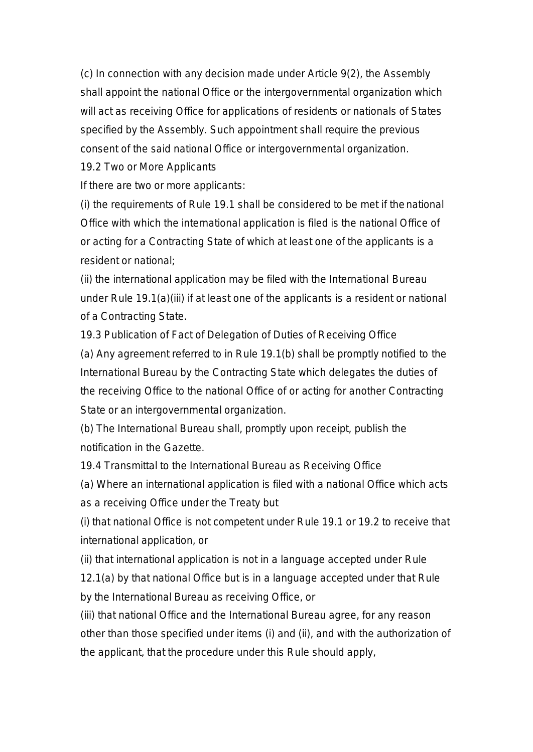(c) In connection with any decision made under Article 9(2), the Assembly shall appoint the national Office or the intergovernmental organization which will act as receiving Office for applications of residents or nationals of States specified by the Assembly. Such appointment shall require the previous consent of the said national Office or intergovernmental organization.

19.2 Two or More Applicants

If there are two or more applicants:

(i) the requirements of Rule 19.1 shall be considered to be met if the national Office with which the international application is filed is the national Office of or acting for a Contracting State of which at least one of the applicants is a resident or national;

(ii) the international application may be filed with the International Bureau under Rule 19.1(a)(iii) if at least one of the applicants is a resident or national of a Contracting State.

19.3 Publication of Fact of Delegation of Duties of Receiving Office

(a) Any agreement referred to in Rule 19.1(b) shall be promptly notified to the International Bureau by the Contracting State which delegates the duties of the receiving Office to the national Office of or acting for another Contracting State or an intergovernmental organization.

(b) The International Bureau shall, promptly upon receipt, publish the notification in the Gazette.

19.4 Transmittal to the International Bureau as Receiving Office

(a) Where an international application is filed with a national Office which acts as a receiving Office under the Treaty but

(i) that national Office is not competent under Rule 19.1 or 19.2 to receive that international application, or

(ii) that international application is not in a language accepted under Rule

12.1(a) by that national Office but is in a language accepted under that Rule by the International Bureau as receiving Office, or

(iii) that national Office and the International Bureau agree, for any reason other than those specified under items (i) and (ii), and with the authorization of the applicant, that the procedure under this Rule should apply,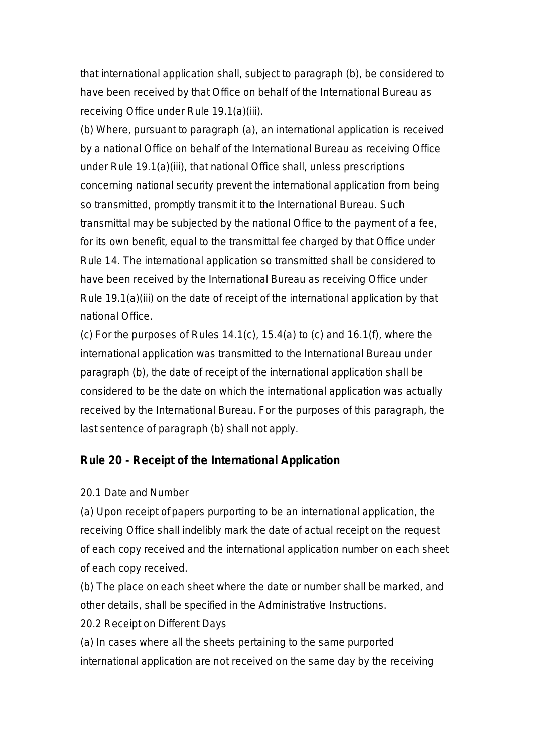that international application shall, subject to paragraph (b), be considered to have been received by that Office on behalf of the International Bureau as receiving Office under Rule 19.1(a)(iii).

(b) Where, pursuant to paragraph (a), an international application is received by a national Office on behalf of the International Bureau as receiving Office under Rule 19.1(a)(iii), that national Office shall, unless prescriptions concerning national security prevent the international application from being so transmitted, promptly transmit it to the International Bureau. Such transmittal may be subjected by the national Office to the payment of a fee, for its own benefit, equal to the transmittal fee charged by that Office under Rule 14. The international application so transmitted shall be considered to have been received by the International Bureau as receiving Office under Rule 19.1(a)(iii) on the date of receipt of the international application by that national Office.

(c) For the purposes of Rules 14.1(c), 15.4(a) to (c) and 16.1(f), where the international application was transmitted to the International Bureau under paragraph (b), the date of receipt of the international application shall be considered to be the date on which the international application was actually received by the International Bureau. For the purposes of this paragraph, the last sentence of paragraph (b) shall not apply.

### **Rule 20 - Receipt of the International Application**

#### 20.1 Date and Number

(a) Upon receipt of papers purporting to be an international application, the receiving Office shall indelibly mark the date of actual receipt on the request of each copy received and the international application number on each sheet of each copy received.

(b) The place on each sheet where the date or number shall be marked, and other details, shall be specified in the Administrative Instructions.

20.2 Receipt on Different Days

(a) In cases where all the sheets pertaining to the same purported international application are not received on the same day by the receiving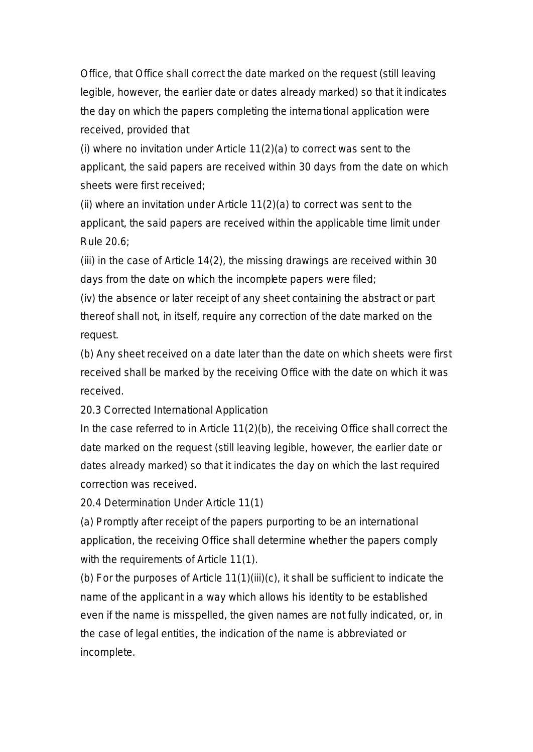Office, that Office shall correct the date marked on the request (still leaving legible, however, the earlier date or dates already marked) so that it indicates the day on which the papers completing the international application were received, provided that

(i) where no invitation under Article 11(2)(a) to correct was sent to the applicant, the said papers are received within 30 days from the date on which sheets were first received;

(ii) where an invitation under Article 11(2)(a) to correct was sent to the applicant, the said papers are received within the applicable time limit under Rule 20.6;

(iii) in the case of Article 14(2), the missing drawings are received within 30 days from the date on which the incomplete papers were filed;

(iv) the absence or later receipt of any sheet containing the abstract or part thereof shall not, in itself, require any correction of the date marked on the request.

(b) Any sheet received on a date later than the date on which sheets were first received shall be marked by the receiving Office with the date on which it was received.

20.3 Corrected International Application

In the case referred to in Article 11(2)(b), the receiving Office shall correct the date marked on the request (still leaving legible, however, the earlier date or dates already marked) so that it indicates the day on which the last required correction was received.

20.4 Determination Under Article 11(1)

(a) Promptly after receipt of the papers purporting to be an international application, the receiving Office shall determine whether the papers comply with the requirements of Article 11(1).

(b) For the purposes of Article 11(1)(iii)(c), it shall be sufficient to indicate the name of the applicant in a way which allows his identity to be established even if the name is misspelled, the given names are not fully indicated, or, in the case of legal entities, the indication of the name is abbreviated or incomplete.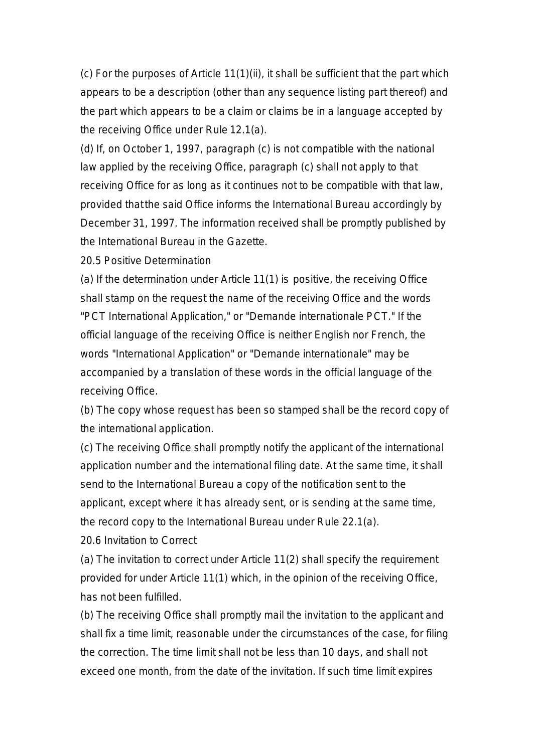(c) For the purposes of Article 11(1)(ii), it shall be sufficient that the part which appears to be a description (other than any sequence listing part thereof) and the part which appears to be a claim or claims be in a language accepted by the receiving Office under Rule 12.1(a).

(d) If, on October 1, 1997, paragraph (c) is not compatible with the national law applied by the receiving Office, paragraph (c) shall not apply to that receiving Office for as long as it continues not to be compatible with that law, provided that the said Office informs the International Bureau accordingly by December 31, 1997. The information received shall be promptly published by the International Bureau in the Gazette.

20.5 Positive Determination

(a) If the determination under Article 11(1) is positive, the receiving Office shall stamp on the request the name of the receiving Office and the words "PCT International Application," or "Demande internationale PCT." If the official language of the receiving Office is neither English nor French, the words "International Application" or "Demande internationale" may be accompanied by a translation of these words in the official language of the receiving Office.

(b) The copy whose request has been so stamped shall be the record copy of the international application.

(c) The receiving Office shall promptly notify the applicant of the international application number and the international filing date. At the same time, it shall send to the International Bureau a copy of the notification sent to the applicant, except where it has already sent, or is sending at the same time, the record copy to the International Bureau under Rule 22.1(a).

20.6 Invitation to Correct

(a) The invitation to correct under Article 11(2) shall specify the requirement provided for under Article 11(1) which, in the opinion of the receiving Office, has not been fulfilled.

(b) The receiving Office shall promptly mail the invitation to the applicant and shall fix a time limit, reasonable under the circumstances of the case, for filing the correction. The time limit shall not be less than 10 days, and shall not exceed one month, from the date of the invitation. If such time limit expires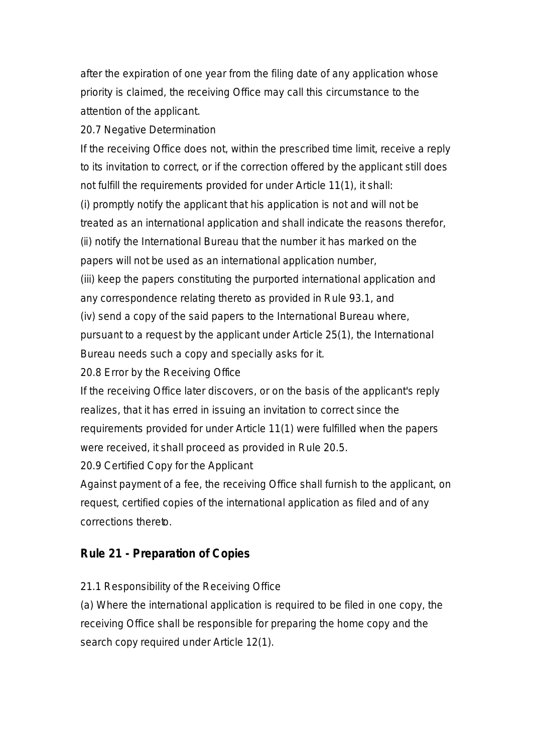after the expiration of one year from the filing date of any application whose priority is claimed, the receiving Office may call this circumstance to the attention of the applicant.

20.7 Negative Determination

If the receiving Office does not, within the prescribed time limit, receive a reply to its invitation to correct, or if the correction offered by the applicant still does not fulfill the requirements provided for under Article 11(1), it shall: (i) promptly notify the applicant that his application is not and will not be treated as an international application and shall indicate the reasons therefor,

(ii) notify the International Bureau that the number it has marked on the papers will not be used as an international application number,

(iii) keep the papers constituting the purported international application and any correspondence relating thereto as provided in Rule 93.1, and

(iv) send a copy of the said papers to the International Bureau where,

pursuant to a request by the applicant under Article 25(1), the International Bureau needs such a copy and specially asks for it.

20.8 Error by the Receiving Office

If the receiving Office later discovers, or on the basis of the applicant's reply realizes, that it has erred in issuing an invitation to correct since the requirements provided for under Article 11(1) were fulfilled when the papers were received, it shall proceed as provided in Rule 20.5.

20.9 Certified Copy for the Applicant

Against payment of a fee, the receiving Office shall furnish to the applicant, on request, certified copies of the international application as filed and of any corrections thereto.

# **Rule 21 - Preparation of Copies**

21.1 Responsibility of the Receiving Office

(a) Where the international application is required to be filed in one copy, the receiving Office shall be responsible for preparing the home copy and the search copy required under Article 12(1).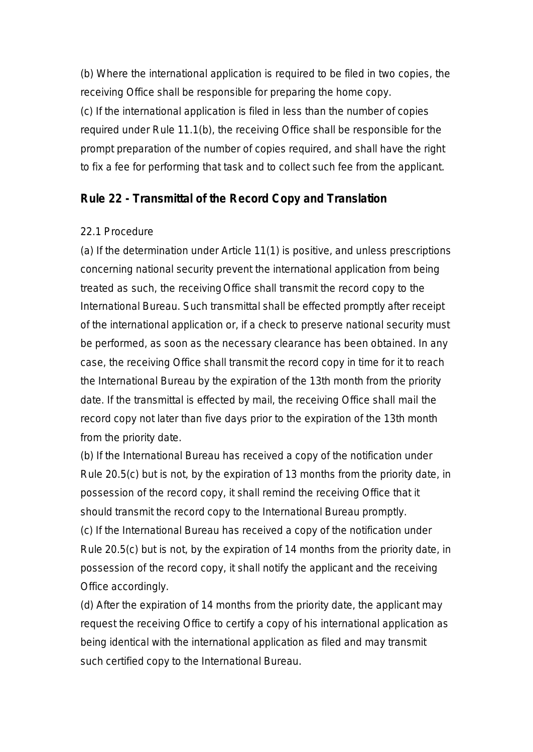(b) Where the international application is required to be filed in two copies, the receiving Office shall be responsible for preparing the home copy. (c) If the international application is filed in less than the number of copies required under Rule 11.1(b), the receiving Office shall be responsible for the prompt preparation of the number of copies required, and shall have the right to fix a fee for performing that task and to collect such fee from the applicant.

# **Rule 22 - Transmittal of the Record Copy and Translation**

#### 22.1 Procedure

(a) If the determination under Article 11(1) is positive, and unless prescriptions concerning national security prevent the international application from being treated as such, the receiving Office shall transmit the record copy to the International Bureau. Such transmittal shall be effected promptly after receipt of the international application or, if a check to preserve national security must be performed, as soon as the necessary clearance has been obtained. In any case, the receiving Office shall transmit the record copy in time for it to reach the International Bureau by the expiration of the 13th month from the priority date. If the transmittal is effected by mail, the receiving Office shall mail the record copy not later than five days prior to the expiration of the 13th month from the priority date.

(b) If the International Bureau has received a copy of the notification under Rule 20.5(c) but is not, by the expiration of 13 months from the priority date, in possession of the record copy, it shall remind the receiving Office that it should transmit the record copy to the International Bureau promptly. (c) If the International Bureau has received a copy of the notification under Rule 20.5(c) but is not, by the expiration of 14 months from the priority date, in possession of the record copy, it shall notify the applicant and the receiving Office accordingly.

(d) After the expiration of 14 months from the priority date, the applicant may request the receiving Office to certify a copy of his international application as being identical with the international application as filed and may transmit such certified copy to the International Bureau.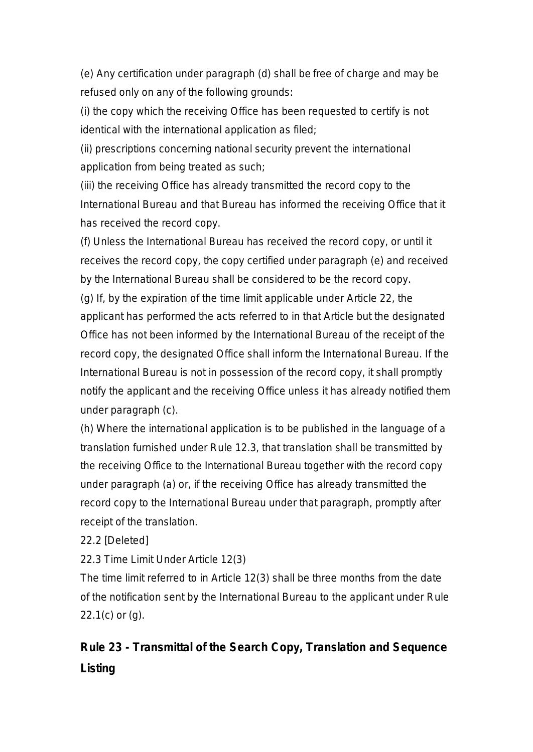(e) Any certification under paragraph (d) shall be free of charge and may be refused only on any of the following grounds:

(i) the copy which the receiving Office has been requested to certify is not identical with the international application as filed;

(ii) prescriptions concerning national security prevent the international application from being treated as such;

(iii) the receiving Office has already transmitted the record copy to the International Bureau and that Bureau has informed the receiving Office that it has received the record copy.

(f) Unless the International Bureau has received the record copy, or until it receives the record copy, the copy certified under paragraph (e) and received by the International Bureau shall be considered to be the record copy. (g) If, by the expiration of the time limit applicable under Article 22, the applicant has performed the acts referred to in that Article but the designated Office has not been informed by the International Bureau of the receipt of the record copy, the designated Office shall inform the International Bureau. If the International Bureau is not in possession of the record copy, it shall promptly notify the applicant and the receiving Office unless it has already notified them under paragraph (c).

(h) Where the international application is to be published in the language of a translation furnished under Rule 12.3, that translation shall be transmitted by the receiving Office to the International Bureau together with the record copy under paragraph (a) or, if the receiving Office has already transmitted the record copy to the International Bureau under that paragraph, promptly after receipt of the translation.

22.2 [Deleted]

22.3 Time Limit Under Article 12(3)

The time limit referred to in Article 12(3) shall be three months from the date of the notification sent by the International Bureau to the applicant under Rule  $22.1(c)$  or  $(q)$ .

**Rule 23 - Transmittal of the Search Copy, Translation and Sequence Listing**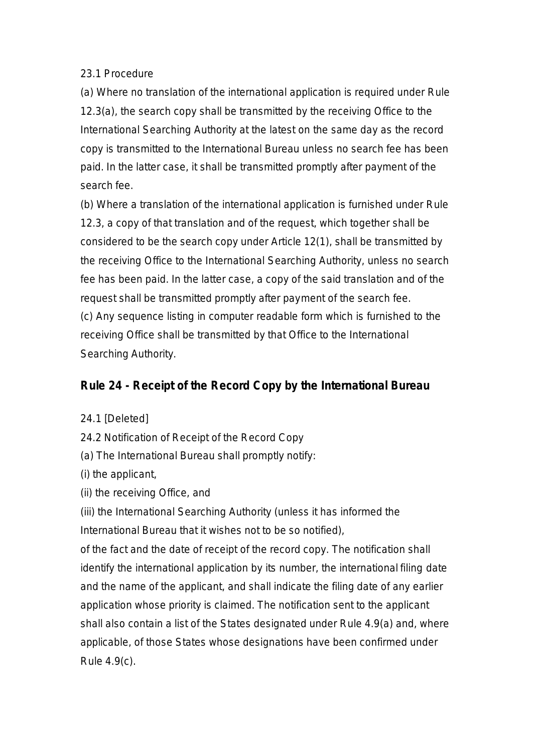23.1 Procedure

(a) Where no translation of the international application is required under Rule 12.3(a), the search copy shall be transmitted by the receiving Office to the International Searching Authority at the latest on the same day as the record copy is transmitted to the International Bureau unless no search fee has been paid. In the latter case, it shall be transmitted promptly after payment of the search fee.

(b) Where a translation of the international application is furnished under Rule 12.3, a copy of that translation and of the request, which together shall be considered to be the search copy under Article 12(1), shall be transmitted by the receiving Office to the International Searching Authority, unless no search fee has been paid. In the latter case, a copy of the said translation and of the request shall be transmitted promptly after payment of the search fee. (c) Any sequence listing in computer readable form which is furnished to the receiving Office shall be transmitted by that Office to the International Searching Authority.

# **Rule 24 - Receipt of the Record Copy by the International Bureau**

- 24.1 [Deleted]
- 24.2 Notification of Receipt of the Record Copy
- (a) The International Bureau shall promptly notify:
- (i) the applicant,
- (ii) the receiving Office, and

(iii) the International Searching Authority (unless it has informed the International Bureau that it wishes not to be so notified),

of the fact and the date of receipt of the record copy. The notification shall identify the international application by its number, the international filing date and the name of the applicant, and shall indicate the filing date of any earlier application whose priority is claimed. The notification sent to the applicant shall also contain a list of the States designated under Rule 4.9(a) and, where applicable, of those States whose designations have been confirmed under Rule 4.9(c).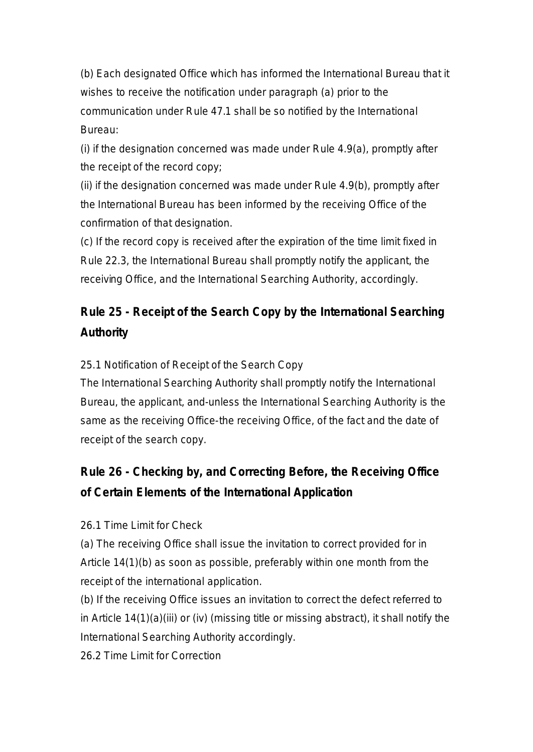(b) Each designated Office which has informed the International Bureau that it wishes to receive the notification under paragraph (a) prior to the communication under Rule 47.1 shall be so notified by the International Bureau:

(i) if the designation concerned was made under Rule 4.9(a), promptly after the receipt of the record copy;

(ii) if the designation concerned was made under Rule 4.9(b), promptly after the International Bureau has been informed by the receiving Office of the confirmation of that designation.

(c) If the record copy is received after the expiration of the time limit fixed in Rule 22.3, the International Bureau shall promptly notify the applicant, the receiving Office, and the International Searching Authority, accordingly.

# **Rule 25 - Receipt of the Search Copy by the International Searching Authority**

25.1 Notification of Receipt of the Search Copy

The International Searching Authority shall promptly notify the International Bureau, the applicant, and-unless the International Searching Authority is the same as the receiving Office-the receiving Office, of the fact and the date of receipt of the search copy.

# **Rule 26 - Checking by, and Correcting Before, the Receiving Office of Certain Elements of the International Application**

26.1 Time Limit for Check

(a) The receiving Office shall issue the invitation to correct provided for in Article 14(1)(b) as soon as possible, preferably within one month from the receipt of the international application.

(b) If the receiving Office issues an invitation to correct the defect referred to in Article 14(1)(a)(iii) or (iv) (missing title or missing abstract), it shall notify the International Searching Authority accordingly.

26.2 Time Limit for Correction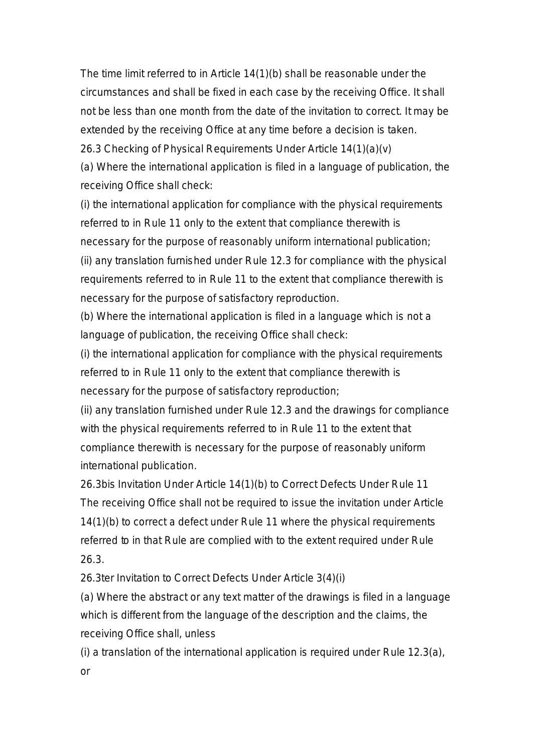The time limit referred to in Article 14(1)(b) shall be reasonable under the circumstances and shall be fixed in each case by the receiving Office. It shall not be less than one month from the date of the invitation to correct. It may be extended by the receiving Office at any time before a decision is taken.

26.3 Checking of Physical Requirements Under Article 14(1)(a)(v)

(a) Where the international application is filed in a language of publication, the receiving Office shall check:

(i) the international application for compliance with the physical requirements referred to in Rule 11 only to the extent that compliance therewith is necessary for the purpose of reasonably uniform international publication; (ii) any translation furnished under Rule 12.3 for compliance with the physical requirements referred to in Rule 11 to the extent that compliance therewith is necessary for the purpose of satisfactory reproduction.

(b) Where the international application is filed in a language which is not a language of publication, the receiving Office shall check:

(i) the international application for compliance with the physical requirements referred to in Rule 11 only to the extent that compliance therewith is necessary for the purpose of satisfactory reproduction;

(ii) any translation furnished under Rule 12.3 and the drawings for compliance with the physical requirements referred to in Rule 11 to the extent that compliance therewith is necessary for the purpose of reasonably uniform international publication.

26.3bis Invitation Under Article 14(1)(b) to Correct Defects Under Rule 11 The receiving Office shall not be required to issue the invitation under Article 14(1)(b) to correct a defect under Rule 11 where the physical requirements referred to in that Rule are complied with to the extent required under Rule 26.3.

26.3ter Invitation to Correct Defects Under Article 3(4)(i)

(a) Where the abstract or any text matter of the drawings is filed in a language which is different from the language of the description and the claims, the receiving Office shall, unless

(i) a translation of the international application is required under Rule 12.3(a), or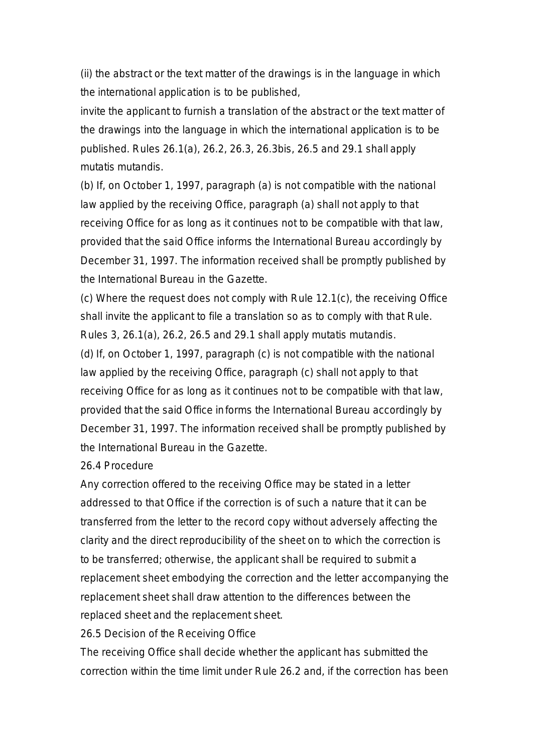(ii) the abstract or the text matter of the drawings is in the language in which the international application is to be published,

invite the applicant to furnish a translation of the abstract or the text matter of the drawings into the language in which the international application is to be published. Rules 26.1(a), 26.2, 26.3, 26.3bis, 26.5 and 29.1 shall apply mutatis mutandis.

(b) If, on October 1, 1997, paragraph (a) is not compatible with the national law applied by the receiving Office, paragraph (a) shall not apply to that receiving Office for as long as it continues not to be compatible with that law, provided that the said Office informs the International Bureau accordingly by December 31, 1997. The information received shall be promptly published by the International Bureau in the Gazette.

(c) Where the request does not comply with Rule 12.1(c), the receiving Office shall invite the applicant to file a translation so as to comply with that Rule. Rules 3, 26.1(a), 26.2, 26.5 and 29.1 shall apply mutatis mutandis.

(d) If, on October 1, 1997, paragraph (c) is not compatible with the national law applied by the receiving Office, paragraph (c) shall not apply to that receiving Office for as long as it continues not to be compatible with that law, provided that the said Office informs the International Bureau accordingly by December 31, 1997. The information received shall be promptly published by the International Bureau in the Gazette.

26.4 Procedure

Any correction offered to the receiving Office may be stated in a letter addressed to that Office if the correction is of such a nature that it can be transferred from the letter to the record copy without adversely affecting the clarity and the direct reproducibility of the sheet on to which the correction is to be transferred; otherwise, the applicant shall be required to submit a replacement sheet embodying the correction and the letter accompanying the replacement sheet shall draw attention to the differences between the replaced sheet and the replacement sheet.

26.5 Decision of the Receiving Office

The receiving Office shall decide whether the applicant has submitted the correction within the time limit under Rule 26.2 and, if the correction has been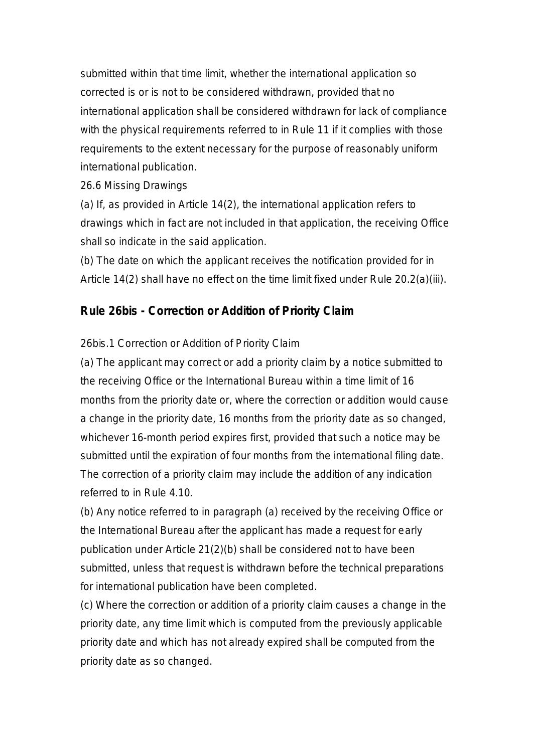submitted within that time limit, whether the international application so corrected is or is not to be considered withdrawn, provided that no international application shall be considered withdrawn for lack of compliance with the physical requirements referred to in Rule 11 if it complies with those requirements to the extent necessary for the purpose of reasonably uniform international publication.

26.6 Missing Drawings

(a) If, as provided in Article 14(2), the international application refers to drawings which in fact are not included in that application, the receiving Office shall so indicate in the said application.

(b) The date on which the applicant receives the notification provided for in Article 14(2) shall have no effect on the time limit fixed under Rule 20.2(a)(iii).

### **Rule 26bis - Correction or Addition of Priority Claim**

26bis.1 Correction or Addition of Priority Claim

(a) The applicant may correct or add a priority claim by a notice submitted to the receiving Office or the International Bureau within a time limit of 16 months from the priority date or, where the correction or addition would cause a change in the priority date, 16 months from the priority date as so changed, whichever 16-month period expires first, provided that such a notice may be submitted until the expiration of four months from the international filing date. The correction of a priority claim may include the addition of any indication referred to in Rule 4.10.

(b) Any notice referred to in paragraph (a) received by the receiving Office or the International Bureau after the applicant has made a request for early publication under Article 21(2)(b) shall be considered not to have been submitted, unless that request is withdrawn before the technical preparations for international publication have been completed.

(c) Where the correction or addition of a priority claim causes a change in the priority date, any time limit which is computed from the previously applicable priority date and which has not already expired shall be computed from the priority date as so changed.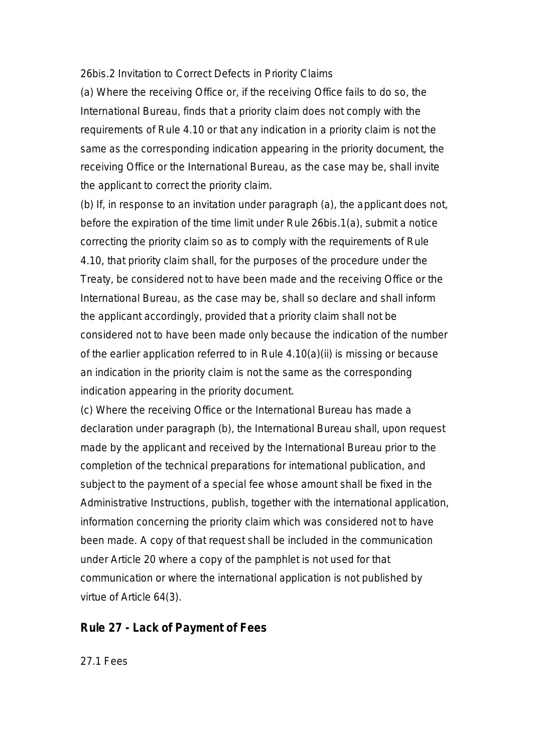#### 26bis.2 Invitation to Correct Defects in Priority Claims

(a) Where the receiving Office or, if the receiving Office fails to do so, the International Bureau, finds that a priority claim does not comply with the requirements of Rule 4.10 or that any indication in a priority claim is not the same as the corresponding indication appearing in the priority document, the receiving Office or the International Bureau, as the case may be, shall invite the applicant to correct the priority claim.

(b) If, in response to an invitation under paragraph (a), the applicant does not, before the expiration of the time limit under Rule 26bis.1(a), submit a notice correcting the priority claim so as to comply with the requirements of Rule 4.10, that priority claim shall, for the purposes of the procedure under the Treaty, be considered not to have been made and the receiving Office or the International Bureau, as the case may be, shall so declare and shall inform the applicant accordingly, provided that a priority claim shall not be considered not to have been made only because the indication of the number of the earlier application referred to in Rule 4.10(a)(ii) is missing or because an indication in the priority claim is not the same as the corresponding indication appearing in the priority document.

(c) Where the receiving Office or the International Bureau has made a declaration under paragraph (b), the International Bureau shall, upon request made by the applicant and received by the International Bureau prior to the completion of the technical preparations for international publication, and subject to the payment of a special fee whose amount shall be fixed in the Administrative Instructions, publish, together with the international application, information concerning the priority claim which was considered not to have been made. A copy of that request shall be included in the communication under Article 20 where a copy of the pamphlet is not used for that communication or where the international application is not published by virtue of Article 64(3).

### **Rule 27 - Lack of Payment of Fees**

27.1 Fees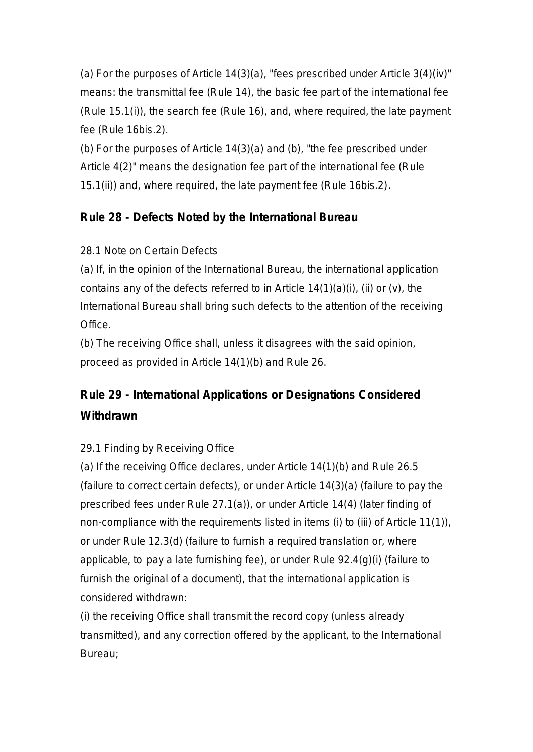(a) For the purposes of Article 14(3)(a), "fees prescribed under Article 3(4)(iv)" means: the transmittal fee (Rule 14), the basic fee part of the international fee (Rule 15.1(i)), the search fee (Rule 16), and, where required, the late payment fee (Rule 16bis.2).

(b) For the purposes of Article 14(3)(a) and (b), "the fee prescribed under Article 4(2)" means the designation fee part of the international fee (Rule 15.1(ii)) and, where required, the late payment fee (Rule 16bis.2).

# **Rule 28 - Defects Noted by the International Bureau**

# 28.1 Note on Certain Defects

(a) If, in the opinion of the International Bureau, the international application contains any of the defects referred to in Article 14(1)(a)(i), (ii) or (v), the International Bureau shall bring such defects to the attention of the receiving Office.

(b) The receiving Office shall, unless it disagrees with the said opinion, proceed as provided in Article 14(1)(b) and Rule 26.

# **Rule 29 - International Applications or Designations Considered Withdrawn**

# 29.1 Finding by Receiving Office

(a) If the receiving Office declares, under Article 14(1)(b) and Rule 26.5 (failure to correct certain defects), or under Article 14(3)(a) (failure to pay the prescribed fees under Rule 27.1(a)), or under Article 14(4) (later finding of non-compliance with the requirements listed in items (i) to (iii) of Article 11(1)), or under Rule 12.3(d) (failure to furnish a required translation or, where applicable, to pay a late furnishing fee), or under Rule 92.4(g)(i) (failure to furnish the original of a document), that the international application is considered withdrawn:

(i) the receiving Office shall transmit the record copy (unless already transmitted), and any correction offered by the applicant, to the International Bureau;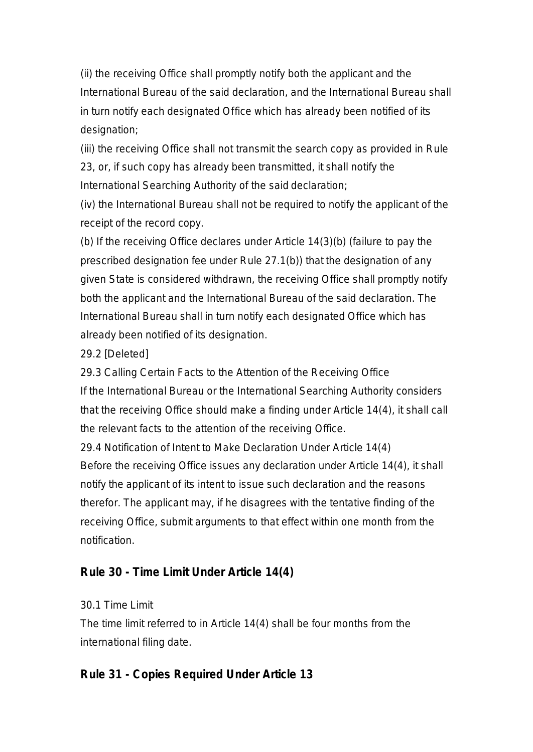(ii) the receiving Office shall promptly notify both the applicant and the International Bureau of the said declaration, and the International Bureau shall in turn notify each designated Office which has already been notified of its designation;

(iii) the receiving Office shall not transmit the search copy as provided in Rule 23, or, if such copy has already been transmitted, it shall notify the International Searching Authority of the said declaration;

(iv) the International Bureau shall not be required to notify the applicant of the receipt of the record copy.

(b) If the receiving Office declares under Article 14(3)(b) (failure to pay the prescribed designation fee under Rule 27.1(b)) that the designation of any given State is considered withdrawn, the receiving Office shall promptly notify both the applicant and the International Bureau of the said declaration. The International Bureau shall in turn notify each designated Office which has already been notified of its designation.

29.2 [Deleted]

29.3 Calling Certain Facts to the Attention of the Receiving Office If the International Bureau or the International Searching Authority considers that the receiving Office should make a finding under Article 14(4), it shall call the relevant facts to the attention of the receiving Office.

29.4 Notification of Intent to Make Declaration Under Article 14(4) Before the receiving Office issues any declaration under Article 14(4), it shall notify the applicant of its intent to issue such declaration and the reasons therefor. The applicant may, if he disagrees with the tentative finding of the receiving Office, submit arguments to that effect within one month from the notification.

# **Rule 30 - Time Limit Under Article 14(4)**

### 30.1 Time Limit

The time limit referred to in Article 14(4) shall be four months from the international filing date.

# **Rule 31 - Copies Required Under Article 13**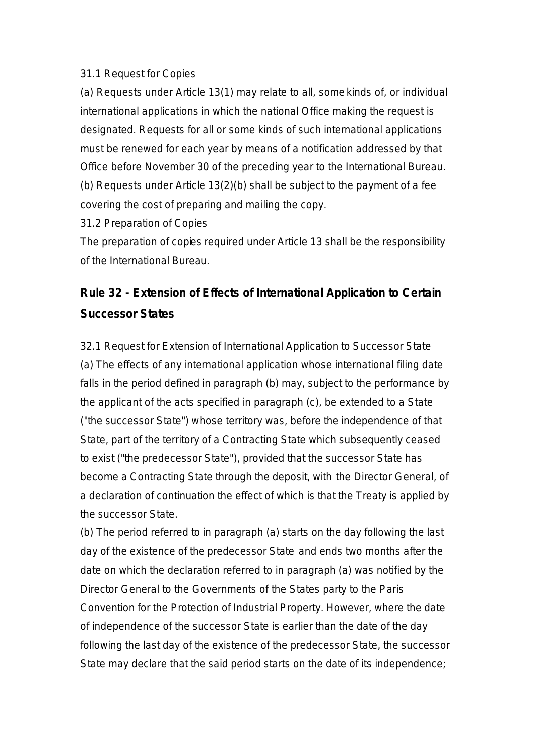#### 31.1 Request for Copies

(a) Requests under Article 13(1) may relate to all, some kinds of, or individual international applications in which the national Office making the request is designated. Requests for all or some kinds of such international applications must be renewed for each year by means of a notification addressed by that Office before November 30 of the preceding year to the International Bureau. (b) Requests under Article 13(2)(b) shall be subject to the payment of a fee covering the cost of preparing and mailing the copy.

31.2 Preparation of Copies

The preparation of copies required under Article 13 shall be the responsibility of the International Bureau.

# **Rule 32 - Extension of Effects of International Application to Certain Successor States**

32.1 Request for Extension of International Application to Successor State (a) The effects of any international application whose international filing date falls in the period defined in paragraph (b) may, subject to the performance by the applicant of the acts specified in paragraph (c), be extended to a State ("the successor State") whose territory was, before the independence of that State, part of the territory of a Contracting State which subsequently ceased to exist ("the predecessor State"), provided that the successor State has become a Contracting State through the deposit, with the Director General, of a declaration of continuation the effect of which is that the Treaty is applied by the successor State.

(b) The period referred to in paragraph (a) starts on the day following the last day of the existence of the predecessor State and ends two months after the date on which the declaration referred to in paragraph (a) was notified by the Director General to the Governments of the States party to the Paris Convention for the Protection of Industrial Property. However, where the date of independence of the successor State is earlier than the date of the day following the last day of the existence of the predecessor State, the successor State may declare that the said period starts on the date of its independence;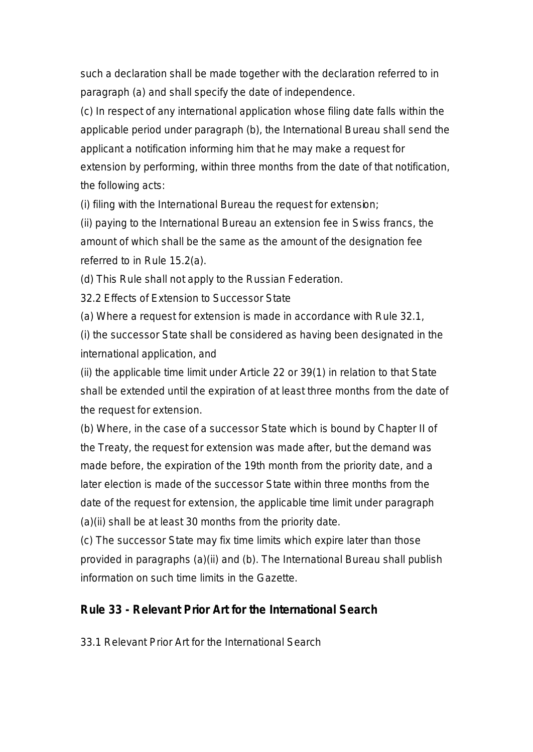such a declaration shall be made together with the declaration referred to in paragraph (a) and shall specify the date of independence.

(c) In respect of any international application whose filing date falls within the applicable period under paragraph (b), the International Bureau shall send the applicant a notification informing him that he may make a request for extension by performing, within three months from the date of that notification, the following acts:

(i) filing with the International Bureau the request for extension;

(ii) paying to the International Bureau an extension fee in Swiss francs, the amount of which shall be the same as the amount of the designation fee referred to in Rule 15.2(a).

(d) This Rule shall not apply to the Russian Federation.

32.2 Effects of Extension to Successor State

(a) Where a request for extension is made in accordance with Rule 32.1,

(i) the successor State shall be considered as having been designated in the international application, and

(ii) the applicable time limit under Article 22 or 39(1) in relation to that State shall be extended until the expiration of at least three months from the date of the request for extension.

(b) Where, in the case of a successor State which is bound by Chapter II of the Treaty, the request for extension was made after, but the demand was made before, the expiration of the 19th month from the priority date, and a later election is made of the successor State within three months from the date of the request for extension, the applicable time limit under paragraph (a)(ii) shall be at least 30 months from the priority date.

(c) The successor State may fix time limits which expire later than those provided in paragraphs (a)(ii) and (b). The International Bureau shall publish information on such time limits in the Gazette.

# **Rule 33 - Relevant Prior Art for the International Search**

33.1 Relevant Prior Art for the International Search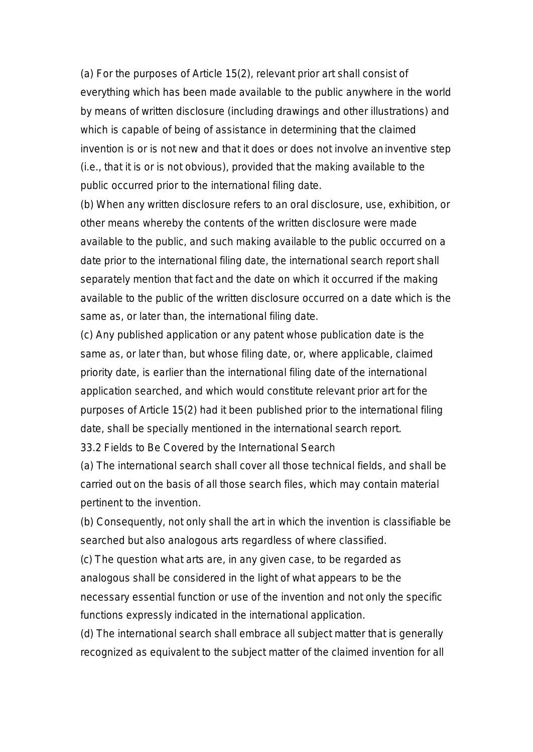(a) For the purposes of Article 15(2), relevant prior art shall consist of everything which has been made available to the public anywhere in the world by means of written disclosure (including drawings and other illustrations) and which is capable of being of assistance in determining that the claimed invention is or is not new and that it does or does not involve an inventive step (i.e., that it is or is not obvious), provided that the making available to the public occurred prior to the international filing date.

(b) When any written disclosure refers to an oral disclosure, use, exhibition, or other means whereby the contents of the written disclosure were made available to the public, and such making available to the public occurred on a date prior to the international filing date, the international search report shall separately mention that fact and the date on which it occurred if the making available to the public of the written disclosure occurred on a date which is the same as, or later than, the international filing date.

(c) Any published application or any patent whose publication date is the same as, or later than, but whose filing date, or, where applicable, claimed priority date, is earlier than the international filing date of the international application searched, and which would constitute relevant prior art for the purposes of Article 15(2) had it been published prior to the international filing date, shall be specially mentioned in the international search report.

33.2 Fields to Be Covered by the International Search

(a) The international search shall cover all those technical fields, and shall be carried out on the basis of all those search files, which may contain material pertinent to the invention.

(b) Consequently, not only shall the art in which the invention is classifiable be searched but also analogous arts regardless of where classified.

(c) The question what arts are, in any given case, to be regarded as analogous shall be considered in the light of what appears to be the necessary essential function or use of the invention and not only the specific functions expressly indicated in the international application.

(d) The international search shall embrace all subject matter that is generally recognized as equivalent to the subject matter of the claimed invention for all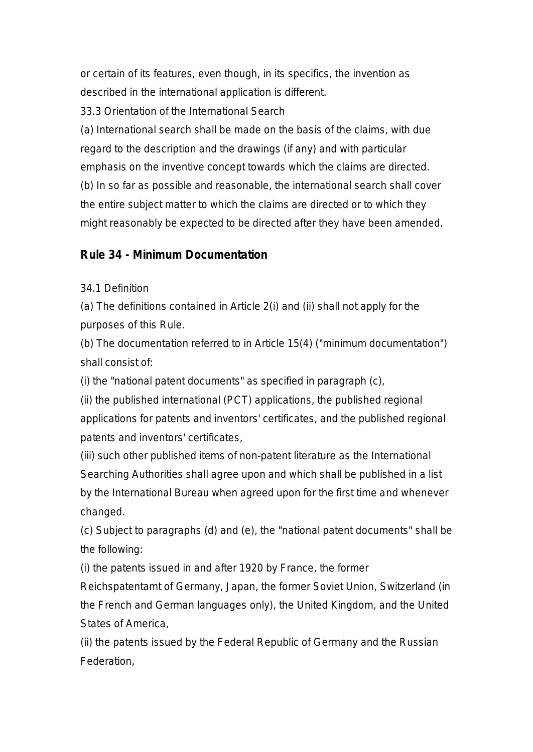or certain of its features, even though, in its specifics, the invention as described in the international application is different.

33.3 Orientation of the International Search

(a) International search shall be made on the basis of the claims, with due regard to the description and the drawings (if any) and with particular emphasis on the inventive concept towards which the claims are directed. (b) In so far as possible and reasonable, the international search shall cover the entire subject matter to which the claims are directed or to which they might reasonably be expected to be directed after they have been amended.

# **Rule 34 - Minimum Documentation**

34.1 Definition

(a) The definitions contained in Article 2(i) and (ii) shall not apply for the purposes of this Rule.

(b) The documentation referred to in Article 15(4) ("minimum documentation") shall consist of:

(i) the "national patent documents" as specified in paragraph (c),

(ii) the published international (PCT) applications, the published regional applications for patents and inventors' certificates, and the published regional patents and inventors' certificates,

(iii) such other published items of non-patent literature as the International Searching Authorities shall agree upon and which shall be published in a list by the International Bureau when agreed upon for the first time and whenever changed.

(c) Subject to paragraphs (d) and (e), the "national patent documents" shall be the following:

(i) the patents issued in and after 1920 by France, the former

Reichspatentamt of Germany, Japan, the former Soviet Union, Switzerland (in the French and German languages only), the United Kingdom, and the United States of America,

(ii) the patents issued by the Federal Republic of Germany and the Russian Federation,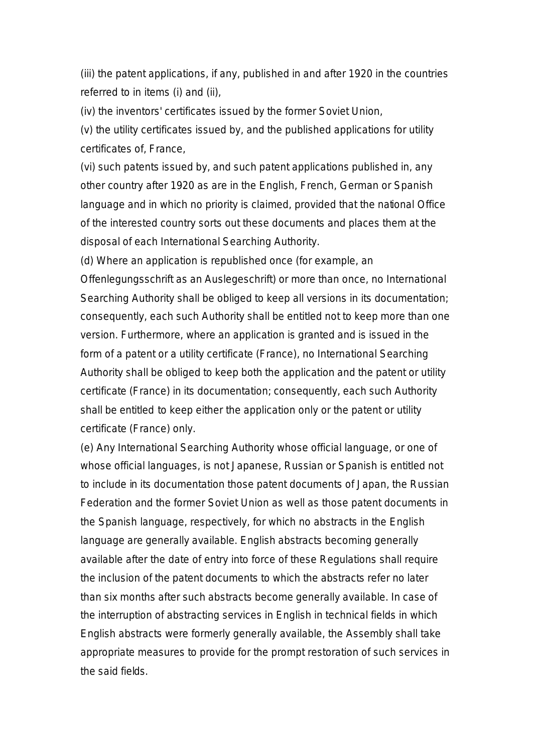(iii) the patent applications, if any, published in and after 1920 in the countries referred to in items (i) and (ii),

(iv) the inventors' certificates issued by the former Soviet Union,

(v) the utility certificates issued by, and the published applications for utility certificates of, France,

(vi) such patents issued by, and such patent applications published in, any other country after 1920 as are in the English, French, German or Spanish language and in which no priority is claimed, provided that the national Office of the interested country sorts out these documents and places them at the disposal of each International Searching Authority.

(d) Where an application is republished once (for example, an Offenlegungsschrift as an Auslegeschrift) or more than once, no International Searching Authority shall be obliged to keep all versions in its documentation; consequently, each such Authority shall be entitled not to keep more than one version. Furthermore, where an application is granted and is issued in the form of a patent or a utility certificate (France), no International Searching Authority shall be obliged to keep both the application and the patent or utility certificate (France) in its documentation; consequently, each such Authority shall be entitled to keep either the application only or the patent or utility certificate (France) only.

(e) Any International Searching Authority whose official language, or one of whose official languages, is not Japanese, Russian or Spanish is entitled not to include in its documentation those patent documents of Japan, the Russian Federation and the former Soviet Union as well as those patent documents in the Spanish language, respectively, for which no abstracts in the English language are generally available. English abstracts becoming generally available after the date of entry into force of these Regulations shall require the inclusion of the patent documents to which the abstracts refer no later than six months after such abstracts become generally available. In case of the interruption of abstracting services in English in technical fields in which English abstracts were formerly generally available, the Assembly shall take appropriate measures to provide for the prompt restoration of such services in the said fields.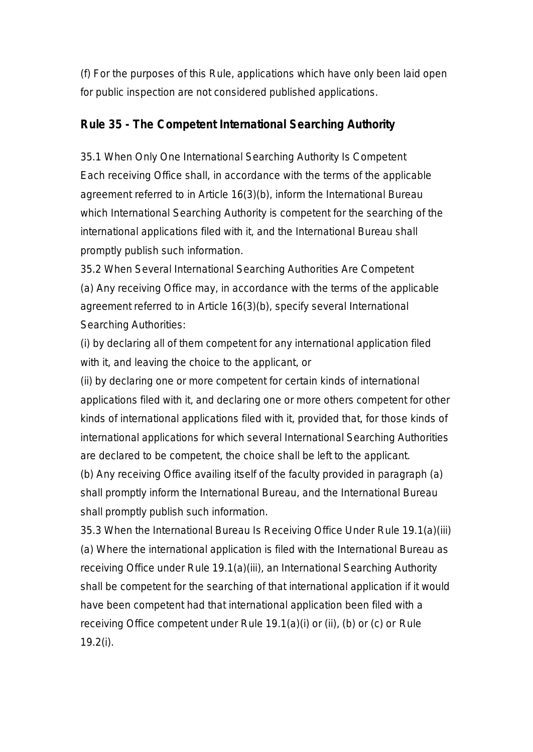(f) For the purposes of this Rule, applications which have only been laid open for public inspection are not considered published applications.

## **Rule 35 - The Competent International Searching Authority**

35.1 When Only One International Searching Authority Is Competent Each receiving Office shall, in accordance with the terms of the applicable agreement referred to in Article 16(3)(b), inform the International Bureau which International Searching Authority is competent for the searching of the international applications filed with it, and the International Bureau shall promptly publish such information.

35.2 When Several International Searching Authorities Are Competent (a) Any receiving Office may, in accordance with the terms of the applicable agreement referred to in Article 16(3)(b), specify several International Searching Authorities:

(i) by declaring all of them competent for any international application filed with it, and leaving the choice to the applicant, or

(ii) by declaring one or more competent for certain kinds of international applications filed with it, and declaring one or more others competent for other kinds of international applications filed with it, provided that, for those kinds of international applications for which several International Searching Authorities are declared to be competent, the choice shall be left to the applicant.

(b) Any receiving Office availing itself of the faculty provided in paragraph (a) shall promptly inform the International Bureau, and the International Bureau shall promptly publish such information.

35.3 When the International Bureau Is Receiving Office Under Rule 19.1(a)(iii) (a) Where the international application is filed with the International Bureau as receiving Office under Rule 19.1(a)(iii), an International Searching Authority shall be competent for the searching of that international application if it would have been competent had that international application been filed with a receiving Office competent under Rule 19.1(a)(i) or (ii), (b) or (c) or Rule 19.2(i).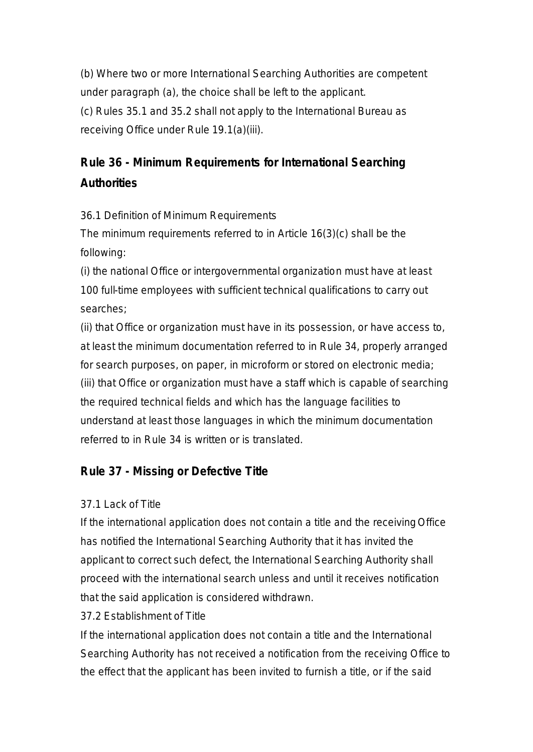(b) Where two or more International Searching Authorities are competent under paragraph (a), the choice shall be left to the applicant. (c) Rules 35.1 and 35.2 shall not apply to the International Bureau as receiving Office under Rule 19.1(a)(iii).

# **Rule 36 - Minimum Requirements for International Searching Authorities**

36.1 Definition of Minimum Requirements

The minimum requirements referred to in Article 16(3)(c) shall be the following:

(i) the national Office or intergovernmental organization must have at least 100 full-time employees with sufficient technical qualifications to carry out searches;

(ii) that Office or organization must have in its possession, or have access to, at least the minimum documentation referred to in Rule 34, properly arranged for search purposes, on paper, in microform or stored on electronic media; (iii) that Office or organization must have a staff which is capable of searching the required technical fields and which has the language facilities to understand at least those languages in which the minimum documentation referred to in Rule 34 is written or is translated.

# **Rule 37 - Missing or Defective Title**

### 37.1 Lack of Title

If the international application does not contain a title and the receiving Office has notified the International Searching Authority that it has invited the applicant to correct such defect, the International Searching Authority shall proceed with the international search unless and until it receives notification that the said application is considered withdrawn.

### 37.2 Establishment of Title

If the international application does not contain a title and the International Searching Authority has not received a notification from the receiving Office to the effect that the applicant has been invited to furnish a title, or if the said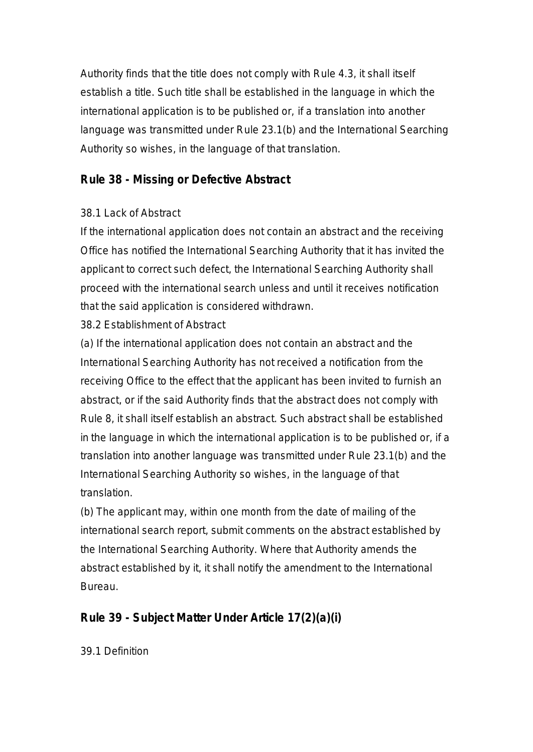Authority finds that the title does not comply with Rule 4.3, it shall itself establish a title. Such title shall be established in the language in which the international application is to be published or, if a translation into another language was transmitted under Rule 23.1(b) and the International Searching Authority so wishes, in the language of that translation.

### **Rule 38 - Missing or Defective Abstract**

### 38.1 Lack of Abstract

If the international application does not contain an abstract and the receiving Office has notified the International Searching Authority that it has invited the applicant to correct such defect, the International Searching Authority shall proceed with the international search unless and until it receives notification that the said application is considered withdrawn.

38.2 Establishment of Abstract

(a) If the international application does not contain an abstract and the International Searching Authority has not received a notification from the receiving Office to the effect that the applicant has been invited to furnish an abstract, or if the said Authority finds that the abstract does not comply with Rule 8, it shall itself establish an abstract. Such abstract shall be established in the language in which the international application is to be published or, if a translation into another language was transmitted under Rule 23.1(b) and the International Searching Authority so wishes, in the language of that translation.

(b) The applicant may, within one month from the date of mailing of the international search report, submit comments on the abstract established by the International Searching Authority. Where that Authority amends the abstract established by it, it shall notify the amendment to the International Bureau.

### **Rule 39 - Subject Matter Under Article 17(2)(a)(i)**

39.1 Definition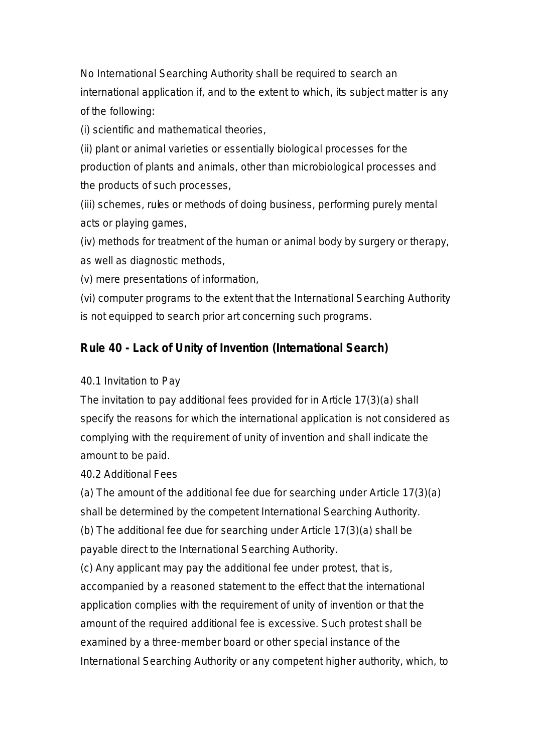No International Searching Authority shall be required to search an international application if, and to the extent to which, its subject matter is any of the following:

(i) scientific and mathematical theories,

(ii) plant or animal varieties or essentially biological processes for the production of plants and animals, other than microbiological processes and the products of such processes,

(iii) schemes, rules or methods of doing business, performing purely mental acts or playing games,

(iv) methods for treatment of the human or animal body by surgery or therapy, as well as diagnostic methods,

(v) mere presentations of information,

(vi) computer programs to the extent that the International Searching Authority is not equipped to search prior art concerning such programs.

### **Rule 40 - Lack of Unity of Invention (International Search)**

40.1 Invitation to Pay

The invitation to pay additional fees provided for in Article 17(3)(a) shall specify the reasons for which the international application is not considered as complying with the requirement of unity of invention and shall indicate the amount to be paid.

40.2 Additional Fees

(a) The amount of the additional fee due for searching under Article 17(3)(a) shall be determined by the competent International Searching Authority.

(b) The additional fee due for searching under Article 17(3)(a) shall be payable direct to the International Searching Authority.

(c) Any applicant may pay the additional fee under protest, that is, accompanied by a reasoned statement to the effect that the international application complies with the requirement of unity of invention or that the amount of the required additional fee is excessive. Such protest shall be examined by a three-member board or other special instance of the International Searching Authority or any competent higher authority, which, to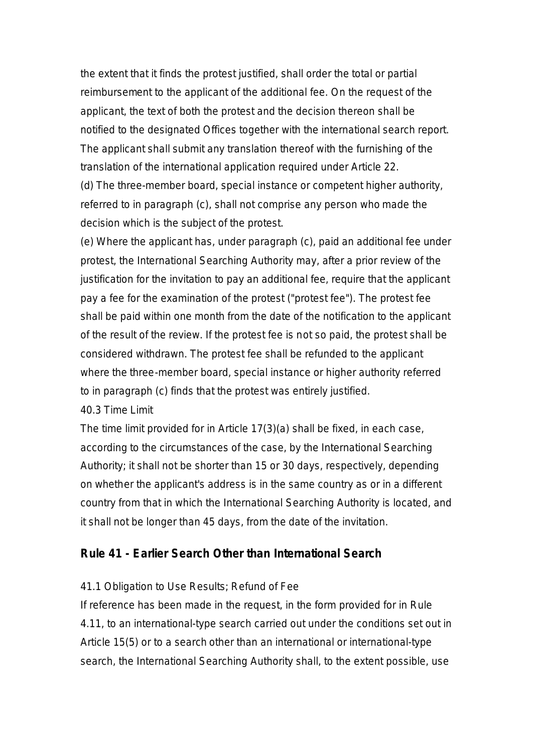the extent that it finds the protest justified, shall order the total or partial reimbursement to the applicant of the additional fee. On the request of the applicant, the text of both the protest and the decision thereon shall be notified to the designated Offices together with the international search report. The applicant shall submit any translation thereof with the furnishing of the translation of the international application required under Article 22. (d) The three-member board, special instance or competent higher authority, referred to in paragraph (c), shall not comprise any person who made the decision which is the subject of the protest.

(e) Where the applicant has, under paragraph (c), paid an additional fee under protest, the International Searching Authority may, after a prior review of the justification for the invitation to pay an additional fee, require that the applicant pay a fee for the examination of the protest ("protest fee"). The protest fee shall be paid within one month from the date of the notification to the applicant of the result of the review. If the protest fee is not so paid, the protest shall be considered withdrawn. The protest fee shall be refunded to the applicant where the three-member board, special instance or higher authority referred to in paragraph (c) finds that the protest was entirely justified.

40.3 Time Limit

The time limit provided for in Article 17(3)(a) shall be fixed, in each case, according to the circumstances of the case, by the International Searching Authority; it shall not be shorter than 15 or 30 days, respectively, depending on whether the applicant's address is in the same country as or in a different country from that in which the International Searching Authority is located, and it shall not be longer than 45 days, from the date of the invitation.

### **Rule 41 - Earlier Search Other than International Search**

#### 41.1 Obligation to Use Results; Refund of Fee

If reference has been made in the request, in the form provided for in Rule 4.11, to an international-type search carried out under the conditions set out in Article 15(5) or to a search other than an international or international-type search, the International Searching Authority shall, to the extent possible, use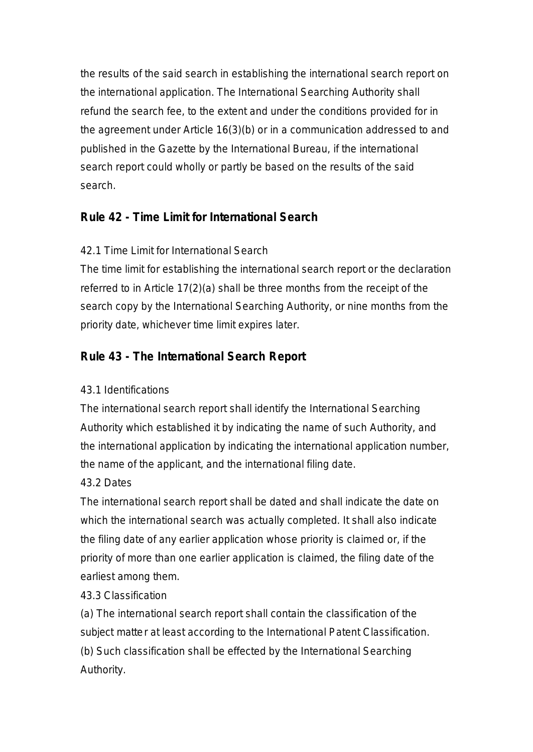the results of the said search in establishing the international search report on the international application. The International Searching Authority shall refund the search fee, to the extent and under the conditions provided for in the agreement under Article 16(3)(b) or in a communication addressed to and published in the Gazette by the International Bureau, if the international search report could wholly or partly be based on the results of the said search.

# **Rule 42 - Time Limit for International Search**

### 42.1 Time Limit for International Search

The time limit for establishing the international search report or the declaration referred to in Article 17(2)(a) shall be three months from the receipt of the search copy by the International Searching Authority, or nine months from the priority date, whichever time limit expires later.

# **Rule 43 - The International Search Report**

### 43.1 Identifications

The international search report shall identify the International Searching Authority which established it by indicating the name of such Authority, and the international application by indicating the international application number, the name of the applicant, and the international filing date.

### 43.2 Dates

The international search report shall be dated and shall indicate the date on which the international search was actually completed. It shall also indicate the filing date of any earlier application whose priority is claimed or, if the priority of more than one earlier application is claimed, the filing date of the earliest among them.

### 43.3 Classification

(a) The international search report shall contain the classification of the subject matter at least according to the International Patent Classification. (b) Such classification shall be effected by the International Searching Authority.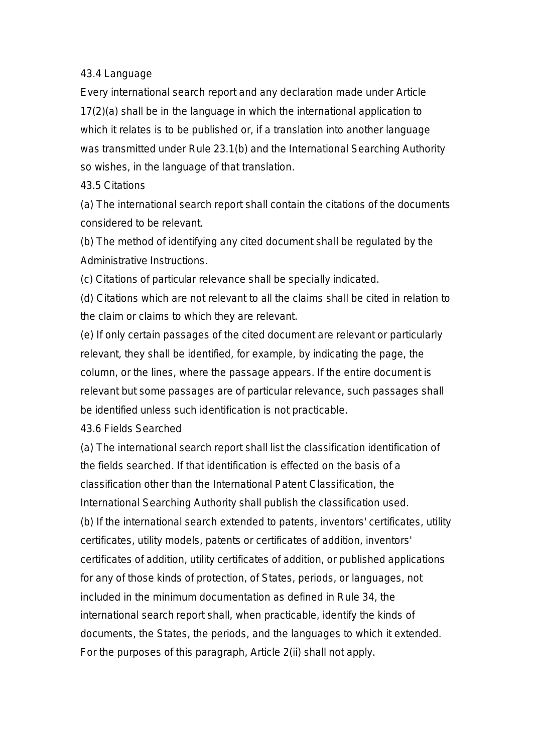#### 43.4 Language

Every international search report and any declaration made under Article 17(2)(a) shall be in the language in which the international application to which it relates is to be published or, if a translation into another language was transmitted under Rule 23.1(b) and the International Searching Authority so wishes, in the language of that translation.

#### 43.5 Citations

(a) The international search report shall contain the citations of the documents considered to be relevant.

(b) The method of identifying any cited document shall be regulated by the Administrative Instructions.

(c) Citations of particular relevance shall be specially indicated.

(d) Citations which are not relevant to all the claims shall be cited in relation to the claim or claims to which they are relevant.

(e) If only certain passages of the cited document are relevant or particularly relevant, they shall be identified, for example, by indicating the page, the column, or the lines, where the passage appears. If the entire document is relevant but some passages are of particular relevance, such passages shall be identified unless such identification is not practicable.

43.6 Fields Searched

(a) The international search report shall list the classification identification of the fields searched. If that identification is effected on the basis of a classification other than the International Patent Classification, the International Searching Authority shall publish the classification used. (b) If the international search extended to patents, inventors' certificates, utility certificates, utility models, patents or certificates of addition, inventors' certificates of addition, utility certificates of addition, or published applications for any of those kinds of protection, of States, periods, or languages, not included in the minimum documentation as defined in Rule 34, the international search report shall, when practicable, identify the kinds of documents, the States, the periods, and the languages to which it extended. For the purposes of this paragraph, Article 2(ii) shall not apply.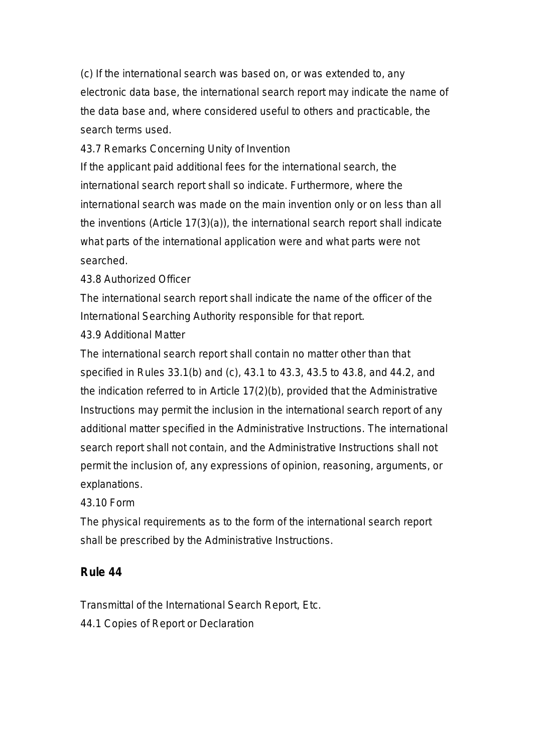(c) If the international search was based on, or was extended to, any electronic data base, the international search report may indicate the name of the data base and, where considered useful to others and practicable, the search terms used.

43.7 Remarks Concerning Unity of Invention

If the applicant paid additional fees for the international search, the international search report shall so indicate. Furthermore, where the international search was made on the main invention only or on less than all the inventions (Article 17(3)(a)), the international search report shall indicate what parts of the international application were and what parts were not searched.

43.8 Authorized Officer

The international search report shall indicate the name of the officer of the International Searching Authority responsible for that report.

43.9 Additional Matter

The international search report shall contain no matter other than that specified in Rules 33.1(b) and (c), 43.1 to 43.3, 43.5 to 43.8, and 44.2, and the indication referred to in Article 17(2)(b), provided that the Administrative Instructions may permit the inclusion in the international search report of any additional matter specified in the Administrative Instructions. The international search report shall not contain, and the Administrative Instructions shall not permit the inclusion of, any expressions of opinion, reasoning, arguments, or explanations.

43.10 Form

The physical requirements as to the form of the international search report shall be prescribed by the Administrative Instructions.

### **Rule 44**

Transmittal of the International Search Report, Etc.

44.1 Copies of Report or Declaration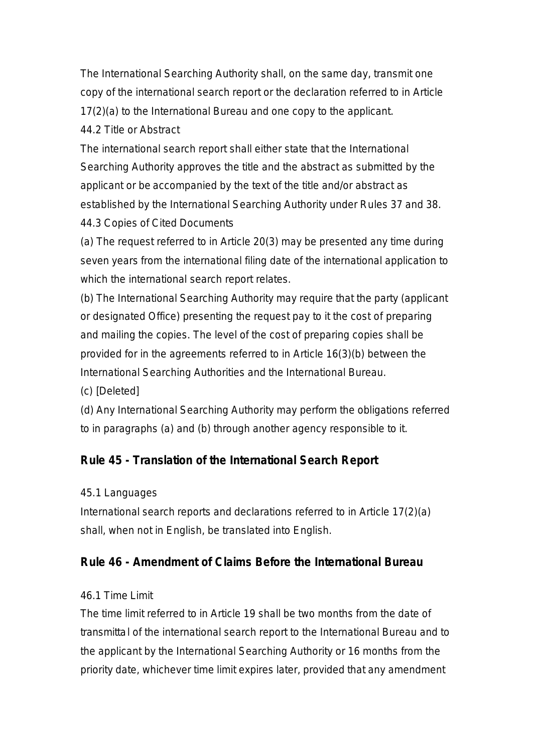The International Searching Authority shall, on the same day, transmit one copy of the international search report or the declaration referred to in Article 17(2)(a) to the International Bureau and one copy to the applicant.

### 44.2 Title or Abstract

The international search report shall either state that the International Searching Authority approves the title and the abstract as submitted by the applicant or be accompanied by the text of the title and/or abstract as established by the International Searching Authority under Rules 37 and 38. 44.3 Copies of Cited Documents

(a) The request referred to in Article 20(3) may be presented any time during seven years from the international filing date of the international application to which the international search report relates.

(b) The International Searching Authority may require that the party (applicant or designated Office) presenting the request pay to it the cost of preparing and mailing the copies. The level of the cost of preparing copies shall be provided for in the agreements referred to in Article 16(3)(b) between the International Searching Authorities and the International Bureau.

(c) [Deleted]

(d) Any International Searching Authority may perform the obligations referred to in paragraphs (a) and (b) through another agency responsible to it.

# **Rule 45 - Translation of the International Search Report**

### 45.1 Languages

International search reports and declarations referred to in Article 17(2)(a) shall, when not in English, be translated into English.

### **Rule 46 - Amendment of Claims Before the International Bureau**

### 46.1 Time Limit

The time limit referred to in Article 19 shall be two months from the date of transmittal of the international search report to the International Bureau and to the applicant by the International Searching Authority or 16 months from the priority date, whichever time limit expires later, provided that any amendment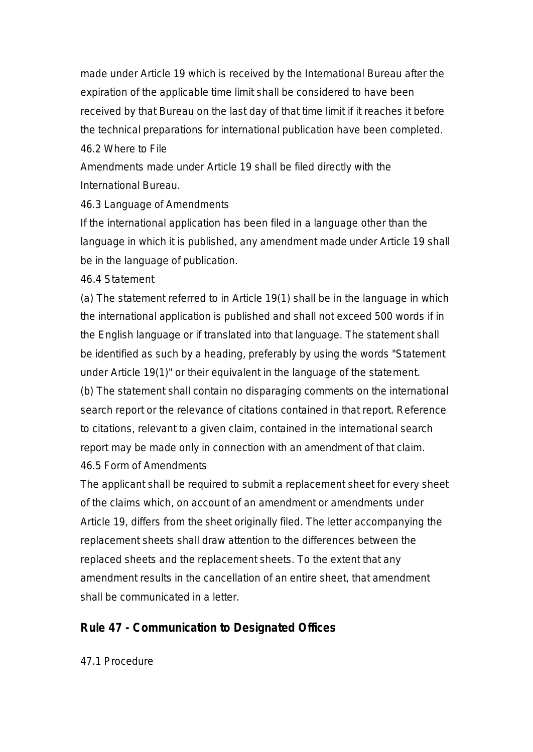made under Article 19 which is received by the International Bureau after the expiration of the applicable time limit shall be considered to have been received by that Bureau on the last day of that time limit if it reaches it before the technical preparations for international publication have been completed. 46.2 Where to File

Amendments made under Article 19 shall be filed directly with the International Bureau.

### 46.3 Language of Amendments

If the international application has been filed in a language other than the language in which it is published, any amendment made under Article 19 shall be in the language of publication.

46.4 Statement

(a) The statement referred to in Article 19(1) shall be in the language in which the international application is published and shall not exceed 500 words if in the English language or if translated into that language. The statement shall be identified as such by a heading, preferably by using the words "Statement under Article 19(1)" or their equivalent in the language of the statement. (b) The statement shall contain no disparaging comments on the international search report or the relevance of citations contained in that report. Reference to citations, relevant to a given claim, contained in the international search report may be made only in connection with an amendment of that claim. 46.5 Form of Amendments

The applicant shall be required to submit a replacement sheet for every sheet of the claims which, on account of an amendment or amendments under Article 19, differs from the sheet originally filed. The letter accompanying the replacement sheets shall draw attention to the differences between the replaced sheets and the replacement sheets. To the extent that any amendment results in the cancellation of an entire sheet, that amendment shall be communicated in a letter.

### **Rule 47 - Communication to Designated Offices**

#### 47.1 Procedure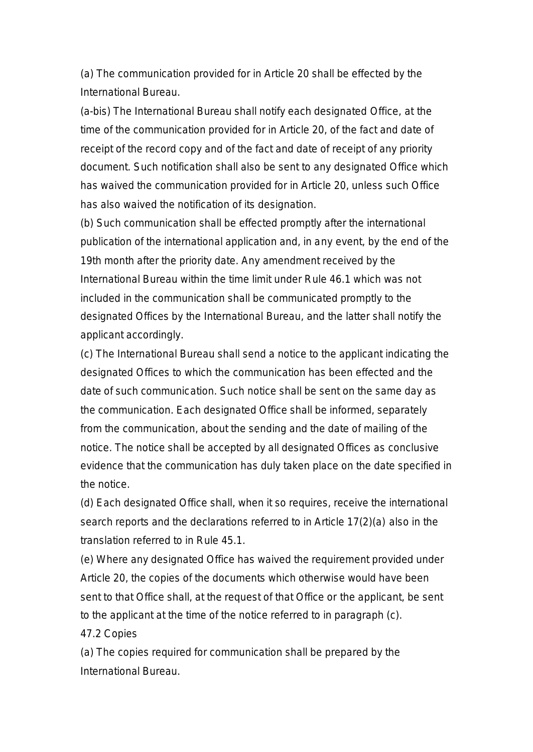(a) The communication provided for in Article 20 shall be effected by the International Bureau.

(a-bis) The International Bureau shall notify each designated Office, at the time of the communication provided for in Article 20, of the fact and date of receipt of the record copy and of the fact and date of receipt of any priority document. Such notification shall also be sent to any designated Office which has waived the communication provided for in Article 20, unless such Office has also waived the notification of its designation.

(b) Such communication shall be effected promptly after the international publication of the international application and, in any event, by the end of the 19th month after the priority date. Any amendment received by the International Bureau within the time limit under Rule 46.1 which was not included in the communication shall be communicated promptly to the designated Offices by the International Bureau, and the latter shall notify the applicant accordingly.

(c) The International Bureau shall send a notice to the applicant indicating the designated Offices to which the communication has been effected and the date of such communication. Such notice shall be sent on the same day as the communication. Each designated Office shall be informed, separately from the communication, about the sending and the date of mailing of the notice. The notice shall be accepted by all designated Offices as conclusive evidence that the communication has duly taken place on the date specified in the notice.

(d) Each designated Office shall, when it so requires, receive the international search reports and the declarations referred to in Article 17(2)(a) also in the translation referred to in Rule 45.1.

(e) Where any designated Office has waived the requirement provided under Article 20, the copies of the documents which otherwise would have been sent to that Office shall, at the request of that Office or the applicant, be sent to the applicant at the time of the notice referred to in paragraph (c).

47.2 Copies

(a) The copies required for communication shall be prepared by the International Bureau.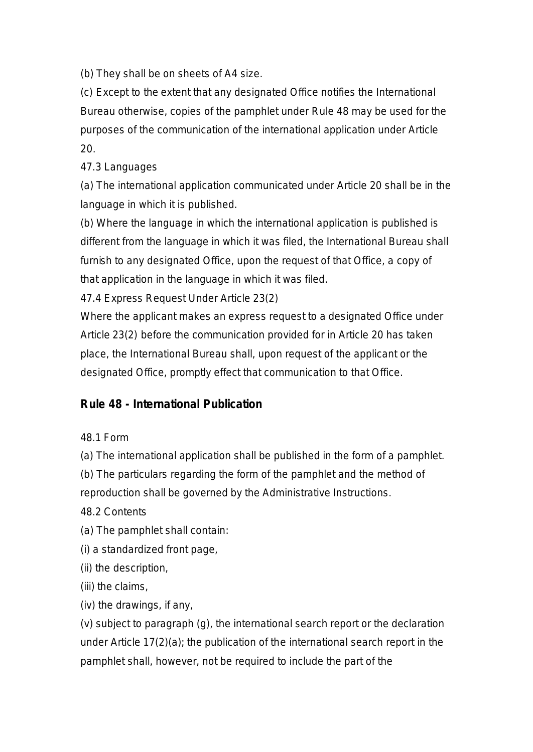(b) They shall be on sheets of A4 size.

(c) Except to the extent that any designated Office notifies the International Bureau otherwise, copies of the pamphlet under Rule 48 may be used for the purposes of the communication of the international application under Article 20.

### 47.3 Languages

(a) The international application communicated under Article 20 shall be in the language in which it is published.

(b) Where the language in which the international application is published is different from the language in which it was filed, the International Bureau shall furnish to any designated Office, upon the request of that Office, a copy of that application in the language in which it was filed.

47.4 Express Request Under Article 23(2)

Where the applicant makes an express request to a designated Office under Article 23(2) before the communication provided for in Article 20 has taken place, the International Bureau shall, upon request of the applicant or the designated Office, promptly effect that communication to that Office.

# **Rule 48 - International Publication**

48.1 Form

(a) The international application shall be published in the form of a pamphlet.

(b) The particulars regarding the form of the pamphlet and the method of reproduction shall be governed by the Administrative Instructions.

48.2 Contents

- (a) The pamphlet shall contain:
- (i) a standardized front page,
- (ii) the description,
- (iii) the claims,
- (iv) the drawings, if any,

(v) subject to paragraph (g), the international search report or the declaration under Article 17(2)(a); the publication of the international search report in the pamphlet shall, however, not be required to include the part of the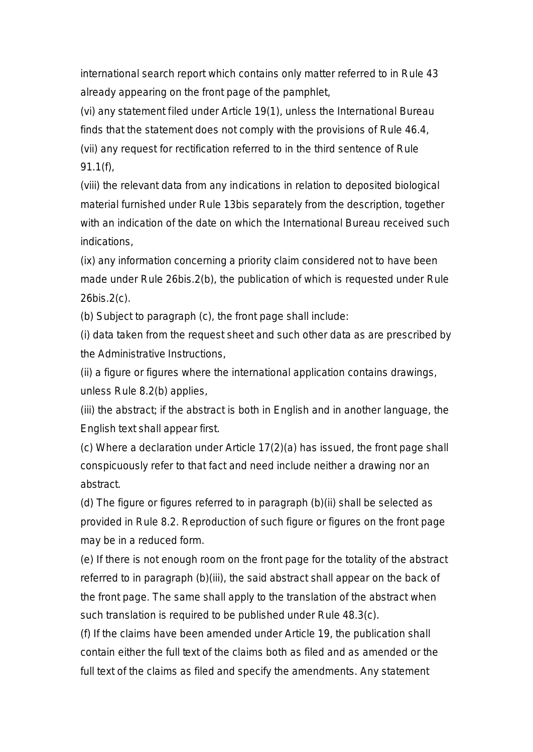international search report which contains only matter referred to in Rule 43 already appearing on the front page of the pamphlet,

(vi) any statement filed under Article 19(1), unless the International Bureau finds that the statement does not comply with the provisions of Rule 46.4, (vii) any request for rectification referred to in the third sentence of Rule 91.1(f),

(viii) the relevant data from any indications in relation to deposited biological material furnished under Rule 13bis separately from the description, together with an indication of the date on which the International Bureau received such indications,

(ix) any information concerning a priority claim considered not to have been made under Rule 26bis.2(b), the publication of which is requested under Rule 26bis.2(c).

(b) Subject to paragraph (c), the front page shall include:

(i) data taken from the request sheet and such other data as are prescribed by the Administrative Instructions,

(ii) a figure or figures where the international application contains drawings, unless Rule 8.2(b) applies,

(iii) the abstract; if the abstract is both in English and in another language, the English text shall appear first.

(c) Where a declaration under Article 17(2)(a) has issued, the front page shall conspicuously refer to that fact and need include neither a drawing nor an abstract.

(d) The figure or figures referred to in paragraph (b)(ii) shall be selected as provided in Rule 8.2. Reproduction of such figure or figures on the front page may be in a reduced form.

(e) If there is not enough room on the front page for the totality of the abstract referred to in paragraph (b)(iii), the said abstract shall appear on the back of the front page. The same shall apply to the translation of the abstract when such translation is required to be published under Rule 48.3(c).

(f) If the claims have been amended under Article 19, the publication shall contain either the full text of the claims both as filed and as amended or the full text of the claims as filed and specify the amendments. Any statement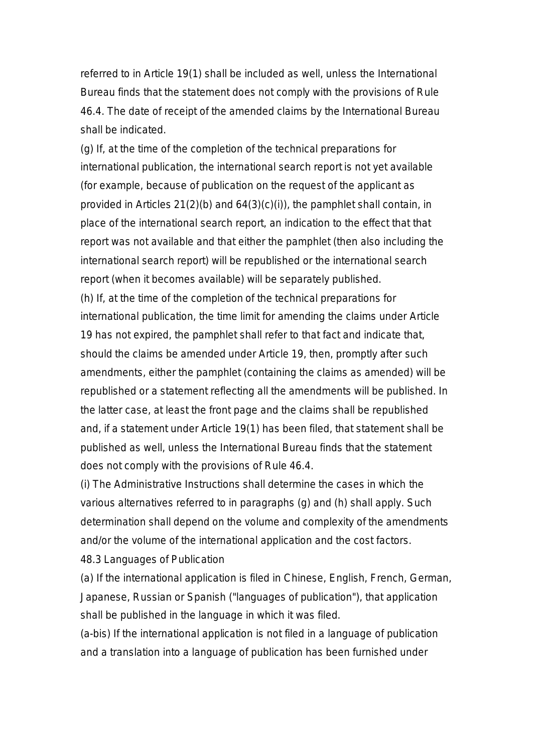referred to in Article 19(1) shall be included as well, unless the International Bureau finds that the statement does not comply with the provisions of Rule 46.4. The date of receipt of the amended claims by the International Bureau shall be indicated.

(g) If, at the time of the completion of the technical preparations for international publication, the international search report is not yet available (for example, because of publication on the request of the applicant as provided in Articles 21(2)(b) and 64(3)(c)(i)), the pamphlet shall contain, in place of the international search report, an indication to the effect that that report was not available and that either the pamphlet (then also including the international search report) will be republished or the international search report (when it becomes available) will be separately published.

(h) If, at the time of the completion of the technical preparations for international publication, the time limit for amending the claims under Article 19 has not expired, the pamphlet shall refer to that fact and indicate that, should the claims be amended under Article 19, then, promptly after such amendments, either the pamphlet (containing the claims as amended) will be republished or a statement reflecting all the amendments will be published. In the latter case, at least the front page and the claims shall be republished and, if a statement under Article 19(1) has been filed, that statement shall be published as well, unless the International Bureau finds that the statement does not comply with the provisions of Rule 46.4.

(i) The Administrative Instructions shall determine the cases in which the various alternatives referred to in paragraphs (g) and (h) shall apply. Such determination shall depend on the volume and complexity of the amendments and/or the volume of the international application and the cost factors.

48.3 Languages of Publication

(a) If the international application is filed in Chinese, English, French, German, Japanese, Russian or Spanish ("languages of publication"), that application shall be published in the language in which it was filed.

(a-bis) If the international application is not filed in a language of publication and a translation into a language of publication has been furnished under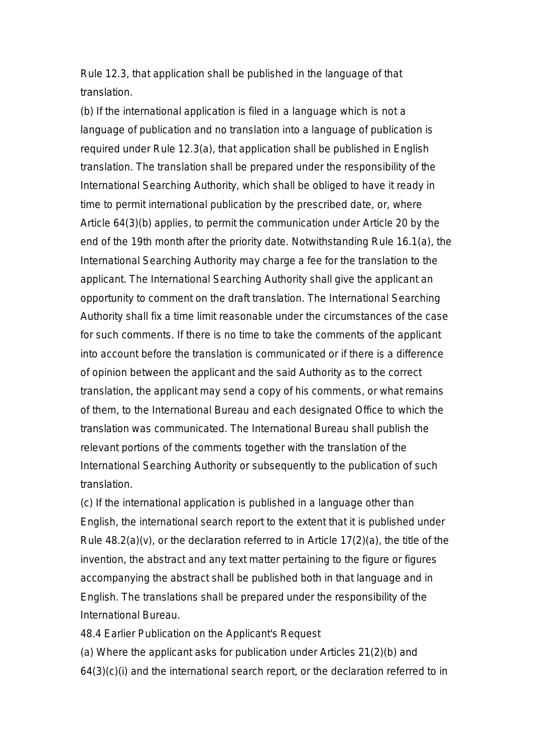Rule 12.3, that application shall be published in the language of that translation.

(b) If the international application is filed in a language which is not a language of publication and no translation into a language of publication is required under Rule 12.3(a), that application shall be published in English translation. The translation shall be prepared under the responsibility of the International Searching Authority, which shall be obliged to have it ready in time to permit international publication by the prescribed date, or, where Article 64(3)(b) applies, to permit the communication under Article 20 by the end of the 19th month after the priority date. Notwithstanding Rule 16.1(a), the International Searching Authority may charge a fee for the translation to the applicant. The International Searching Authority shall give the applicant an opportunity to comment on the draft translation. The International Searching Authority shall fix a time limit reasonable under the circumstances of the case for such comments. If there is no time to take the comments of the applicant into account before the translation is communicated or if there is a difference of opinion between the applicant and the said Authority as to the correct translation, the applicant may send a copy of his comments, or what remains of them, to the International Bureau and each designated Office to which the translation was communicated. The International Bureau shall publish the relevant portions of the comments together with the translation of the International Searching Authority or subsequently to the publication of such translation.

(c) If the international application is published in a language other than English, the international search report to the extent that it is published under Rule 48.2(a)(v), or the declaration referred to in Article 17(2)(a), the title of the invention, the abstract and any text matter pertaining to the figure or figures accompanying the abstract shall be published both in that language and in English. The translations shall be prepared under the responsibility of the International Bureau.

48.4 Earlier Publication on the Applicant's Request

(a) Where the applicant asks for publication under Articles 21(2)(b) and  $64(3)(c)(i)$  and the international search report, or the declaration referred to in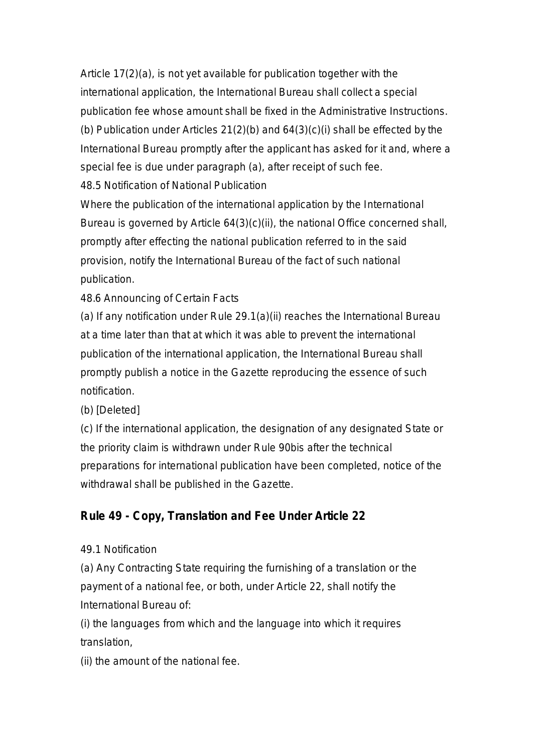Article 17(2)(a), is not yet available for publication together with the international application, the International Bureau shall collect a special publication fee whose amount shall be fixed in the Administrative Instructions. (b) Publication under Articles  $21(2)(b)$  and  $64(3)(c)(i)$  shall be effected by the International Bureau promptly after the applicant has asked for it and, where a special fee is due under paragraph (a), after receipt of such fee.

48.5 Notification of National Publication

Where the publication of the international application by the International Bureau is governed by Article 64(3)(c)(ii), the national Office concerned shall, promptly after effecting the national publication referred to in the said provision, notify the International Bureau of the fact of such national publication.

48.6 Announcing of Certain Facts

(a) If any notification under Rule 29.1(a)(ii) reaches the International Bureau at a time later than that at which it was able to prevent the international publication of the international application, the International Bureau shall promptly publish a notice in the Gazette reproducing the essence of such notification.

(b) [Deleted]

(c) If the international application, the designation of any designated State or the priority claim is withdrawn under Rule 90bis after the technical preparations for international publication have been completed, notice of the withdrawal shall be published in the Gazette.

# **Rule 49 - Copy, Translation and Fee Under Article 22**

### 49.1 Notification

(a) Any Contracting State requiring the furnishing of a translation or the payment of a national fee, or both, under Article 22, shall notify the International Bureau of:

(i) the languages from which and the language into which it requires translation,

(ii) the amount of the national fee.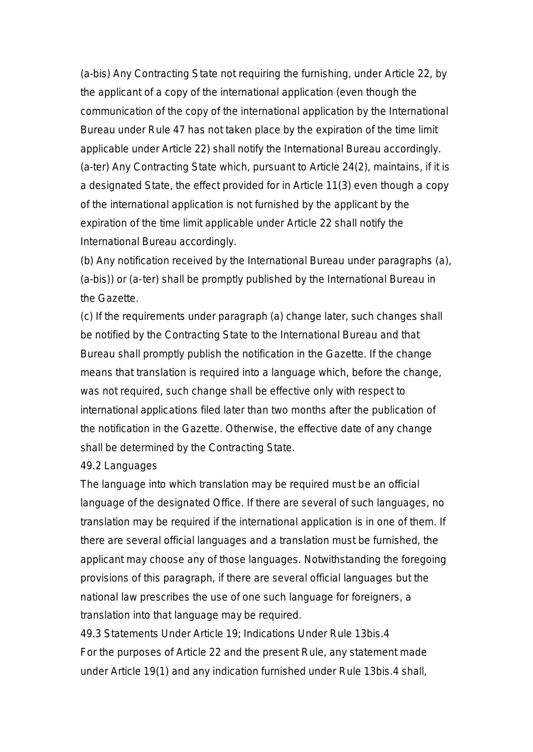(a-bis) Any Contracting State not requiring the furnishing, under Article 22, by the applicant of a copy of the international application (even though the communication of the copy of the international application by the International Bureau under Rule 47 has not taken place by the expiration of the time limit applicable under Article 22) shall notify the International Bureau accordingly. (a-ter) Any Contracting State which, pursuant to Article 24(2), maintains, if it is a designated State, the effect provided for in Article 11(3) even though a copy of the international application is not furnished by the applicant by the expiration of the time limit applicable under Article 22 shall notify the International Bureau accordingly.

(b) Any notification received by the International Bureau under paragraphs (a), (a-bis)) or (a-ter) shall be promptly published by the International Bureau in the Gazette.

(c) If the requirements under paragraph (a) change later, such changes shall be notified by the Contracting State to the International Bureau and that Bureau shall promptly publish the notification in the Gazette. If the change means that translation is required into a language which, before the change, was not required, such change shall be effective only with respect to international applications filed later than two months after the publication of the notification in the Gazette. Otherwise, the effective date of any change shall be determined by the Contracting State.

49.2 Languages

The language into which translation may be required must be an official language of the designated Office. If there are several of such languages, no translation may be required if the international application is in one of them. If there are several official languages and a translation must be furnished, the applicant may choose any of those languages. Notwithstanding the foregoing provisions of this paragraph, if there are several official languages but the national law prescribes the use of one such language for foreigners, a translation into that language may be required.

49.3 Statements Under Article 19; Indications Under Rule 13bis.4 For the purposes of Article 22 and the present Rule, any statement made under Article 19(1) and any indication furnished under Rule 13bis.4 shall,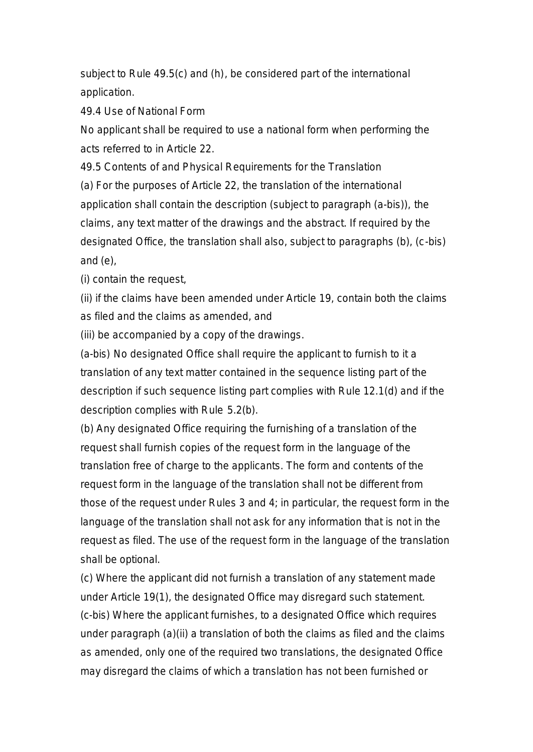subject to Rule 49.5(c) and (h), be considered part of the international application.

49.4 Use of National Form

No applicant shall be required to use a national form when performing the acts referred to in Article 22.

49.5 Contents of and Physical Requirements for the Translation (a) For the purposes of Article 22, the translation of the international application shall contain the description (subject to paragraph (a-bis)), the claims, any text matter of the drawings and the abstract. If required by the designated Office, the translation shall also, subject to paragraphs (b), (c-bis) and (e),

(i) contain the request,

(ii) if the claims have been amended under Article 19, contain both the claims as filed and the claims as amended, and

(iii) be accompanied by a copy of the drawings.

(a-bis) No designated Office shall require the applicant to furnish to it a translation of any text matter contained in the sequence listing part of the description if such sequence listing part complies with Rule 12.1(d) and if the description complies with Rule 5.2(b).

(b) Any designated Office requiring the furnishing of a translation of the request shall furnish copies of the request form in the language of the translation free of charge to the applicants. The form and contents of the request form in the language of the translation shall not be different from those of the request under Rules 3 and 4; in particular, the request form in the language of the translation shall not ask for any information that is not in the request as filed. The use of the request form in the language of the translation shall be optional.

(c) Where the applicant did not furnish a translation of any statement made under Article 19(1), the designated Office may disregard such statement. (c-bis) Where the applicant furnishes, to a designated Office which requires under paragraph (a)(ii) a translation of both the claims as filed and the claims as amended, only one of the required two translations, the designated Office may disregard the claims of which a translation has not been furnished or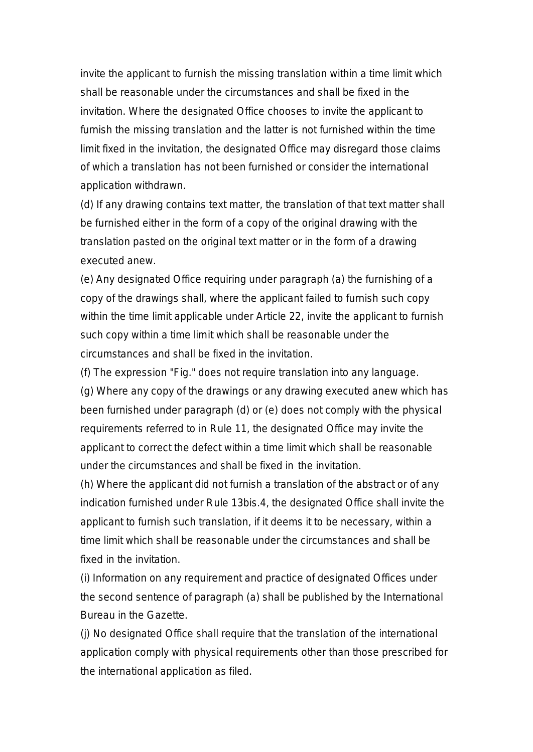invite the applicant to furnish the missing translation within a time limit which shall be reasonable under the circumstances and shall be fixed in the invitation. Where the designated Office chooses to invite the applicant to furnish the missing translation and the latter is not furnished within the time limit fixed in the invitation, the designated Office may disregard those claims of which a translation has not been furnished or consider the international application withdrawn.

(d) If any drawing contains text matter, the translation of that text matter shall be furnished either in the form of a copy of the original drawing with the translation pasted on the original text matter or in the form of a drawing executed anew.

(e) Any designated Office requiring under paragraph (a) the furnishing of a copy of the drawings shall, where the applicant failed to furnish such copy within the time limit applicable under Article 22, invite the applicant to furnish such copy within a time limit which shall be reasonable under the circumstances and shall be fixed in the invitation.

(f) The expression "Fig." does not require translation into any language. (g) Where any copy of the drawings or any drawing executed anew which has been furnished under paragraph (d) or (e) does not comply with the physical requirements referred to in Rule 11, the designated Office may invite the applicant to correct the defect within a time limit which shall be reasonable under the circumstances and shall be fixed in the invitation.

(h) Where the applicant did not furnish a translation of the abstract or of any indication furnished under Rule 13bis.4, the designated Office shall invite the applicant to furnish such translation, if it deems it to be necessary, within a time limit which shall be reasonable under the circumstances and shall be fixed in the invitation.

(i) Information on any requirement and practice of designated Offices under the second sentence of paragraph (a) shall be published by the International Bureau in the Gazette.

(j) No designated Office shall require that the translation of the international application comply with physical requirements other than those prescribed for the international application as filed.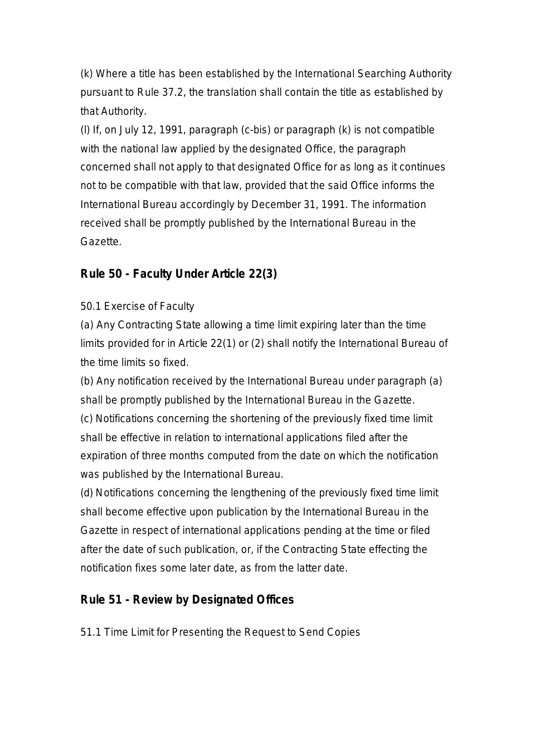(k) Where a title has been established by the International Searching Authority pursuant to Rule 37.2, the translation shall contain the title as established by that Authority.

(l) If, on July 12, 1991, paragraph (c-bis) or paragraph (k) is not compatible with the national law applied by the designated Office, the paragraph concerned shall not apply to that designated Office for as long as it continues not to be compatible with that law, provided that the said Office informs the International Bureau accordingly by December 31, 1991. The information received shall be promptly published by the International Bureau in the Gazette.

### **Rule 50 - Faculty Under Article 22(3)**

### 50.1 Exercise of Faculty

(a) Any Contracting State allowing a time limit expiring later than the time limits provided for in Article 22(1) or (2) shall notify the International Bureau of the time limits so fixed.

(b) Any notification received by the International Bureau under paragraph (a) shall be promptly published by the International Bureau in the Gazette. (c) Notifications concerning the shortening of the previously fixed time limit shall be effective in relation to international applications filed after the expiration of three months computed from the date on which the notification was published by the International Bureau.

(d) Notifications concerning the lengthening of the previously fixed time limit shall become effective upon publication by the International Bureau in the Gazette in respect of international applications pending at the time or filed after the date of such publication, or, if the Contracting State effecting the notification fixes some later date, as from the latter date.

# **Rule 51 - Review by Designated Offices**

51.1 Time Limit for Presenting the Request to Send Copies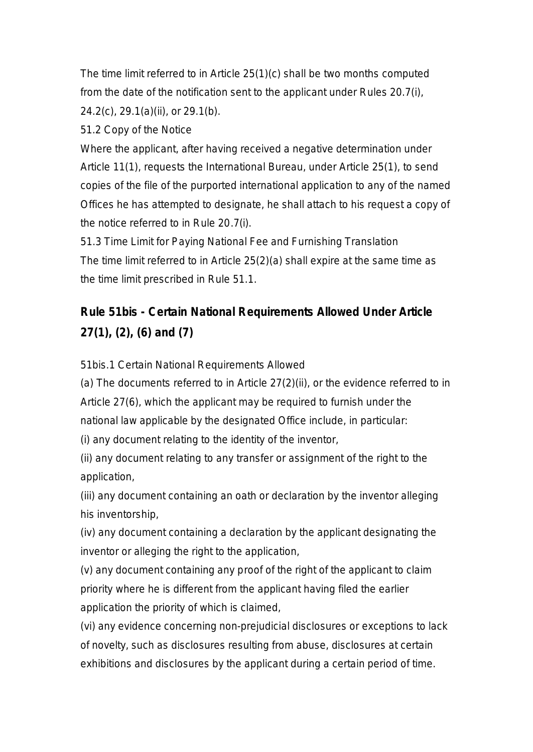The time limit referred to in Article 25(1)(c) shall be two months computed from the date of the notification sent to the applicant under Rules 20.7(i), 24.2(c), 29.1(a)(ii), or 29.1(b).

51.2 Copy of the Notice

Where the applicant, after having received a negative determination under Article 11(1), requests the International Bureau, under Article 25(1), to send copies of the file of the purported international application to any of the named Offices he has attempted to designate, he shall attach to his request a copy of the notice referred to in Rule 20.7(i).

51.3 Time Limit for Paying National Fee and Furnishing Translation The time limit referred to in Article 25(2)(a) shall expire at the same time as the time limit prescribed in Rule 51.1.

# **Rule 51bis - Certain National Requirements Allowed Under Article 27(1), (2), (6) and (7)**

51bis.1 Certain National Requirements Allowed

(a) The documents referred to in Article 27(2)(ii), or the evidence referred to in Article 27(6), which the applicant may be required to furnish under the national law applicable by the designated Office include, in particular:

(i) any document relating to the identity of the inventor,

(ii) any document relating to any transfer or assignment of the right to the application,

(iii) any document containing an oath or declaration by the inventor alleging his inventorship,

(iv) any document containing a declaration by the applicant designating the inventor or alleging the right to the application,

(v) any document containing any proof of the right of the applicant to claim priority where he is different from the applicant having filed the earlier application the priority of which is claimed,

(vi) any evidence concerning non-prejudicial disclosures or exceptions to lack of novelty, such as disclosures resulting from abuse, disclosures at certain exhibitions and disclosures by the applicant during a certain period of time.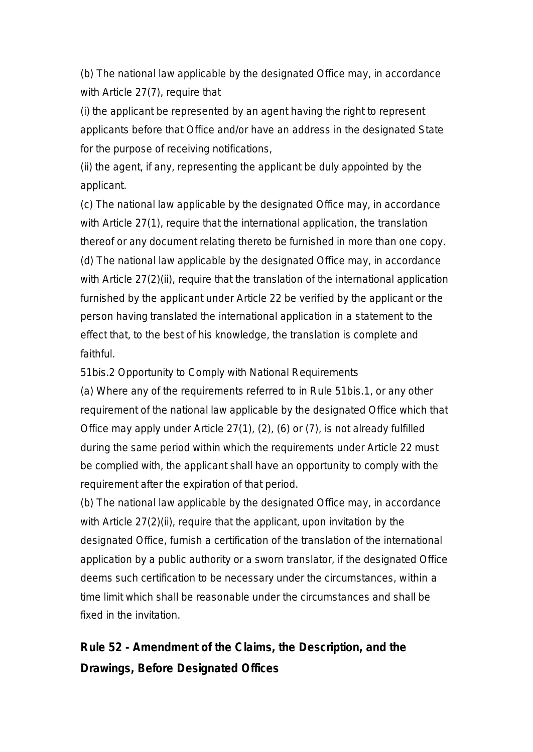(b) The national law applicable by the designated Office may, in accordance with Article 27(7), require that

(i) the applicant be represented by an agent having the right to represent applicants before that Office and/or have an address in the designated State for the purpose of receiving notifications,

(ii) the agent, if any, representing the applicant be duly appointed by the applicant.

(c) The national law applicable by the designated Office may, in accordance with Article 27(1), require that the international application, the translation thereof or any document relating thereto be furnished in more than one copy. (d) The national law applicable by the designated Office may, in accordance with Article 27(2)(ii), require that the translation of the international application furnished by the applicant under Article 22 be verified by the applicant or the person having translated the international application in a statement to the effect that, to the best of his knowledge, the translation is complete and faithful.

51bis.2 Opportunity to Comply with National Requirements

(a) Where any of the requirements referred to in Rule 51bis.1, or any other requirement of the national law applicable by the designated Office which that Office may apply under Article 27(1), (2), (6) or (7), is not already fulfilled during the same period within which the requirements under Article 22 must be complied with, the applicant shall have an opportunity to comply with the requirement after the expiration of that period.

(b) The national law applicable by the designated Office may, in accordance with Article 27(2)(ii), require that the applicant, upon invitation by the designated Office, furnish a certification of the translation of the international application by a public authority or a sworn translator, if the designated Office deems such certification to be necessary under the circumstances, within a time limit which shall be reasonable under the circumstances and shall be fixed in the invitation.

# **Rule 52 - Amendment of the Claims, the Description, and the Drawings, Before Designated Offices**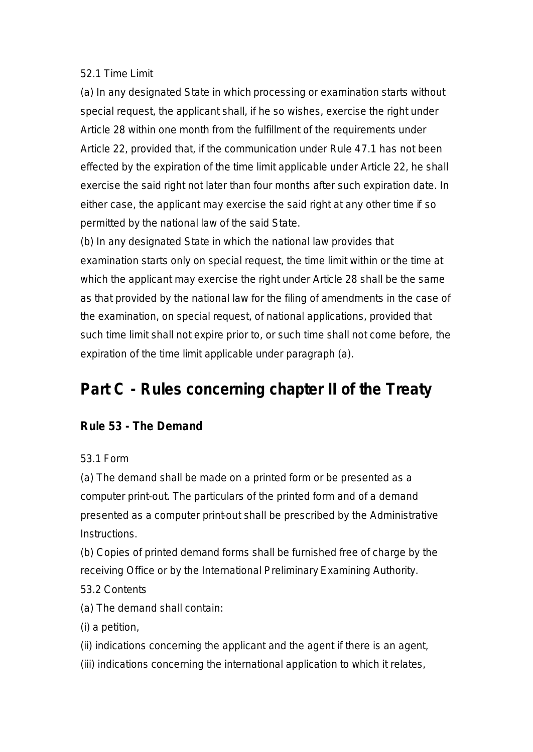#### 52.1 Time Limit

(a) In any designated State in which processing or examination starts without special request, the applicant shall, if he so wishes, exercise the right under Article 28 within one month from the fulfillment of the requirements under Article 22, provided that, if the communication under Rule 47.1 has not been effected by the expiration of the time limit applicable under Article 22, he shall exercise the said right not later than four months after such expiration date. In either case, the applicant may exercise the said right at any other time if so permitted by the national law of the said State.

(b) In any designated State in which the national law provides that examination starts only on special request, the time limit within or the time at which the applicant may exercise the right under Article 28 shall be the same as that provided by the national law for the filing of amendments in the case of the examination, on special request, of national applications, provided that such time limit shall not expire prior to, or such time shall not come before, the expiration of the time limit applicable under paragraph (a).

# **Part C - Rules concerning chapter II of the Treaty**

### **Rule 53 - The Demand**

### 53.1 Form

(a) The demand shall be made on a printed form or be presented as a computer print-out. The particulars of the printed form and of a demand presented as a computer print-out shall be prescribed by the Administrative Instructions.

(b) Copies of printed demand forms shall be furnished free of charge by the receiving Office or by the International Preliminary Examining Authority.

### 53.2 Contents

(a) The demand shall contain:

(i) a petition,

(ii) indications concerning the applicant and the agent if there is an agent,

(iii) indications concerning the international application to which it relates,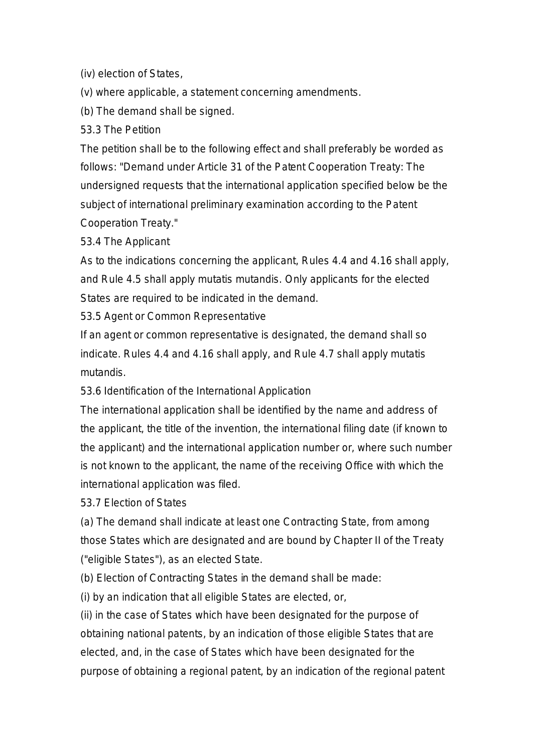(iv) election of States,

(v) where applicable, a statement concerning amendments.

(b) The demand shall be signed.

53.3 The Petition

The petition shall be to the following effect and shall preferably be worded as follows: "Demand under Article 31 of the Patent Cooperation Treaty: The undersigned requests that the international application specified below be the subject of international preliminary examination according to the Patent Cooperation Treaty."

53.4 The Applicant

As to the indications concerning the applicant, Rules 4.4 and 4.16 shall apply, and Rule 4.5 shall apply mutatis mutandis. Only applicants for the elected States are required to be indicated in the demand.

53.5 Agent or Common Representative

If an agent or common representative is designated, the demand shall so indicate. Rules 4.4 and 4.16 shall apply, and Rule 4.7 shall apply mutatis mutandis.

53.6 Identification of the International Application

The international application shall be identified by the name and address of the applicant, the title of the invention, the international filing date (if known to the applicant) and the international application number or, where such number is not known to the applicant, the name of the receiving Office with which the international application was filed.

53.7 Election of States

(a) The demand shall indicate at least one Contracting State, from among those States which are designated and are bound by Chapter II of the Treaty ("eligible States"), as an elected State.

(b) Election of Contracting States in the demand shall be made:

(i) by an indication that all eligible States are elected, or,

(ii) in the case of States which have been designated for the purpose of obtaining national patents, by an indication of those eligible States that are elected, and, in the case of States which have been designated for the purpose of obtaining a regional patent, by an indication of the regional patent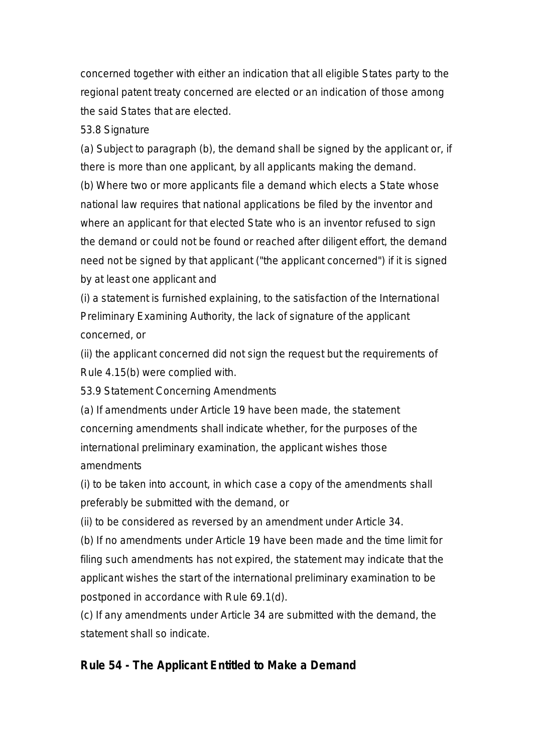concerned together with either an indication that all eligible States party to the regional patent treaty concerned are elected or an indication of those among the said States that are elected.

53.8 Signature

(a) Subject to paragraph (b), the demand shall be signed by the applicant or, if there is more than one applicant, by all applicants making the demand. (b) Where two or more applicants file a demand which elects a State whose national law requires that national applications be filed by the inventor and where an applicant for that elected State who is an inventor refused to sign the demand or could not be found or reached after diligent effort, the demand need not be signed by that applicant ("the applicant concerned") if it is signed by at least one applicant and

(i) a statement is furnished explaining, to the satisfaction of the International Preliminary Examining Authority, the lack of signature of the applicant concerned, or

(ii) the applicant concerned did not sign the request but the requirements of Rule 4.15(b) were complied with.

53.9 Statement Concerning Amendments

(a) If amendments under Article 19 have been made, the statement concerning amendments shall indicate whether, for the purposes of the international preliminary examination, the applicant wishes those amendments

(i) to be taken into account, in which case a copy of the amendments shall preferably be submitted with the demand, or

(ii) to be considered as reversed by an amendment under Article 34.

(b) If no amendments under Article 19 have been made and the time limit for filing such amendments has not expired, the statement may indicate that the applicant wishes the start of the international preliminary examination to be postponed in accordance with Rule 69.1(d).

(c) If any amendments under Article 34 are submitted with the demand, the statement shall so indicate.

# **Rule 54 - The Applicant Entitled to Make a Demand**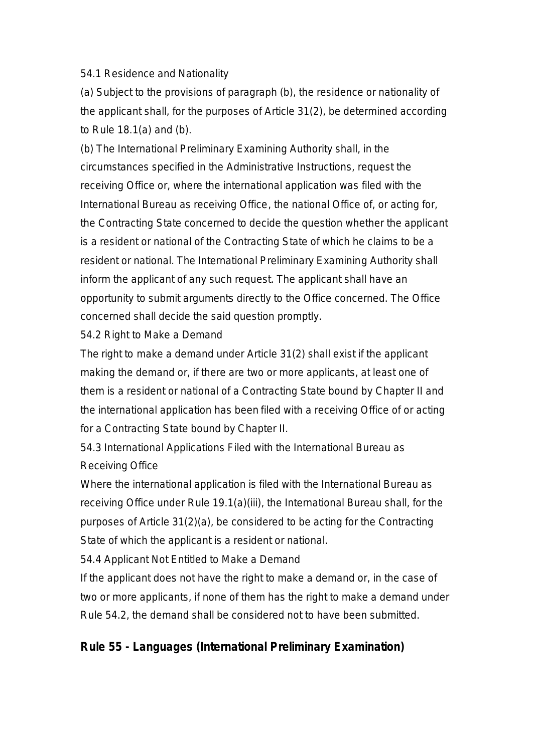#### 54.1 Residence and Nationality

(a) Subject to the provisions of paragraph (b), the residence or nationality of the applicant shall, for the purposes of Article 31(2), be determined according to Rule 18.1(a) and (b).

(b) The International Preliminary Examining Authority shall, in the circumstances specified in the Administrative Instructions, request the receiving Office or, where the international application was filed with the International Bureau as receiving Office, the national Office of, or acting for, the Contracting State concerned to decide the question whether the applicant is a resident or national of the Contracting State of which he claims to be a resident or national. The International Preliminary Examining Authority shall inform the applicant of any such request. The applicant shall have an opportunity to submit arguments directly to the Office concerned. The Office concerned shall decide the said question promptly.

54.2 Right to Make a Demand

The right to make a demand under Article 31(2) shall exist if the applicant making the demand or, if there are two or more applicants, at least one of them is a resident or national of a Contracting State bound by Chapter II and the international application has been filed with a receiving Office of or acting for a Contracting State bound by Chapter II.

54.3 International Applications Filed with the International Bureau as Receiving Office

Where the international application is filed with the International Bureau as receiving Office under Rule 19.1(a)(iii), the International Bureau shall, for the purposes of Article 31(2)(a), be considered to be acting for the Contracting State of which the applicant is a resident or national.

54.4 Applicant Not Entitled to Make a Demand

If the applicant does not have the right to make a demand or, in the case of two or more applicants, if none of them has the right to make a demand under Rule 54.2, the demand shall be considered not to have been submitted.

# **Rule 55 - Languages (International Preliminary Examination)**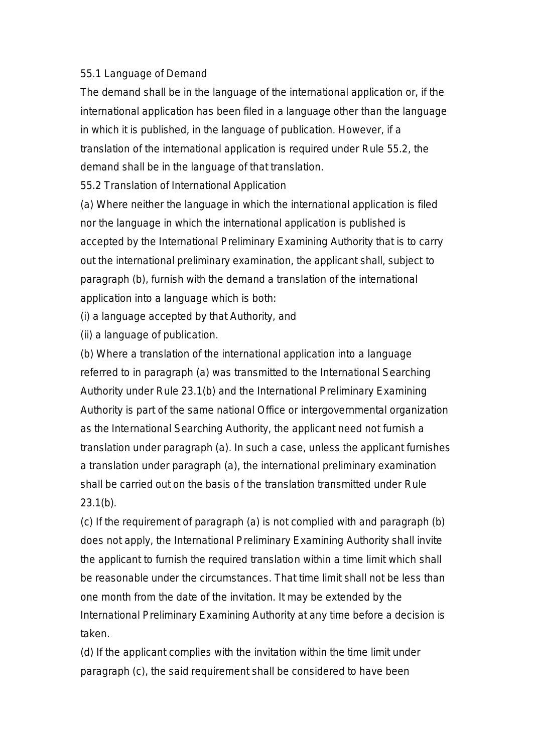#### 55.1 Language of Demand

The demand shall be in the language of the international application or, if the international application has been filed in a language other than the language in which it is published, in the language of publication. However, if a translation of the international application is required under Rule 55.2, the demand shall be in the language of that translation.

55.2 Translation of International Application

(a) Where neither the language in which the international application is filed nor the language in which the international application is published is accepted by the International Preliminary Examining Authority that is to carry out the international preliminary examination, the applicant shall, subject to paragraph (b), furnish with the demand a translation of the international application into a language which is both:

(i) a language accepted by that Authority, and

(ii) a language of publication.

(b) Where a translation of the international application into a language referred to in paragraph (a) was transmitted to the International Searching Authority under Rule 23.1(b) and the International Preliminary Examining Authority is part of the same national Office or intergovernmental organization as the International Searching Authority, the applicant need not furnish a translation under paragraph (a). In such a case, unless the applicant furnishes a translation under paragraph (a), the international preliminary examination shall be carried out on the basis of the translation transmitted under Rule  $23.1(b)$ .

(c) If the requirement of paragraph (a) is not complied with and paragraph (b) does not apply, the International Preliminary Examining Authority shall invite the applicant to furnish the required translation within a time limit which shall be reasonable under the circumstances. That time limit shall not be less than one month from the date of the invitation. It may be extended by the International Preliminary Examining Authority at any time before a decision is taken.

(d) If the applicant complies with the invitation within the time limit under paragraph (c), the said requirement shall be considered to have been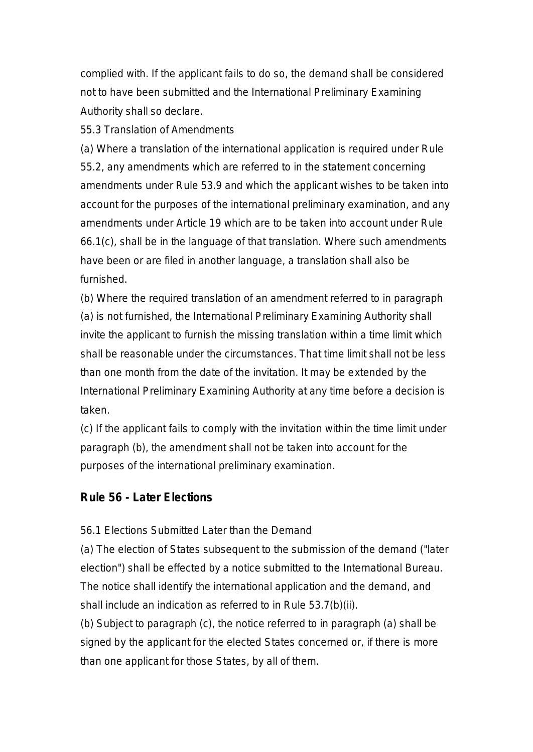complied with. If the applicant fails to do so, the demand shall be considered not to have been submitted and the International Preliminary Examining Authority shall so declare.

55.3 Translation of Amendments

(a) Where a translation of the international application is required under Rule 55.2, any amendments which are referred to in the statement concerning amendments under Rule 53.9 and which the applicant wishes to be taken into account for the purposes of the international preliminary examination, and any amendments under Article 19 which are to be taken into account under Rule 66.1(c), shall be in the language of that translation. Where such amendments have been or are filed in another language, a translation shall also be furnished.

(b) Where the required translation of an amendment referred to in paragraph (a) is not furnished, the International Preliminary Examining Authority shall invite the applicant to furnish the missing translation within a time limit which shall be reasonable under the circumstances. That time limit shall not be less than one month from the date of the invitation. It may be extended by the International Preliminary Examining Authority at any time before a decision is taken.

(c) If the applicant fails to comply with the invitation within the time limit under paragraph (b), the amendment shall not be taken into account for the purposes of the international preliminary examination.

### **Rule 56 - Later Elections**

56.1 Elections Submitted Later than the Demand

(a) The election of States subsequent to the submission of the demand ("later election") shall be effected by a notice submitted to the International Bureau. The notice shall identify the international application and the demand, and shall include an indication as referred to in Rule 53.7(b)(ii).

(b) Subject to paragraph (c), the notice referred to in paragraph (a) shall be signed by the applicant for the elected States concerned or, if there is more than one applicant for those States, by all of them.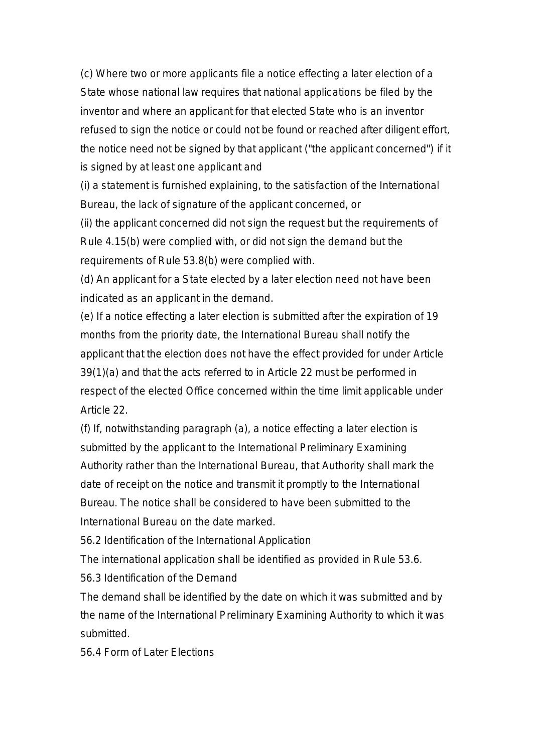(c) Where two or more applicants file a notice effecting a later election of a State whose national law requires that national applications be filed by the inventor and where an applicant for that elected State who is an inventor refused to sign the notice or could not be found or reached after diligent effort, the notice need not be signed by that applicant ("the applicant concerned") if it is signed by at least one applicant and

(i) a statement is furnished explaining, to the satisfaction of the International Bureau, the lack of signature of the applicant concerned, or

(ii) the applicant concerned did not sign the request but the requirements of Rule 4.15(b) were complied with, or did not sign the demand but the requirements of Rule 53.8(b) were complied with.

(d) An applicant for a State elected by a later election need not have been indicated as an applicant in the demand.

(e) If a notice effecting a later election is submitted after the expiration of 19 months from the priority date, the International Bureau shall notify the applicant that the election does not have the effect provided for under Article 39(1)(a) and that the acts referred to in Article 22 must be performed in respect of the elected Office concerned within the time limit applicable under Article 22.

(f) If, notwithstanding paragraph (a), a notice effecting a later election is submitted by the applicant to the International Preliminary Examining Authority rather than the International Bureau, that Authority shall mark the date of receipt on the notice and transmit it promptly to the International Bureau. The notice shall be considered to have been submitted to the International Bureau on the date marked.

56.2 Identification of the International Application

The international application shall be identified as provided in Rule 53.6.

56.3 Identification of the Demand

The demand shall be identified by the date on which it was submitted and by the name of the International Preliminary Examining Authority to which it was submitted.

56.4 Form of Later Elections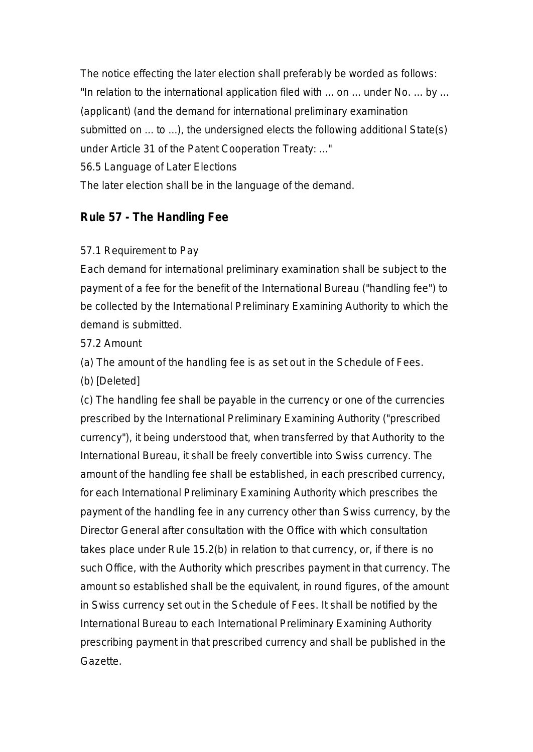The notice effecting the later election shall preferably be worded as follows: "In relation to the international application filed with ... on ... under No. ... by ... (applicant) (and the demand for international preliminary examination submitted on ... to ...), the undersigned elects the following additional State(s) under Article 31 of the Patent Cooperation Treaty: ..." 56.5 Language of Later Elections The later election shall be in the language of the demand.

### **Rule 57 - The Handling Fee**

#### 57.1 Requirement to Pay

Each demand for international preliminary examination shall be subject to the payment of a fee for the benefit of the International Bureau ("handling fee") to be collected by the International Preliminary Examining Authority to which the demand is submitted.

57.2 Amount

(a) The amount of the handling fee is as set out in the Schedule of Fees.

(b) [Deleted]

(c) The handling fee shall be payable in the currency or one of the currencies prescribed by the International Preliminary Examining Authority ("prescribed currency"), it being understood that, when transferred by that Authority to the International Bureau, it shall be freely convertible into Swiss currency. The amount of the handling fee shall be established, in each prescribed currency, for each International Preliminary Examining Authority which prescribes the payment of the handling fee in any currency other than Swiss currency, by the Director General after consultation with the Office with which consultation takes place under Rule 15.2(b) in relation to that currency, or, if there is no such Office, with the Authority which prescribes payment in that currency. The amount so established shall be the equivalent, in round figures, of the amount in Swiss currency set out in the Schedule of Fees. It shall be notified by the International Bureau to each International Preliminary Examining Authority prescribing payment in that prescribed currency and shall be published in the Gazette.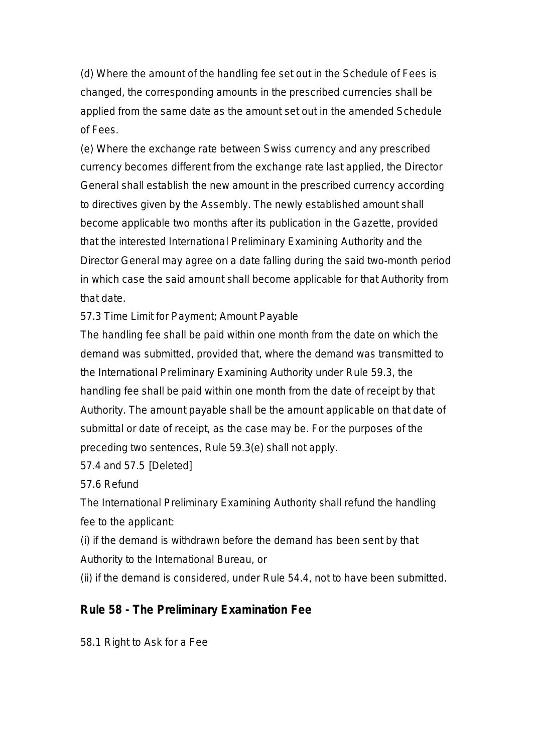(d) Where the amount of the handling fee set out in the Schedule of Fees is changed, the corresponding amounts in the prescribed currencies shall be applied from the same date as the amount set out in the amended Schedule of Fees.

(e) Where the exchange rate between Swiss currency and any prescribed currency becomes different from the exchange rate last applied, the Director General shall establish the new amount in the prescribed currency according to directives given by the Assembly. The newly established amount shall become applicable two months after its publication in the Gazette, provided that the interested International Preliminary Examining Authority and the Director General may agree on a date falling during the said two-month period in which case the said amount shall become applicable for that Authority from that date.

57.3 Time Limit for Payment; Amount Payable

The handling fee shall be paid within one month from the date on which the demand was submitted, provided that, where the demand was transmitted to the International Preliminary Examining Authority under Rule 59.3, the handling fee shall be paid within one month from the date of receipt by that Authority. The amount payable shall be the amount applicable on that date of submittal or date of receipt, as the case may be. For the purposes of the preceding two sentences, Rule 59.3(e) shall not apply.

57.4 and 57.5 [Deleted]

57.6 Refund

The International Preliminary Examining Authority shall refund the handling fee to the applicant:

(i) if the demand is withdrawn before the demand has been sent by that Authority to the International Bureau, or

(ii) if the demand is considered, under Rule 54.4, not to have been submitted.

### **Rule 58 - The Preliminary Examination Fee**

58.1 Right to Ask for a Fee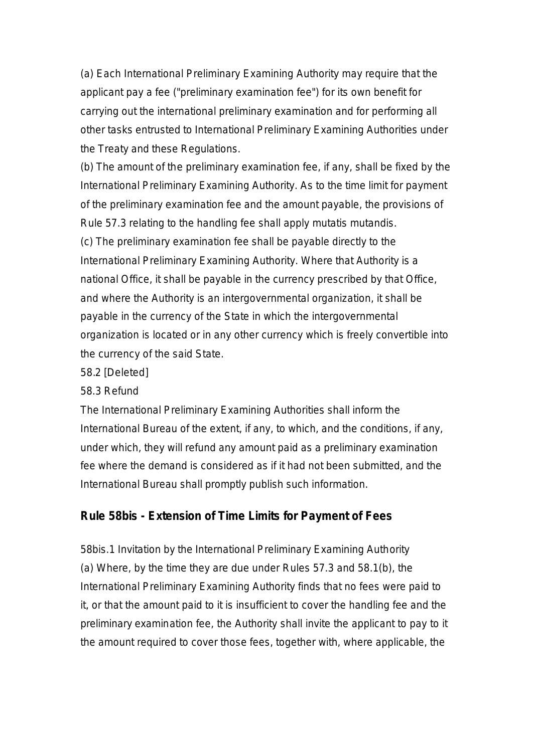(a) Each International Preliminary Examining Authority may require that the applicant pay a fee ("preliminary examination fee") for its own benefit for carrying out the international preliminary examination and for performing all other tasks entrusted to International Preliminary Examining Authorities under the Treaty and these Regulations.

(b) The amount of the preliminary examination fee, if any, shall be fixed by the International Preliminary Examining Authority. As to the time limit for payment of the preliminary examination fee and the amount payable, the provisions of Rule 57.3 relating to the handling fee shall apply mutatis mutandis. (c) The preliminary examination fee shall be payable directly to the International Preliminary Examining Authority. Where that Authority is a national Office, it shall be payable in the currency prescribed by that Office, and where the Authority is an intergovernmental organization, it shall be payable in the currency of the State in which the intergovernmental organization is located or in any other currency which is freely convertible into the currency of the said State.

58.2 [Deleted]

58.3 Refund

The International Preliminary Examining Authorities shall inform the International Bureau of the extent, if any, to which, and the conditions, if any, under which, they will refund any amount paid as a preliminary examination fee where the demand is considered as if it had not been submitted, and the International Bureau shall promptly publish such information.

### **Rule 58bis - Extension of Time Limits for Payment of Fees**

58bis.1 Invitation by the International Preliminary Examining Authority (a) Where, by the time they are due under Rules 57.3 and 58.1(b), the International Preliminary Examining Authority finds that no fees were paid to it, or that the amount paid to it is insufficient to cover the handling fee and the preliminary examination fee, the Authority shall invite the applicant to pay to it the amount required to cover those fees, together with, where applicable, the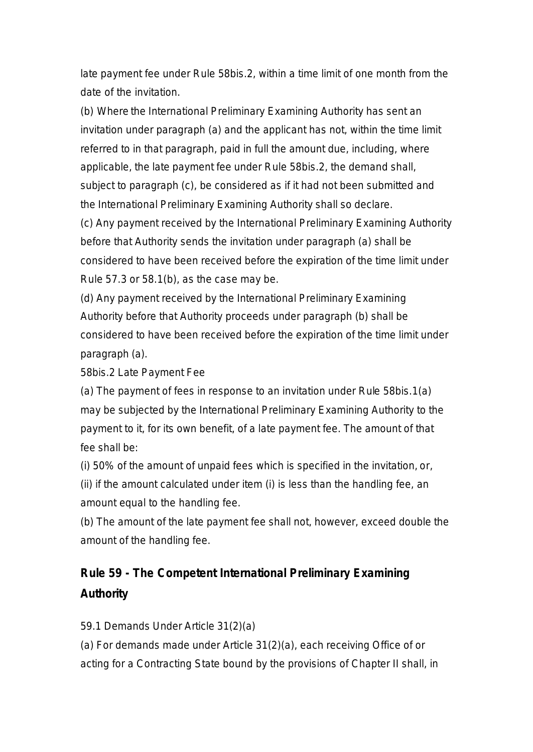late payment fee under Rule 58bis.2, within a time limit of one month from the date of the invitation.

(b) Where the International Preliminary Examining Authority has sent an invitation under paragraph (a) and the applicant has not, within the time limit referred to in that paragraph, paid in full the amount due, including, where applicable, the late payment fee under Rule 58bis.2, the demand shall, subject to paragraph (c), be considered as if it had not been submitted and the International Preliminary Examining Authority shall so declare.

(c) Any payment received by the International Preliminary Examining Authority before that Authority sends the invitation under paragraph (a) shall be considered to have been received before the expiration of the time limit under Rule 57.3 or 58.1(b), as the case may be.

(d) Any payment received by the International Preliminary Examining Authority before that Authority proceeds under paragraph (b) shall be considered to have been received before the expiration of the time limit under paragraph (a).

58bis.2 Late Payment Fee

(a) The payment of fees in response to an invitation under Rule 58bis.1(a) may be subjected by the International Preliminary Examining Authority to the payment to it, for its own benefit, of a late payment fee. The amount of that fee shall be:

(i) 50% of the amount of unpaid fees which is specified in the invitation, or,

(ii) if the amount calculated under item (i) is less than the handling fee, an amount equal to the handling fee.

(b) The amount of the late payment fee shall not, however, exceed double the amount of the handling fee.

# **Rule 59 - The Competent International Preliminary Examining Authority**

59.1 Demands Under Article 31(2)(a)

(a) For demands made under Article 31(2)(a), each receiving Office of or acting for a Contracting State bound by the provisions of Chapter II shall, in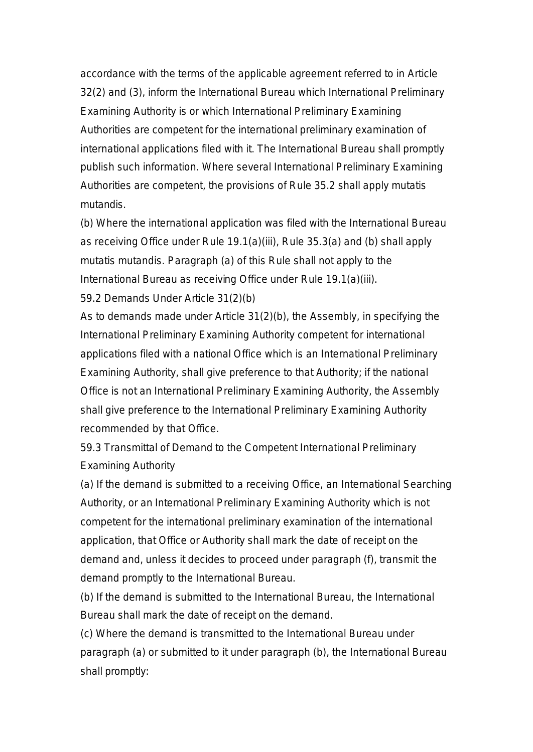accordance with the terms of the applicable agreement referred to in Article 32(2) and (3), inform the International Bureau which International Preliminary Examining Authority is or which International Preliminary Examining Authorities are competent for the international preliminary examination of international applications filed with it. The International Bureau shall promptly publish such information. Where several International Preliminary Examining Authorities are competent, the provisions of Rule 35.2 shall apply mutatis mutandis.

(b) Where the international application was filed with the International Bureau as receiving Office under Rule 19.1(a)(iii), Rule 35.3(a) and (b) shall apply mutatis mutandis. Paragraph (a) of this Rule shall not apply to the International Bureau as receiving Office under Rule 19.1(a)(iii). 59.2 Demands Under Article 31(2)(b)

As to demands made under Article 31(2)(b), the Assembly, in specifying the International Preliminary Examining Authority competent for international applications filed with a national Office which is an International Preliminary Examining Authority, shall give preference to that Authority; if the national Office is not an International Preliminary Examining Authority, the Assembly shall give preference to the International Preliminary Examining Authority recommended by that Office.

59.3 Transmittal of Demand to the Competent International Preliminary Examining Authority

(a) If the demand is submitted to a receiving Office, an International Searching Authority, or an International Preliminary Examining Authority which is not competent for the international preliminary examination of the international application, that Office or Authority shall mark the date of receipt on the demand and, unless it decides to proceed under paragraph (f), transmit the demand promptly to the International Bureau.

(b) If the demand is submitted to the International Bureau, the International Bureau shall mark the date of receipt on the demand.

(c) Where the demand is transmitted to the International Bureau under paragraph (a) or submitted to it under paragraph (b), the International Bureau shall promptly: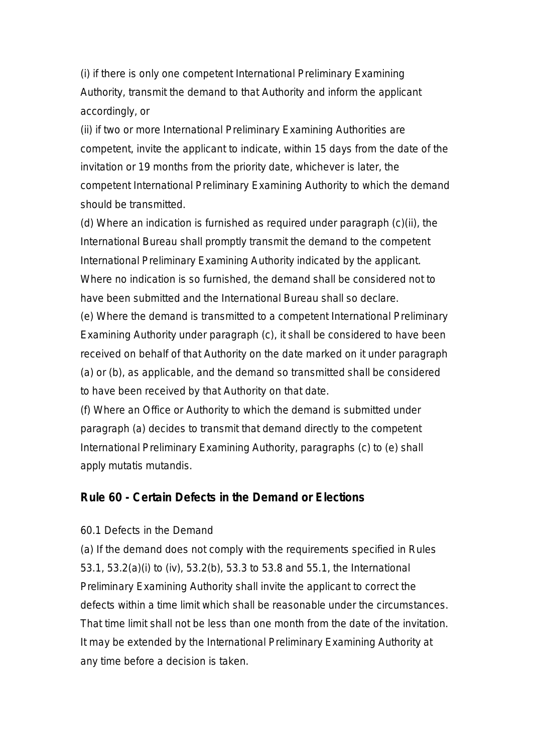(i) if there is only one competent International Preliminary Examining Authority, transmit the demand to that Authority and inform the applicant accordingly, or

(ii) if two or more International Preliminary Examining Authorities are competent, invite the applicant to indicate, within 15 days from the date of the invitation or 19 months from the priority date, whichever is later, the competent International Preliminary Examining Authority to which the demand should be transmitted.

(d) Where an indication is furnished as required under paragraph (c)(ii), the International Bureau shall promptly transmit the demand to the competent International Preliminary Examining Authority indicated by the applicant. Where no indication is so furnished, the demand shall be considered not to have been submitted and the International Bureau shall so declare.

(e) Where the demand is transmitted to a competent International Preliminary Examining Authority under paragraph (c), it shall be considered to have been received on behalf of that Authority on the date marked on it under paragraph (a) or (b), as applicable, and the demand so transmitted shall be considered to have been received by that Authority on that date.

(f) Where an Office or Authority to which the demand is submitted under paragraph (a) decides to transmit that demand directly to the competent International Preliminary Examining Authority, paragraphs (c) to (e) shall apply mutatis mutandis.

### **Rule 60 - Certain Defects in the Demand or Elections**

#### 60.1 Defects in the Demand

(a) If the demand does not comply with the requirements specified in Rules 53.1, 53.2(a)(i) to (iv), 53.2(b), 53.3 to 53.8 and 55.1, the International Preliminary Examining Authority shall invite the applicant to correct the defects within a time limit which shall be reasonable under the circumstances. That time limit shall not be less than one month from the date of the invitation. It may be extended by the International Preliminary Examining Authority at any time before a decision is taken.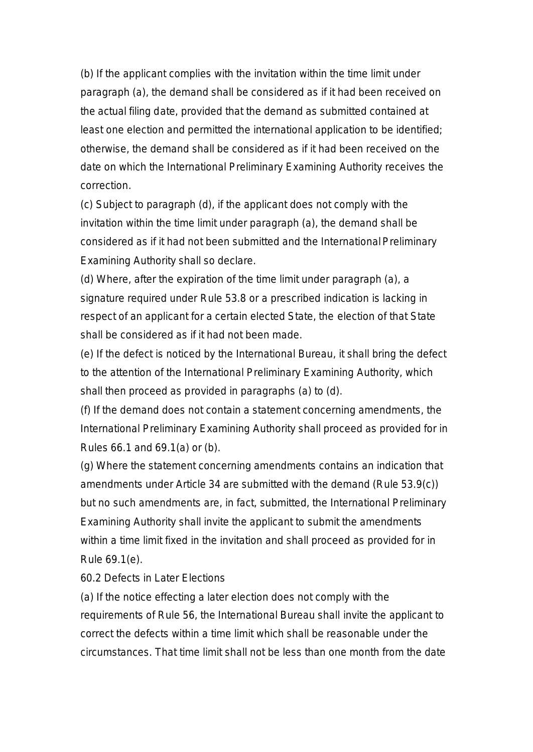(b) If the applicant complies with the invitation within the time limit under paragraph (a), the demand shall be considered as if it had been received on the actual filing date, provided that the demand as submitted contained at least one election and permitted the international application to be identified; otherwise, the demand shall be considered as if it had been received on the date on which the International Preliminary Examining Authority receives the correction.

(c) Subject to paragraph (d), if the applicant does not comply with the invitation within the time limit under paragraph (a), the demand shall be considered as if it had not been submitted and the International Preliminary Examining Authority shall so declare.

(d) Where, after the expiration of the time limit under paragraph (a), a signature required under Rule 53.8 or a prescribed indication is lacking in respect of an applicant for a certain elected State, the election of that State shall be considered as if it had not been made.

(e) If the defect is noticed by the International Bureau, it shall bring the defect to the attention of the International Preliminary Examining Authority, which shall then proceed as provided in paragraphs (a) to (d).

(f) If the demand does not contain a statement concerning amendments, the International Preliminary Examining Authority shall proceed as provided for in Rules 66.1 and 69.1(a) or (b).

(g) Where the statement concerning amendments contains an indication that amendments under Article 34 are submitted with the demand (Rule 53.9(c)) but no such amendments are, in fact, submitted, the International Preliminary Examining Authority shall invite the applicant to submit the amendments within a time limit fixed in the invitation and shall proceed as provided for in Rule 69.1(e).

60.2 Defects in Later Elections

(a) If the notice effecting a later election does not comply with the requirements of Rule 56, the International Bureau shall invite the applicant to correct the defects within a time limit which shall be reasonable under the circumstances. That time limit shall not be less than one month from the date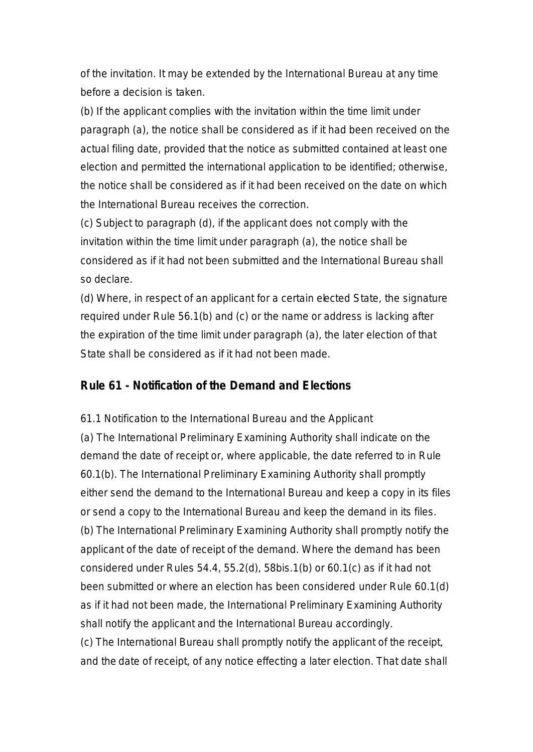of the invitation. It may be extended by the International Bureau at any time before a decision is taken.

(b) If the applicant complies with the invitation within the time limit under paragraph (a), the notice shall be considered as if it had been received on the actual filing date, provided that the notice as submitted contained at least one election and permitted the international application to be identified; otherwise, the notice shall be considered as if it had been received on the date on which the International Bureau receives the correction.

(c) Subject to paragraph (d), if the applicant does not comply with the invitation within the time limit under paragraph (a), the notice shall be considered as if it had not been submitted and the International Bureau shall so declare.

(d) Where, in respect of an applicant for a certain elected State, the signature required under Rule 56.1(b) and (c) or the name or address is lacking after the expiration of the time limit under paragraph (a), the later election of that State shall be considered as if it had not been made.

### **Rule 61 - Notification of the Demand and Elections**

61.1 Notification to the International Bureau and the Applicant (a) The International Preliminary Examining Authority shall indicate on the demand the date of receipt or, where applicable, the date referred to in Rule 60.1(b). The International Preliminary Examining Authority shall promptly either send the demand to the International Bureau and keep a copy in its files or send a copy to the International Bureau and keep the demand in its files. (b) The International Preliminary Examining Authority shall promptly notify the applicant of the date of receipt of the demand. Where the demand has been considered under Rules 54.4, 55.2(d), 58bis.1(b) or 60.1(c) as if it had not been submitted or where an election has been considered under Rule 60.1(d) as if it had not been made, the International Preliminary Examining Authority shall notify the applicant and the International Bureau accordingly. (c) The International Bureau shall promptly notify the applicant of the receipt, and the date of receipt, of any notice effecting a later election. That date shall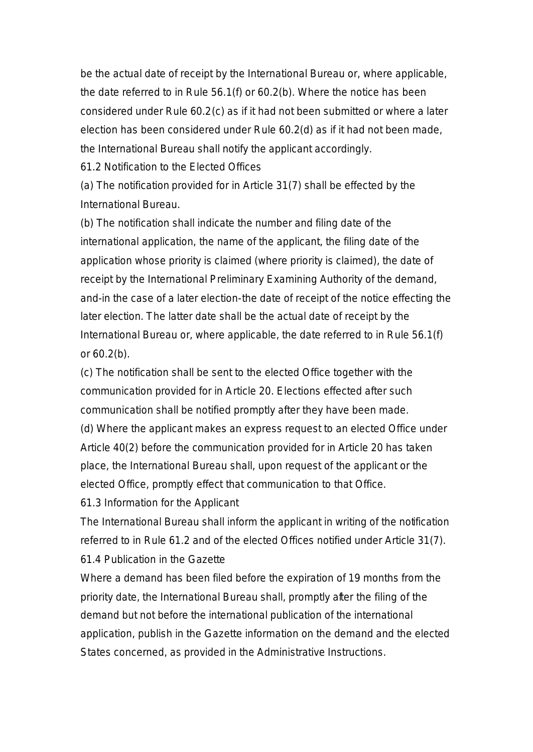be the actual date of receipt by the International Bureau or, where applicable, the date referred to in Rule 56.1(f) or 60.2(b). Where the notice has been considered under Rule 60.2(c) as if it had not been submitted or where a later election has been considered under Rule 60.2(d) as if it had not been made, the International Bureau shall notify the applicant accordingly.

61.2 Notification to the Elected Offices

(a) The notification provided for in Article 31(7) shall be effected by the International Bureau.

(b) The notification shall indicate the number and filing date of the international application, the name of the applicant, the filing date of the application whose priority is claimed (where priority is claimed), the date of receipt by the International Preliminary Examining Authority of the demand, and-in the case of a later election-the date of receipt of the notice effecting the later election. The latter date shall be the actual date of receipt by the International Bureau or, where applicable, the date referred to in Rule 56.1(f) or 60.2(b).

(c) The notification shall be sent to the elected Office together with the communication provided for in Article 20. Elections effected after such communication shall be notified promptly after they have been made.

(d) Where the applicant makes an express request to an elected Office under Article 40(2) before the communication provided for in Article 20 has taken place, the International Bureau shall, upon request of the applicant or the elected Office, promptly effect that communication to that Office.

61.3 Information for the Applicant

The International Bureau shall inform the applicant in writing of the notification referred to in Rule 61.2 and of the elected Offices notified under Article 31(7). 61.4 Publication in the Gazette

Where a demand has been filed before the expiration of 19 months from the priority date, the International Bureau shall, promptly after the filing of the demand but not before the international publication of the international application, publish in the Gazette information on the demand and the elected States concerned, as provided in the Administrative Instructions.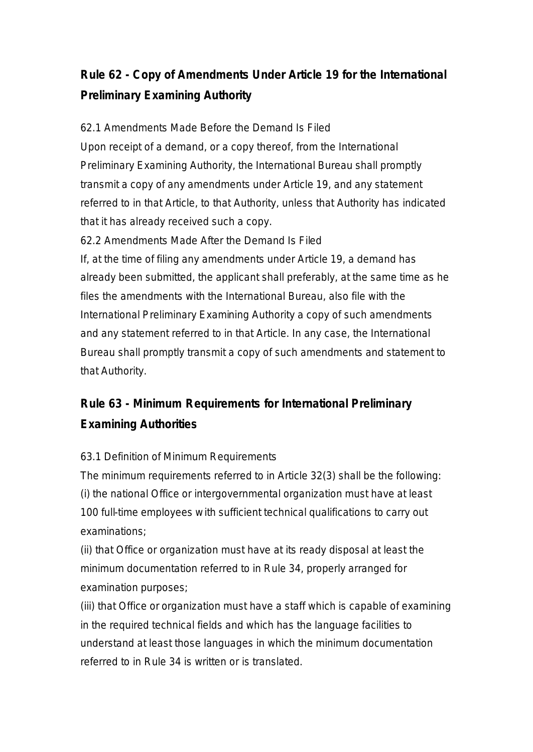# **Rule 62 - Copy of Amendments Under Article 19 for the International Preliminary Examining Authority**

62.1 Amendments Made Before the Demand Is Filed

Upon receipt of a demand, or a copy thereof, from the International Preliminary Examining Authority, the International Bureau shall promptly transmit a copy of any amendments under Article 19, and any statement referred to in that Article, to that Authority, unless that Authority has indicated that it has already received such a copy.

62.2 Amendments Made After the Demand Is Filed

If, at the time of filing any amendments under Article 19, a demand has already been submitted, the applicant shall preferably, at the same time as he files the amendments with the International Bureau, also file with the International Preliminary Examining Authority a copy of such amendments and any statement referred to in that Article. In any case, the International Bureau shall promptly transmit a copy of such amendments and statement to that Authority.

# **Rule 63 - Minimum Requirements for International Preliminary Examining Authorities**

63.1 Definition of Minimum Requirements

The minimum requirements referred to in Article 32(3) shall be the following: (i) the national Office or intergovernmental organization must have at least 100 full-time employees with sufficient technical qualifications to carry out examinations;

(ii) that Office or organization must have at its ready disposal at least the minimum documentation referred to in Rule 34, properly arranged for examination purposes;

(iii) that Office or organization must have a staff which is capable of examining in the required technical fields and which has the language facilities to understand at least those languages in which the minimum documentation referred to in Rule 34 is written or is translated.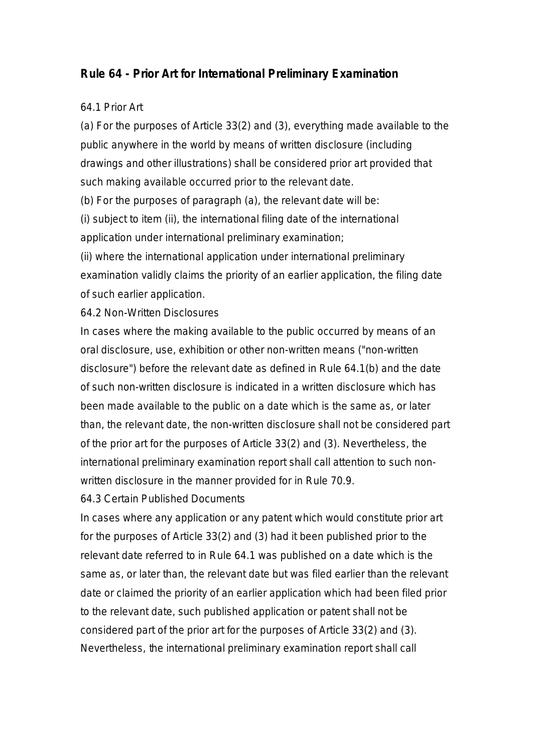#### **Rule 64 - Prior Art for International Preliminary Examination**

#### 64.1 Prior Art

(a) For the purposes of Article 33(2) and (3), everything made available to the public anywhere in the world by means of written disclosure (including drawings and other illustrations) shall be considered prior art provided that such making available occurred prior to the relevant date.

(b) For the purposes of paragraph (a), the relevant date will be:

(i) subject to item (ii), the international filing date of the international application under international preliminary examination;

(ii) where the international application under international preliminary examination validly claims the priority of an earlier application, the filing date of such earlier application.

64.2 Non-Written Disclosures

In cases where the making available to the public occurred by means of an oral disclosure, use, exhibition or other non-written means ("non-written disclosure") before the relevant date as defined in Rule 64.1(b) and the date of such non-written disclosure is indicated in a written disclosure which has been made available to the public on a date which is the same as, or later than, the relevant date, the non-written disclosure shall not be considered part of the prior art for the purposes of Article 33(2) and (3). Nevertheless, the international preliminary examination report shall call attention to such nonwritten disclosure in the manner provided for in Rule 70.9.

64.3 Certain Published Documents

In cases where any application or any patent which would constitute prior art for the purposes of Article 33(2) and (3) had it been published prior to the relevant date referred to in Rule 64.1 was published on a date which is the same as, or later than, the relevant date but was filed earlier than the relevant date or claimed the priority of an earlier application which had been filed prior to the relevant date, such published application or patent shall not be considered part of the prior art for the purposes of Article 33(2) and (3). Nevertheless, the international preliminary examination report shall call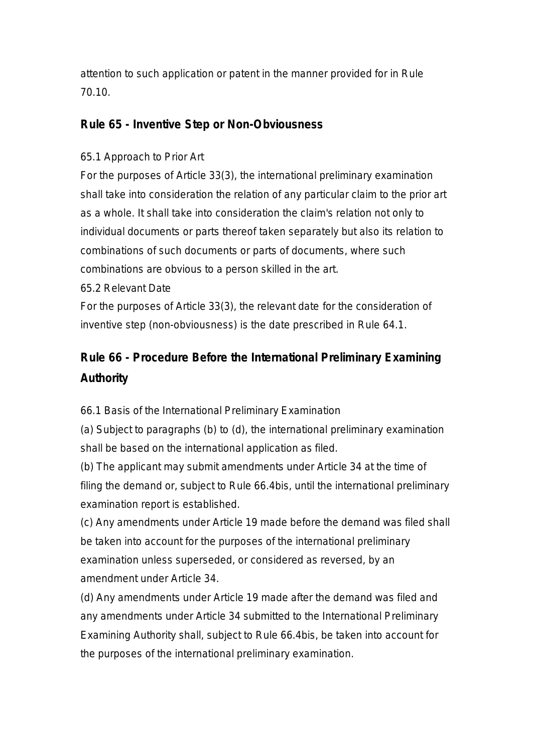attention to such application or patent in the manner provided for in Rule 70.10.

#### **Rule 65 - Inventive Step or Non-Obviousness**

#### 65.1 Approach to Prior Art

For the purposes of Article 33(3), the international preliminary examination shall take into consideration the relation of any particular claim to the prior art as a whole. It shall take into consideration the claim's relation not only to individual documents or parts thereof taken separately but also its relation to combinations of such documents or parts of documents, where such combinations are obvious to a person skilled in the art.

#### 65.2 Relevant Date

For the purposes of Article 33(3), the relevant date for the consideration of inventive step (non-obviousness) is the date prescribed in Rule 64.1.

# **Rule 66 - Procedure Before the International Preliminary Examining Authority**

66.1 Basis of the International Preliminary Examination

(a) Subject to paragraphs (b) to (d), the international preliminary examination shall be based on the international application as filed.

(b) The applicant may submit amendments under Article 34 at the time of filing the demand or, subject to Rule 66.4bis, until the international preliminary examination report is established.

(c) Any amendments under Article 19 made before the demand was filed shall be taken into account for the purposes of the international preliminary examination unless superseded, or considered as reversed, by an amendment under Article 34.

(d) Any amendments under Article 19 made after the demand was filed and any amendments under Article 34 submitted to the International Preliminary Examining Authority shall, subject to Rule 66.4bis, be taken into account for the purposes of the international preliminary examination.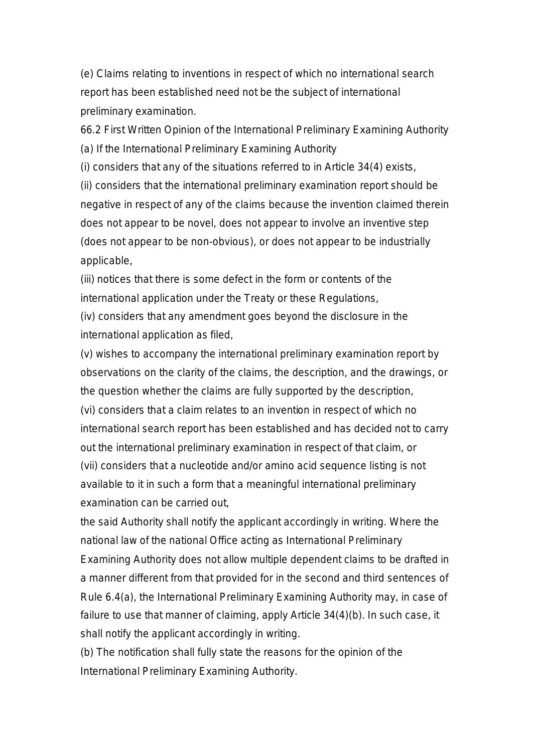(e) Claims relating to inventions in respect of which no international search report has been established need not be the subject of international preliminary examination.

66.2 First Written Opinion of the International Preliminary Examining Authority

(a) If the International Preliminary Examining Authority

(i) considers that any of the situations referred to in Article 34(4) exists,

(ii) considers that the international preliminary examination report should be negative in respect of any of the claims because the invention claimed therein does not appear to be novel, does not appear to involve an inventive step (does not appear to be non-obvious), or does not appear to be industrially applicable,

(iii) notices that there is some defect in the form or contents of the international application under the Treaty or these Regulations,

(iv) considers that any amendment goes beyond the disclosure in the international application as filed,

(v) wishes to accompany the international preliminary examination report by observations on the clarity of the claims, the description, and the drawings, or the question whether the claims are fully supported by the description, (vi) considers that a claim relates to an invention in respect of which no international search report has been established and has decided not to carry out the international preliminary examination in respect of that claim, or (vii) considers that a nucleotide and/or amino acid sequence listing is not available to it in such a form that a meaningful international preliminary examination can be carried out,

the said Authority shall notify the applicant accordingly in writing. Where the national law of the national Office acting as International Preliminary Examining Authority does not allow multiple dependent claims to be drafted in a manner different from that provided for in the second and third sentences of Rule 6.4(a), the International Preliminary Examining Authority may, in case of failure to use that manner of claiming, apply Article 34(4)(b). In such case, it shall notify the applicant accordingly in writing.

(b) The notification shall fully state the reasons for the opinion of the International Preliminary Examining Authority.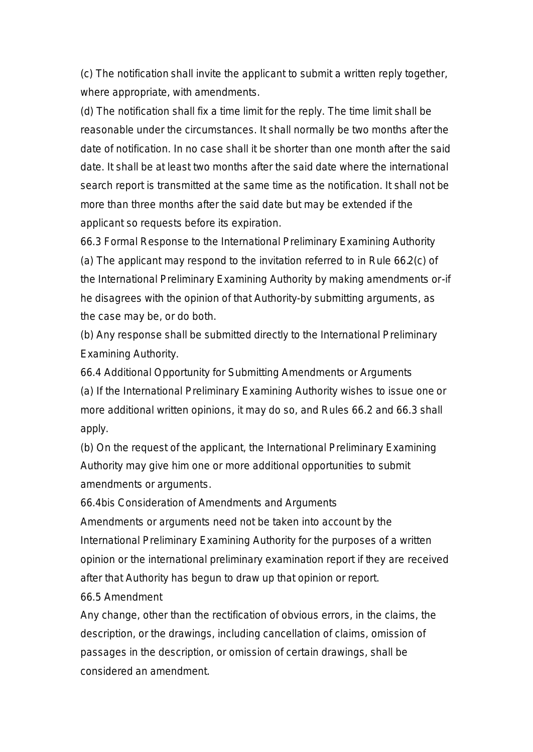(c) The notification shall invite the applicant to submit a written reply together, where appropriate, with amendments.

(d) The notification shall fix a time limit for the reply. The time limit shall be reasonable under the circumstances. It shall normally be two months after the date of notification. In no case shall it be shorter than one month after the said date. It shall be at least two months after the said date where the international search report is transmitted at the same time as the notification. It shall not be more than three months after the said date but may be extended if the applicant so requests before its expiration.

66.3 Formal Response to the International Preliminary Examining Authority (a) The applicant may respond to the invitation referred to in Rule 66.2(c) of the International Preliminary Examining Authority by making amendments or-if he disagrees with the opinion of that Authority-by submitting arguments, as the case may be, or do both.

(b) Any response shall be submitted directly to the International Preliminary Examining Authority.

66.4 Additional Opportunity for Submitting Amendments or Arguments (a) If the International Preliminary Examining Authority wishes to issue one or more additional written opinions, it may do so, and Rules 66.2 and 66.3 shall apply.

(b) On the request of the applicant, the International Preliminary Examining Authority may give him one or more additional opportunities to submit amendments or arguments.

66.4bis Consideration of Amendments and Arguments

Amendments or arguments need not be taken into account by the International Preliminary Examining Authority for the purposes of a written opinion or the international preliminary examination report if they are received after that Authority has begun to draw up that opinion or report.

#### 66.5 Amendment

Any change, other than the rectification of obvious errors, in the claims, the description, or the drawings, including cancellation of claims, omission of passages in the description, or omission of certain drawings, shall be considered an amendment.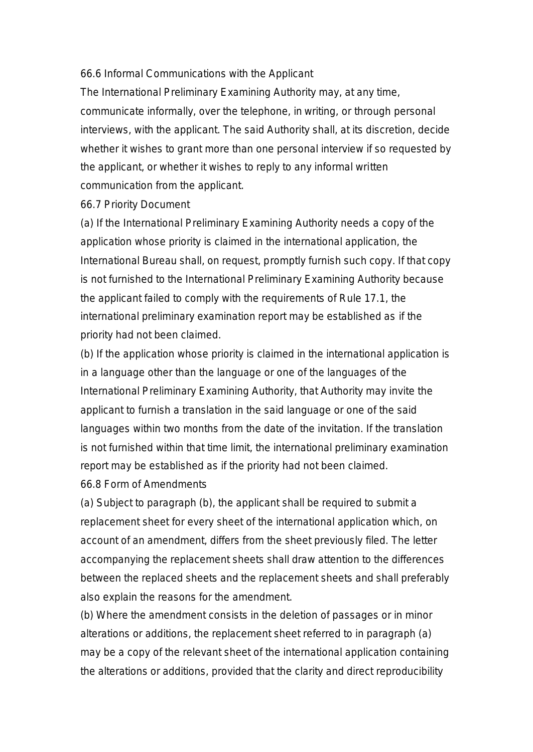#### 66.6 Informal Communications with the Applicant

The International Preliminary Examining Authority may, at any time, communicate informally, over the telephone, in writing, or through personal interviews, with the applicant. The said Authority shall, at its discretion, decide whether it wishes to grant more than one personal interview if so requested by the applicant, or whether it wishes to reply to any informal written communication from the applicant.

66.7 Priority Document

(a) If the International Preliminary Examining Authority needs a copy of the application whose priority is claimed in the international application, the International Bureau shall, on request, promptly furnish such copy. If that copy is not furnished to the International Preliminary Examining Authority because the applicant failed to comply with the requirements of Rule 17.1, the international preliminary examination report may be established as if the priority had not been claimed.

(b) If the application whose priority is claimed in the international application is in a language other than the language or one of the languages of the International Preliminary Examining Authority, that Authority may invite the applicant to furnish a translation in the said language or one of the said languages within two months from the date of the invitation. If the translation is not furnished within that time limit, the international preliminary examination report may be established as if the priority had not been claimed.

66.8 Form of Amendments

(a) Subject to paragraph (b), the applicant shall be required to submit a replacement sheet for every sheet of the international application which, on account of an amendment, differs from the sheet previously filed. The letter accompanying the replacement sheets shall draw attention to the differences between the replaced sheets and the replacement sheets and shall preferably also explain the reasons for the amendment.

(b) Where the amendment consists in the deletion of passages or in minor alterations or additions, the replacement sheet referred to in paragraph (a) may be a copy of the relevant sheet of the international application containing the alterations or additions, provided that the clarity and direct reproducibility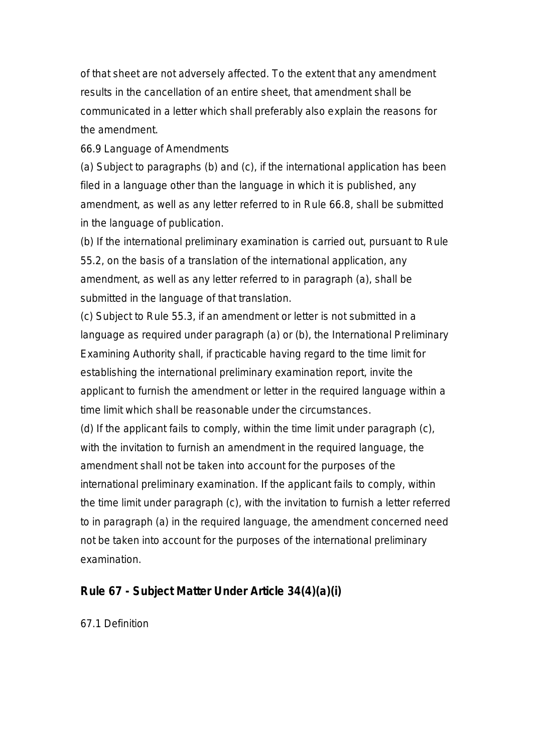of that sheet are not adversely affected. To the extent that any amendment results in the cancellation of an entire sheet, that amendment shall be communicated in a letter which shall preferably also explain the reasons for the amendment.

66.9 Language of Amendments

(a) Subject to paragraphs (b) and (c), if the international application has been filed in a language other than the language in which it is published, any amendment, as well as any letter referred to in Rule 66.8, shall be submitted in the language of publication.

(b) If the international preliminary examination is carried out, pursuant to Rule 55.2, on the basis of a translation of the international application, any amendment, as well as any letter referred to in paragraph (a), shall be submitted in the language of that translation.

(c) Subject to Rule 55.3, if an amendment or letter is not submitted in a language as required under paragraph (a) or (b), the International Preliminary Examining Authority shall, if practicable having regard to the time limit for establishing the international preliminary examination report, invite the applicant to furnish the amendment or letter in the required language within a time limit which shall be reasonable under the circumstances.

(d) If the applicant fails to comply, within the time limit under paragraph (c), with the invitation to furnish an amendment in the required language, the amendment shall not be taken into account for the purposes of the international preliminary examination. If the applicant fails to comply, within the time limit under paragraph (c), with the invitation to furnish a letter referred to in paragraph (a) in the required language, the amendment concerned need not be taken into account for the purposes of the international preliminary examination.

#### **Rule 67 - Subject Matter Under Article 34(4)(a)(i)**

67.1 Definition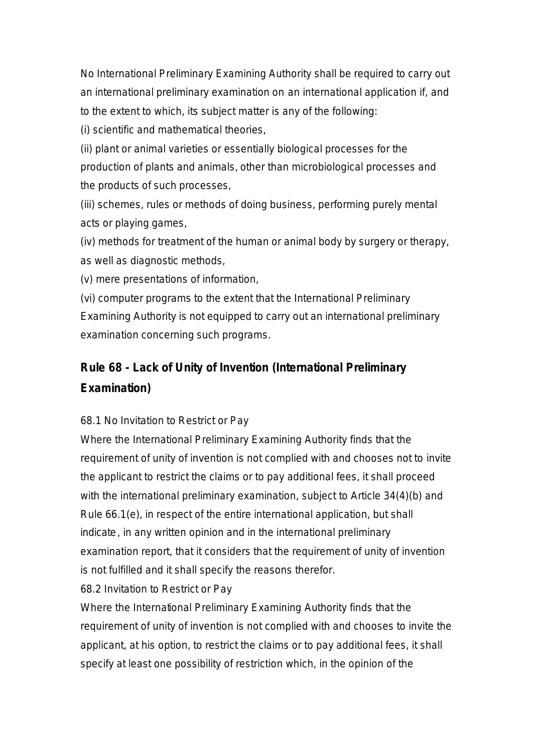No International Preliminary Examining Authority shall be required to carry out an international preliminary examination on an international application if, and to the extent to which, its subject matter is any of the following:

(i) scientific and mathematical theories,

(ii) plant or animal varieties or essentially biological processes for the production of plants and animals, other than microbiological processes and the products of such processes,

(iii) schemes, rules or methods of doing business, performing purely mental acts or playing games,

(iv) methods for treatment of the human or animal body by surgery or therapy, as well as diagnostic methods,

(v) mere presentations of information,

(vi) computer programs to the extent that the International Preliminary Examining Authority is not equipped to carry out an international preliminary examination concerning such programs.

# **Rule 68 - Lack of Unity of Invention (International Preliminary Examination)**

#### 68.1 No Invitation to Restrict or Pay

Where the International Preliminary Examining Authority finds that the requirement of unity of invention is not complied with and chooses not to invite the applicant to restrict the claims or to pay additional fees, it shall proceed with the international preliminary examination, subject to Article 34(4)(b) and Rule 66.1(e), in respect of the entire international application, but shall indicate, in any written opinion and in the international preliminary examination report, that it considers that the requirement of unity of invention is not fulfilled and it shall specify the reasons therefor.

68.2 Invitation to Restrict or Pay

Where the International Preliminary Examining Authority finds that the requirement of unity of invention is not complied with and chooses to invite the applicant, at his option, to restrict the claims or to pay additional fees, it shall specify at least one possibility of restriction which, in the opinion of the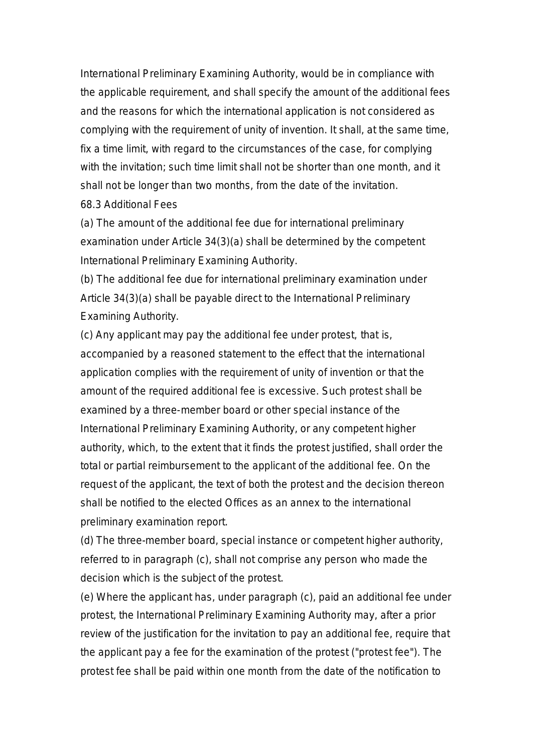International Preliminary Examining Authority, would be in compliance with the applicable requirement, and shall specify the amount of the additional fees and the reasons for which the international application is not considered as complying with the requirement of unity of invention. It shall, at the same time, fix a time limit, with regard to the circumstances of the case, for complying with the invitation; such time limit shall not be shorter than one month, and it shall not be longer than two months, from the date of the invitation. 68.3 Additional Fees

(a) The amount of the additional fee due for international preliminary examination under Article 34(3)(a) shall be determined by the competent International Preliminary Examining Authority.

(b) The additional fee due for international preliminary examination under Article 34(3)(a) shall be payable direct to the International Preliminary Examining Authority.

(c) Any applicant may pay the additional fee under protest, that is, accompanied by a reasoned statement to the effect that the international application complies with the requirement of unity of invention or that the amount of the required additional fee is excessive. Such protest shall be examined by a three-member board or other special instance of the International Preliminary Examining Authority, or any competent higher authority, which, to the extent that it finds the protest justified, shall order the total or partial reimbursement to the applicant of the additional fee. On the request of the applicant, the text of both the protest and the decision thereon shall be notified to the elected Offices as an annex to the international preliminary examination report.

(d) The three-member board, special instance or competent higher authority, referred to in paragraph (c), shall not comprise any person who made the decision which is the subject of the protest.

(e) Where the applicant has, under paragraph (c), paid an additional fee under protest, the International Preliminary Examining Authority may, after a prior review of the justification for the invitation to pay an additional fee, require that the applicant pay a fee for the examination of the protest ("protest fee"). The protest fee shall be paid within one month from the date of the notification to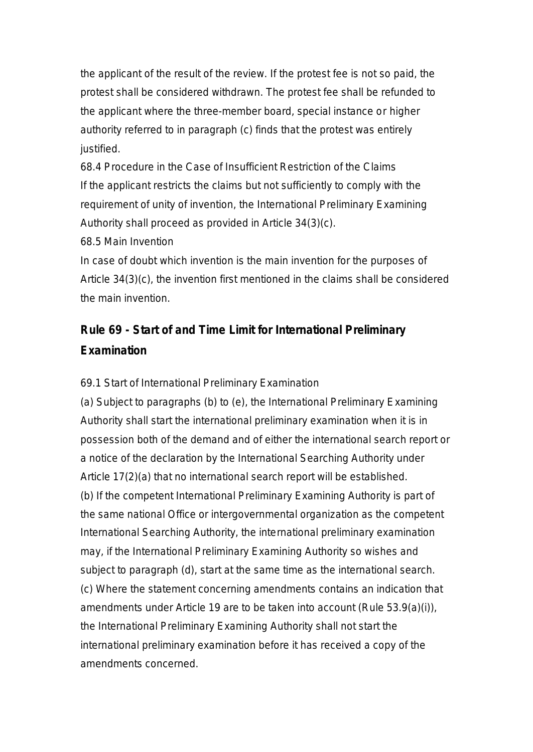the applicant of the result of the review. If the protest fee is not so paid, the protest shall be considered withdrawn. The protest fee shall be refunded to the applicant where the three-member board, special instance or higher authority referred to in paragraph (c) finds that the protest was entirely justified.

68.4 Procedure in the Case of Insufficient Restriction of the Claims If the applicant restricts the claims but not sufficiently to comply with the requirement of unity of invention, the International Preliminary Examining Authority shall proceed as provided in Article 34(3)(c).

68.5 Main Invention

In case of doubt which invention is the main invention for the purposes of Article 34(3)(c), the invention first mentioned in the claims shall be considered the main invention.

# **Rule 69 - Start of and Time Limit for International Preliminary Examination**

#### 69.1 Start of International Preliminary Examination

(a) Subject to paragraphs (b) to (e), the International Preliminary Examining Authority shall start the international preliminary examination when it is in possession both of the demand and of either the international search report or a notice of the declaration by the International Searching Authority under Article 17(2)(a) that no international search report will be established. (b) If the competent International Preliminary Examining Authority is part of the same national Office or intergovernmental organization as the competent International Searching Authority, the international preliminary examination may, if the International Preliminary Examining Authority so wishes and subject to paragraph (d), start at the same time as the international search. (c) Where the statement concerning amendments contains an indication that amendments under Article 19 are to be taken into account (Rule 53.9(a)(i)), the International Preliminary Examining Authority shall not start the international preliminary examination before it has received a copy of the amendments concerned.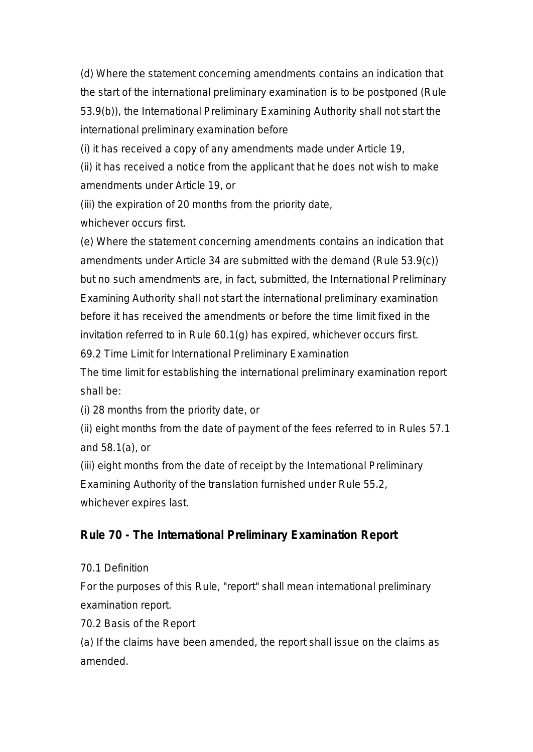(d) Where the statement concerning amendments contains an indication that the start of the international preliminary examination is to be postponed (Rule 53.9(b)), the International Preliminary Examining Authority shall not start the international preliminary examination before

(i) it has received a copy of any amendments made under Article 19,

(ii) it has received a notice from the applicant that he does not wish to make amendments under Article 19, or

(iii) the expiration of 20 months from the priority date,

whichever occurs first.

(e) Where the statement concerning amendments contains an indication that amendments under Article 34 are submitted with the demand (Rule 53.9(c)) but no such amendments are, in fact, submitted, the International Preliminary Examining Authority shall not start the international preliminary examination before it has received the amendments or before the time limit fixed in the invitation referred to in Rule 60.1(g) has expired, whichever occurs first.

69.2 Time Limit for International Preliminary Examination

The time limit for establishing the international preliminary examination report shall be:

(i) 28 months from the priority date, or

(ii) eight months from the date of payment of the fees referred to in Rules 57.1 and 58.1(a), or

(iii) eight months from the date of receipt by the International Preliminary Examining Authority of the translation furnished under Rule 55.2, whichever expires last.

### **Rule 70 - The International Preliminary Examination Report**

#### 70.1 Definition

For the purposes of this Rule, "report" shall mean international preliminary examination report.

70.2 Basis of the Report

(a) If the claims have been amended, the report shall issue on the claims as amended.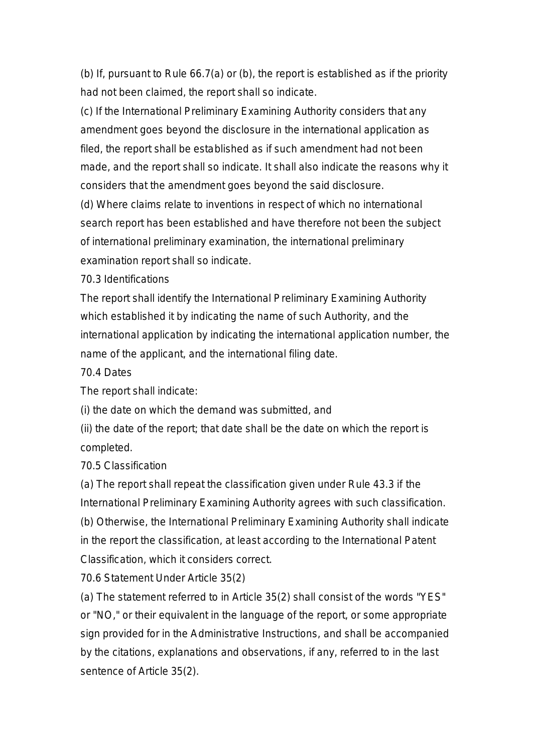(b) If, pursuant to Rule 66.7(a) or (b), the report is established as if the priority had not been claimed, the report shall so indicate.

(c) If the International Preliminary Examining Authority considers that any amendment goes beyond the disclosure in the international application as filed, the report shall be established as if such amendment had not been made, and the report shall so indicate. It shall also indicate the reasons why it considers that the amendment goes beyond the said disclosure.

(d) Where claims relate to inventions in respect of which no international search report has been established and have therefore not been the subject of international preliminary examination, the international preliminary examination report shall so indicate.

70.3 Identifications

The report shall identify the International Preliminary Examining Authority which established it by indicating the name of such Authority, and the international application by indicating the international application number, the name of the applicant, and the international filing date.

70.4 Dates

The report shall indicate:

(i) the date on which the demand was submitted, and

(ii) the date of the report; that date shall be the date on which the report is completed.

70.5 Classification

(a) The report shall repeat the classification given under Rule 43.3 if the International Preliminary Examining Authority agrees with such classification. (b) Otherwise, the International Preliminary Examining Authority shall indicate in the report the classification, at least according to the International Patent Classification, which it considers correct.

70.6 Statement Under Article 35(2)

(a) The statement referred to in Article 35(2) shall consist of the words "YES" or "NO," or their equivalent in the language of the report, or some appropriate sign provided for in the Administrative Instructions, and shall be accompanied by the citations, explanations and observations, if any, referred to in the last sentence of Article 35(2).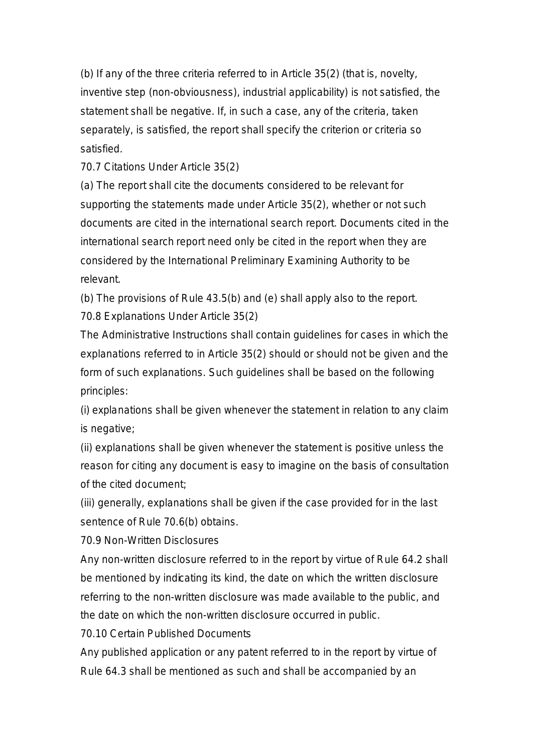(b) If any of the three criteria referred to in Article 35(2) (that is, novelty, inventive step (non-obviousness), industrial applicability) is not satisfied, the statement shall be negative. If, in such a case, any of the criteria, taken separately, is satisfied, the report shall specify the criterion or criteria so satisfied.

70.7 Citations Under Article 35(2)

(a) The report shall cite the documents considered to be relevant for supporting the statements made under Article 35(2), whether or not such documents are cited in the international search report. Documents cited in the international search report need only be cited in the report when they are considered by the International Preliminary Examining Authority to be relevant.

(b) The provisions of Rule 43.5(b) and (e) shall apply also to the report. 70.8 Explanations Under Article 35(2)

The Administrative Instructions shall contain guidelines for cases in which the explanations referred to in Article 35(2) should or should not be given and the form of such explanations. Such guidelines shall be based on the following principles:

(i) explanations shall be given whenever the statement in relation to any claim is negative;

(ii) explanations shall be given whenever the statement is positive unless the reason for citing any document is easy to imagine on the basis of consultation of the cited document;

(iii) generally, explanations shall be given if the case provided for in the last sentence of Rule 70.6(b) obtains.

70.9 Non-Written Disclosures

Any non-written disclosure referred to in the report by virtue of Rule 64.2 shall be mentioned by indicating its kind, the date on which the written disclosure referring to the non-written disclosure was made available to the public, and the date on which the non-written disclosure occurred in public.

70.10 Certain Published Documents

Any published application or any patent referred to in the report by virtue of Rule 64.3 shall be mentioned as such and shall be accompanied by an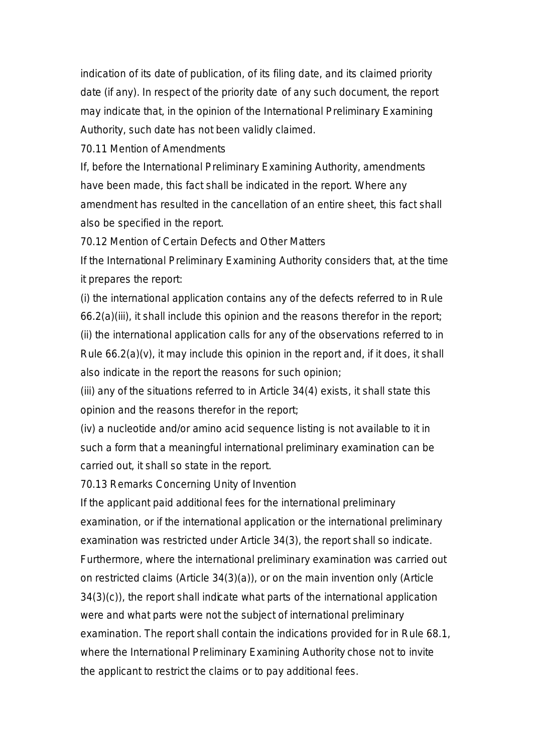indication of its date of publication, of its filing date, and its claimed priority date (if any). In respect of the priority date of any such document, the report may indicate that, in the opinion of the International Preliminary Examining Authority, such date has not been validly claimed.

70.11 Mention of Amendments

If, before the International Preliminary Examining Authority, amendments have been made, this fact shall be indicated in the report. Where any amendment has resulted in the cancellation of an entire sheet, this fact shall also be specified in the report.

70.12 Mention of Certain Defects and Other Matters

If the International Preliminary Examining Authority considers that, at the time it prepares the report:

(i) the international application contains any of the defects referred to in Rule 66.2(a)(iii), it shall include this opinion and the reasons therefor in the report; (ii) the international application calls for any of the observations referred to in Rule  $66.2(a)(v)$ , it may include this opinion in the report and, if it does, it shall also indicate in the report the reasons for such opinion;

(iii) any of the situations referred to in Article 34(4) exists, it shall state this opinion and the reasons therefor in the report;

(iv) a nucleotide and/or amino acid sequence listing is not available to it in such a form that a meaningful international preliminary examination can be carried out, it shall so state in the report.

70.13 Remarks Concerning Unity of Invention

If the applicant paid additional fees for the international preliminary examination, or if the international application or the international preliminary examination was restricted under Article 34(3), the report shall so indicate. Furthermore, where the international preliminary examination was carried out on restricted claims (Article 34(3)(a)), or on the main invention only (Article 34(3)(c)), the report shall indicate what parts of the international application were and what parts were not the subject of international preliminary examination. The report shall contain the indications provided for in Rule 68.1, where the International Preliminary Examining Authority chose not to invite the applicant to restrict the claims or to pay additional fees.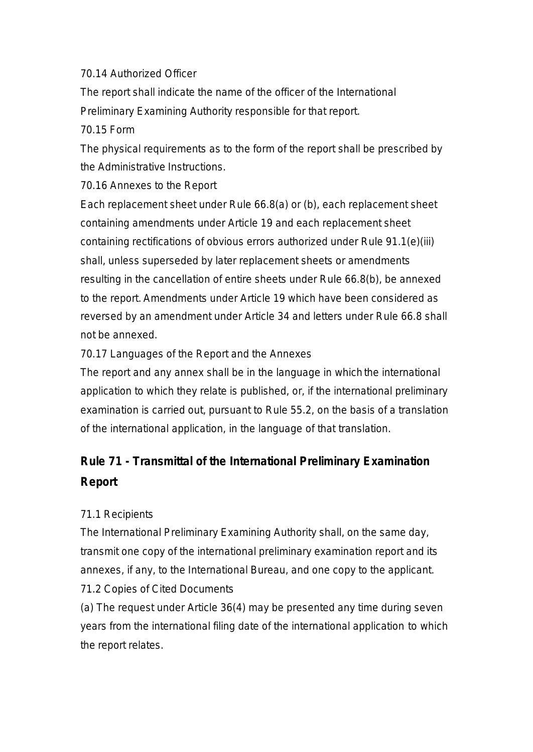#### 70.14 Authorized Officer

The report shall indicate the name of the officer of the International Preliminary Examining Authority responsible for that report.

#### 70.15 Form

The physical requirements as to the form of the report shall be prescribed by the Administrative Instructions.

70.16 Annexes to the Report

Each replacement sheet under Rule 66.8(a) or (b), each replacement sheet containing amendments under Article 19 and each replacement sheet containing rectifications of obvious errors authorized under Rule 91.1(e)(iii) shall, unless superseded by later replacement sheets or amendments resulting in the cancellation of entire sheets under Rule 66.8(b), be annexed to the report. Amendments under Article 19 which have been considered as reversed by an amendment under Article 34 and letters under Rule 66.8 shall not be annexed.

70.17 Languages of the Report and the Annexes

The report and any annex shall be in the language in which the international application to which they relate is published, or, if the international preliminary examination is carried out, pursuant to Rule 55.2, on the basis of a translation of the international application, in the language of that translation.

### **Rule 71 - Transmittal of the International Preliminary Examination Report**

#### 71.1 Recipients

The International Preliminary Examining Authority shall, on the same day, transmit one copy of the international preliminary examination report and its annexes, if any, to the International Bureau, and one copy to the applicant. 71.2 Copies of Cited Documents

(a) The request under Article 36(4) may be presented any time during seven years from the international filing date of the international application to which the report relates.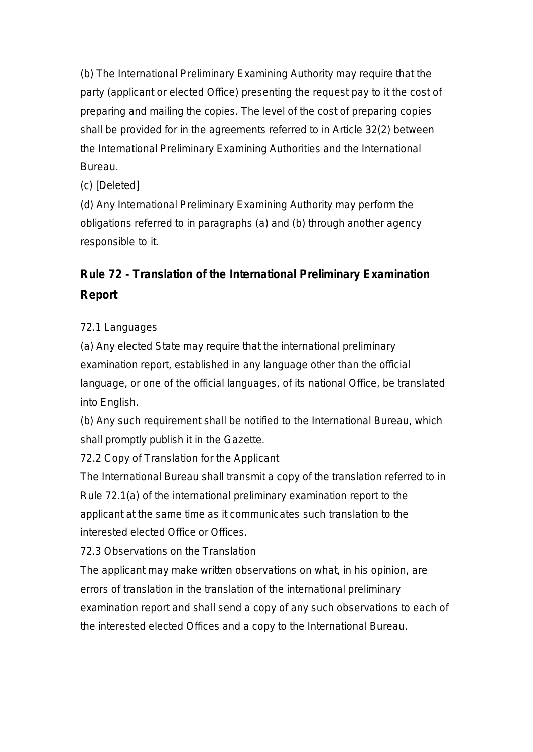(b) The International Preliminary Examining Authority may require that the party (applicant or elected Office) presenting the request pay to it the cost of preparing and mailing the copies. The level of the cost of preparing copies shall be provided for in the agreements referred to in Article 32(2) between the International Preliminary Examining Authorities and the International Bureau.

(c) [Deleted]

(d) Any International Preliminary Examining Authority may perform the obligations referred to in paragraphs (a) and (b) through another agency responsible to it.

### **Rule 72 - Translation of the International Preliminary Examination Report**

#### 72.1 Languages

(a) Any elected State may require that the international preliminary examination report, established in any language other than the official language, or one of the official languages, of its national Office, be translated into English.

(b) Any such requirement shall be notified to the International Bureau, which shall promptly publish it in the Gazette.

72.2 Copy of Translation for the Applicant

The International Bureau shall transmit a copy of the translation referred to in Rule 72.1(a) of the international preliminary examination report to the applicant at the same time as it communicates such translation to the interested elected Office or Offices.

72.3 Observations on the Translation

The applicant may make written observations on what, in his opinion, are errors of translation in the translation of the international preliminary examination report and shall send a copy of any such observations to each of the interested elected Offices and a copy to the International Bureau.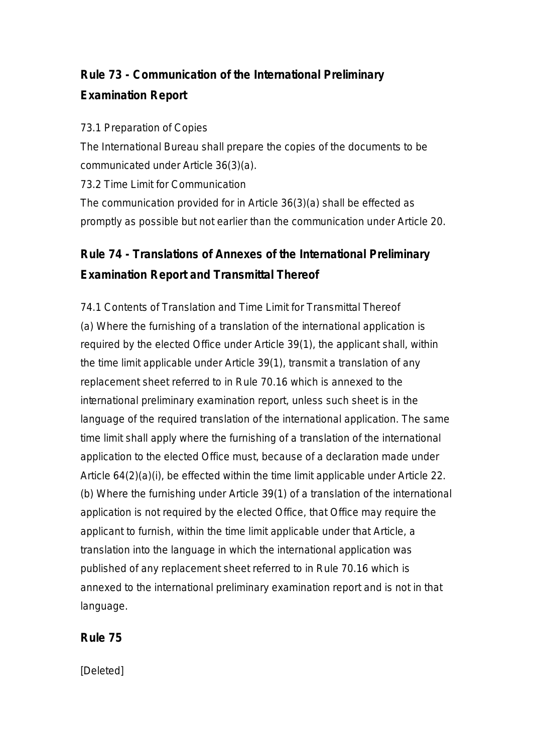# **Rule 73 - Communication of the International Preliminary Examination Report**

#### 73.1 Preparation of Copies

The International Bureau shall prepare the copies of the documents to be communicated under Article 36(3)(a).

73.2 Time Limit for Communication

The communication provided for in Article 36(3)(a) shall be effected as promptly as possible but not earlier than the communication under Article 20.

### **Rule 74 - Translations of Annexes of the International Preliminary Examination Report and Transmittal Thereof**

74.1 Contents of Translation and Time Limit for Transmittal Thereof (a) Where the furnishing of a translation of the international application is required by the elected Office under Article 39(1), the applicant shall, within the time limit applicable under Article 39(1), transmit a translation of any replacement sheet referred to in Rule 70.16 which is annexed to the international preliminary examination report, unless such sheet is in the language of the required translation of the international application. The same time limit shall apply where the furnishing of a translation of the international application to the elected Office must, because of a declaration made under Article 64(2)(a)(i), be effected within the time limit applicable under Article 22. (b) Where the furnishing under Article 39(1) of a translation of the international application is not required by the elected Office, that Office may require the applicant to furnish, within the time limit applicable under that Article, a translation into the language in which the international application was published of any replacement sheet referred to in Rule 70.16 which is annexed to the international preliminary examination report and is not in that language.

#### **Rule 75**

[Deleted]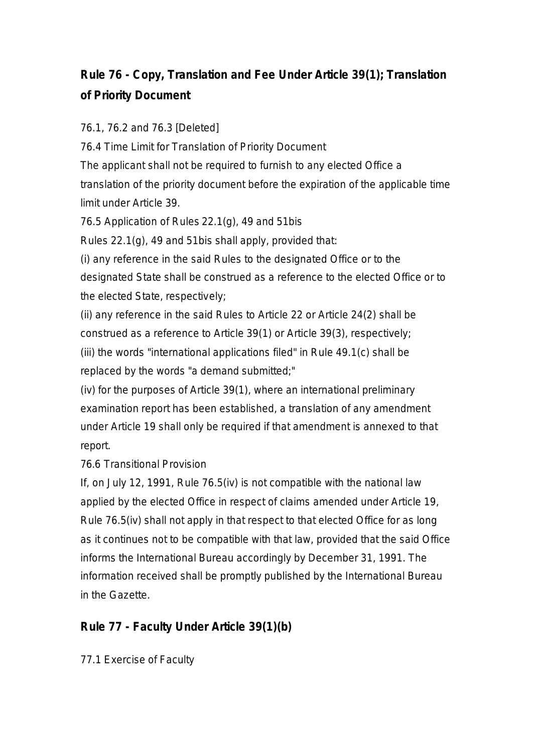# **Rule 76 - Copy, Translation and Fee Under Article 39(1); Translation of Priority Document**

76.1, 76.2 and 76.3 [Deleted]

76.4 Time Limit for Translation of Priority Document

The applicant shall not be required to furnish to any elected Office a translation of the priority document before the expiration of the applicable time limit under Article 39.

76.5 Application of Rules 22.1(g), 49 and 51bis

Rules 22.1(g), 49 and 51bis shall apply, provided that:

(i) any reference in the said Rules to the designated Office or to the designated State shall be construed as a reference to the elected Office or to the elected State, respectively;

(ii) any reference in the said Rules to Article 22 or Article 24(2) shall be construed as a reference to Article 39(1) or Article 39(3), respectively; (iii) the words "international applications filed" in Rule 49.1(c) shall be

replaced by the words "a demand submitted;"

(iv) for the purposes of Article 39(1), where an international preliminary examination report has been established, a translation of any amendment under Article 19 shall only be required if that amendment is annexed to that report.

76.6 Transitional Provision

If, on July 12, 1991, Rule 76.5(iv) is not compatible with the national law applied by the elected Office in respect of claims amended under Article 19, Rule 76.5(iv) shall not apply in that respect to that elected Office for as long as it continues not to be compatible with that law, provided that the said Office informs the International Bureau accordingly by December 31, 1991. The information received shall be promptly published by the International Bureau in the Gazette.

### **Rule 77 - Faculty Under Article 39(1)(b)**

77.1 Exercise of Faculty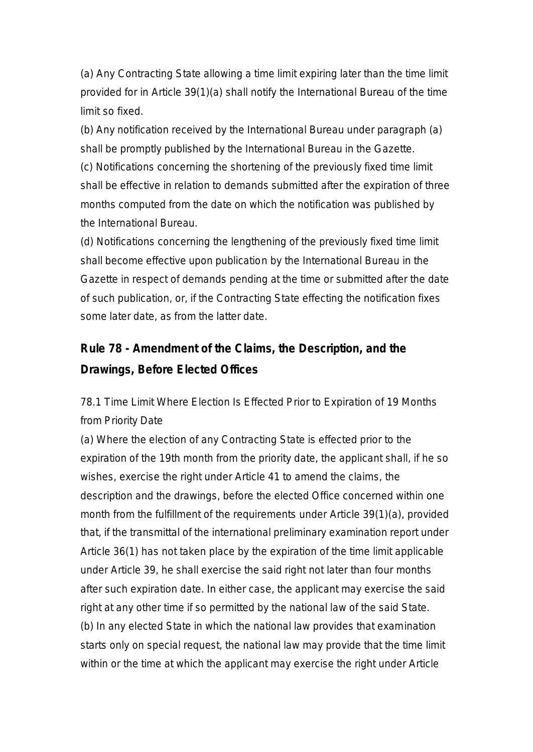(a) Any Contracting State allowing a time limit expiring later than the time limit provided for in Article 39(1)(a) shall notify the International Bureau of the time limit so fixed.

(b) Any notification received by the International Bureau under paragraph (a) shall be promptly published by the International Bureau in the Gazette. (c) Notifications concerning the shortening of the previously fixed time limit shall be effective in relation to demands submitted after the expiration of three months computed from the date on which the notification was published by the International Bureau.

(d) Notifications concerning the lengthening of the previously fixed time limit shall become effective upon publication by the International Bureau in the Gazette in respect of demands pending at the time or submitted after the date of such publication, or, if the Contracting State effecting the notification fixes some later date, as from the latter date.

### **Rule 78 - Amendment of the Claims, the Description, and the Drawings, Before Elected Offices**

78.1 Time Limit Where Election Is Effected Prior to Expiration of 19 Months from Priority Date

(a) Where the election of any Contracting State is effected prior to the expiration of the 19th month from the priority date, the applicant shall, if he so wishes, exercise the right under Article 41 to amend the claims, the description and the drawings, before the elected Office concerned within one month from the fulfillment of the requirements under Article 39(1)(a), provided that, if the transmittal of the international preliminary examination report under Article 36(1) has not taken place by the expiration of the time limit applicable under Article 39, he shall exercise the said right not later than four months after such expiration date. In either case, the applicant may exercise the said right at any other time if so permitted by the national law of the said State. (b) In any elected State in which the national law provides that examination starts only on special request, the national law may provide that the time limit within or the time at which the applicant may exercise the right under Article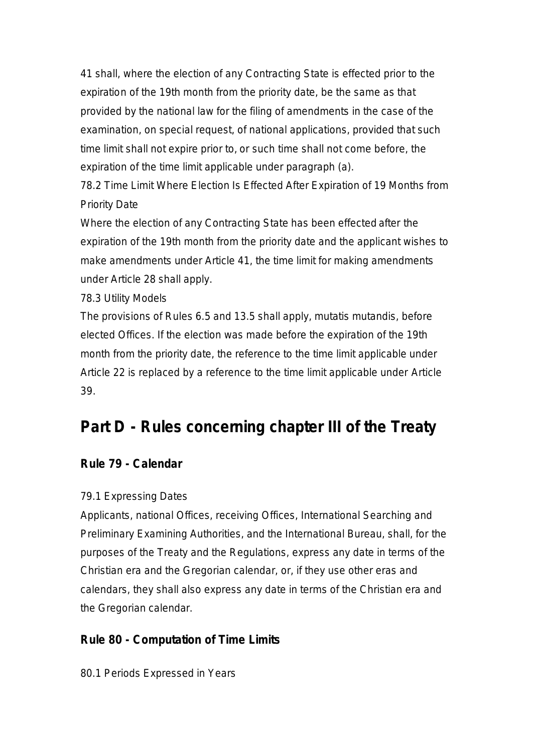41 shall, where the election of any Contracting State is effected prior to the expiration of the 19th month from the priority date, be the same as that provided by the national law for the filing of amendments in the case of the examination, on special request, of national applications, provided that such time limit shall not expire prior to, or such time shall not come before, the expiration of the time limit applicable under paragraph (a).

78.2 Time Limit Where Election Is Effected After Expiration of 19 Months from Priority Date

Where the election of any Contracting State has been effected after the expiration of the 19th month from the priority date and the applicant wishes to make amendments under Article 41, the time limit for making amendments under Article 28 shall apply.

78.3 Utility Models

The provisions of Rules 6.5 and 13.5 shall apply, mutatis mutandis, before elected Offices. If the election was made before the expiration of the 19th month from the priority date, the reference to the time limit applicable under Article 22 is replaced by a reference to the time limit applicable under Article 39.

# **Part D - Rules concerning chapter III of the Treaty**

#### **Rule 79 - Calendar**

#### 79.1 Expressing Dates

Applicants, national Offices, receiving Offices, International Searching and Preliminary Examining Authorities, and the International Bureau, shall, for the purposes of the Treaty and the Regulations, express any date in terms of the Christian era and the Gregorian calendar, or, if they use other eras and calendars, they shall also express any date in terms of the Christian era and the Gregorian calendar.

#### **Rule 80 - Computation of Time Limits**

80.1 Periods Expressed in Years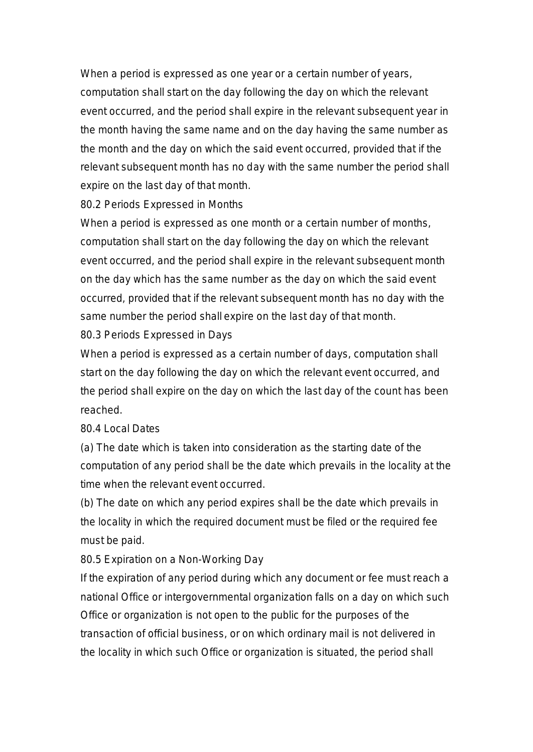When a period is expressed as one year or a certain number of years, computation shall start on the day following the day on which the relevant event occurred, and the period shall expire in the relevant subsequent year in the month having the same name and on the day having the same number as the month and the day on which the said event occurred, provided that if the relevant subsequent month has no day with the same number the period shall expire on the last day of that month.

80.2 Periods Expressed in Months

When a period is expressed as one month or a certain number of months, computation shall start on the day following the day on which the relevant event occurred, and the period shall expire in the relevant subsequent month on the day which has the same number as the day on which the said event occurred, provided that if the relevant subsequent month has no day with the same number the period shall expire on the last day of that month.

80.3 Periods Expressed in Days

When a period is expressed as a certain number of days, computation shall start on the day following the day on which the relevant event occurred, and the period shall expire on the day on which the last day of the count has been reached.

#### 80.4 Local Dates

(a) The date which is taken into consideration as the starting date of the computation of any period shall be the date which prevails in the locality at the time when the relevant event occurred.

(b) The date on which any period expires shall be the date which prevails in the locality in which the required document must be filed or the required fee must be paid.

#### 80.5 Expiration on a Non-Working Day

If the expiration of any period during which any document or fee must reach a national Office or intergovernmental organization falls on a day on which such Office or organization is not open to the public for the purposes of the transaction of official business, or on which ordinary mail is not delivered in the locality in which such Office or organization is situated, the period shall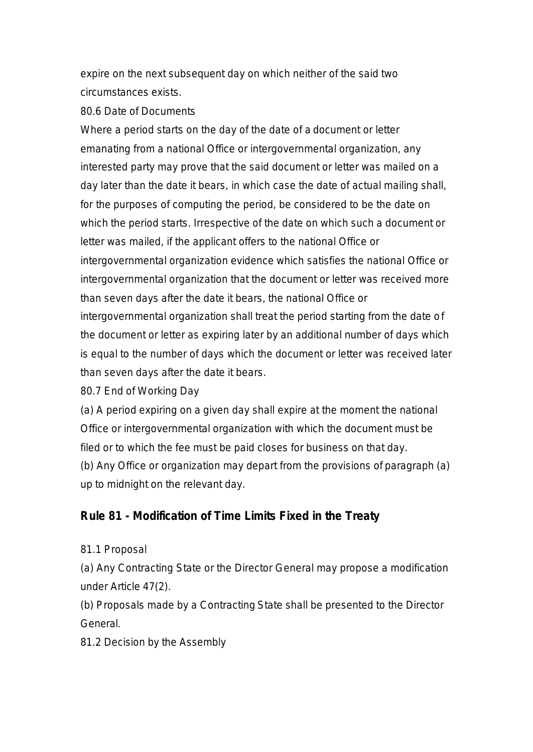expire on the next subsequent day on which neither of the said two circumstances exists.

#### 80.6 Date of Documents

Where a period starts on the day of the date of a document or letter emanating from a national Office or intergovernmental organization, any interested party may prove that the said document or letter was mailed on a day later than the date it bears, in which case the date of actual mailing shall, for the purposes of computing the period, be considered to be the date on which the period starts. Irrespective of the date on which such a document or letter was mailed, if the applicant offers to the national Office or intergovernmental organization evidence which satisfies the national Office or intergovernmental organization that the document or letter was received more than seven days after the date it bears, the national Office or intergovernmental organization shall treat the period starting from the date of the document or letter as expiring later by an additional number of days which is equal to the number of days which the document or letter was received later than seven days after the date it bears.

80.7 End of Working Day

(a) A period expiring on a given day shall expire at the moment the national Office or intergovernmental organization with which the document must be filed or to which the fee must be paid closes for business on that day. (b) Any Office or organization may depart from the provisions of paragraph (a) up to midnight on the relevant day.

#### **Rule 81 - Modification of Time Limits Fixed in the Treaty**

81.1 Proposal

(a) Any Contracting State or the Director General may propose a modification under Article 47(2).

(b) Proposals made by a Contracting State shall be presented to the Director General.

81.2 Decision by the Assembly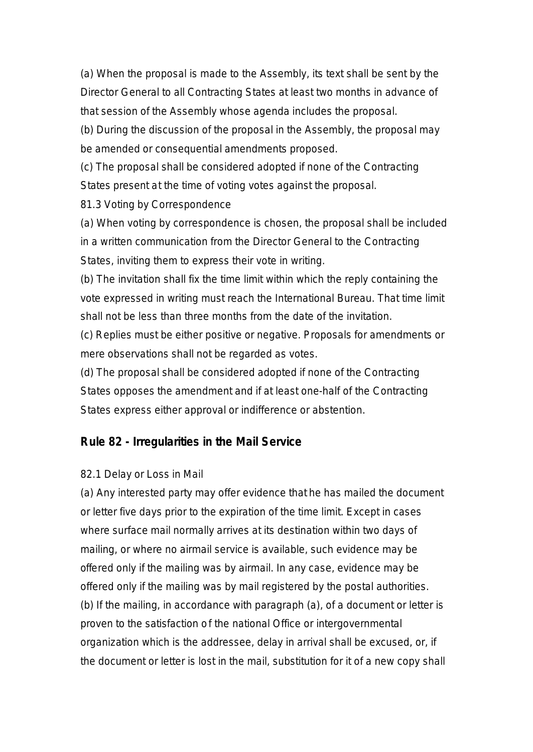(a) When the proposal is made to the Assembly, its text shall be sent by the Director General to all Contracting States at least two months in advance of that session of the Assembly whose agenda includes the proposal.

(b) During the discussion of the proposal in the Assembly, the proposal may be amended or consequential amendments proposed.

(c) The proposal shall be considered adopted if none of the Contracting States present at the time of voting votes against the proposal.

81.3 Voting by Correspondence

(a) When voting by correspondence is chosen, the proposal shall be included in a written communication from the Director General to the Contracting States, inviting them to express their vote in writing.

(b) The invitation shall fix the time limit within which the reply containing the vote expressed in writing must reach the International Bureau. That time limit shall not be less than three months from the date of the invitation.

(c) Replies must be either positive or negative. Proposals for amendments or mere observations shall not be regarded as votes.

(d) The proposal shall be considered adopted if none of the Contracting States opposes the amendment and if at least one-half of the Contracting States express either approval or indifference or abstention.

#### **Rule 82 - Irregularities in the Mail Service**

#### 82.1 Delay or Loss in Mail

(a) Any interested party may offer evidence that he has mailed the document or letter five days prior to the expiration of the time limit. Except in cases where surface mail normally arrives at its destination within two days of mailing, or where no airmail service is available, such evidence may be offered only if the mailing was by airmail. In any case, evidence may be offered only if the mailing was by mail registered by the postal authorities. (b) If the mailing, in accordance with paragraph (a), of a document or letter is proven to the satisfaction of the national Office or intergovernmental organization which is the addressee, delay in arrival shall be excused, or, if the document or letter is lost in the mail, substitution for it of a new copy shall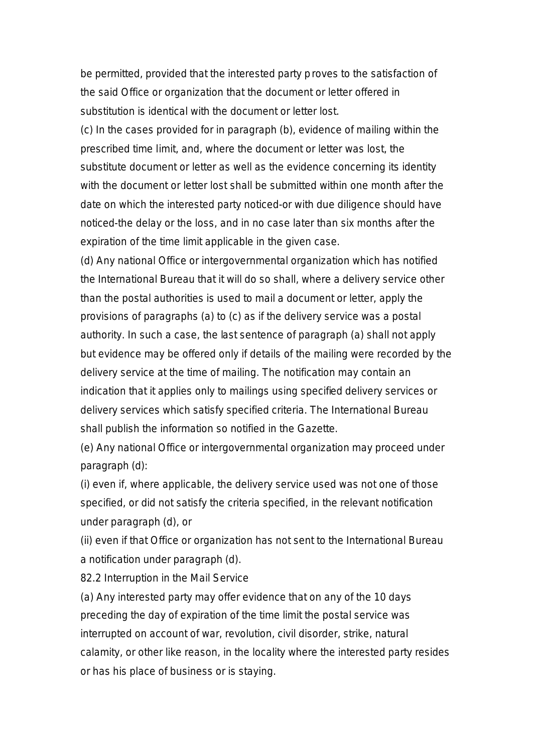be permitted, provided that the interested party proves to the satisfaction of the said Office or organization that the document or letter offered in substitution is identical with the document or letter lost.

(c) In the cases provided for in paragraph (b), evidence of mailing within the prescribed time limit, and, where the document or letter was lost, the substitute document or letter as well as the evidence concerning its identity with the document or letter lost shall be submitted within one month after the date on which the interested party noticed-or with due diligence should have noticed-the delay or the loss, and in no case later than six months after the expiration of the time limit applicable in the given case.

(d) Any national Office or intergovernmental organization which has notified the International Bureau that it will do so shall, where a delivery service other than the postal authorities is used to mail a document or letter, apply the provisions of paragraphs (a) to (c) as if the delivery service was a postal authority. In such a case, the last sentence of paragraph (a) shall not apply but evidence may be offered only if details of the mailing were recorded by the delivery service at the time of mailing. The notification may contain an indication that it applies only to mailings using specified delivery services or delivery services which satisfy specified criteria. The International Bureau shall publish the information so notified in the Gazette.

(e) Any national Office or intergovernmental organization may proceed under paragraph (d):

(i) even if, where applicable, the delivery service used was not one of those specified, or did not satisfy the criteria specified, in the relevant notification under paragraph (d), or

(ii) even if that Office or organization has not sent to the International Bureau a notification under paragraph (d).

82.2 Interruption in the Mail Service

(a) Any interested party may offer evidence that on any of the 10 days preceding the day of expiration of the time limit the postal service was interrupted on account of war, revolution, civil disorder, strike, natural calamity, or other like reason, in the locality where the interested party resides or has his place of business or is staying.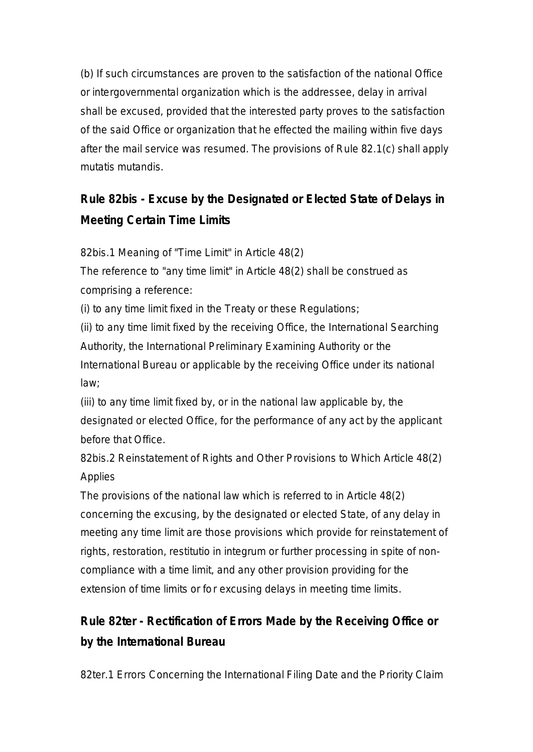(b) If such circumstances are proven to the satisfaction of the national Office or intergovernmental organization which is the addressee, delay in arrival shall be excused, provided that the interested party proves to the satisfaction of the said Office or organization that he effected the mailing within five days after the mail service was resumed. The provisions of Rule 82.1(c) shall apply mutatis mutandis.

# **Rule 82bis - Excuse by the Designated or Elected State of Delays in Meeting Certain Time Limits**

82bis.1 Meaning of "Time Limit" in Article 48(2)

The reference to "any time limit" in Article 48(2) shall be construed as comprising a reference:

(i) to any time limit fixed in the Treaty or these Regulations;

(ii) to any time limit fixed by the receiving Office, the International Searching Authority, the International Preliminary Examining Authority or the International Bureau or applicable by the receiving Office under its national law;

(iii) to any time limit fixed by, or in the national law applicable by, the designated or elected Office, for the performance of any act by the applicant before that Office.

82bis.2 Reinstatement of Rights and Other Provisions to Which Article 48(2) Applies

The provisions of the national law which is referred to in Article 48(2) concerning the excusing, by the designated or elected State, of any delay in meeting any time limit are those provisions which provide for reinstatement of rights, restoration, restitutio in integrum or further processing in spite of noncompliance with a time limit, and any other provision providing for the extension of time limits or for excusing delays in meeting time limits.

# **Rule 82ter - Rectification of Errors Made by the Receiving Office or by the International Bureau**

82ter.1 Errors Concerning the International Filing Date and the Priority Claim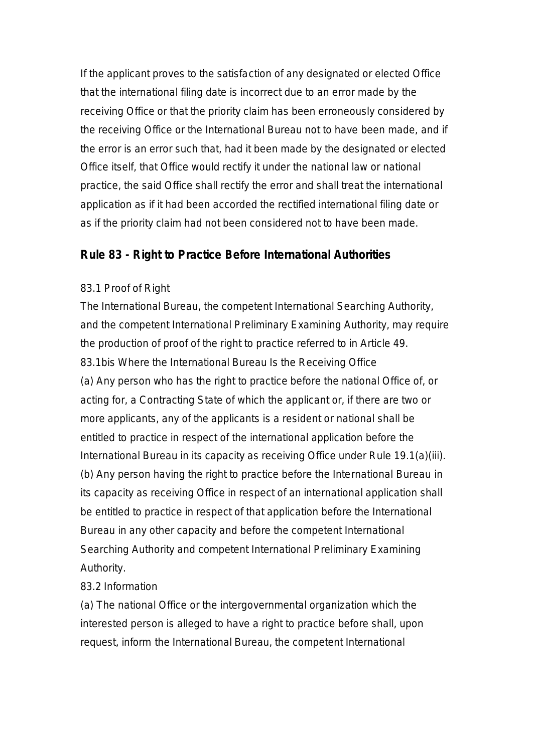If the applicant proves to the satisfaction of any designated or elected Office that the international filing date is incorrect due to an error made by the receiving Office or that the priority claim has been erroneously considered by the receiving Office or the International Bureau not to have been made, and if the error is an error such that, had it been made by the designated or elected Office itself, that Office would rectify it under the national law or national practice, the said Office shall rectify the error and shall treat the international application as if it had been accorded the rectified international filing date or as if the priority claim had not been considered not to have been made.

#### **Rule 83 - Right to Practice Before International Authorities**

#### 83.1 Proof of Right

The International Bureau, the competent International Searching Authority, and the competent International Preliminary Examining Authority, may require the production of proof of the right to practice referred to in Article 49. 83.1bis Where the International Bureau Is the Receiving Office (a) Any person who has the right to practice before the national Office of, or acting for, a Contracting State of which the applicant or, if there are two or more applicants, any of the applicants is a resident or national shall be entitled to practice in respect of the international application before the International Bureau in its capacity as receiving Office under Rule 19.1(a)(iii). (b) Any person having the right to practice before the International Bureau in its capacity as receiving Office in respect of an international application shall be entitled to practice in respect of that application before the International Bureau in any other capacity and before the competent International Searching Authority and competent International Preliminary Examining Authority.

#### 83.2 Information

(a) The national Office or the intergovernmental organization which the interested person is alleged to have a right to practice before shall, upon request, inform the International Bureau, the competent International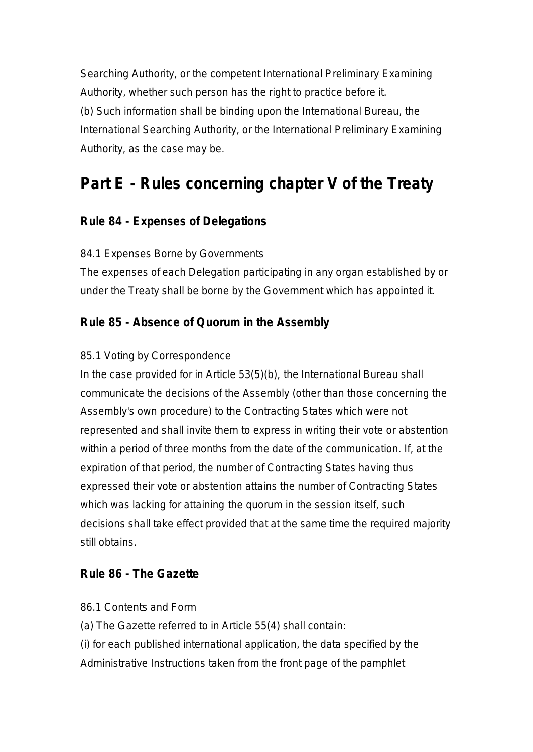Searching Authority, or the competent International Preliminary Examining Authority, whether such person has the right to practice before it. (b) Such information shall be binding upon the International Bureau, the International Searching Authority, or the International Preliminary Examining Authority, as the case may be.

# **Part E - Rules concerning chapter V of the Treaty**

### **Rule 84 - Expenses of Delegations**

84.1 Expenses Borne by Governments

The expenses of each Delegation participating in any organ established by or under the Treaty shall be borne by the Government which has appointed it.

#### **Rule 85 - Absence of Quorum in the Assembly**

#### 85.1 Voting by Correspondence

In the case provided for in Article 53(5)(b), the International Bureau shall communicate the decisions of the Assembly (other than those concerning the Assembly's own procedure) to the Contracting States which were not represented and shall invite them to express in writing their vote or abstention within a period of three months from the date of the communication. If, at the expiration of that period, the number of Contracting States having thus expressed their vote or abstention attains the number of Contracting States which was lacking for attaining the quorum in the session itself, such decisions shall take effect provided that at the same time the required majority still obtains.

#### **Rule 86 - The Gazette**

86.1 Contents and Form

(a) The Gazette referred to in Article 55(4) shall contain:

(i) for each published international application, the data specified by the Administrative Instructions taken from the front page of the pamphlet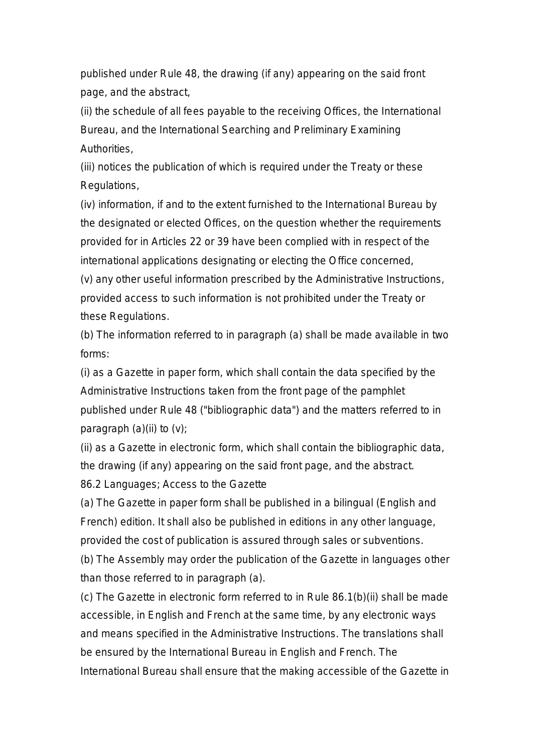published under Rule 48, the drawing (if any) appearing on the said front page, and the abstract,

(ii) the schedule of all fees payable to the receiving Offices, the International Bureau, and the International Searching and Preliminary Examining Authorities,

(iii) notices the publication of which is required under the Treaty or these Regulations,

(iv) information, if and to the extent furnished to the International Bureau by the designated or elected Offices, on the question whether the requirements provided for in Articles 22 or 39 have been complied with in respect of the international applications designating or electing the Office concerned,

(v) any other useful information prescribed by the Administrative Instructions, provided access to such information is not prohibited under the Treaty or these Regulations.

(b) The information referred to in paragraph (a) shall be made available in two forms:

(i) as a Gazette in paper form, which shall contain the data specified by the Administrative Instructions taken from the front page of the pamphlet published under Rule 48 ("bibliographic data") and the matters referred to in paragraph  $(a)(ii)$  to  $(v)$ ;

(ii) as a Gazette in electronic form, which shall contain the bibliographic data, the drawing (if any) appearing on the said front page, and the abstract.

86.2 Languages; Access to the Gazette

(a) The Gazette in paper form shall be published in a bilingual (English and French) edition. It shall also be published in editions in any other language, provided the cost of publication is assured through sales or subventions.

(b) The Assembly may order the publication of the Gazette in languages other than those referred to in paragraph (a).

(c) The Gazette in electronic form referred to in Rule 86.1(b)(ii) shall be made accessible, in English and French at the same time, by any electronic ways and means specified in the Administrative Instructions. The translations shall be ensured by the International Bureau in English and French. The International Bureau shall ensure that the making accessible of the Gazette in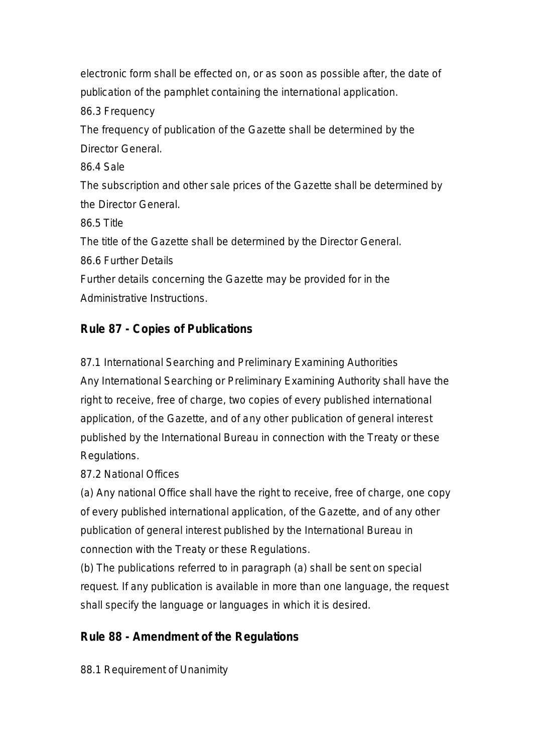electronic form shall be effected on, or as soon as possible after, the date of publication of the pamphlet containing the international application.

86.3 Frequency

The frequency of publication of the Gazette shall be determined by the Director General.

86.4 Sale

The subscription and other sale prices of the Gazette shall be determined by the Director General.

86.5 Title

The title of the Gazette shall be determined by the Director General.

86.6 Further Details

Further details concerning the Gazette may be provided for in the Administrative Instructions.

### **Rule 87 - Copies of Publications**

87.1 International Searching and Preliminary Examining Authorities Any International Searching or Preliminary Examining Authority shall have the right to receive, free of charge, two copies of every published international application, of the Gazette, and of any other publication of general interest published by the International Bureau in connection with the Treaty or these Regulations.

87.2 National Offices

(a) Any national Office shall have the right to receive, free of charge, one copy of every published international application, of the Gazette, and of any other publication of general interest published by the International Bureau in connection with the Treaty or these Regulations.

(b) The publications referred to in paragraph (a) shall be sent on special request. If any publication is available in more than one language, the request shall specify the language or languages in which it is desired.

### **Rule 88 - Amendment of the Regulations**

88.1 Requirement of Unanimity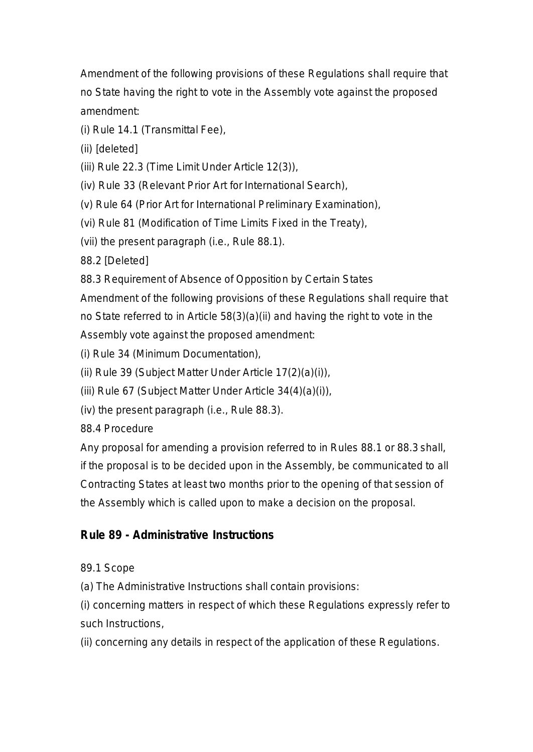Amendment of the following provisions of these Regulations shall require that no State having the right to vote in the Assembly vote against the proposed amendment:

- (i) Rule 14.1 (Transmittal Fee),
- (ii) [deleted]
- (iii) Rule 22.3 (Time Limit Under Article 12(3)),
- (iv) Rule 33 (Relevant Prior Art for International Search),
- (v) Rule 64 (Prior Art for International Preliminary Examination),
- (vi) Rule 81 (Modification of Time Limits Fixed in the Treaty),
- (vii) the present paragraph (i.e., Rule 88.1).
- 88.2 [Deleted]
- 88.3 Requirement of Absence of Opposition by Certain States

Amendment of the following provisions of these Regulations shall require that no State referred to in Article 58(3)(a)(ii) and having the right to vote in the Assembly vote against the proposed amendment:

- (i) Rule 34 (Minimum Documentation),
- (ii) Rule 39 (Subject Matter Under Article  $17(2)(a)(i)$ ),
- (iii) Rule 67 (Subject Matter Under Article  $34(4)(a)(i)$ ),
- (iv) the present paragraph (i.e., Rule 88.3).
- 88.4 Procedure

Any proposal for amending a provision referred to in Rules 88.1 or 88.3 shall, if the proposal is to be decided upon in the Assembly, be communicated to all Contracting States at least two months prior to the opening of that session of the Assembly which is called upon to make a decision on the proposal.

### **Rule 89 - Administrative Instructions**

89.1 Scope

(a) The Administrative Instructions shall contain provisions:

(i) concerning matters in respect of which these Regulations expressly refer to such Instructions,

(ii) concerning any details in respect of the application of these Regulations.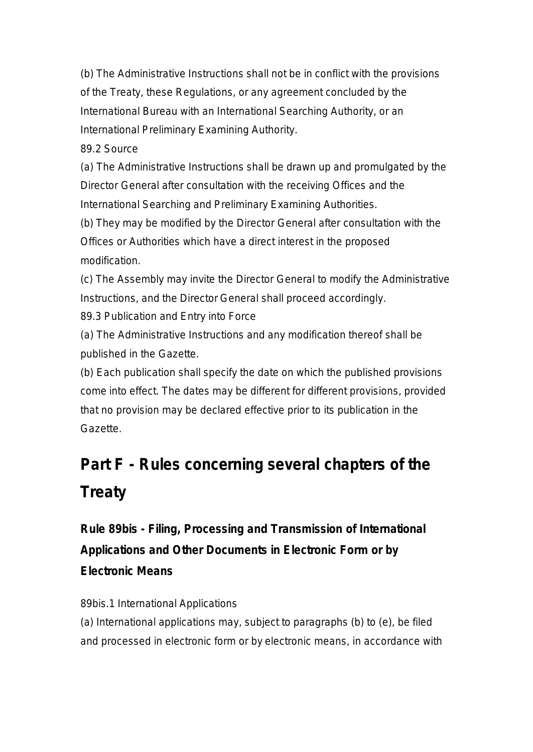(b) The Administrative Instructions shall not be in conflict with the provisions of the Treaty, these Regulations, or any agreement concluded by the International Bureau with an International Searching Authority, or an International Preliminary Examining Authority.

89.2 Source

(a) The Administrative Instructions shall be drawn up and promulgated by the Director General after consultation with the receiving Offices and the International Searching and Preliminary Examining Authorities.

(b) They may be modified by the Director General after consultation with the Offices or Authorities which have a direct interest in the proposed modification.

(c) The Assembly may invite the Director General to modify the Administrative Instructions, and the Director General shall proceed accordingly.

89.3 Publication and Entry into Force

(a) The Administrative Instructions and any modification thereof shall be published in the Gazette.

(b) Each publication shall specify the date on which the published provisions come into effect. The dates may be different for different provisions, provided that no provision may be declared effective prior to its publication in the Gazette.

# **Part F - Rules concerning several chapters of the Treaty**

**Rule 89bis - Filing, Processing and Transmission of International Applications and Other Documents in Electronic Form or by Electronic Means**

89bis.1 International Applications

(a) International applications may, subject to paragraphs (b) to (e), be filed and processed in electronic form or by electronic means, in accordance with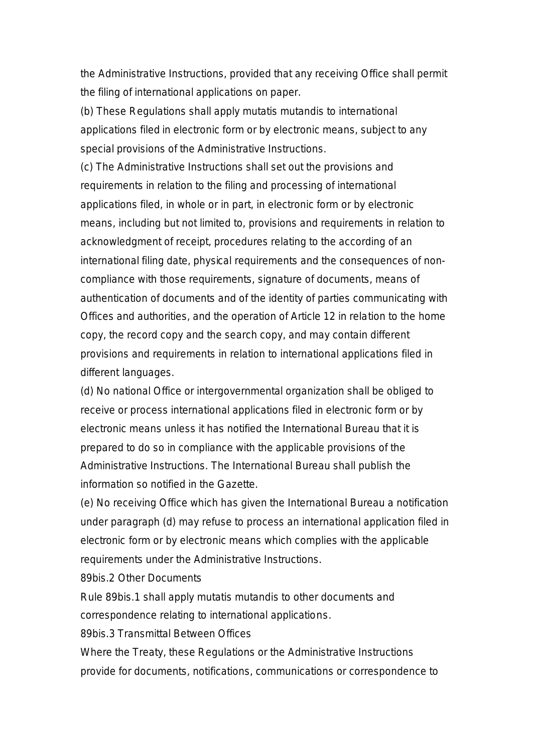the Administrative Instructions, provided that any receiving Office shall permit the filing of international applications on paper.

(b) These Regulations shall apply mutatis mutandis to international applications filed in electronic form or by electronic means, subject to any special provisions of the Administrative Instructions.

(c) The Administrative Instructions shall set out the provisions and requirements in relation to the filing and processing of international applications filed, in whole or in part, in electronic form or by electronic means, including but not limited to, provisions and requirements in relation to acknowledgment of receipt, procedures relating to the according of an international filing date, physical requirements and the consequences of noncompliance with those requirements, signature of documents, means of authentication of documents and of the identity of parties communicating with Offices and authorities, and the operation of Article 12 in relation to the home copy, the record copy and the search copy, and may contain different provisions and requirements in relation to international applications filed in different languages.

(d) No national Office or intergovernmental organization shall be obliged to receive or process international applications filed in electronic form or by electronic means unless it has notified the International Bureau that it is prepared to do so in compliance with the applicable provisions of the Administrative Instructions. The International Bureau shall publish the information so notified in the Gazette.

(e) No receiving Office which has given the International Bureau a notification under paragraph (d) may refuse to process an international application filed in electronic form or by electronic means which complies with the applicable requirements under the Administrative Instructions.

89bis.2 Other Documents

Rule 89bis.1 shall apply mutatis mutandis to other documents and correspondence relating to international applications.

89bis.3 Transmittal Between Offices

Where the Treaty, these Regulations or the Administrative Instructions provide for documents, notifications, communications or correspondence to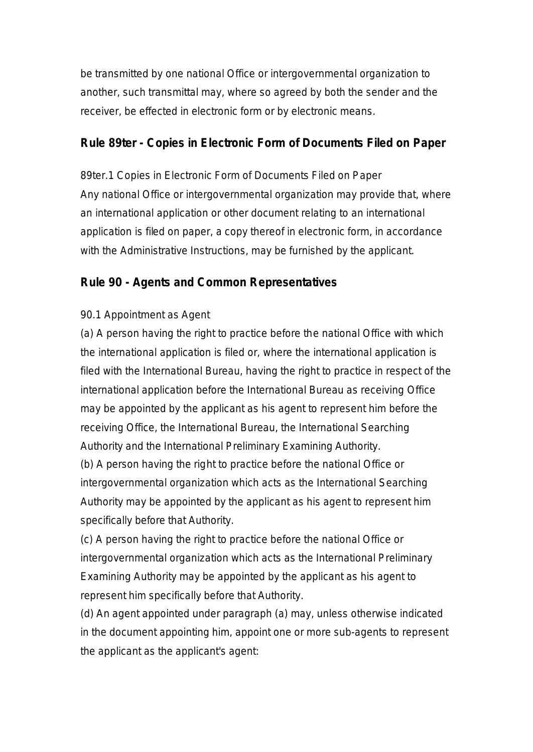be transmitted by one national Office or intergovernmental organization to another, such transmittal may, where so agreed by both the sender and the receiver, be effected in electronic form or by electronic means.

#### **Rule 89ter - Copies in Electronic Form of Documents Filed on Paper**

89ter.1 Copies in Electronic Form of Documents Filed on Paper Any national Office or intergovernmental organization may provide that, where an international application or other document relating to an international application is filed on paper, a copy thereof in electronic form, in accordance with the Administrative Instructions, may be furnished by the applicant.

#### **Rule 90 - Agents and Common Representatives**

#### 90.1 Appointment as Agent

(a) A person having the right to practice before the national Office with which the international application is filed or, where the international application is filed with the International Bureau, having the right to practice in respect of the international application before the International Bureau as receiving Office may be appointed by the applicant as his agent to represent him before the receiving Office, the International Bureau, the International Searching Authority and the International Preliminary Examining Authority. (b) A person having the right to practice before the national Office or

intergovernmental organization which acts as the International Searching Authority may be appointed by the applicant as his agent to represent him specifically before that Authority.

(c) A person having the right to practice before the national Office or intergovernmental organization which acts as the International Preliminary Examining Authority may be appointed by the applicant as his agent to represent him specifically before that Authority.

(d) An agent appointed under paragraph (a) may, unless otherwise indicated in the document appointing him, appoint one or more sub-agents to represent the applicant as the applicant's agent: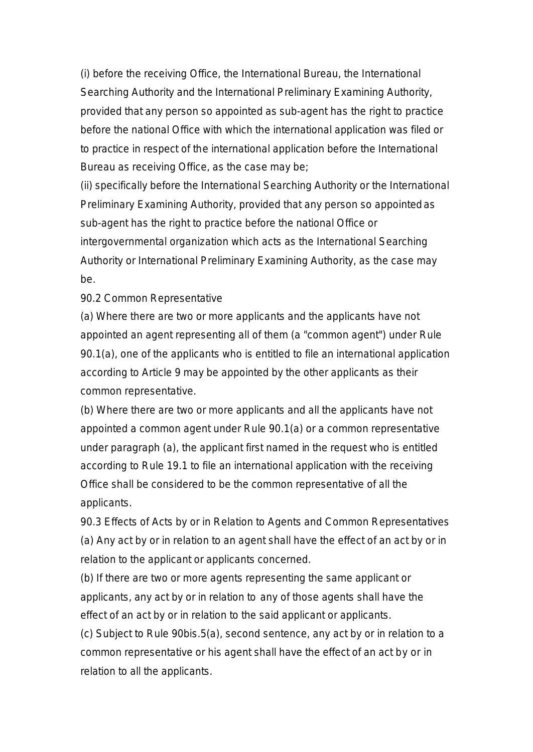(i) before the receiving Office, the International Bureau, the International Searching Authority and the International Preliminary Examining Authority, provided that any person so appointed as sub-agent has the right to practice before the national Office with which the international application was filed or to practice in respect of the international application before the International Bureau as receiving Office, as the case may be;

(ii) specifically before the International Searching Authority or the International Preliminary Examining Authority, provided that any person so appointed as sub-agent has the right to practice before the national Office or intergovernmental organization which acts as the International Searching Authority or International Preliminary Examining Authority, as the case may be.

90.2 Common Representative

(a) Where there are two or more applicants and the applicants have not appointed an agent representing all of them (a "common agent") under Rule 90.1(a), one of the applicants who is entitled to file an international application according to Article 9 may be appointed by the other applicants as their common representative.

(b) Where there are two or more applicants and all the applicants have not appointed a common agent under Rule 90.1(a) or a common representative under paragraph (a), the applicant first named in the request who is entitled according to Rule 19.1 to file an international application with the receiving Office shall be considered to be the common representative of all the applicants.

90.3 Effects of Acts by or in Relation to Agents and Common Representatives (a) Any act by or in relation to an agent shall have the effect of an act by or in relation to the applicant or applicants concerned.

(b) If there are two or more agents representing the same applicant or applicants, any act by or in relation to any of those agents shall have the effect of an act by or in relation to the said applicant or applicants.

(c) Subject to Rule 90bis.5(a), second sentence, any act by or in relation to a common representative or his agent shall have the effect of an act by or in relation to all the applicants.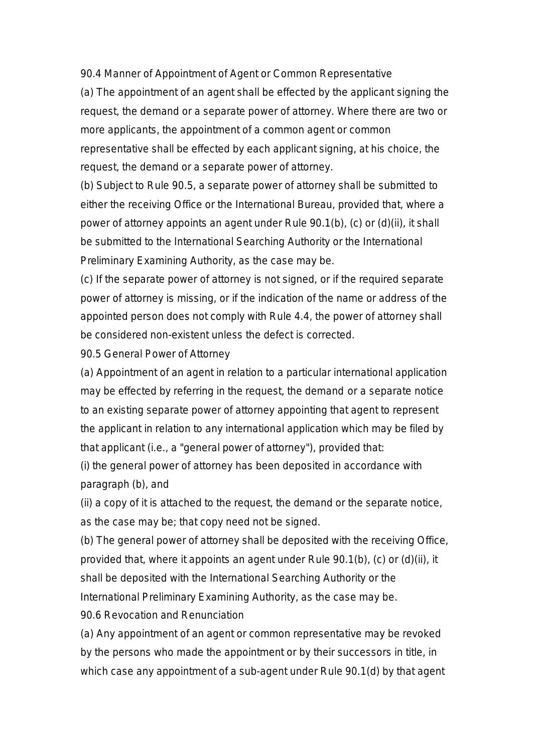90.4 Manner of Appointment of Agent or Common Representative

(a) The appointment of an agent shall be effected by the applicant signing the request, the demand or a separate power of attorney. Where there are two or more applicants, the appointment of a common agent or common representative shall be effected by each applicant signing, at his choice, the request, the demand or a separate power of attorney.

(b) Subject to Rule 90.5, a separate power of attorney shall be submitted to either the receiving Office or the International Bureau, provided that, where a power of attorney appoints an agent under Rule 90.1(b), (c) or (d)(ii), it shall be submitted to the International Searching Authority or the International Preliminary Examining Authority, as the case may be.

(c) If the separate power of attorney is not signed, or if the required separate power of attorney is missing, or if the indication of the name or address of the appointed person does not comply with Rule 4.4, the power of attorney shall be considered non-existent unless the defect is corrected.

90.5 General Power of Attorney

(a) Appointment of an agent in relation to a particular international application may be effected by referring in the request, the demand or a separate notice to an existing separate power of attorney appointing that agent to represent the applicant in relation to any international application which may be filed by that applicant (i.e., a "general power of attorney"), provided that:

(i) the general power of attorney has been deposited in accordance with paragraph (b), and

(ii) a copy of it is attached to the request, the demand or the separate notice, as the case may be; that copy need not be signed.

(b) The general power of attorney shall be deposited with the receiving Office, provided that, where it appoints an agent under Rule 90.1(b), (c) or (d)(ii), it shall be deposited with the International Searching Authority or the International Preliminary Examining Authority, as the case may be. 90.6 Revocation and Renunciation

(a) Any appointment of an agent or common representative may be revoked by the persons who made the appointment or by their successors in title, in which case any appointment of a sub-agent under Rule 90.1(d) by that agent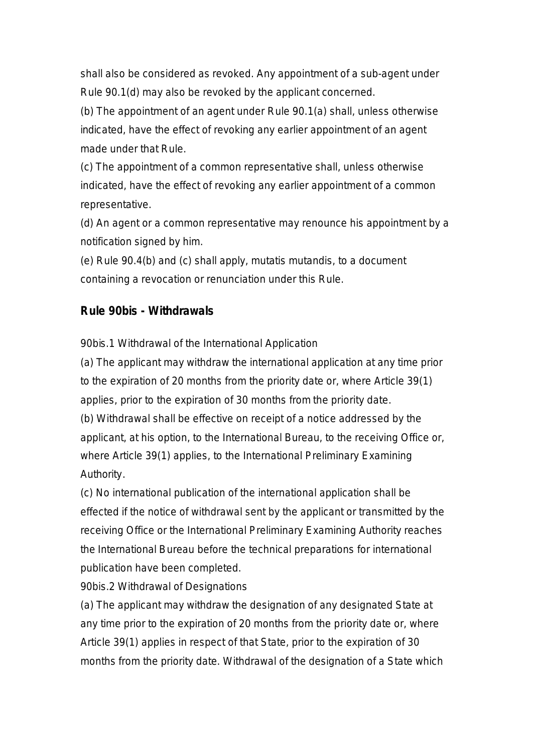shall also be considered as revoked. Any appointment of a sub-agent under Rule 90.1(d) may also be revoked by the applicant concerned.

(b) The appointment of an agent under Rule 90.1(a) shall, unless otherwise indicated, have the effect of revoking any earlier appointment of an agent made under that Rule.

(c) The appointment of a common representative shall, unless otherwise indicated, have the effect of revoking any earlier appointment of a common representative.

(d) An agent or a common representative may renounce his appointment by a notification signed by him.

(e) Rule 90.4(b) and (c) shall apply, mutatis mutandis, to a document containing a revocation or renunciation under this Rule.

### **Rule 90bis - Withdrawals**

90bis.1 Withdrawal of the International Application

(a) The applicant may withdraw the international application at any time prior to the expiration of 20 months from the priority date or, where Article 39(1) applies, prior to the expiration of 30 months from the priority date.

(b) Withdrawal shall be effective on receipt of a notice addressed by the applicant, at his option, to the International Bureau, to the receiving Office or, where Article 39(1) applies, to the International Preliminary Examining Authority.

(c) No international publication of the international application shall be effected if the notice of withdrawal sent by the applicant or transmitted by the receiving Office or the International Preliminary Examining Authority reaches the International Bureau before the technical preparations for international publication have been completed.

90bis.2 Withdrawal of Designations

(a) The applicant may withdraw the designation of any designated State at any time prior to the expiration of 20 months from the priority date or, where Article 39(1) applies in respect of that State, prior to the expiration of 30 months from the priority date. Withdrawal of the designation of a State which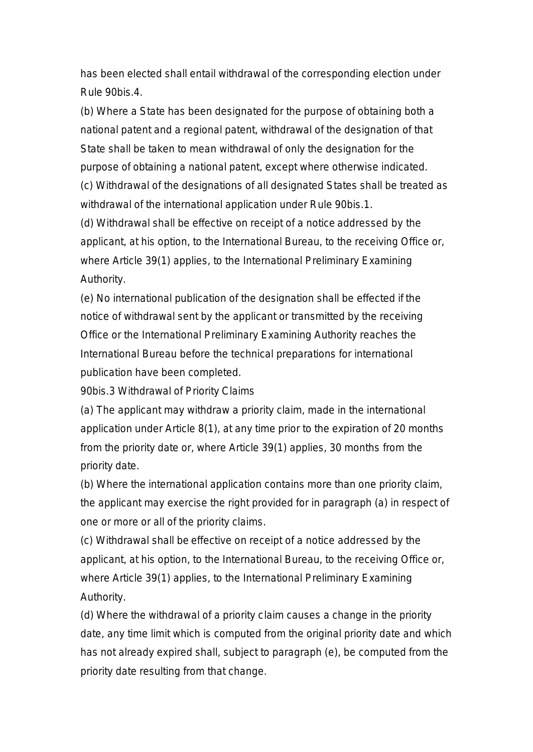has been elected shall entail withdrawal of the corresponding election under Rule 90bis.4.

(b) Where a State has been designated for the purpose of obtaining both a national patent and a regional patent, withdrawal of the designation of that State shall be taken to mean withdrawal of only the designation for the purpose of obtaining a national patent, except where otherwise indicated. (c) Withdrawal of the designations of all designated States shall be treated as withdrawal of the international application under Rule 90bis.1.

(d) Withdrawal shall be effective on receipt of a notice addressed by the applicant, at his option, to the International Bureau, to the receiving Office or, where Article 39(1) applies, to the International Preliminary Examining Authority.

(e) No international publication of the designation shall be effected if the notice of withdrawal sent by the applicant or transmitted by the receiving Office or the International Preliminary Examining Authority reaches the International Bureau before the technical preparations for international publication have been completed.

90bis.3 Withdrawal of Priority Claims

(a) The applicant may withdraw a priority claim, made in the international application under Article 8(1), at any time prior to the expiration of 20 months from the priority date or, where Article 39(1) applies, 30 months from the priority date.

(b) Where the international application contains more than one priority claim, the applicant may exercise the right provided for in paragraph (a) in respect of one or more or all of the priority claims.

(c) Withdrawal shall be effective on receipt of a notice addressed by the applicant, at his option, to the International Bureau, to the receiving Office or, where Article 39(1) applies, to the International Preliminary Examining Authority.

(d) Where the withdrawal of a priority claim causes a change in the priority date, any time limit which is computed from the original priority date and which has not already expired shall, subject to paragraph (e), be computed from the priority date resulting from that change.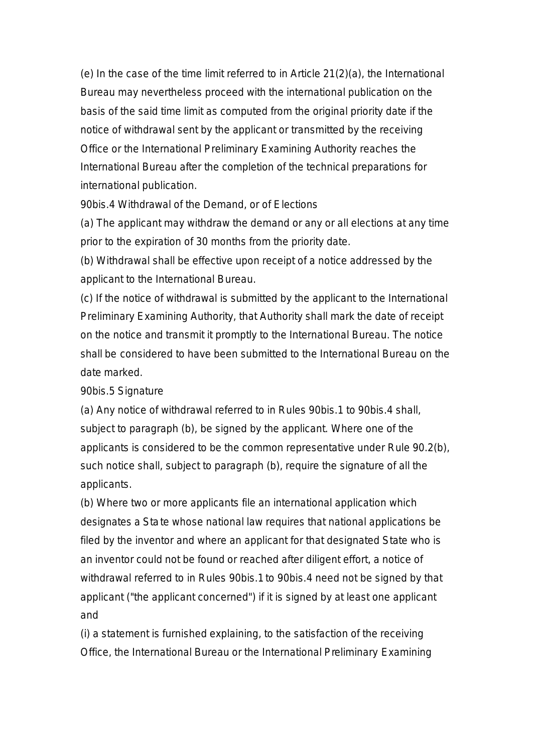(e) In the case of the time limit referred to in Article 21(2)(a), the International Bureau may nevertheless proceed with the international publication on the basis of the said time limit as computed from the original priority date if the notice of withdrawal sent by the applicant or transmitted by the receiving Office or the International Preliminary Examining Authority reaches the International Bureau after the completion of the technical preparations for international publication.

90bis.4 Withdrawal of the Demand, or of Elections

(a) The applicant may withdraw the demand or any or all elections at any time prior to the expiration of 30 months from the priority date.

(b) Withdrawal shall be effective upon receipt of a notice addressed by the applicant to the International Bureau.

(c) If the notice of withdrawal is submitted by the applicant to the International Preliminary Examining Authority, that Authority shall mark the date of receipt on the notice and transmit it promptly to the International Bureau. The notice shall be considered to have been submitted to the International Bureau on the date marked.

#### 90bis.5 Signature

(a) Any notice of withdrawal referred to in Rules 90bis.1 to 90bis.4 shall, subject to paragraph (b), be signed by the applicant. Where one of the applicants is considered to be the common representative under Rule 90.2(b), such notice shall, subject to paragraph (b), require the signature of all the applicants.

(b) Where two or more applicants file an international application which designates a State whose national law requires that national applications be filed by the inventor and where an applicant for that designated State who is an inventor could not be found or reached after diligent effort, a notice of withdrawal referred to in Rules 90bis.1 to 90bis.4 need not be signed by that applicant ("the applicant concerned") if it is signed by at least one applicant and

(i) a statement is furnished explaining, to the satisfaction of the receiving Office, the International Bureau or the International Preliminary Examining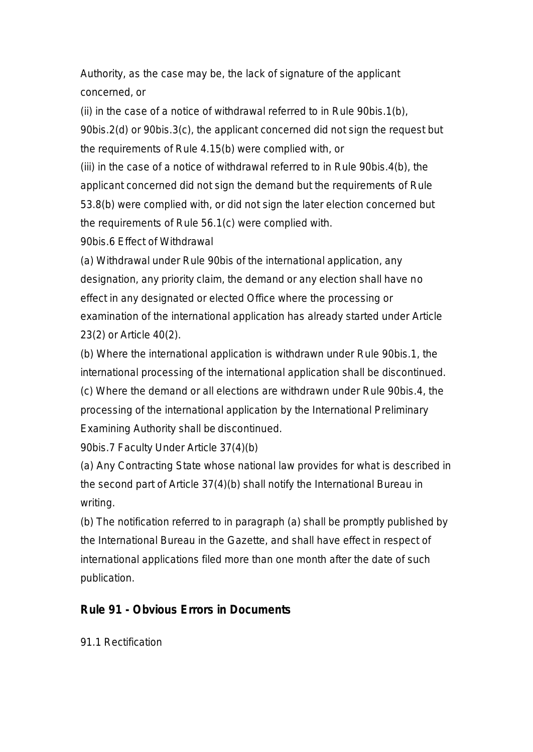Authority, as the case may be, the lack of signature of the applicant concerned, or

(ii) in the case of a notice of withdrawal referred to in Rule 90bis.1(b),

90bis.2(d) or 90bis.3(c), the applicant concerned did not sign the request but the requirements of Rule 4.15(b) were complied with, or

(iii) in the case of a notice of withdrawal referred to in Rule 90bis.4(b), the applicant concerned did not sign the demand but the requirements of Rule 53.8(b) were complied with, or did not sign the later election concerned but the requirements of Rule 56.1(c) were complied with.

90bis.6 Effect of Withdrawal

(a) Withdrawal under Rule 90bis of the international application, any designation, any priority claim, the demand or any election shall have no effect in any designated or elected Office where the processing or examination of the international application has already started under Article 23(2) or Article 40(2).

(b) Where the international application is withdrawn under Rule 90bis.1, the international processing of the international application shall be discontinued. (c) Where the demand or all elections are withdrawn under Rule 90bis.4, the processing of the international application by the International Preliminary Examining Authority shall be discontinued.

90bis.7 Faculty Under Article 37(4)(b)

(a) Any Contracting State whose national law provides for what is described in the second part of Article 37(4)(b) shall notify the International Bureau in writing.

(b) The notification referred to in paragraph (a) shall be promptly published by the International Bureau in the Gazette, and shall have effect in respect of international applications filed more than one month after the date of such publication.

### **Rule 91 - Obvious Errors in Documents**

91.1 Rectification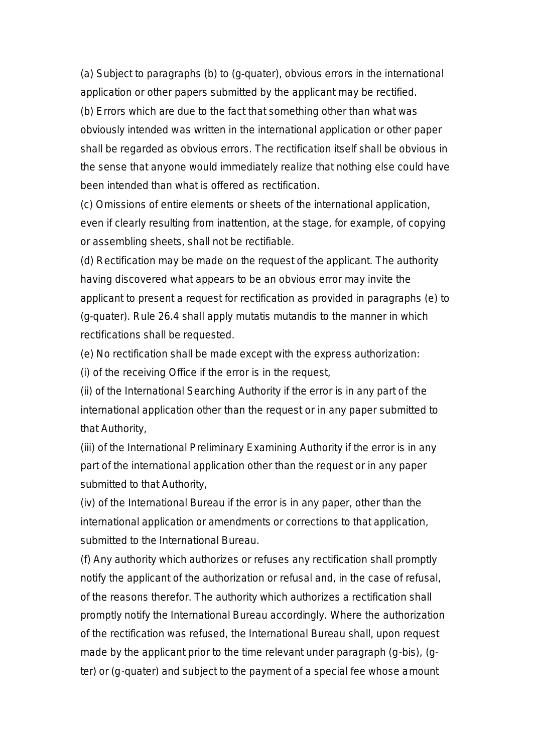(a) Subject to paragraphs (b) to (g-quater), obvious errors in the international application or other papers submitted by the applicant may be rectified. (b) Errors which are due to the fact that something other than what was obviously intended was written in the international application or other paper shall be regarded as obvious errors. The rectification itself shall be obvious in the sense that anyone would immediately realize that nothing else could have been intended than what is offered as rectification.

(c) Omissions of entire elements or sheets of the international application, even if clearly resulting from inattention, at the stage, for example, of copying or assembling sheets, shall not be rectifiable.

(d) Rectification may be made on the request of the applicant. The authority having discovered what appears to be an obvious error may invite the applicant to present a request for rectification as provided in paragraphs (e) to (g-quater). Rule 26.4 shall apply mutatis mutandis to the manner in which rectifications shall be requested.

(e) No rectification shall be made except with the express authorization:

(i) of the receiving Office if the error is in the request,

(ii) of the International Searching Authority if the error is in any part of the international application other than the request or in any paper submitted to that Authority,

(iii) of the International Preliminary Examining Authority if the error is in any part of the international application other than the request or in any paper submitted to that Authority,

(iv) of the International Bureau if the error is in any paper, other than the international application or amendments or corrections to that application, submitted to the International Bureau.

(f) Any authority which authorizes or refuses any rectification shall promptly notify the applicant of the authorization or refusal and, in the case of refusal, of the reasons therefor. The authority which authorizes a rectification shall promptly notify the International Bureau accordingly. Where the authorization of the rectification was refused, the International Bureau shall, upon request made by the applicant prior to the time relevant under paragraph (g-bis), (gter) or (g-quater) and subject to the payment of a special fee whose amount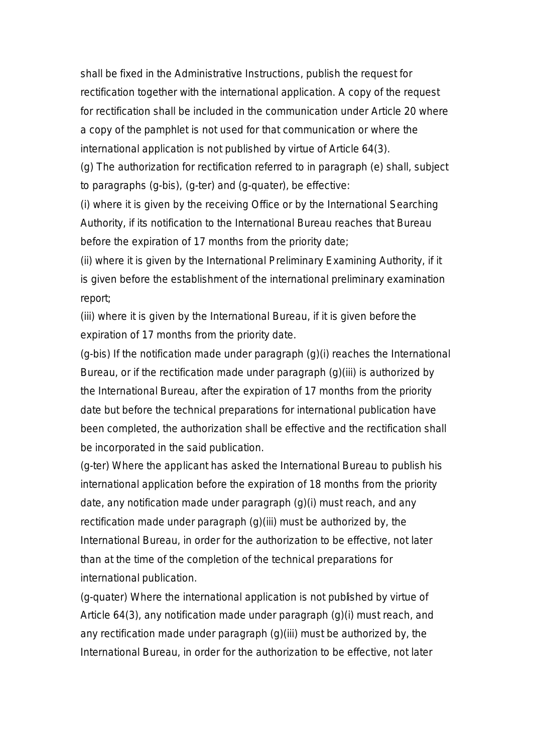shall be fixed in the Administrative Instructions, publish the request for rectification together with the international application. A copy of the request for rectification shall be included in the communication under Article 20 where a copy of the pamphlet is not used for that communication or where the international application is not published by virtue of Article 64(3).

(g) The authorization for rectification referred to in paragraph (e) shall, subject to paragraphs (g-bis), (g-ter) and (g-quater), be effective:

(i) where it is given by the receiving Office or by the International Searching Authority, if its notification to the International Bureau reaches that Bureau before the expiration of 17 months from the priority date;

(ii) where it is given by the International Preliminary Examining Authority, if it is given before the establishment of the international preliminary examination report;

(iii) where it is given by the International Bureau, if it is given before the expiration of 17 months from the priority date.

(g-bis) If the notification made under paragraph (g)(i) reaches the International Bureau, or if the rectification made under paragraph (g)(iii) is authorized by the International Bureau, after the expiration of 17 months from the priority date but before the technical preparations for international publication have been completed, the authorization shall be effective and the rectification shall be incorporated in the said publication.

(g-ter) Where the applicant has asked the International Bureau to publish his international application before the expiration of 18 months from the priority date, any notification made under paragraph (g)(i) must reach, and any rectification made under paragraph (g)(iii) must be authorized by, the International Bureau, in order for the authorization to be effective, not later than at the time of the completion of the technical preparations for international publication.

(g-quater) Where the international application is not published by virtue of Article 64(3), any notification made under paragraph (g)(i) must reach, and any rectification made under paragraph (g)(iii) must be authorized by, the International Bureau, in order for the authorization to be effective, not later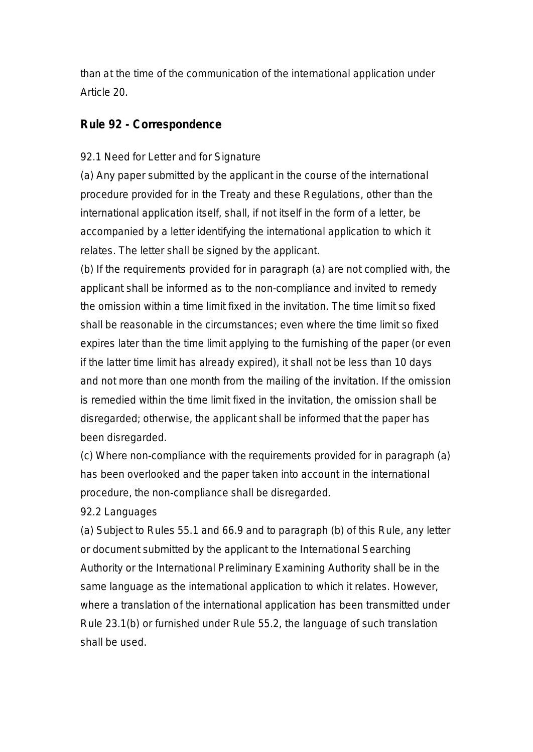than at the time of the communication of the international application under Article 20.

### **Rule 92 - Correspondence**

#### 92.1 Need for Letter and for Signature

(a) Any paper submitted by the applicant in the course of the international procedure provided for in the Treaty and these Regulations, other than the international application itself, shall, if not itself in the form of a letter, be accompanied by a letter identifying the international application to which it relates. The letter shall be signed by the applicant.

(b) If the requirements provided for in paragraph (a) are not complied with, the applicant shall be informed as to the non-compliance and invited to remedy the omission within a time limit fixed in the invitation. The time limit so fixed shall be reasonable in the circumstances; even where the time limit so fixed expires later than the time limit applying to the furnishing of the paper (or even if the latter time limit has already expired), it shall not be less than 10 days and not more than one month from the mailing of the invitation. If the omission is remedied within the time limit fixed in the invitation, the omission shall be disregarded; otherwise, the applicant shall be informed that the paper has been disregarded.

(c) Where non-compliance with the requirements provided for in paragraph (a) has been overlooked and the paper taken into account in the international procedure, the non-compliance shall be disregarded.

### 92.2 Languages

(a) Subject to Rules 55.1 and 66.9 and to paragraph (b) of this Rule, any letter or document submitted by the applicant to the International Searching Authority or the International Preliminary Examining Authority shall be in the same language as the international application to which it relates. However, where a translation of the international application has been transmitted under Rule 23.1(b) or furnished under Rule 55.2, the language of such translation shall be used.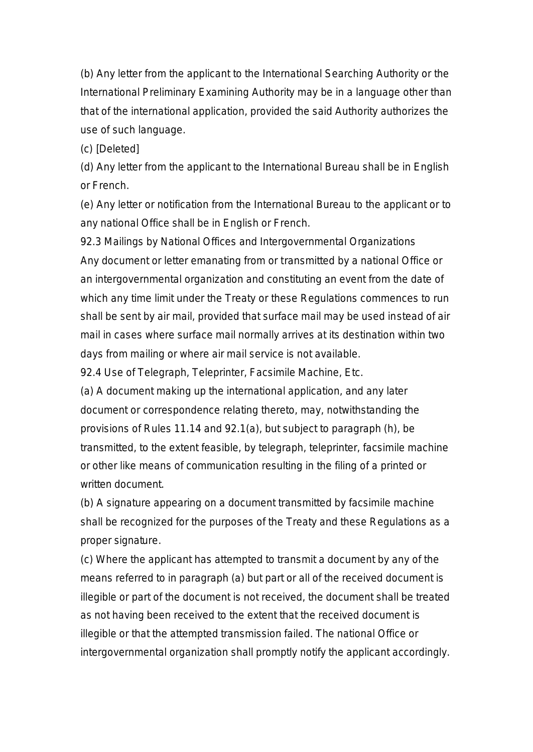(b) Any letter from the applicant to the International Searching Authority or the International Preliminary Examining Authority may be in a language other than that of the international application, provided the said Authority authorizes the use of such language.

(c) [Deleted]

(d) Any letter from the applicant to the International Bureau shall be in English or French.

(e) Any letter or notification from the International Bureau to the applicant or to any national Office shall be in English or French.

92.3 Mailings by National Offices and Intergovernmental Organizations Any document or letter emanating from or transmitted by a national Office or an intergovernmental organization and constituting an event from the date of which any time limit under the Treaty or these Regulations commences to run shall be sent by air mail, provided that surface mail may be used instead of air mail in cases where surface mail normally arrives at its destination within two days from mailing or where air mail service is not available.

92.4 Use of Telegraph, Teleprinter, Facsimile Machine, Etc.

(a) A document making up the international application, and any later document or correspondence relating thereto, may, notwithstanding the provisions of Rules 11.14 and 92.1(a), but subject to paragraph (h), be transmitted, to the extent feasible, by telegraph, teleprinter, facsimile machine or other like means of communication resulting in the filing of a printed or written document.

(b) A signature appearing on a document transmitted by facsimile machine shall be recognized for the purposes of the Treaty and these Regulations as a proper signature.

(c) Where the applicant has attempted to transmit a document by any of the means referred to in paragraph (a) but part or all of the received document is illegible or part of the document is not received, the document shall be treated as not having been received to the extent that the received document is illegible or that the attempted transmission failed. The national Office or intergovernmental organization shall promptly notify the applicant accordingly.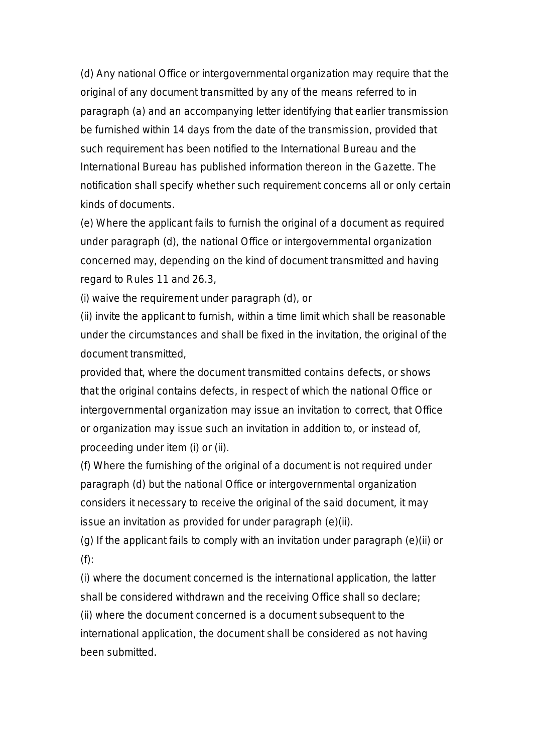(d) Any national Office or intergovernmental organization may require that the original of any document transmitted by any of the means referred to in paragraph (a) and an accompanying letter identifying that earlier transmission be furnished within 14 days from the date of the transmission, provided that such requirement has been notified to the International Bureau and the International Bureau has published information thereon in the Gazette. The notification shall specify whether such requirement concerns all or only certain kinds of documents.

(e) Where the applicant fails to furnish the original of a document as required under paragraph (d), the national Office or intergovernmental organization concerned may, depending on the kind of document transmitted and having regard to Rules 11 and 26.3,

(i) waive the requirement under paragraph (d), or

(ii) invite the applicant to furnish, within a time limit which shall be reasonable under the circumstances and shall be fixed in the invitation, the original of the document transmitted,

provided that, where the document transmitted contains defects, or shows that the original contains defects, in respect of which the national Office or intergovernmental organization may issue an invitation to correct, that Office or organization may issue such an invitation in addition to, or instead of, proceeding under item (i) or (ii).

(f) Where the furnishing of the original of a document is not required under paragraph (d) but the national Office or intergovernmental organization considers it necessary to receive the original of the said document, it may issue an invitation as provided for under paragraph (e)(ii).

(g) If the applicant fails to comply with an invitation under paragraph (e)(ii) or  $(f)$ :

(i) where the document concerned is the international application, the latter shall be considered withdrawn and the receiving Office shall so declare;

(ii) where the document concerned is a document subsequent to the international application, the document shall be considered as not having been submitted.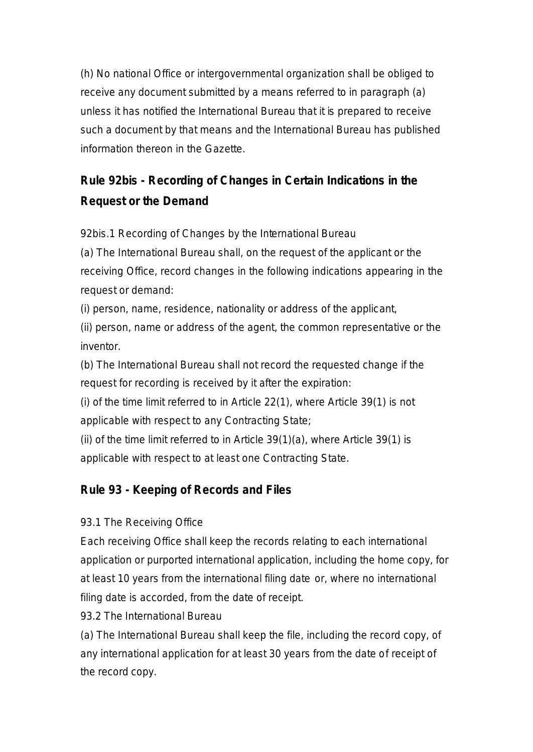(h) No national Office or intergovernmental organization shall be obliged to receive any document submitted by a means referred to in paragraph (a) unless it has notified the International Bureau that it is prepared to receive such a document by that means and the International Bureau has published information thereon in the Gazette.

# **Rule 92bis - Recording of Changes in Certain Indications in the Request or the Demand**

92bis.1 Recording of Changes by the International Bureau

(a) The International Bureau shall, on the request of the applicant or the receiving Office, record changes in the following indications appearing in the request or demand:

(i) person, name, residence, nationality or address of the applicant,

(ii) person, name or address of the agent, the common representative or the inventor.

(b) The International Bureau shall not record the requested change if the request for recording is received by it after the expiration:

(i) of the time limit referred to in Article 22(1), where Article 39(1) is not applicable with respect to any Contracting State;

(ii) of the time limit referred to in Article 39(1)(a), where Article 39(1) is applicable with respect to at least one Contracting State.

## **Rule 93 - Keeping of Records and Files**

### 93.1 The Receiving Office

Each receiving Office shall keep the records relating to each international application or purported international application, including the home copy, for at least 10 years from the international filing date or, where no international filing date is accorded, from the date of receipt.

93.2 The International Bureau

(a) The International Bureau shall keep the file, including the record copy, of any international application for at least 30 years from the date of receipt of the record copy.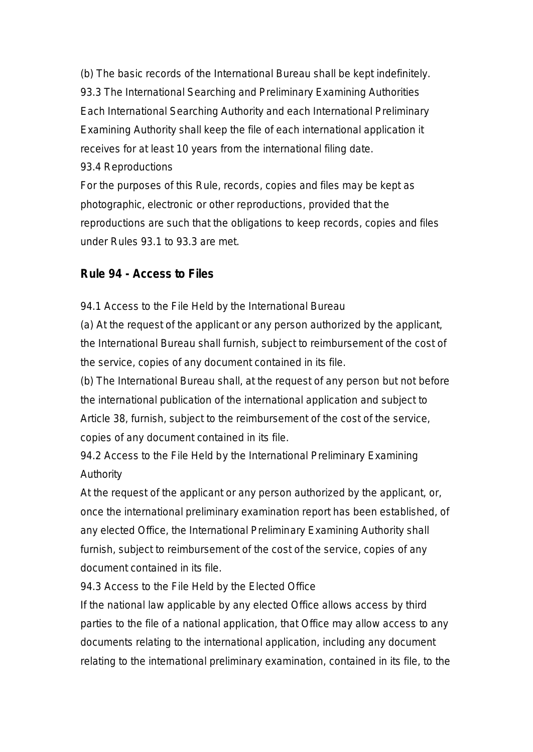(b) The basic records of the International Bureau shall be kept indefinitely. 93.3 The International Searching and Preliminary Examining Authorities Each International Searching Authority and each International Preliminary Examining Authority shall keep the file of each international application it receives for at least 10 years from the international filing date. 93.4 Reproductions

For the purposes of this Rule, records, copies and files may be kept as photographic, electronic or other reproductions, provided that the reproductions are such that the obligations to keep records, copies and files under Rules 93.1 to 93.3 are met.

### **Rule 94 - Access to Files**

94.1 Access to the File Held by the International Bureau

(a) At the request of the applicant or any person authorized by the applicant, the International Bureau shall furnish, subject to reimbursement of the cost of the service, copies of any document contained in its file.

(b) The International Bureau shall, at the request of any person but not before the international publication of the international application and subject to Article 38, furnish, subject to the reimbursement of the cost of the service, copies of any document contained in its file.

94.2 Access to the File Held by the International Preliminary Examining Authority

At the request of the applicant or any person authorized by the applicant, or, once the international preliminary examination report has been established, of any elected Office, the International Preliminary Examining Authority shall furnish, subject to reimbursement of the cost of the service, copies of any document contained in its file.

94.3 Access to the File Held by the Elected Office

If the national law applicable by any elected Office allows access by third parties to the file of a national application, that Office may allow access to any documents relating to the international application, including any document relating to the international preliminary examination, contained in its file, to the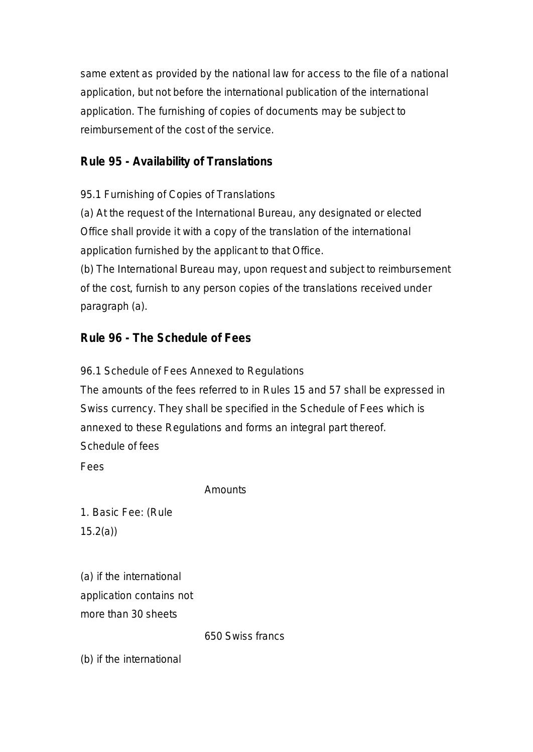same extent as provided by the national law for access to the file of a national application, but not before the international publication of the international application. The furnishing of copies of documents may be subject to reimbursement of the cost of the service.

### **Rule 95 - Availability of Translations**

95.1 Furnishing of Copies of Translations

(a) At the request of the International Bureau, any designated or elected Office shall provide it with a copy of the translation of the international application furnished by the applicant to that Office.

(b) The International Bureau may, upon request and subject to reimbursement of the cost, furnish to any person copies of the translations received under paragraph (a).

## **Rule 96 - The Schedule of Fees**

96.1 Schedule of Fees Annexed to Regulations

The amounts of the fees referred to in Rules 15 and 57 shall be expressed in Swiss currency. They shall be specified in the Schedule of Fees which is annexed to these Regulations and forms an integral part thereof. Schedule of fees

Fees

**Amounts** 

1. Basic Fee: (Rule 15.2(a))

(a) if the international application contains not more than 30 sheets

650 Swiss francs

(b) if the international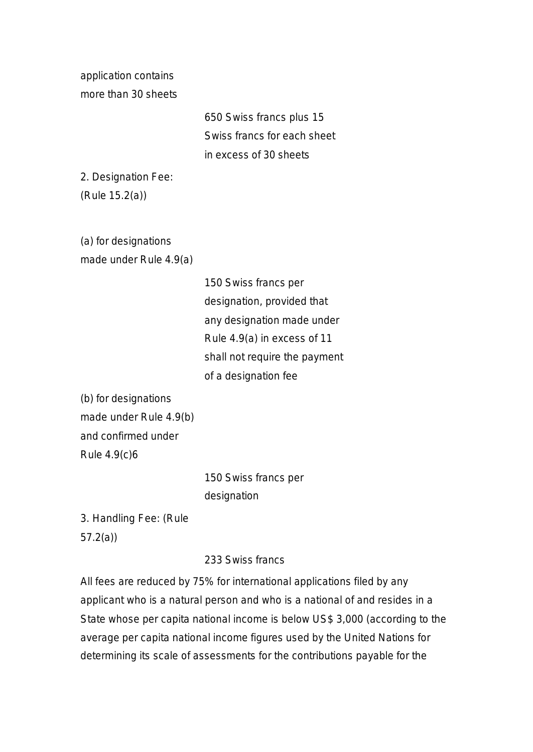application contains more than 30 sheets

> 650 Swiss francs plus 15 Swiss francs for each sheet in excess of 30 sheets

2. Designation Fee: (Rule 15.2(a))

(a) for designations made under Rule 4.9(a)

> 150 Swiss francs per designation, provided that any designation made under Rule 4.9(a) in excess of 11 shall not require the payment of a designation fee

(b) for designations made under Rule 4.9(b) and confirmed under Rule 4.9(c)6

> 150 Swiss francs per designation

3. Handling Fee: (Rule

57.2(a))

#### 233 Swiss francs

All fees are reduced by 75% for international applications filed by any applicant who is a natural person and who is a national of and resides in a State whose per capita national income is below US\$ 3,000 (according to the average per capita national income figures used by the United Nations for determining its scale of assessments for the contributions payable for the